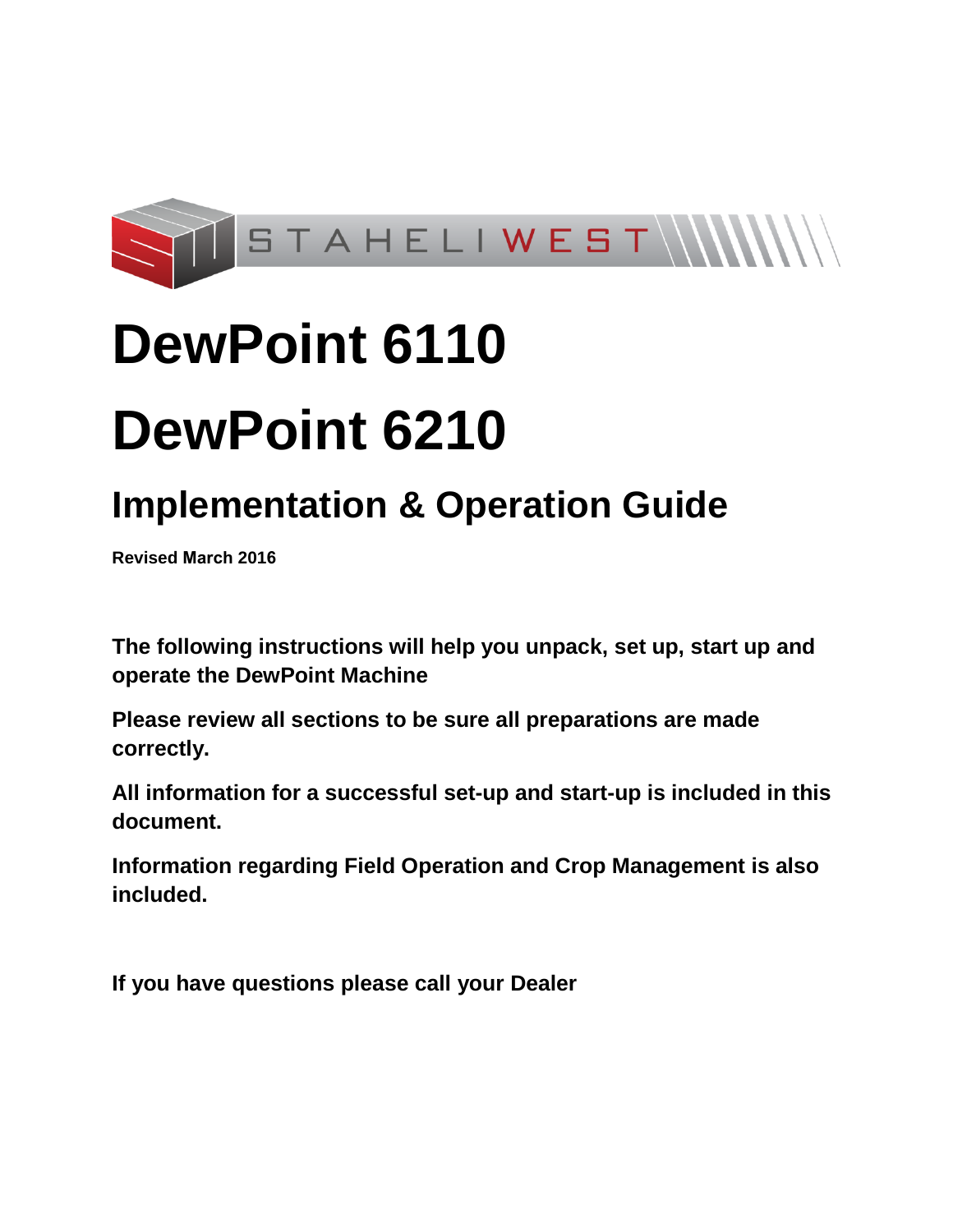

# **DewPoint 6110 DewPoint 6210**

## **Implementation & Operation Guide**

**Revised March 2016**

**The following instructions will help you unpack, set up, start up and operate the DewPoint Machine** 

**Please review all sections to be sure all preparations are made correctly.** 

**All information for a successful set-up and start-up is included in this document.** 

**Information regarding Field Operation and Crop Management is also included.** 

**If you have questions please call your Dealer**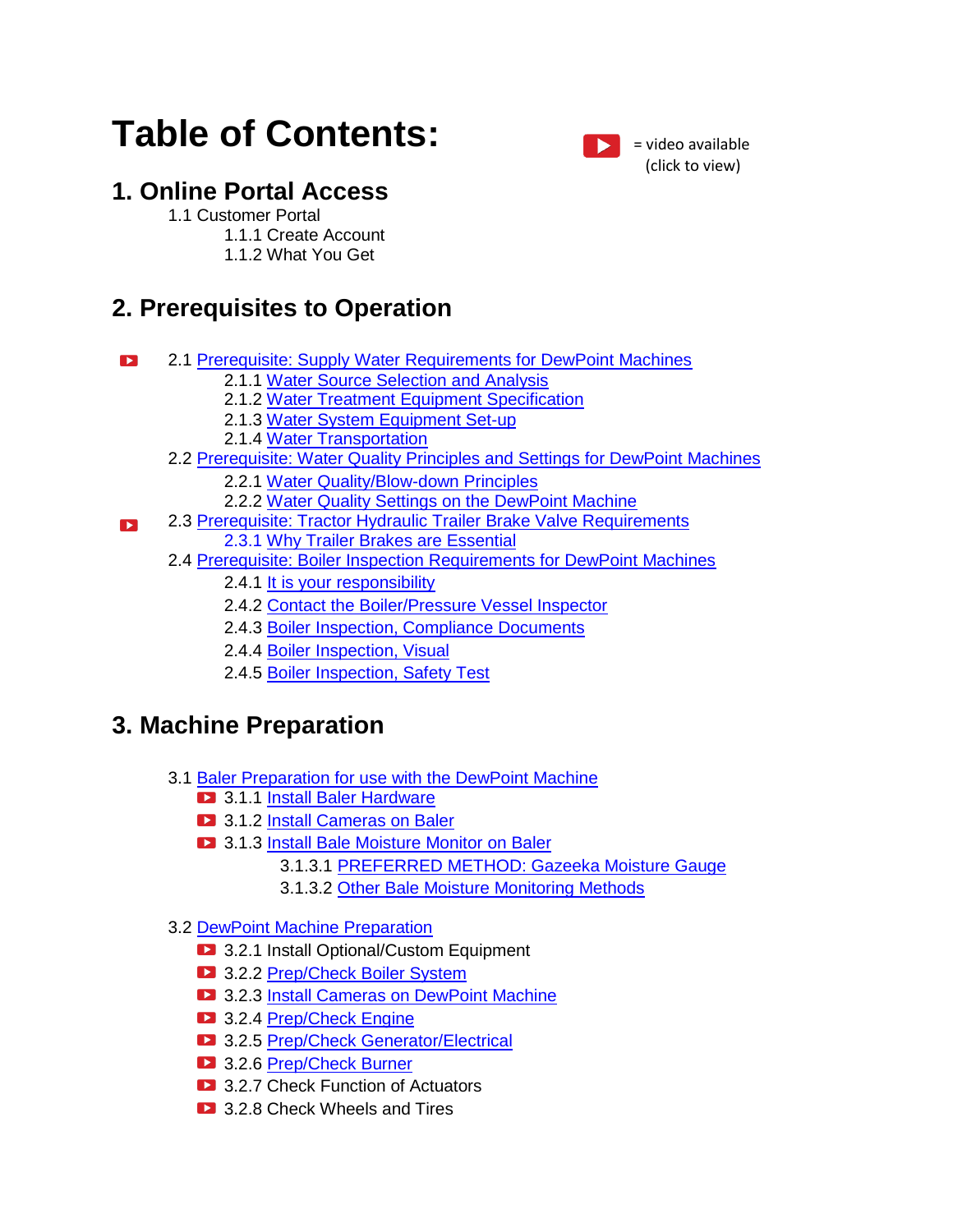## **Table of Contents:**

### **1. Online Portal Access**

#### 1.1 Customer Portal

- 1.1.1 Create Account
	- 1.1.2 What You Get

### **2. Prerequisites to Operation**

- 2.1 [Prerequisite: Supply Water Requirements for DewPoint Machines](#page-4-0)  $\blacktriangleright$ 
	- 2.1.1 [Water Source Selection and Analysis](#page-6-0)
	- 2.1.2 [Water Treatment Equipment Specification](#page-7-0)
	- 2.1.3 [Water System Equipment Set-up](#page-7-1)
	- 2.1.4 [Water Transportation](#page-8-0)
	- 2.2 [Prerequisite: Water Quality Principles and Settings for DewPoint Machines](#page-9-0)
		- 2.2.1 [Water Quality/Blow-down Principles](#page-9-1)
		- 2.2.2 [Water Quality Settings on the DewPoint Machine](#page-10-0)
- 2.3 [Prerequisite: Tractor Hydraulic Trailer Brake Valve Requirements](#page-11-0)  $\mathbf{E}$ 
	- 2.3.1 [Why Trailer Brakes are Essential](#page-11-1)
	- 2.4 [Prerequisite: Boiler Inspection Requirements for DewPoint Machines](#page-12-0)
		- 2.4.1 [It is your responsibility](#page-12-1)
		- 2.4.2 [Contact the Boiler/Pressure Vessel Inspector](#page-12-2)
		- 2.4.3 [Boiler Inspection, Compliance Documents](#page-12-3)
		- 2.4.4 [Boiler Inspection, Visual](#page-13-0)
		- 2.4.5 [Boiler Inspection, Safety Test](#page-14-0)

### **3. Machine Preparation**

- 3.1 [Baler Preparation for use with the DewPoint Machine](#page-15-0)
	- **2** 3.1.1 [Install Baler Hardware](#page-15-1)
	- **2** 3.1.2 [Install Cameras on](#page-15-2) Baler
	- **3.1.3 [Install Bale Moisture Monitor on Baler](#page-16-0)** 
		- 3.1.3.1 [PREFERRED METHOD: Gazeeka Moisture Gauge](#page-16-1)
		- 3.1.3.2 [Other Bale Moisture Monitoring Methods](#page-17-0)
- 3.2 [DewPoint Machine Preparation](#page-20-0)
	- **2** 3.2.1 Install Optional/Custom Equipment
	- **3.2.2 [Prep/Check Boiler System](#page-20-1)**
	- **12** 3.2.3 **Install Cameras on DewPoint Machine**
	- 3.2.4 [Prep/Check Engine](#page-22-0)
	- 3.2.5 [Prep/Check Generator/Electrical](#page-22-1)
	- 3.2.6 [Prep/Check Burner](#page-22-2)
	- **3.2.7 Check Function of Actuators**
	- **3.2.8 Check Wheels and Tires**

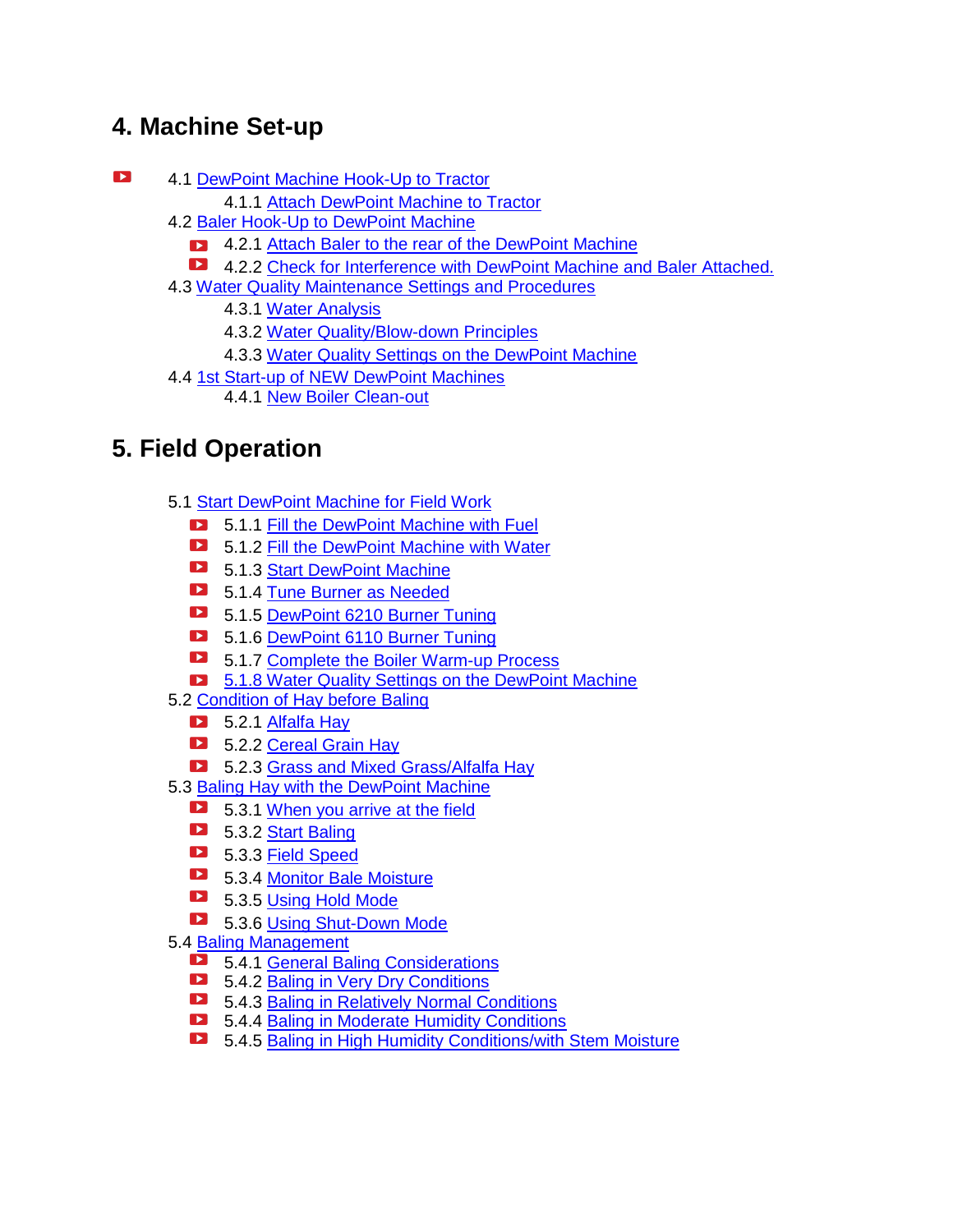### **4. Machine Set-up**

- $\mathbf{Z}$ 4.1 [DewPoint Machine Hook-Up to Tractor](#page-23-0)
	- 4.1.1 [Attach DewPoint Machine to Tractor](#page-24-0)
	- 4.2 [Baler Hook-Up to DewPoint Machine](#page-23-0)
		- **12.1 [Attach Baler to the rear of the DewPoint Machine](#page-26-0)**
		- 4.2.2 [Check for Interference with DewPoint Machine and Baler Attached.](#page-28-0)
	- 4.3 [Water Quality Maintenance Settings and Procedures](#page-28-1)
		- 4.3.1 [Water Analysis](#page-29-0)
		- 4.3.2 [Water Quality/Blow-down Principles](#page-29-1)
		- 4.3.3 [Water Quality Settings on the DewPoint Machine](#page-10-0)
	- 4.4 [1st Start-up of NEW DewPoint Machines](#page-31-0)
		- 4.4.1 [New Boiler Clean-out](#page-31-1)

### **5. Field Operation**

- 5.1 Start DewPoint Machine for Field Work
	- **5.1.1 [Fill the DewPoint Machine with Fuel](#page-35-0)**
	- **1.2.** 5.1.2 [Fill the DewPoint Machine with Water](#page-35-1)
	- 5.1.3 [Start DewPoint Machine](#page-36-0)
	- **12** 5.1.4 [Tune Burner as Needed](#page-36-1)
	- 5.1.5 [DewPoint 6210 Burner Tuning](#page-37-0)
	- 5.1.6 [DewPoint 6110 Burner Tuning](#page-38-0)
	- **E** 5.1.7 [Complete the Boiler Warm-up Process](#page-40-0)
	- **5.1.8 Water Quality Settings on the DewPoint Machine**
- 5.2 [Condition of Hay before Baling](#page-41-0)
	- $\Box$  5.2.1 Alfalfa Hav
	- 5.2.2 [Cereal Grain Hay](#page-43-0)
	- 5.2.3 Grass and Mixed Grass/Alfalfa Hav
- 5.3 [Baling Hay with the DewPoint Machine](#page-47-0)
	- 5.3.1 [When you arrive at the field](#page-47-1)
	- 5.3.2 [Start Baling](#page-48-0)
	- 5.3.3 [Field Speed](#page-50-0)
	- 5.3.4 [Monitor Bale Moisture](#page-50-1)
	- 5.3.5 [Using Hold Mode](#page-51-0)
	- **5.3.6 [Using Shut-Down Mode](#page-51-1)**
- 5.4 [Baling Management](#page-52-0)
	- **12** 5.4.1 [General Baling Considerations](#page-52-1)
	- 5.4.2 [Baling in Very Dry Conditions](#page-53-0)
	- **12** 5.4.3 [Baling in Relatively Normal Conditions](#page-54-0)
	- 5.4.4 [Baling in Moderate Humidity Conditions](#page-54-1)
	- 5.4.5 [Baling in High Humidity Conditions/with Stem Moisture](#page-55-0)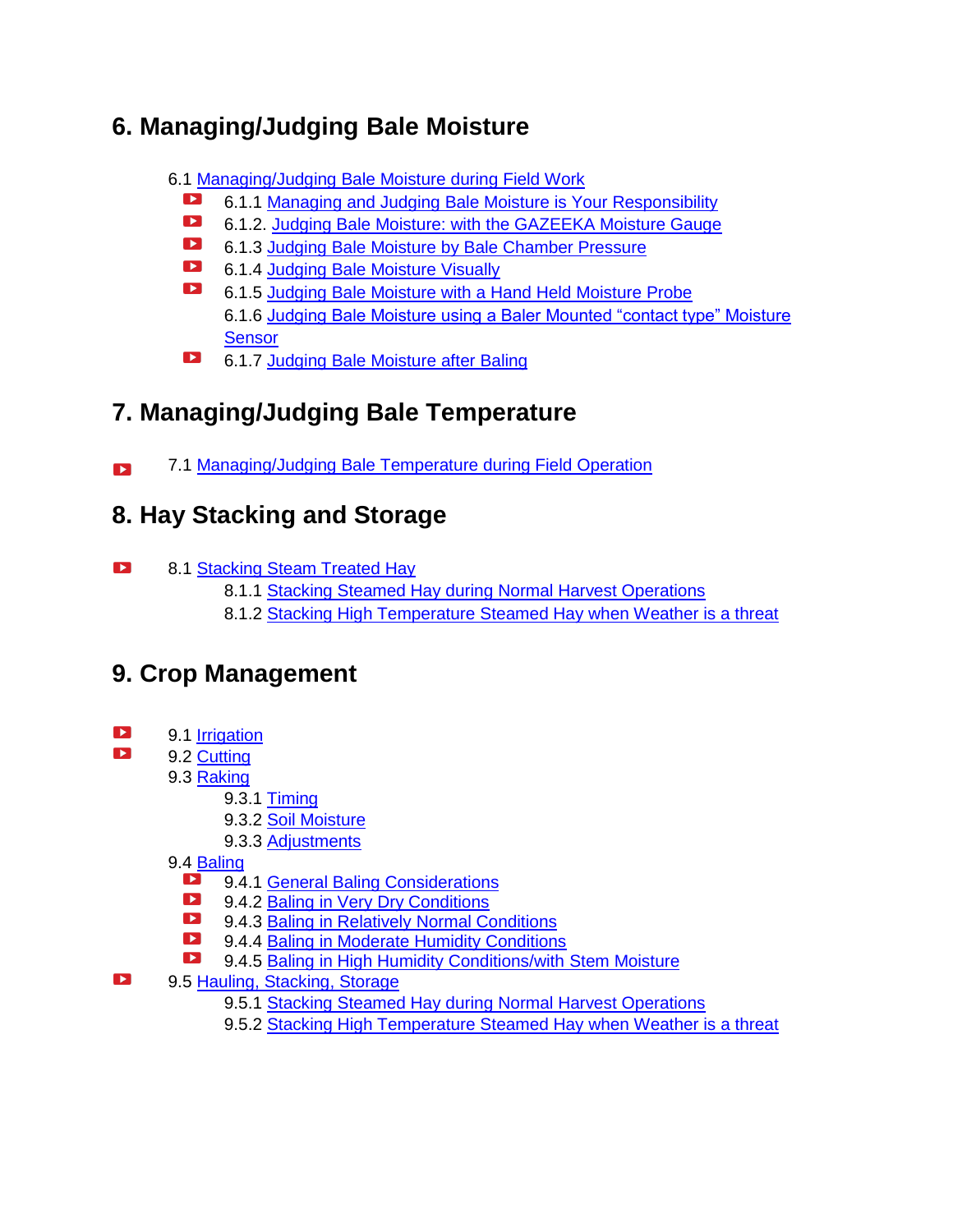### **6. Managing/Judging Bale Moisture**

- 6.1 [Managing/Judging Bale Moisture during Field Work](#page-56-0)
	- $\blacktriangleright$ 6.1.1 [Managing and Judging Bale Moisture is Your Responsibility](#page-56-1)
	- $\blacksquare$ 6.1.2. [Judging Bale Moisture: with the GAZEEKA Moisture Gauge](#page-57-0)
	- $\blacksquare$ 6.1.3 [Judging Bale Moisture by Bale Chamber Pressure](#page-59-0)
	- $\blacktriangleright$ 6.1.4 [Judging Bale Moisture Visually](#page-60-0)
	- $\blacktriangleright$ 6.1.5 [Judging Bale Moisture with a Hand Held Moisture Probe](#page-61-0) 6.1.6 [Judging Bale Moisture using a Baler Mounted "contact type" Moisture](#page-62-0)  **[Sensor](#page-62-0)**
	- $\mathbf{E}$ 6.1.7 [Judging Bale Moisture after Baling](#page-64-0)

### **7. Managing/Judging Bale Temperature**

7.1 [Managing/Judging Bale Temperature during Field Operation](#page-65-0)  $\mathbf{L}$ 

### **8. Hay Stacking and Storage**

- $\blacksquare$ 8.1 [Stacking Steam Treated Hay](#page-66-0)
	- 8.1.1 [Stacking Steamed Hay during Normal Harvest Operations](#page-66-1)
	- 8.1.2 [Stacking High Temperature Steamed Hay when Weather is a threat](#page-66-2)

### **9. Crop Management**

- $\mathbf{Z}$ 9.1 [Irrigation](#page-67-0)
- $\blacktriangleright$ 9.2 [Cutting](#page-68-0)
	- 9.3 [Raking](#page-69-0)
		- 9.3.1 [Timing](#page-69-1)
		- 9.3.2 [Soil Moisture](#page-70-0)
		- 9.3.3 [Adjustments](#page-70-1)
	- 9.4 [Baling](#page-71-0)
		- 9.4.1 [General Baling Considerations](#page-52-1)
		- $\blacktriangleright$ 9.4.2 [Baling in Very Dry Conditions](#page-53-0)
		- $\blacksquare$ 9.4.3 [Baling in Relatively Normal Conditions](#page-54-0)
		- $\blacksquare$ 9.4.4 [Baling in Moderate Humidity Conditions](#page-54-1)
		- $\blacktriangleright$ 9.4.5 [Baling in High Humidity Conditions/with](#page-55-0) Stem Moisture
- $\blacksquare$ 9.5 [Hauling, Stacking, Storage](#page-76-0)
	- 9.5.1 [Stacking Steamed Hay during Normal Harvest Operations](#page-66-1)
	- 9.5.2 [Stacking High Temperature Steamed Hay when Weather is a threat](#page-66-2)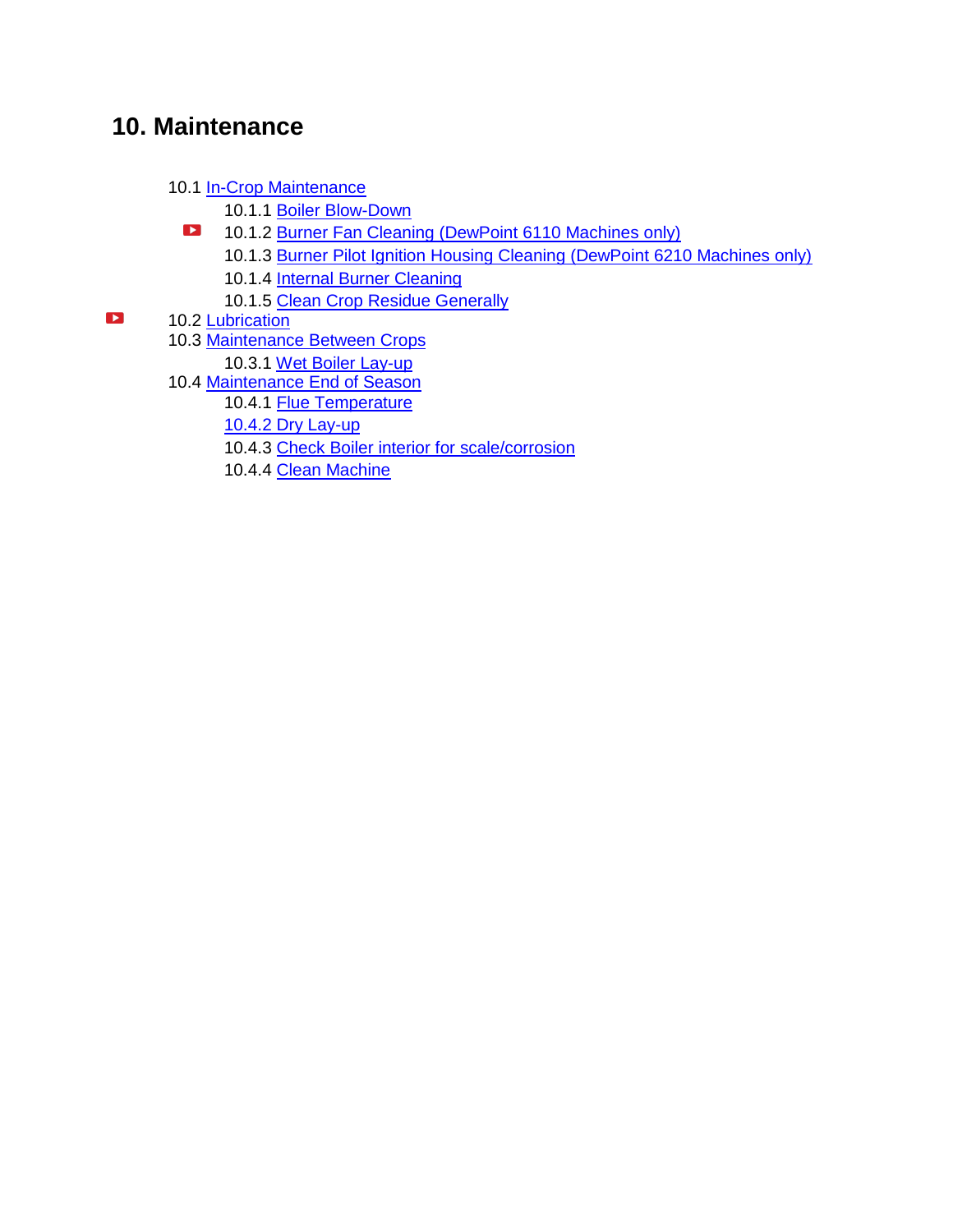### **10. Maintenance**

- 10.1 [In-Crop Maintenance](#page-77-0)
	- 10.1.1 [Boiler Blow-Down](#page-77-1)
	- $\blacktriangleright$ 10.1.2 [Burner Fan Cleaning \(DewPoint 6110 Machines only\)](#page-78-0)
		- 10.1.3 [Burner Pilot Ignition Housing Cleaning \(DewPoint 6210 Machines only\)](#page-78-1)
		- 10.1.4 [Internal Burner Cleaning](#page-78-2)
		- 10.1.5 [Clean Crop Residue Generally](#page-79-0)
- <span id="page-4-0"></span> $\blacktriangleright$ 10.2 [Lubrication](#page-79-1)
	- 10.3 [Maintenance Between Crops](#page-79-2)
		- 10.3.1 [Wet Boiler Lay-up](#page-80-0)
	- 10.4 [Maintenance End of Season](#page-81-0)
		- 10.4.1 [Flue Temperature](#page-81-1)
		- [10.4.2 Dry Lay-up](#page-81-1)
		- [10.4.3 Check Boiler interior for scale/corrosion](#page-81-1)
		- 10.4.4 [Clean Machine](#page-82-0)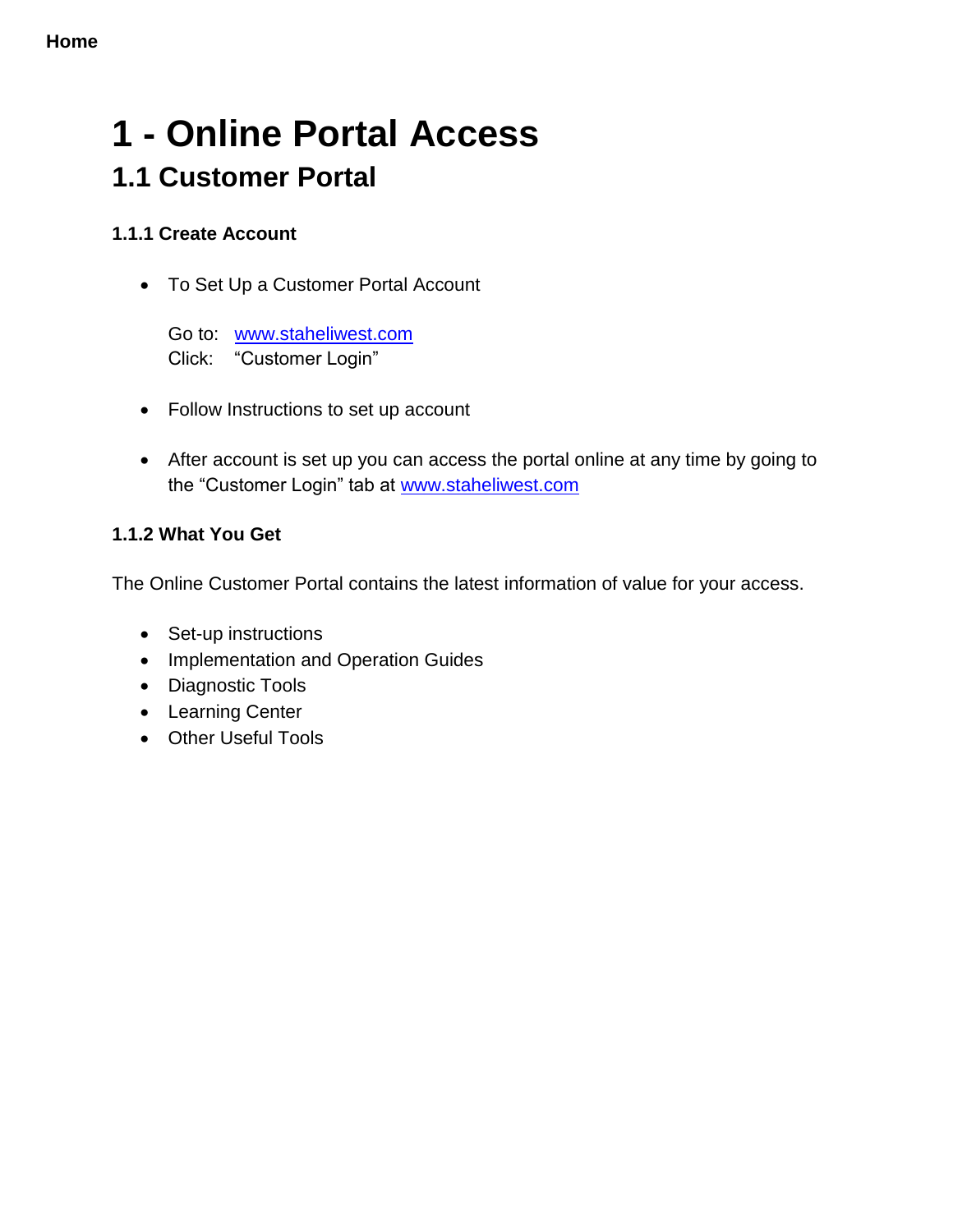## **1 - Online Portal Access 1.1 Customer Portal**

#### **1.1.1 Create Account**

To Set Up a Customer Portal Account

Go to: www.staheliwest.com Click: "Customer Login"

- Follow Instructions to set up account
- After account is set up you can access the portal online at any time by going to the "Customer Login" tab at [www.staheliwest.com](http://www.staheliwest.com/)

#### **1.1.2 What You Get**

The Online Customer Portal contains the latest information of value for your access.

- Set-up instructions
- Implementation and Operation Guides
- Diagnostic Tools
- Learning Center
- Other Useful Tools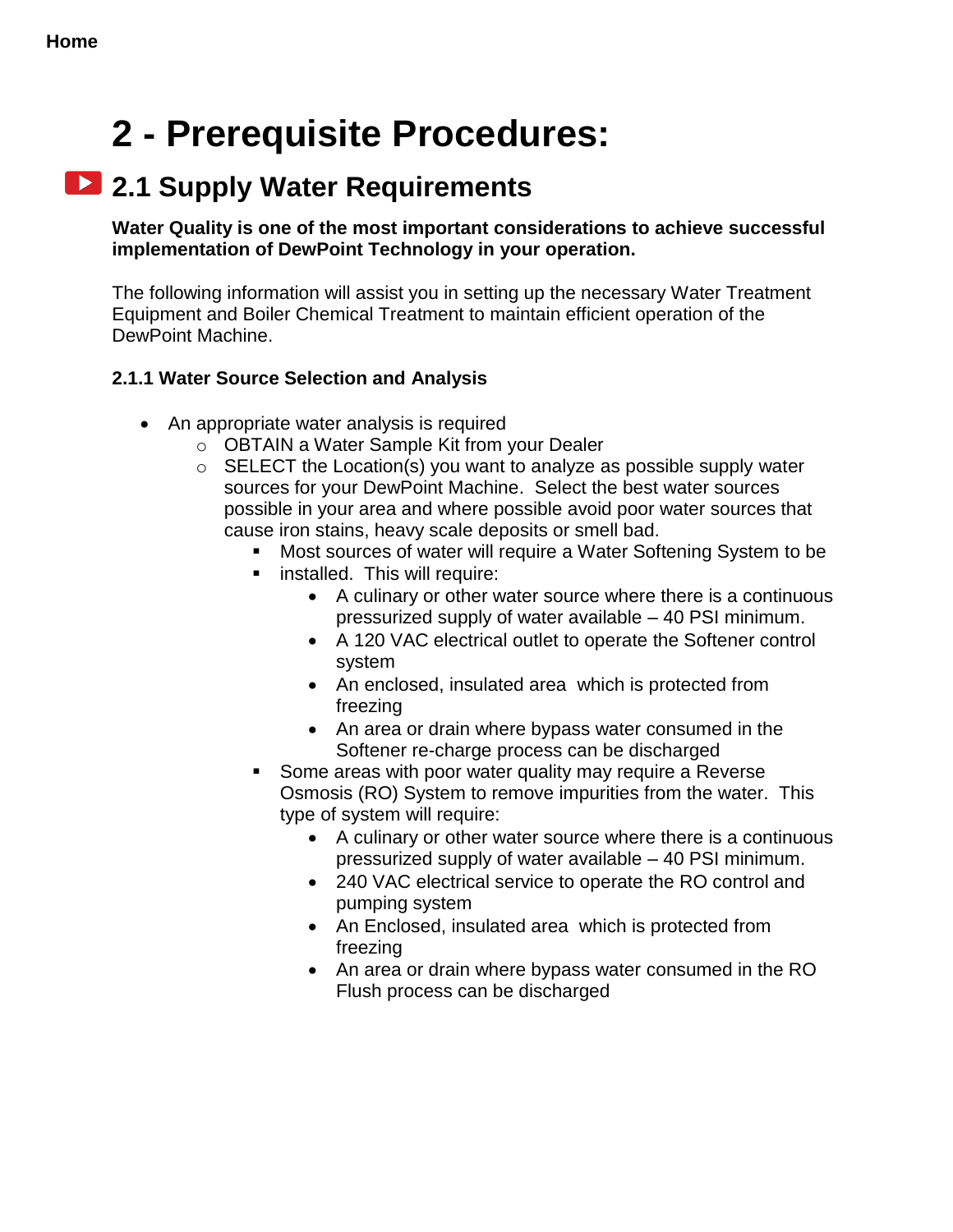## **2 - Prerequisite Procedures:**

## **2.1 Supply Water Requirements**

**Water Quality is one of the most important considerations to achieve successful implementation of DewPoint Technology in your operation.**

The following information will assist you in setting up the necessary Water Treatment Equipment and Boiler Chemical Treatment to maintain efficient operation of the DewPoint Machine.

#### <span id="page-6-0"></span>**2.1.1 Water Source Selection and Analysis**

- An appropriate water analysis is required
	- o OBTAIN a Water Sample Kit from your Dealer
	- $\circ$  SELECT the Location(s) you want to analyze as possible supply water sources for your DewPoint Machine. Select the best water sources possible in your area and where possible avoid poor water sources that cause iron stains, heavy scale deposits or smell bad.
		- Most sources of water will require a Water Softening System to be
		- **EXEC** installed. This will require:
			- A culinary or other water source where there is a continuous pressurized supply of water available – 40 PSI minimum.
			- A 120 VAC electrical outlet to operate the Softener control system
			- An enclosed, insulated area which is protected from freezing
			- An area or drain where bypass water consumed in the Softener re-charge process can be discharged
		- Some areas with poor water quality may require a Reverse Osmosis (RO) System to remove impurities from the water. This type of system will require:
			- A culinary or other water source where there is a continuous pressurized supply of water available – 40 PSI minimum.
			- 240 VAC electrical service to operate the RO control and pumping system
			- An Enclosed, insulated area which is protected from freezing
			- An area or drain where bypass water consumed in the RO Flush process can be discharged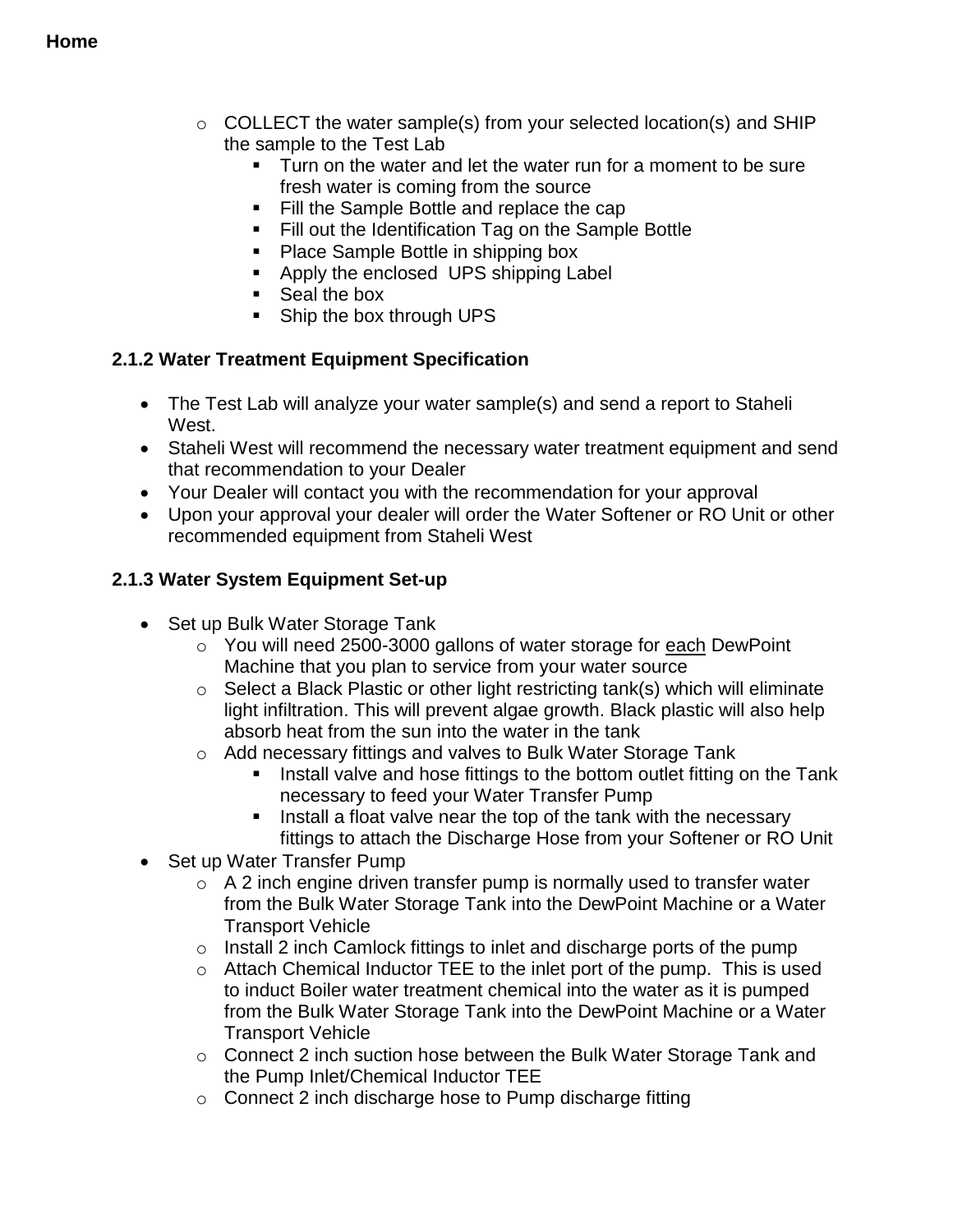- $\circ$  COLLECT the water sample(s) from your selected location(s) and SHIP the sample to the Test Lab
	- **Turn on the water and let the water run for a moment to be sure** fresh water is coming from the source
	- Fill the Sample Bottle and replace the cap
	- **Fill out the Identification Tag on the Sample Bottle**
	- Place Sample Bottle in shipping box
	- Apply the enclosed UPS shipping Label
	- Seal the box
	- Ship the box through UPS

#### <span id="page-7-0"></span>**2.1.2 Water Treatment Equipment Specification**

- The Test Lab will analyze your water sample(s) and send a report to Staheli West.
- Staheli West will recommend the necessary water treatment equipment and send that recommendation to your Dealer
- Your Dealer will contact you with the recommendation for your approval
- Upon your approval your dealer will order the Water Softener or RO Unit or other recommended equipment from Staheli West

#### <span id="page-7-1"></span>**2.1.3 Water System Equipment Set-up**

- Set up Bulk Water Storage Tank
	- o You will need 2500-3000 gallons of water storage for each DewPoint Machine that you plan to service from your water source
	- o Select a Black Plastic or other light restricting tank(s) which will eliminate light infiltration. This will prevent algae growth. Black plastic will also help absorb heat from the sun into the water in the tank
	- o Add necessary fittings and valves to Bulk Water Storage Tank
		- **IF** Install valve and hose fittings to the bottom outlet fitting on the Tank necessary to feed your Water Transfer Pump
		- Install a float valve near the top of the tank with the necessary fittings to attach the Discharge Hose from your Softener or RO Unit
- Set up Water Transfer Pump
	- $\circ$  A 2 inch engine driven transfer pump is normally used to transfer water from the Bulk Water Storage Tank into the DewPoint Machine or a Water Transport Vehicle
	- o Install 2 inch Camlock fittings to inlet and discharge ports of the pump
	- o Attach Chemical Inductor TEE to the inlet port of the pump. This is used to induct Boiler water treatment chemical into the water as it is pumped from the Bulk Water Storage Tank into the DewPoint Machine or a Water Transport Vehicle
	- o Connect 2 inch suction hose between the Bulk Water Storage Tank and the Pump Inlet/Chemical Inductor TEE
	- o Connect 2 inch discharge hose to Pump discharge fitting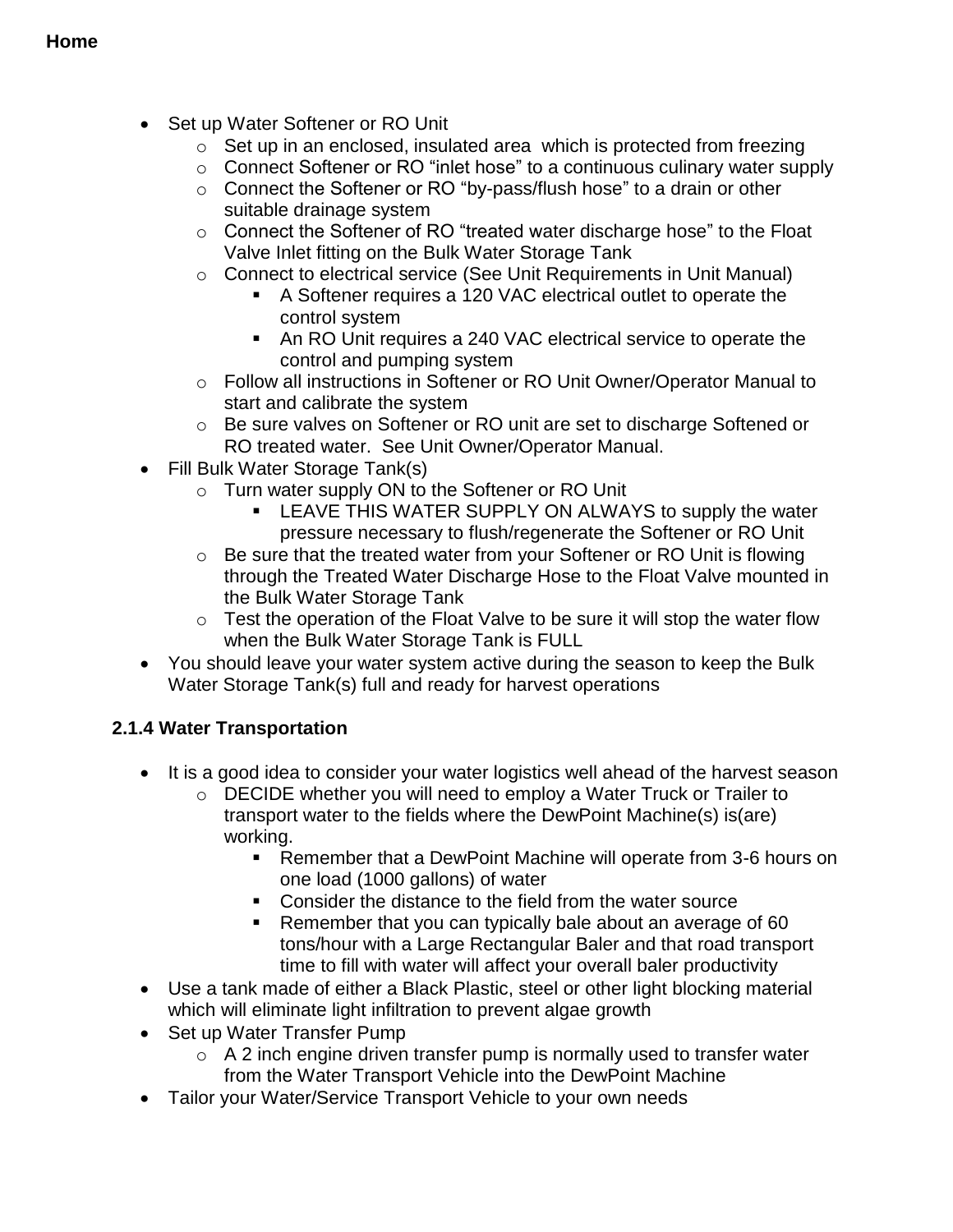- Set up Water Softener or RO Unit
	- o Set up in an enclosed, insulated area which is protected from freezing
	- o Connect Softener or RO "inlet hose" to a continuous culinary water supply
	- o Connect the Softener or RO "by-pass/flush hose" to a drain or other suitable drainage system
	- o Connect the Softener of RO "treated water discharge hose" to the Float Valve Inlet fitting on the Bulk Water Storage Tank
	- o Connect to electrical service (See Unit Requirements in Unit Manual)
		- A Softener requires a 120 VAC electrical outlet to operate the control system
		- An RO Unit requires a 240 VAC electrical service to operate the control and pumping system
	- o Follow all instructions in Softener or RO Unit Owner/Operator Manual to start and calibrate the system
	- o Be sure valves on Softener or RO unit are set to discharge Softened or RO treated water. See Unit Owner/Operator Manual.
- Fill Bulk Water Storage Tank(s)
	- o Turn water supply ON to the Softener or RO Unit
		- **EXAGGERY LEAVE THIS WATER SUPPLY ON ALWAYS to supply the water** pressure necessary to flush/regenerate the Softener or RO Unit
	- o Be sure that the treated water from your Softener or RO Unit is flowing through the Treated Water Discharge Hose to the Float Valve mounted in the Bulk Water Storage Tank
	- o Test the operation of the Float Valve to be sure it will stop the water flow when the Bulk Water Storage Tank is FULL
- You should leave your water system active during the season to keep the Bulk Water Storage Tank(s) full and ready for harvest operations

#### <span id="page-8-0"></span>**2.1.4 Water Transportation**

- It is a good idea to consider your water logistics well ahead of the harvest season
	- o DECIDE whether you will need to employ a Water Truck or Trailer to transport water to the fields where the DewPoint Machine(s) is(are) working.
		- Remember that a DewPoint Machine will operate from 3-6 hours on one load (1000 gallons) of water
		- **EXECONS** Consider the distance to the field from the water source
		- **Remember that you can typically bale about an average of 60** tons/hour with a Large Rectangular Baler and that road transport time to fill with water will affect your overall baler productivity
- Use a tank made of either a Black Plastic, steel or other light blocking material which will eliminate light infiltration to prevent algae growth
- Set up Water Transfer Pump
	- $\circ$  A 2 inch engine driven transfer pump is normally used to transfer water from the Water Transport Vehicle into the DewPoint Machine
- Tailor your Water/Service Transport Vehicle to your own needs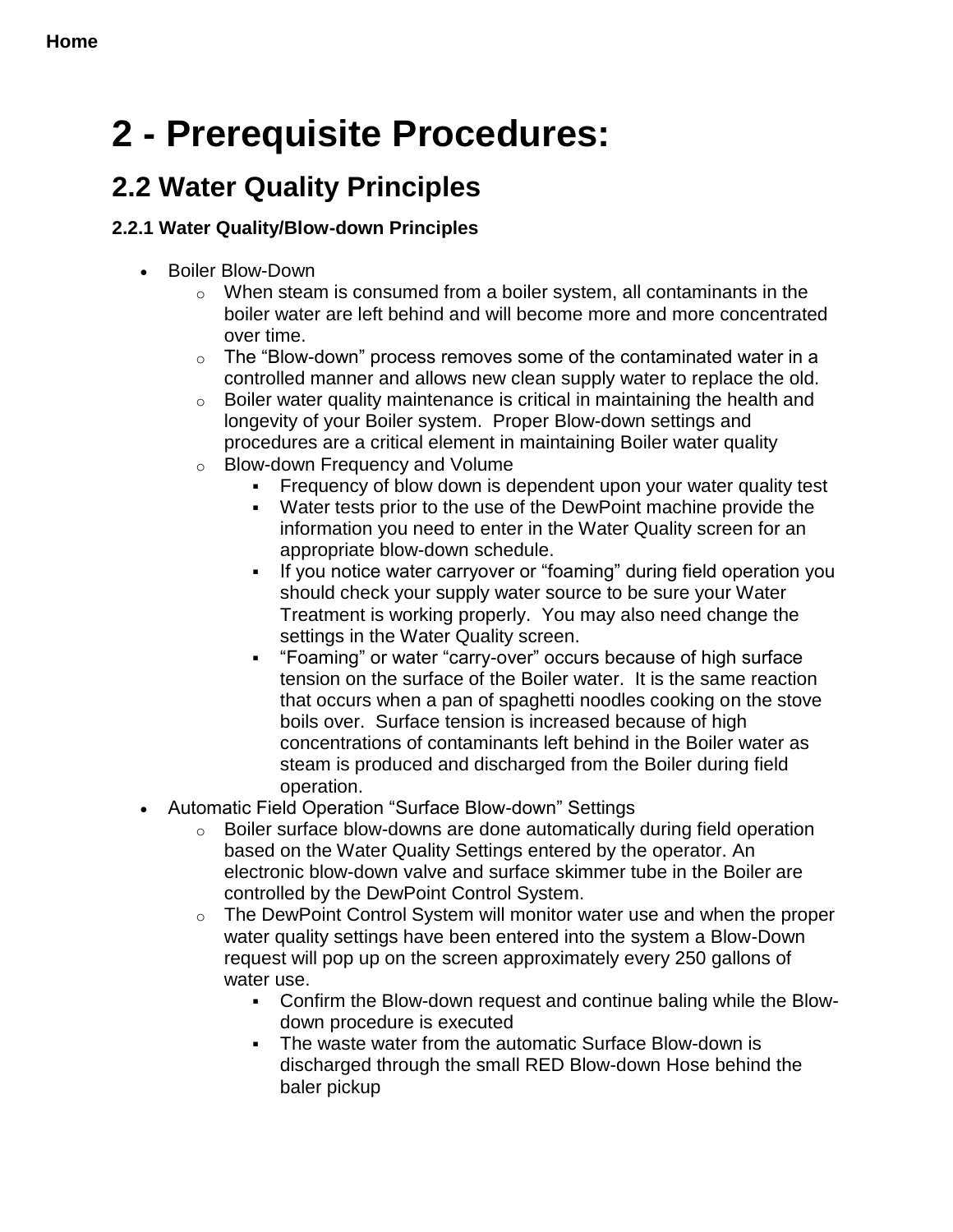## <span id="page-9-0"></span>**2 - Prerequisite Procedures:**

## **2.2 Water Quality Principles**

#### <span id="page-9-1"></span>**2.2.1 Water Quality/Blow-down Principles**

- Boiler Blow-Down
	- $\circ$  When steam is consumed from a boiler system, all contaminants in the boiler water are left behind and will become more and more concentrated over time.
	- $\circ$  The "Blow-down" process removes some of the contaminated water in a controlled manner and allows new clean supply water to replace the old.
	- $\circ$  Boiler water quality maintenance is critical in maintaining the health and longevity of your Boiler system. Proper Blow-down settings and procedures are a critical element in maintaining Boiler water quality
	- o Blow-down Frequency and Volume
		- Frequency of blow down is dependent upon your water quality test
		- Water tests prior to the use of the DewPoint machine provide the information you need to enter in the Water Quality screen for an appropriate blow-down schedule.
		- If you notice water carryover or "foaming" during field operation you should check your supply water source to be sure your Water Treatment is working properly. You may also need change the settings in the Water Quality screen.
		- "Foaming" or water "carry-over" occurs because of high surface tension on the surface of the Boiler water. It is the same reaction that occurs when a pan of spaghetti noodles cooking on the stove boils over. Surface tension is increased because of high concentrations of contaminants left behind in the Boiler water as steam is produced and discharged from the Boiler during field operation.
- Automatic Field Operation "Surface Blow-down" Settings
	- o Boiler surface blow-downs are done automatically during field operation based on the Water Quality Settings entered by the operator. An electronic blow-down valve and surface skimmer tube in the Boiler are controlled by the DewPoint Control System.
	- o The DewPoint Control System will monitor water use and when the proper water quality settings have been entered into the system a Blow-Down request will pop up on the screen approximately every 250 gallons of water use.
		- Confirm the Blow-down request and continue baling while the Blowdown procedure is executed
		- The waste water from the automatic Surface Blow-down is discharged through the small RED Blow-down Hose behind the baler pickup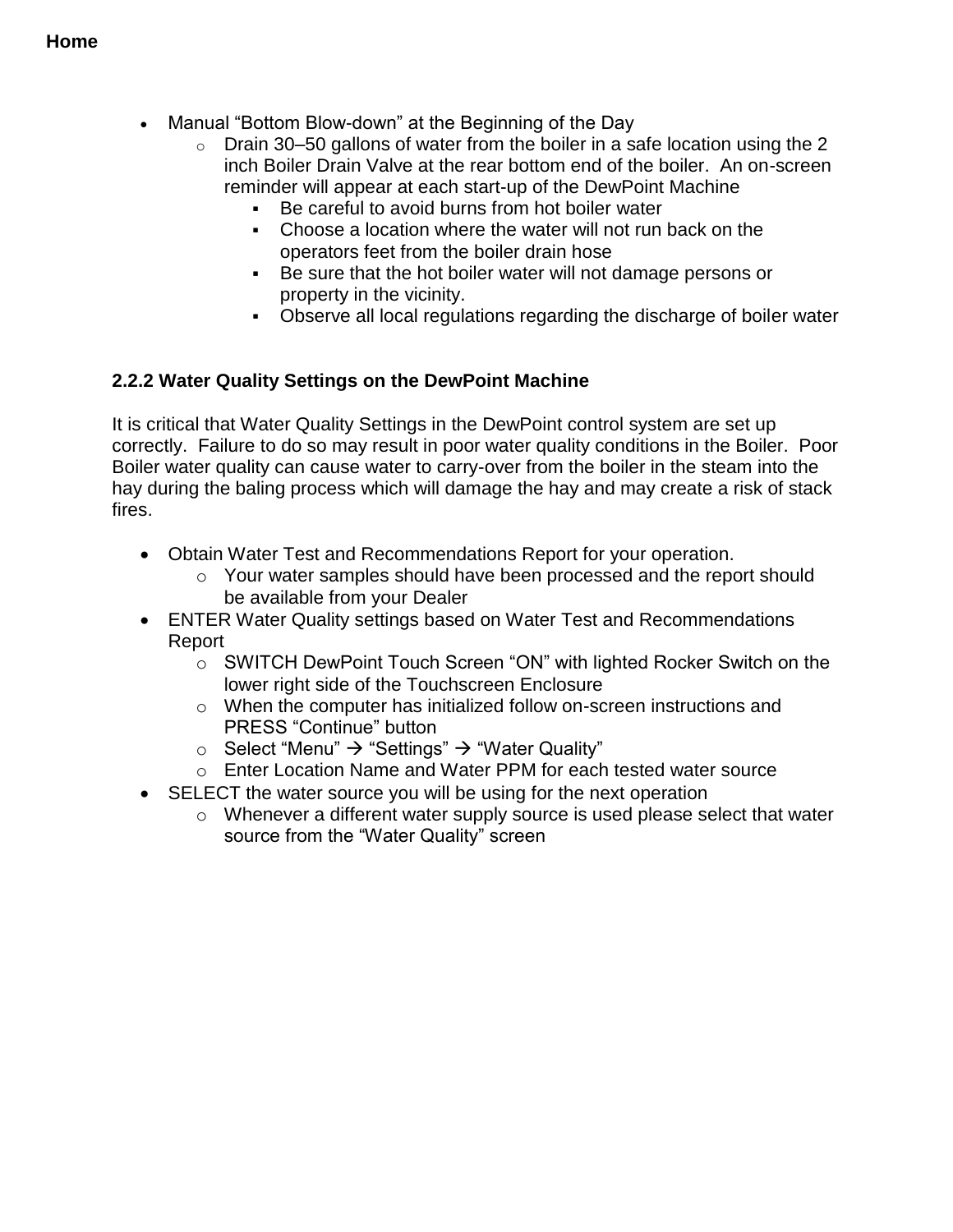- Manual "Bottom Blow-down" at the Beginning of the Day
	- $\circ$  Drain 30–50 gallons of water from the boiler in a safe location using the 2 inch Boiler Drain Valve at the rear bottom end of the boiler. An on-screen reminder will appear at each start-up of the DewPoint Machine
		- Be careful to avoid burns from hot boiler water
		- Choose a location where the water will not run back on the operators feet from the boiler drain hose
		- Be sure that the hot boiler water will not damage persons or property in the vicinity.
		- Observe all local regulations regarding the discharge of boiler water

#### <span id="page-10-0"></span>**2.2.2 Water Quality Settings on the DewPoint Machine**

It is critical that Water Quality Settings in the DewPoint control system are set up correctly. Failure to do so may result in poor water quality conditions in the Boiler. Poor Boiler water quality can cause water to carry-over from the boiler in the steam into the hay during the baling process which will damage the hay and may create a risk of stack fires.

- Obtain Water Test and Recommendations Report for your operation.
	- o Your water samples should have been processed and the report should be available from your Dealer
- ENTER Water Quality settings based on Water Test and Recommendations Report
	- o SWITCH DewPoint Touch Screen "ON" with lighted Rocker Switch on the lower right side of the Touchscreen Enclosure
	- o When the computer has initialized follow on-screen instructions and PRESS "Continue" button
	- $\circ$  Select "Menu"  $\rightarrow$  "Settings"  $\rightarrow$  "Water Quality"
	- o Enter Location Name and Water PPM for each tested water source
- SELECT the water source you will be using for the next operation
	- o Whenever a different water supply source is used please select that water source from the "Water Quality" screen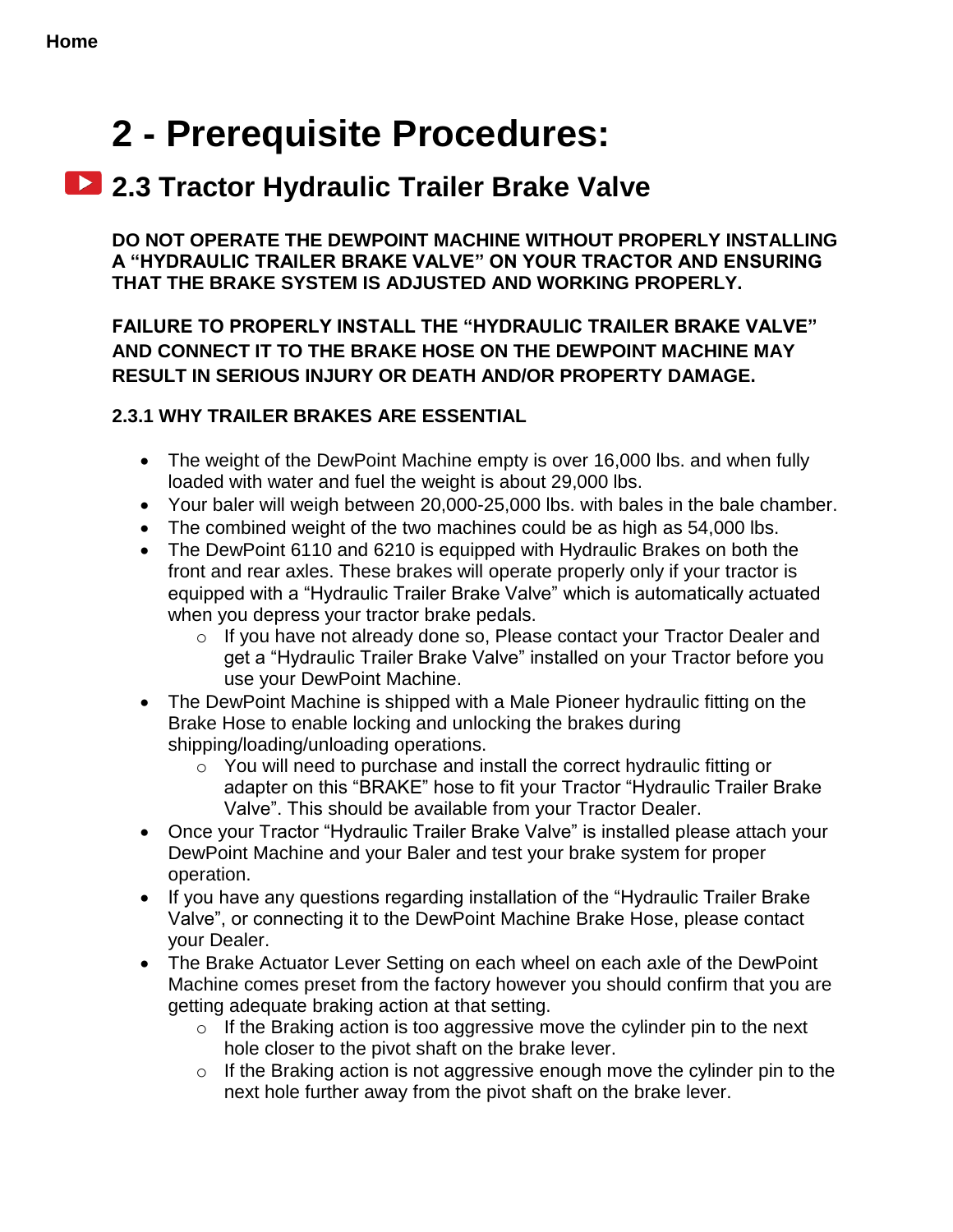## <span id="page-11-0"></span>**2 - Prerequisite Procedures:**

## **2.3 Tractor Hydraulic Trailer Brake Valve**

**DO NOT OPERATE THE DEWPOINT MACHINE WITHOUT PROPERLY INSTALLING A "HYDRAULIC TRAILER BRAKE VALVE" ON YOUR TRACTOR AND ENSURING THAT THE BRAKE SYSTEM IS ADJUSTED AND WORKING PROPERLY.** 

**FAILURE TO PROPERLY INSTALL THE "HYDRAULIC TRAILER BRAKE VALVE" AND CONNECT IT TO THE BRAKE HOSE ON THE DEWPOINT MACHINE MAY RESULT IN SERIOUS INJURY OR DEATH AND/OR PROPERTY DAMAGE.**

#### <span id="page-11-1"></span>**2.3.1 WHY TRAILER BRAKES ARE ESSENTIAL**

- The weight of the DewPoint Machine empty is over 16,000 lbs. and when fully loaded with water and fuel the weight is about 29,000 lbs.
- Your baler will weigh between 20,000-25,000 lbs. with bales in the bale chamber.
- The combined weight of the two machines could be as high as 54,000 lbs.
- The DewPoint 6110 and 6210 is equipped with Hydraulic Brakes on both the front and rear axles. These brakes will operate properly only if your tractor is equipped with a "Hydraulic Trailer Brake Valve" which is automatically actuated when you depress your tractor brake pedals.
	- o If you have not already done so, Please contact your Tractor Dealer and get a "Hydraulic Trailer Brake Valve" installed on your Tractor before you use your DewPoint Machine.
- The DewPoint Machine is shipped with a Male Pioneer hydraulic fitting on the Brake Hose to enable locking and unlocking the brakes during shipping/loading/unloading operations.
	- o You will need to purchase and install the correct hydraulic fitting or adapter on this "BRAKE" hose to fit your Tractor "Hydraulic Trailer Brake Valve". This should be available from your Tractor Dealer.
- Once your Tractor "Hydraulic Trailer Brake Valve" is installed please attach your DewPoint Machine and your Baler and test your brake system for proper operation.
- If you have any questions regarding installation of the "Hydraulic Trailer Brake" Valve", or connecting it to the DewPoint Machine Brake Hose, please contact your Dealer.
- The Brake Actuator Lever Setting on each wheel on each axle of the DewPoint Machine comes preset from the factory however you should confirm that you are getting adequate braking action at that setting.
	- $\circ$  If the Braking action is too aggressive move the cylinder pin to the next hole closer to the pivot shaft on the brake lever.
	- $\circ$  If the Braking action is not aggressive enough move the cylinder pin to the next hole further away from the pivot shaft on the brake lever.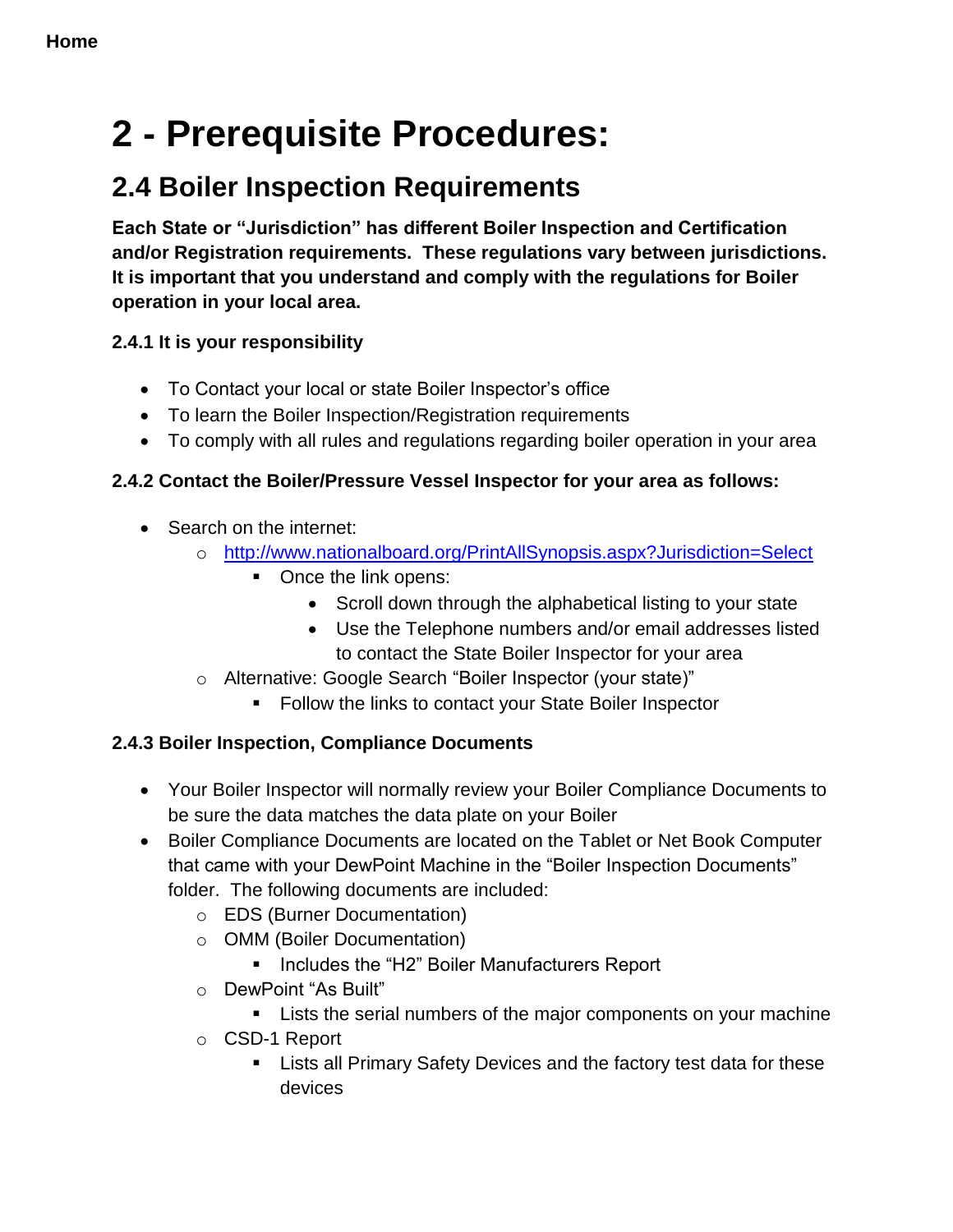<span id="page-12-0"></span>**2 - Prerequisite Procedures:** 

## **2.4 Boiler Inspection Requirements**

**Each State or "Jurisdiction" has different Boiler Inspection and Certification and/or Registration requirements. These regulations vary between jurisdictions. It is important that you understand and comply with the regulations for Boiler operation in your local area.**

#### <span id="page-12-1"></span>**2.4.1 It is your responsibility**

- To Contact your local or state Boiler Inspector's office
- To learn the Boiler Inspection/Registration requirements
- To comply with all rules and regulations regarding boiler operation in your area

#### <span id="page-12-2"></span>**2.4.2 Contact the Boiler/Pressure Vessel Inspector for your area as follows:**

- Search on the internet:
	- o <http://www.nationalboard.org/PrintAllSynopsis.aspx?Jurisdiction=Select>
		- Once the link opens:
			- Scroll down through the alphabetical listing to your state
			- Use the Telephone numbers and/or email addresses listed to contact the State Boiler Inspector for your area
	- o Alternative: Google Search "Boiler Inspector (your state)"
		- **Follow the links to contact your State Boiler Inspector**

### <span id="page-12-3"></span>**2.4.3 Boiler Inspection, Compliance Documents**

- Your Boiler Inspector will normally review your Boiler Compliance Documents to be sure the data matches the data plate on your Boiler
- Boiler Compliance Documents are located on the Tablet or Net Book Computer that came with your DewPoint Machine in the "Boiler Inspection Documents" folder. The following documents are included:
	- o EDS (Burner Documentation)
	- o OMM (Boiler Documentation)
		- Includes the "H2" Boiler Manufacturers Report
	- o DewPoint "As Built"
		- **EXECT:** Lists the serial numbers of the major components on your machine
	- o CSD-1 Report
		- **EXTER** Lists all Primary Safety Devices and the factory test data for these devices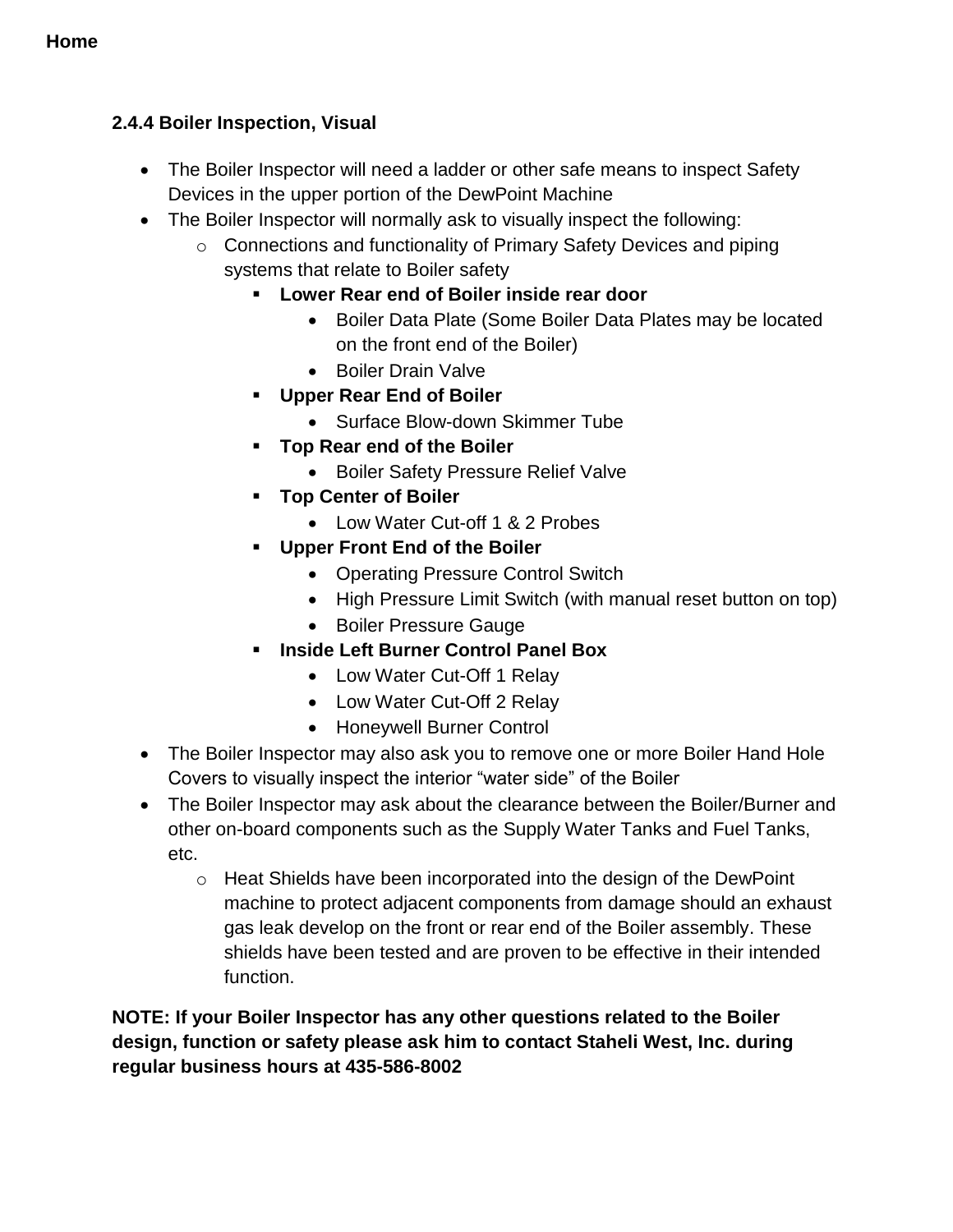#### <span id="page-13-0"></span>**2.4.4 Boiler Inspection, Visual**

- The Boiler Inspector will need a ladder or other safe means to inspect Safety Devices in the upper portion of the DewPoint Machine
- The Boiler Inspector will normally ask to visually inspect the following:
	- o Connections and functionality of Primary Safety Devices and piping systems that relate to Boiler safety
		- **Lower Rear end of Boiler inside rear door** 
			- Boiler Data Plate (Some Boiler Data Plates may be located on the front end of the Boiler)
			- Boiler Drain Valve
		- **Upper Rear End of Boiler**
			- Surface Blow-down Skimmer Tube
		- **Top Rear end of the Boiler**
			- Boiler Safety Pressure Relief Valve
		- **Top Center of Boiler**
			- Low Water Cut-off 1 & 2 Probes
		- **Upper Front End of the Boiler**
			- Operating Pressure Control Switch
			- High Pressure Limit Switch (with manual reset button on top)
			- Boiler Pressure Gauge
		- **Inside Left Burner Control Panel Box**
			- Low Water Cut-Off 1 Relay
			- Low Water Cut-Off 2 Relay
			- Honeywell Burner Control
- The Boiler Inspector may also ask you to remove one or more Boiler Hand Hole Covers to visually inspect the interior "water side" of the Boiler
- The Boiler Inspector may ask about the clearance between the Boiler/Burner and other on-board components such as the Supply Water Tanks and Fuel Tanks, etc.
	- o Heat Shields have been incorporated into the design of the DewPoint machine to protect adjacent components from damage should an exhaust gas leak develop on the front or rear end of the Boiler assembly. These shields have been tested and are proven to be effective in their intended function.

**NOTE: If your Boiler Inspector has any other questions related to the Boiler design, function or safety please ask him to contact Staheli West, Inc. during regular business hours at 435-586-8002**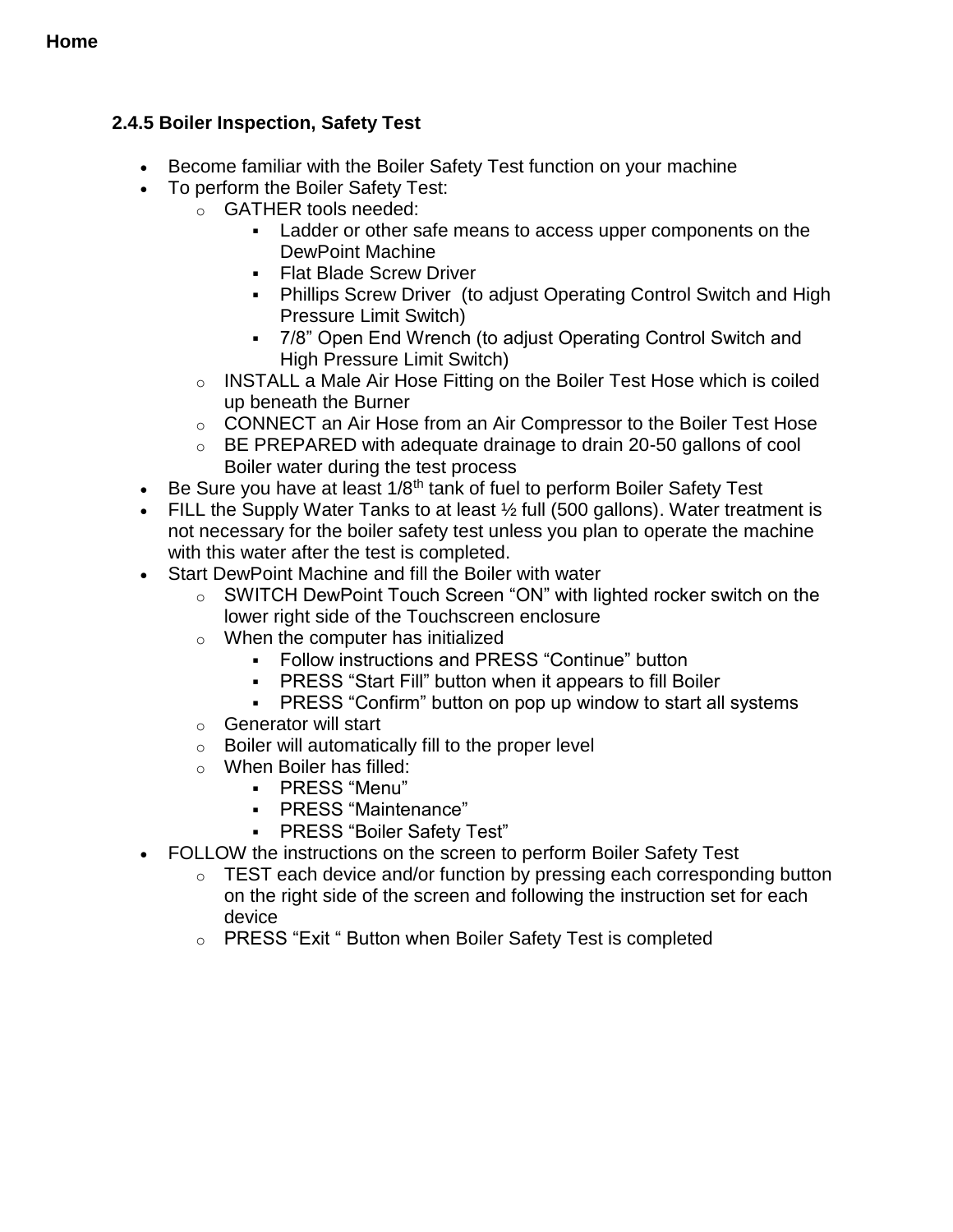#### <span id="page-14-0"></span>**2.4.5 Boiler Inspection, Safety Test**

- Become familiar with the Boiler Safety Test function on your machine
- To perform the Boiler Safety Test:
	- o GATHER tools needed:
		- Ladder or other safe means to access upper components on the DewPoint Machine
		- **Flat Blade Screw Driver**
		- Phillips Screw Driver (to adjust Operating Control Switch and High Pressure Limit Switch)
		- 7/8" Open End Wrench (to adjust Operating Control Switch and High Pressure Limit Switch)
	- o INSTALL a Male Air Hose Fitting on the Boiler Test Hose which is coiled up beneath the Burner
	- o CONNECT an Air Hose from an Air Compressor to the Boiler Test Hose
	- o BE PREPARED with adequate drainage to drain 20-50 gallons of cool Boiler water during the test process
- Be Sure you have at least  $1/8<sup>th</sup>$  tank of fuel to perform Boiler Safety Test
- FILL the Supply Water Tanks to at least  $\frac{1}{2}$  full (500 gallons). Water treatment is not necessary for the boiler safety test unless you plan to operate the machine with this water after the test is completed.
- Start DewPoint Machine and fill the Boiler with water
	- o SWITCH DewPoint Touch Screen "ON" with lighted rocker switch on the lower right side of the Touchscreen enclosure
	- o When the computer has initialized
		- Follow instructions and PRESS "Continue" button
		- PRESS "Start Fill" button when it appears to fill Boiler
		- **-** PRESS "Confirm" button on pop up window to start all systems
	- o Generator will start
	- $\circ$  Boiler will automatically fill to the proper level
	- o When Boiler has filled:
		- PRESS "Menu"
		- PRESS "Maintenance"
		- PRESS "Boiler Safety Test"
- FOLLOW the instructions on the screen to perform Boiler Safety Test
	- o TEST each device and/or function by pressing each corresponding button on the right side of the screen and following the instruction set for each device
	- o PRESS "Exit " Button when Boiler Safety Test is completed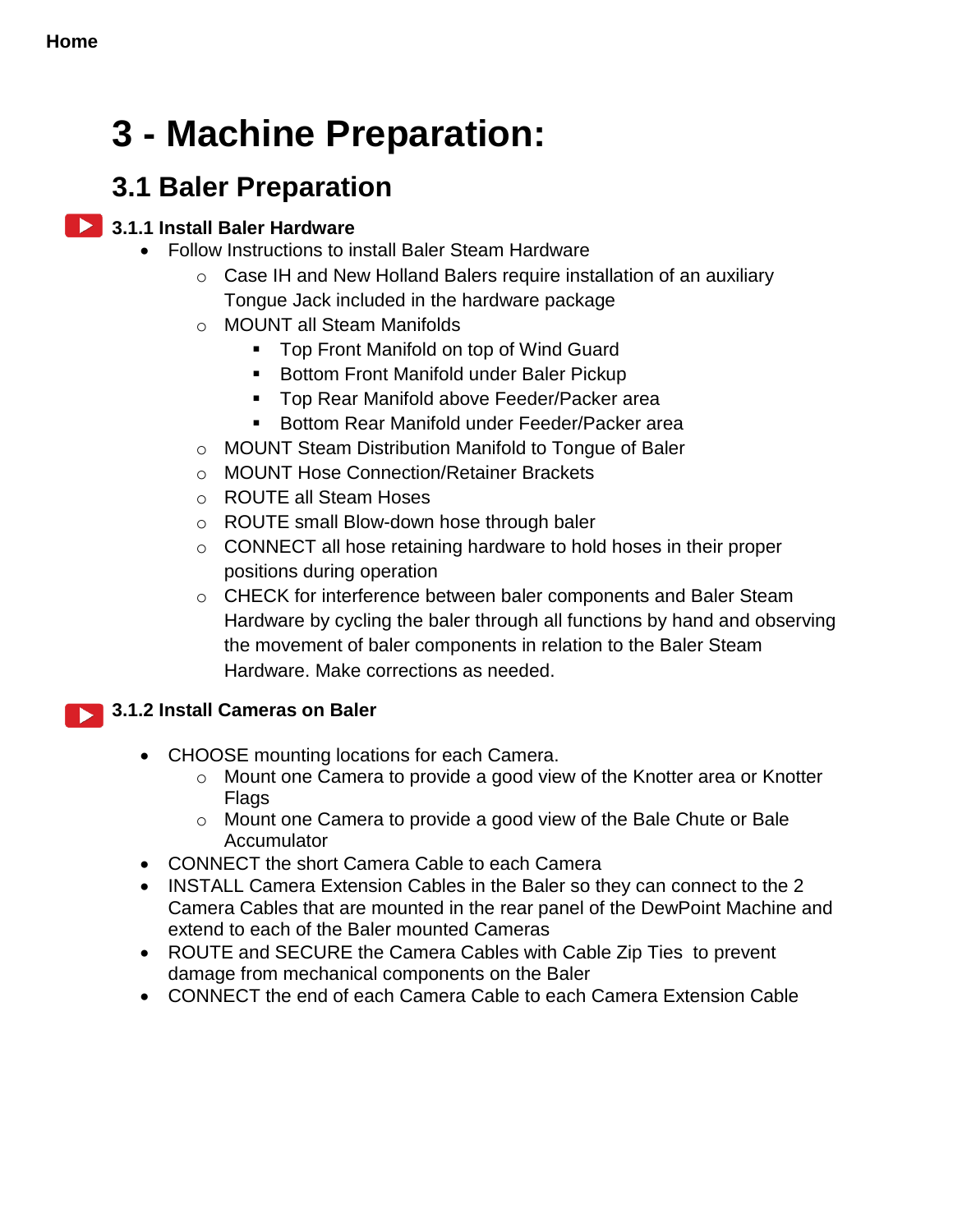## <span id="page-15-0"></span>**3 - Machine Preparation:**

## **3.1 Baler Preparation**

#### **2.1.1 Install Baler Hardware**

- <span id="page-15-1"></span> Follow Instructions to install Baler Steam Hardware
	- o Case IH and New Holland Balers require installation of an auxiliary Tongue Jack included in the hardware package
	- o MOUNT all Steam Manifolds
		- Top Front Manifold on top of Wind Guard
		- **Bottom Front Manifold under Baler Pickup**
		- **Top Rear Manifold above Feeder/Packer area**
		- Bottom Rear Manifold under Feeder/Packer area
	- o MOUNT Steam Distribution Manifold to Tongue of Baler
	- o MOUNT Hose Connection/Retainer Brackets
	- o ROUTE all Steam Hoses
	- o ROUTE small Blow-down hose through baler
	- o CONNECT all hose retaining hardware to hold hoses in their proper positions during operation
	- o CHECK for interference between baler components and Baler Steam Hardware by cycling the baler through all functions by hand and observing the movement of baler components in relation to the Baler Steam Hardware. Make corrections as needed.

#### <span id="page-15-2"></span>**3.1.2 Install Cameras on Baler**   $\blacktriangleright$

- CHOOSE mounting locations for each Camera.
	- o Mount one Camera to provide a good view of the Knotter area or Knotter Flags
	- o Mount one Camera to provide a good view of the Bale Chute or Bale **Accumulator**
- CONNECT the short Camera Cable to each Camera
- INSTALL Camera Extension Cables in the Baler so they can connect to the 2 Camera Cables that are mounted in the rear panel of the DewPoint Machine and extend to each of the Baler mounted Cameras
- ROUTE and SECURE the Camera Cables with Cable Zip Ties to prevent damage from mechanical components on the Baler
- CONNECT the end of each Camera Cable to each Camera Extension Cable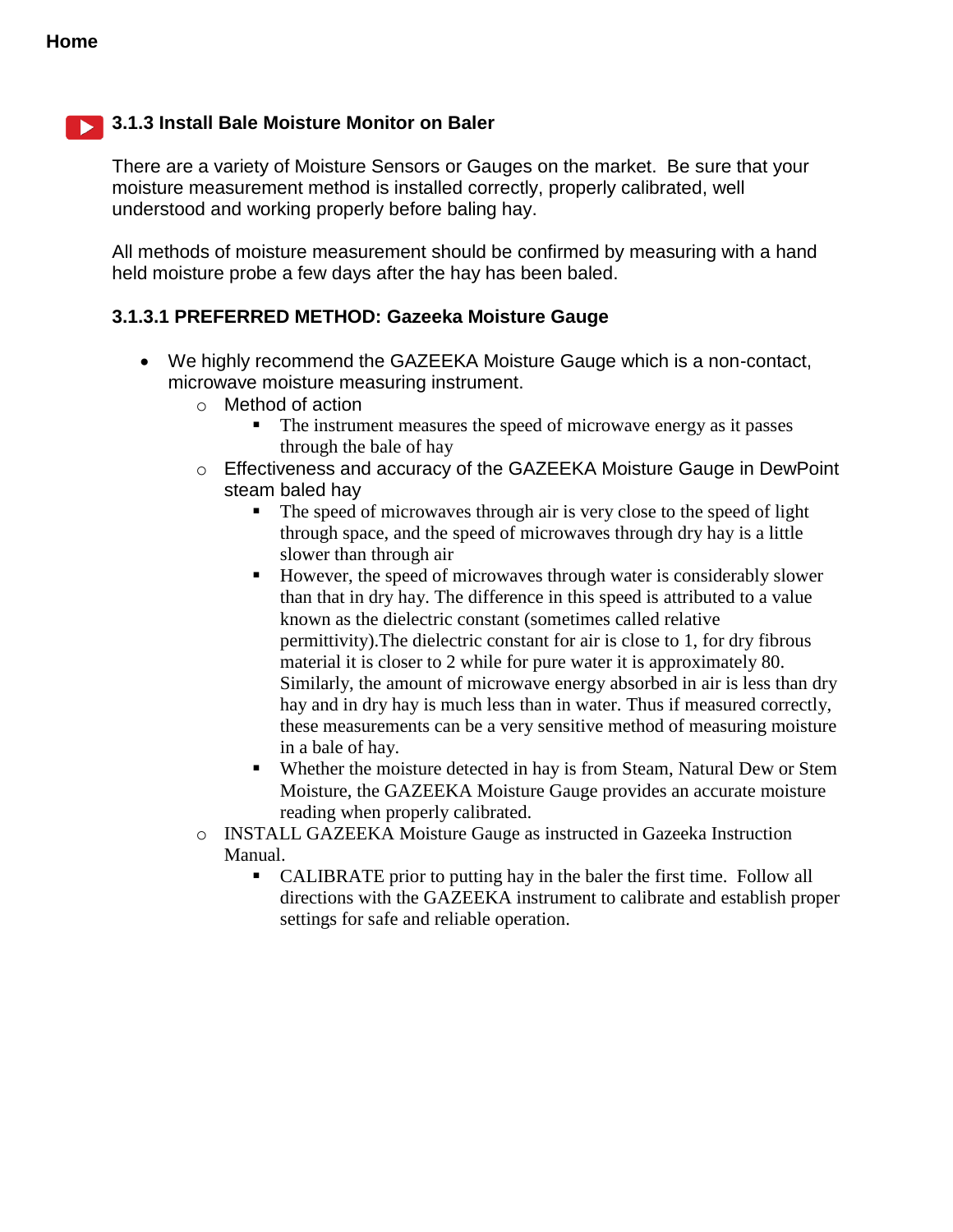#### <span id="page-16-0"></span>**3.1.3 Install Bale Moisture Monitor on Baler**

There are a variety of Moisture Sensors or Gauges on the market. Be sure that your moisture measurement method is installed correctly, properly calibrated, well understood and working properly before baling hay.

All methods of moisture measurement should be confirmed by measuring with a hand held moisture probe a few days after the hay has been baled.

#### <span id="page-16-1"></span>**3.1.3.1 PREFERRED METHOD: Gazeeka Moisture Gauge**

- We highly recommend the GAZEEKA Moisture Gauge which is a non-contact, microwave moisture measuring instrument.
	- o Method of action
		- The instrument measures the speed of microwave energy as it passes through the bale of hay
	- o Effectiveness and accuracy of the GAZEEKA Moisture Gauge in DewPoint steam baled hay
		- The speed of microwaves through air is very close to the speed of light through space, and the speed of microwaves through dry hay is a little slower than through air
		- However, the speed of microwaves through water is considerably slower than that in dry hay. The difference in this speed is attributed to a value known as the dielectric constant (sometimes called relative permittivity).The dielectric constant for air is close to 1, for dry fibrous material it is closer to 2 while for pure water it is approximately 80. Similarly, the amount of microwave energy absorbed in air is less than dry hay and in dry hay is much less than in water. Thus if measured correctly, these measurements can be a very sensitive method of measuring moisture in a bale of hay.
		- Whether the moisture detected in hay is from Steam, Natural Dew or Stem Moisture, the GAZEEKA Moisture Gauge provides an accurate moisture reading when properly calibrated.
	- o INSTALL GAZEEKA Moisture Gauge as instructed in Gazeeka Instruction Manual.
		- CALIBRATE prior to putting hay in the baler the first time. Follow all directions with the GAZEEKA instrument to calibrate and establish proper settings for safe and reliable operation.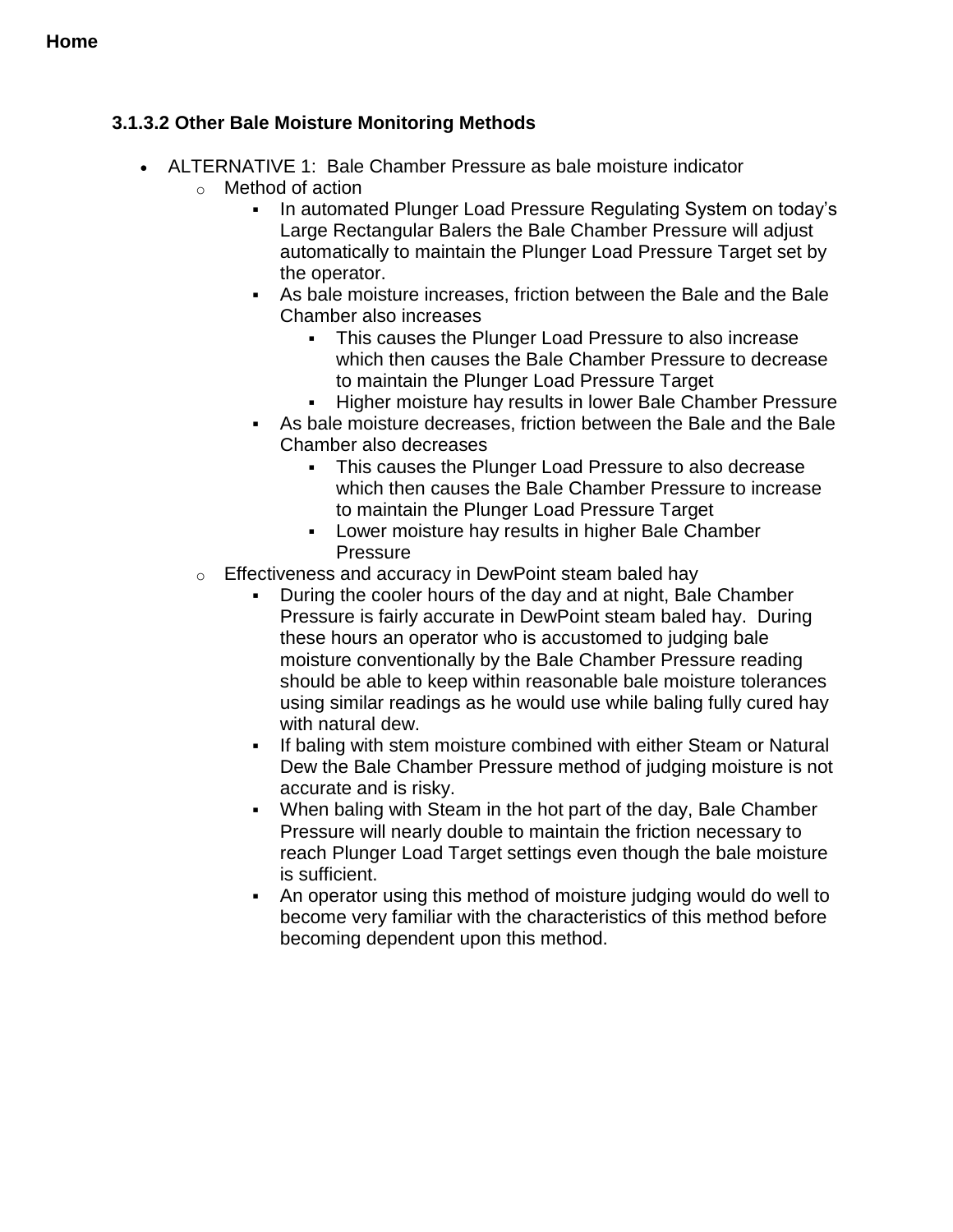#### <span id="page-17-0"></span>**3.1.3.2 Other Bale Moisture Monitoring Methods**

- ALTERNATIVE 1: Bale Chamber Pressure as bale moisture indicator
	- o Method of action
		- In automated Plunger Load Pressure Regulating System on today's Large Rectangular Balers the Bale Chamber Pressure will adjust automatically to maintain the Plunger Load Pressure Target set by the operator.
		- As bale moisture increases, friction between the Bale and the Bale Chamber also increases
			- This causes the Plunger Load Pressure to also increase which then causes the Bale Chamber Pressure to decrease to maintain the Plunger Load Pressure Target
			- **Higher moisture hay results in lower Bale Chamber Pressure**
		- As bale moisture decreases, friction between the Bale and the Bale Chamber also decreases
			- This causes the Plunger Load Pressure to also decrease which then causes the Bale Chamber Pressure to increase to maintain the Plunger Load Pressure Target
			- Lower moisture hay results in higher Bale Chamber **Pressure**
	- o Effectiveness and accuracy in DewPoint steam baled hay
		- During the cooler hours of the day and at night, Bale Chamber Pressure is fairly accurate in DewPoint steam baled hay. During these hours an operator who is accustomed to judging bale moisture conventionally by the Bale Chamber Pressure reading should be able to keep within reasonable bale moisture tolerances using similar readings as he would use while baling fully cured hay with natural dew.
		- If baling with stem moisture combined with either Steam or Natural Dew the Bale Chamber Pressure method of judging moisture is not accurate and is risky.
		- When baling with Steam in the hot part of the day, Bale Chamber Pressure will nearly double to maintain the friction necessary to reach Plunger Load Target settings even though the bale moisture is sufficient.
		- An operator using this method of moisture judging would do well to become very familiar with the characteristics of this method before becoming dependent upon this method.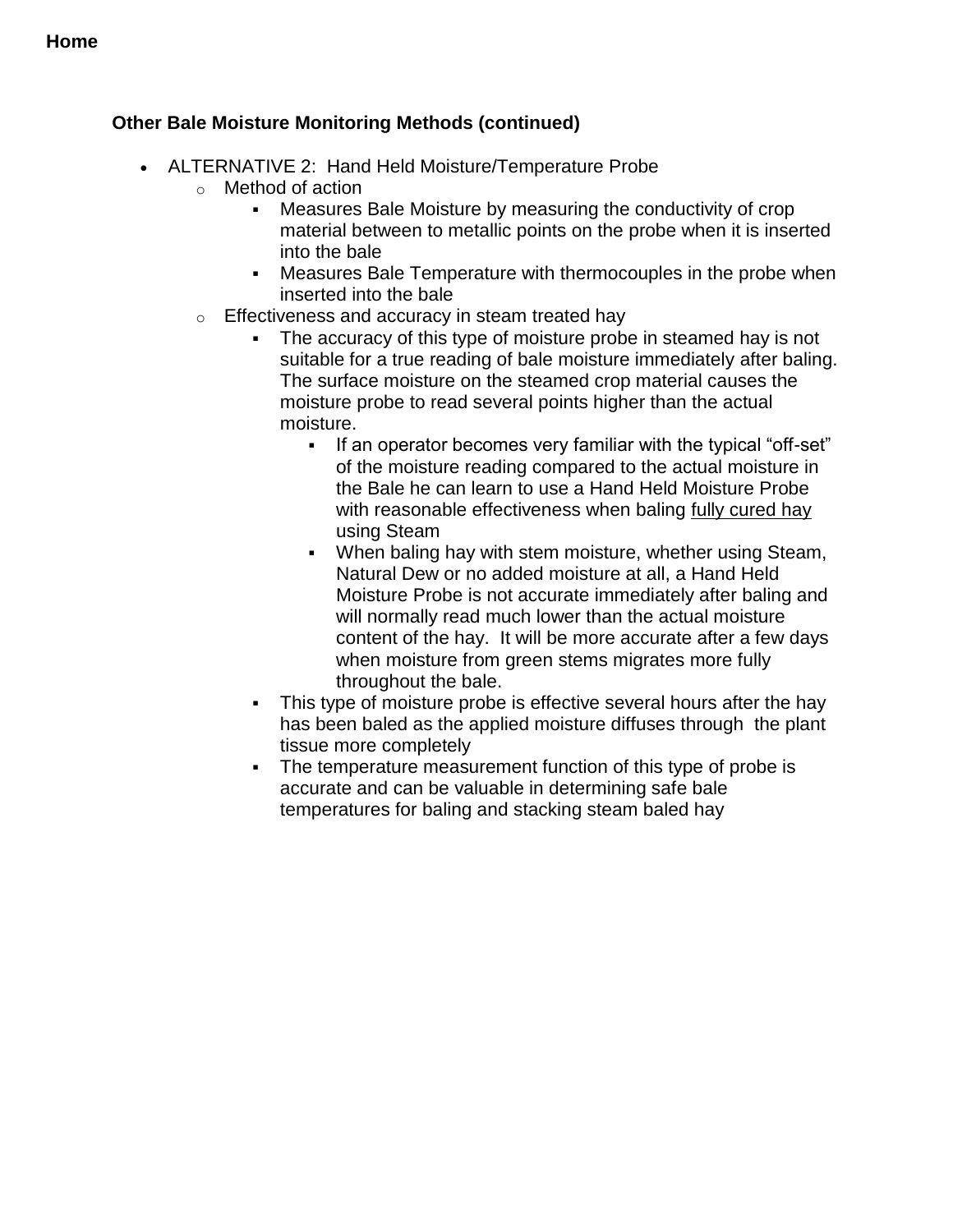#### **Other Bale Moisture Monitoring Methods (continued)**

- ALTERNATIVE 2: Hand Held Moisture/Temperature Probe
	- o Method of action
		- Measures Bale Moisture by measuring the conductivity of crop material between to metallic points on the probe when it is inserted into the bale
		- Measures Bale Temperature with thermocouples in the probe when inserted into the bale
	- $\circ$  Effectiveness and accuracy in steam treated hay
		- The accuracy of this type of moisture probe in steamed hay is not suitable for a true reading of bale moisture immediately after baling. The surface moisture on the steamed crop material causes the moisture probe to read several points higher than the actual moisture.
			- If an operator becomes very familiar with the typical "off-set" of the moisture reading compared to the actual moisture in the Bale he can learn to use a Hand Held Moisture Probe with reasonable effectiveness when baling fully cured hay using Steam
			- When baling hay with stem moisture, whether using Steam, Natural Dew or no added moisture at all, a Hand Held Moisture Probe is not accurate immediately after baling and will normally read much lower than the actual moisture content of the hay. It will be more accurate after a few days when moisture from green stems migrates more fully throughout the bale.
		- This type of moisture probe is effective several hours after the hay has been baled as the applied moisture diffuses through the plant tissue more completely
		- The temperature measurement function of this type of probe is accurate and can be valuable in determining safe bale temperatures for baling and stacking steam baled hay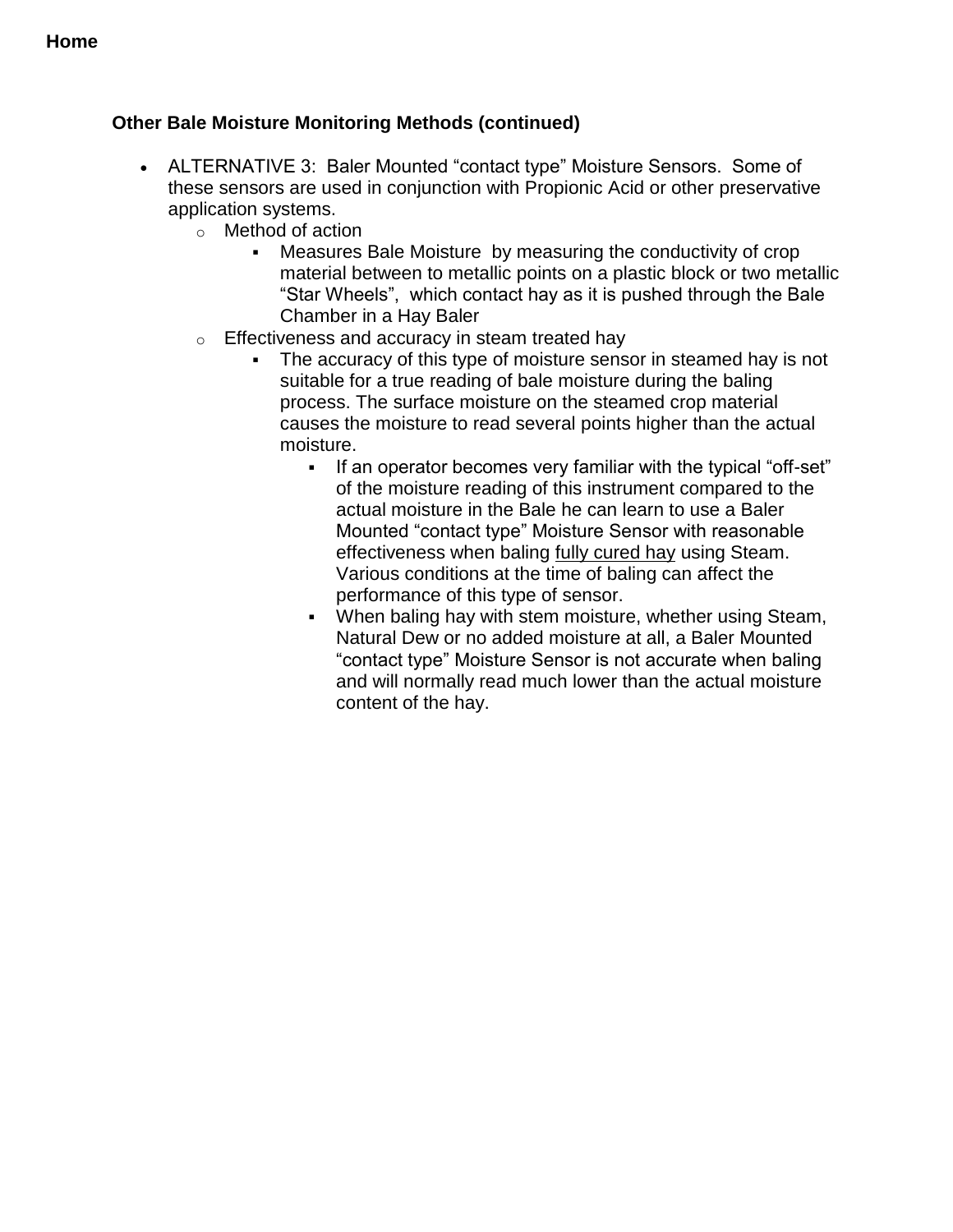#### **Home**

#### **Other Bale Moisture Monitoring Methods (continued)**

- ALTERNATIVE 3: Baler Mounted "contact type" Moisture Sensors. Some of these sensors are used in conjunction with Propionic Acid or other preservative application systems.
	- o Method of action
		- Measures Bale Moisture by measuring the conductivity of crop material between to metallic points on a plastic block or two metallic "Star Wheels", which contact hay as it is pushed through the Bale Chamber in a Hay Baler
	- o Effectiveness and accuracy in steam treated hay
		- The accuracy of this type of moisture sensor in steamed hay is not suitable for a true reading of bale moisture during the baling process. The surface moisture on the steamed crop material causes the moisture to read several points higher than the actual moisture.
			- If an operator becomes very familiar with the typical "off-set" of the moisture reading of this instrument compared to the actual moisture in the Bale he can learn to use a Baler Mounted "contact type" Moisture Sensor with reasonable effectiveness when baling fully cured hay using Steam. Various conditions at the time of baling can affect the performance of this type of sensor.
			- When baling hay with stem moisture, whether using Steam, Natural Dew or no added moisture at all, a Baler Mounted "contact type" Moisture Sensor is not accurate when baling and will normally read much lower than the actual moisture content of the hay.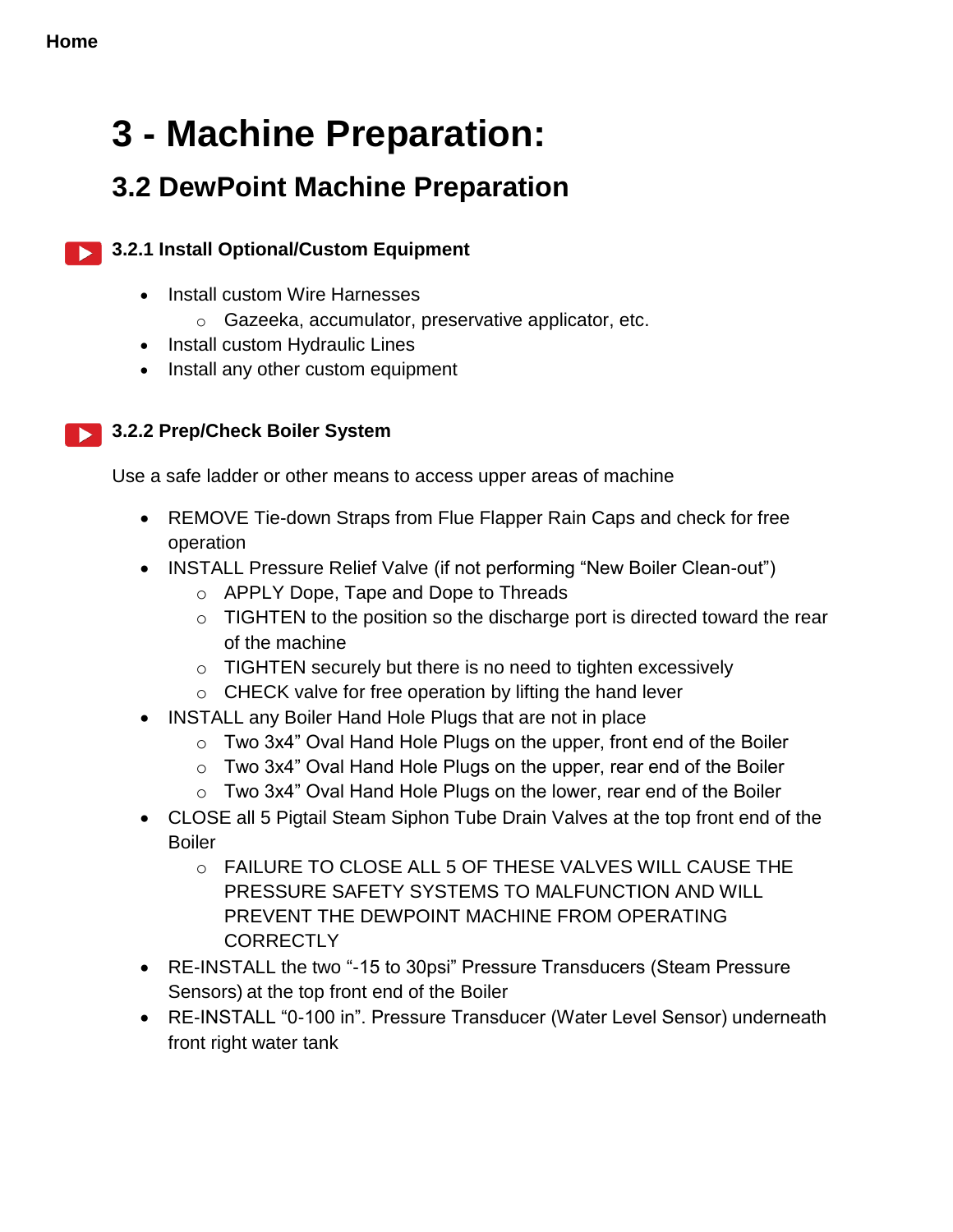## <span id="page-20-1"></span><span id="page-20-0"></span>**3 - Machine Preparation:**

## **3.2 DewPoint Machine Preparation**

#### **3.2.1 Install Optional/Custom Equipment**

- Install custom Wire Harnesses
	- o Gazeeka, accumulator, preservative applicator, etc.
- Install custom Hydraulic Lines
- Install any other custom equipment

#### **3.2.2 Prep/Check Boiler System**

Use a safe ladder or other means to access upper areas of machine

- REMOVE Tie-down Straps from Flue Flapper Rain Caps and check for free operation
- INSTALL Pressure Relief Valve (if not performing "New Boiler Clean-out")
	- o APPLY Dope, Tape and Dope to Threads
	- $\circ$  TIGHTEN to the position so the discharge port is directed toward the rear of the machine
	- o TIGHTEN securely but there is no need to tighten excessively
	- $\circ$  CHECK valve for free operation by lifting the hand lever
- INSTALL any Boiler Hand Hole Plugs that are not in place
	- o Two 3x4" Oval Hand Hole Plugs on the upper, front end of the Boiler
	- $\circ$  Two 3x4" Oval Hand Hole Plugs on the upper, rear end of the Boiler
	- $\circ$  Two 3x4" Oval Hand Hole Plugs on the lower, rear end of the Boiler
- CLOSE all 5 Pigtail Steam Siphon Tube Drain Valves at the top front end of the Boiler
	- o FAILURE TO CLOSE ALL 5 OF THESE VALVES WILL CAUSE THE PRESSURE SAFETY SYSTEMS TO MALFUNCTION AND WILL PREVENT THE DEWPOINT MACHINE FROM OPERATING **CORRECTLY**
- RE-INSTALL the two "-15 to 30psi" Pressure Transducers (Steam Pressure Sensors) at the top front end of the Boiler
- RE-INSTALL "0-100 in". Pressure Transducer (Water Level Sensor) underneath front right water tank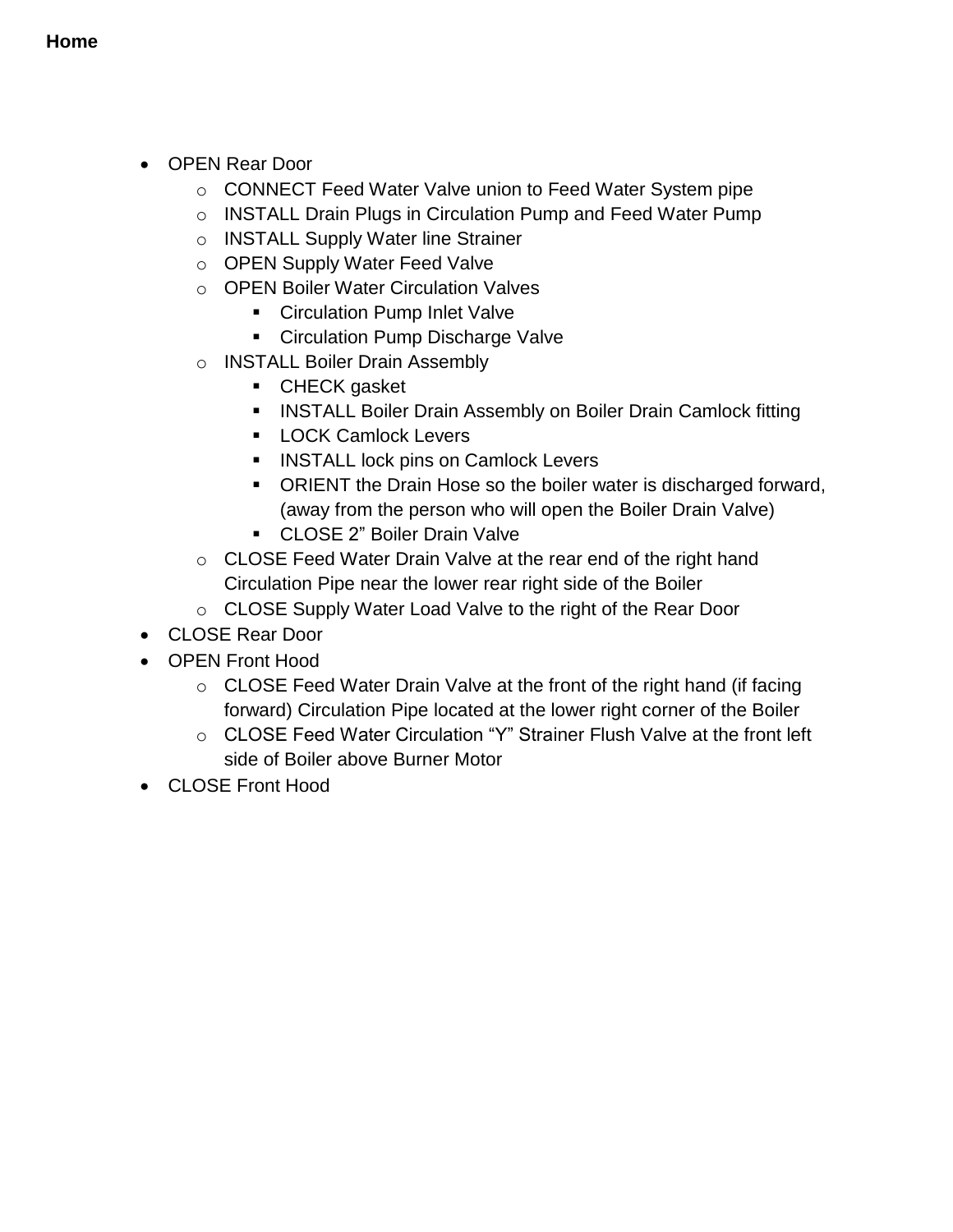- OPEN Rear Door
	- o CONNECT Feed Water Valve union to Feed Water System pipe
	- o INSTALL Drain Plugs in Circulation Pump and Feed Water Pump
	- o INSTALL Supply Water line Strainer
	- o OPEN Supply Water Feed Valve
	- o OPEN Boiler Water Circulation Valves
		- **EXEC** Circulation Pump Inlet Valve
		- **EXEC** Circulation Pump Discharge Valve
	- o INSTALL Boiler Drain Assembly
		- **CHECK gasket**
		- **INSTALL Boiler Drain Assembly on Boiler Drain Camlock fitting**
		- **LOCK Camlock Levers**
		- **INSTALL lock pins on Camlock Levers**
		- ORIENT the Drain Hose so the boiler water is discharged forward, (away from the person who will open the Boiler Drain Valve)
		- CLOSE 2" Boiler Drain Valve
	- o CLOSE Feed Water Drain Valve at the rear end of the right hand Circulation Pipe near the lower rear right side of the Boiler
	- o CLOSE Supply Water Load Valve to the right of the Rear Door
- CLOSE Rear Door
- OPEN Front Hood
	- o CLOSE Feed Water Drain Valve at the front of the right hand (if facing forward) Circulation Pipe located at the lower right corner of the Boiler
	- o CLOSE Feed Water Circulation "Y" Strainer Flush Valve at the front left side of Boiler above Burner Motor
- <span id="page-21-0"></span>• CLOSE Front Hood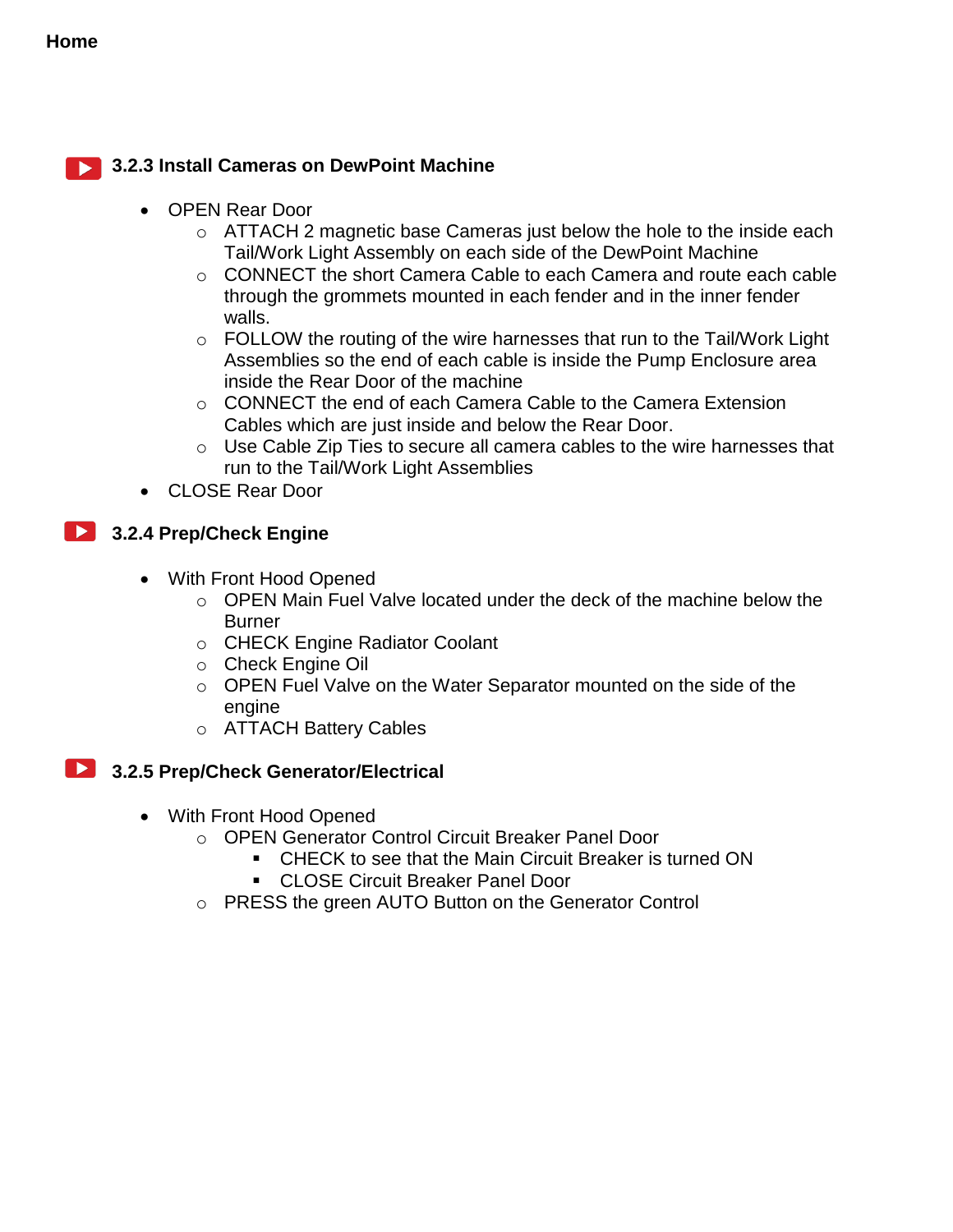#### **3.2.3 Install Cameras on DewPoint Machine**

- OPEN Rear Door
	- o ATTACH 2 magnetic base Cameras just below the hole to the inside each Tail/Work Light Assembly on each side of the DewPoint Machine
	- $\circ$  CONNECT the short Camera Cable to each Camera and route each cable through the grommets mounted in each fender and in the inner fender walls.
	- $\circ$  FOLLOW the routing of the wire harnesses that run to the Tail/Work Light Assemblies so the end of each cable is inside the Pump Enclosure area inside the Rear Door of the machine
	- $\circ$  CONNECT the end of each Camera Cable to the Camera Extension Cables which are just inside and below the Rear Door.
	- o Use Cable Zip Ties to secure all camera cables to the wire harnesses that run to the Tail/Work Light Assemblies
- CLOSE Rear Door

#### <span id="page-22-0"></span>**13.2.4 Prep/Check Engine**

- With Front Hood Opened
	- $\circ$  OPEN Main Fuel Valve located under the deck of the machine below the **Burner**
	- o CHECK Engine Radiator Coolant
	- o Check Engine Oil
	- o OPEN Fuel Valve on the Water Separator mounted on the side of the engine
	- o ATTACH Battery Cables

#### <span id="page-22-1"></span>**12.5 Prep/Check Generator/Electrical**

- <span id="page-22-2"></span> With Front Hood Opened
	- o OPEN Generator Control Circuit Breaker Panel Door
		- CHECK to see that the Main Circuit Breaker is turned ON
			- CLOSE Circuit Breaker Panel Door
	- o PRESS the green AUTO Button on the Generator Control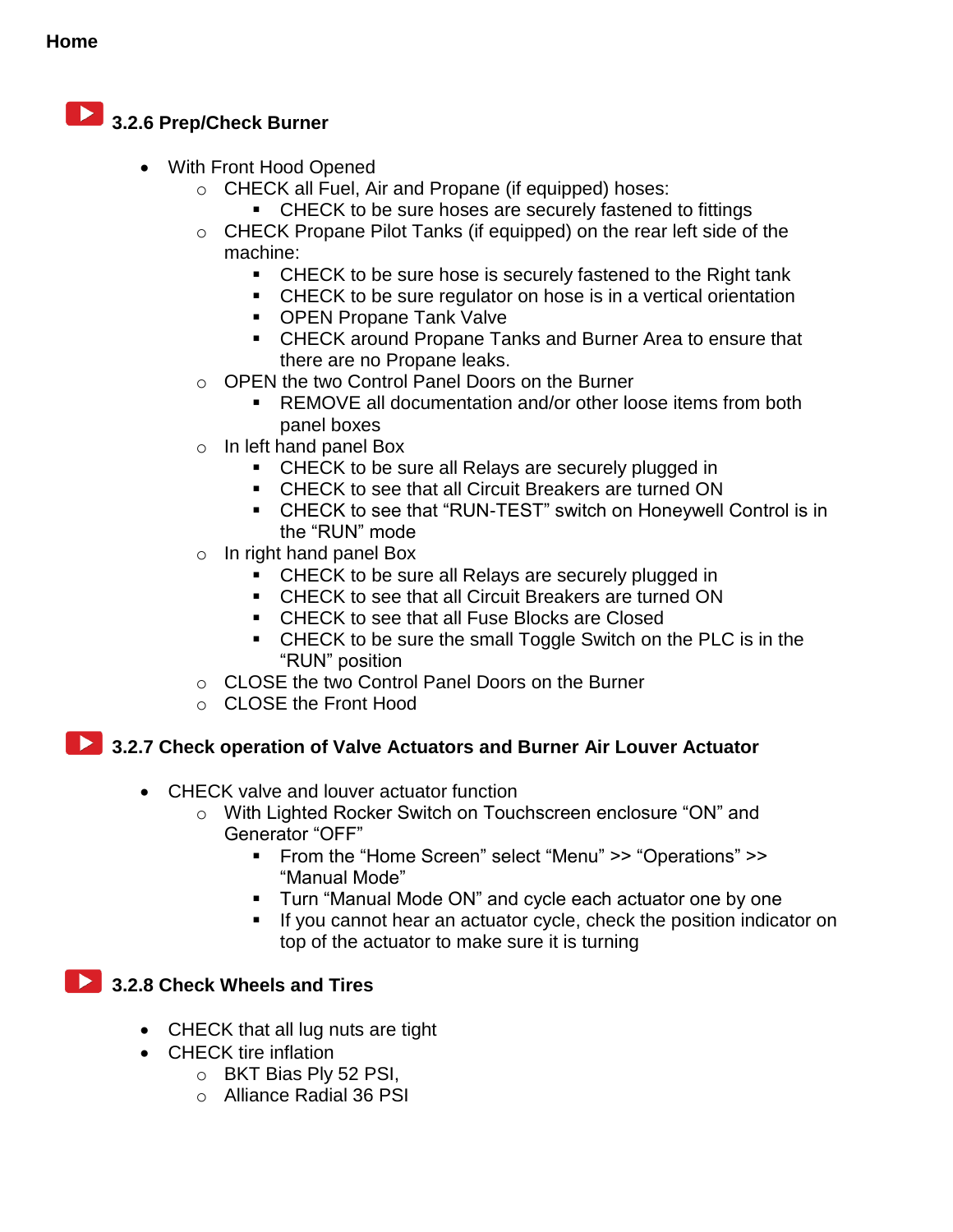## **3.2.6 Prep/Check Burner**

- With Front Hood Opened
	- o CHECK all Fuel, Air and Propane (if equipped) hoses:
		- **EXECK** to be sure hoses are securely fastened to fittings
	- o CHECK Propane Pilot Tanks (if equipped) on the rear left side of the machine:
		- **EXECK** to be sure hose is securely fastened to the Right tank
		- **EXECK** to be sure regulator on hose is in a vertical orientation
		- **OPEN Propane Tank Valve**
		- CHECK around Propane Tanks and Burner Area to ensure that there are no Propane leaks.
	- o OPEN the two Control Panel Doors on the Burner
		- **REMOVE all documentation and/or other loose items from both** panel boxes
	- o In left hand panel Box
		- CHECK to be sure all Relays are securely plugged in
		- CHECK to see that all Circuit Breakers are turned ON
		- CHECK to see that "RUN-TEST" switch on Honeywell Control is in the "RUN" mode
	- o In right hand panel Box
		- **CHECK** to be sure all Relays are securely plugged in
		- CHECK to see that all Circuit Breakers are turned ON
		- CHECK to see that all Fuse Blocks are Closed
		- CHECK to be sure the small Toggle Switch on the PLC is in the "RUN" position
	- o CLOSE the two Control Panel Doors on the Burner
	- o CLOSE the Front Hood

#### **2.3.2.7 Check operation of Valve Actuators and Burner Air Louver Actuator**

- <span id="page-23-0"></span>• CHECK valve and louver actuator function
	- o With Lighted Rocker Switch on Touchscreen enclosure "ON" and Generator "OFF"
		- From the "Home Screen" select "Menu" >> "Operations" >> "Manual Mode"
		- **Turn "Manual Mode ON" and cycle each actuator one by one**
		- If you cannot hear an actuator cycle, check the position indicator on top of the actuator to make sure it is turning

#### **2.3.2.8 Check Wheels and Tires**

- CHECK that all lug nuts are tight
- CHECK tire inflation
	- o BKT Bias Ply 52 PSI,
	- o Alliance Radial 36 PSI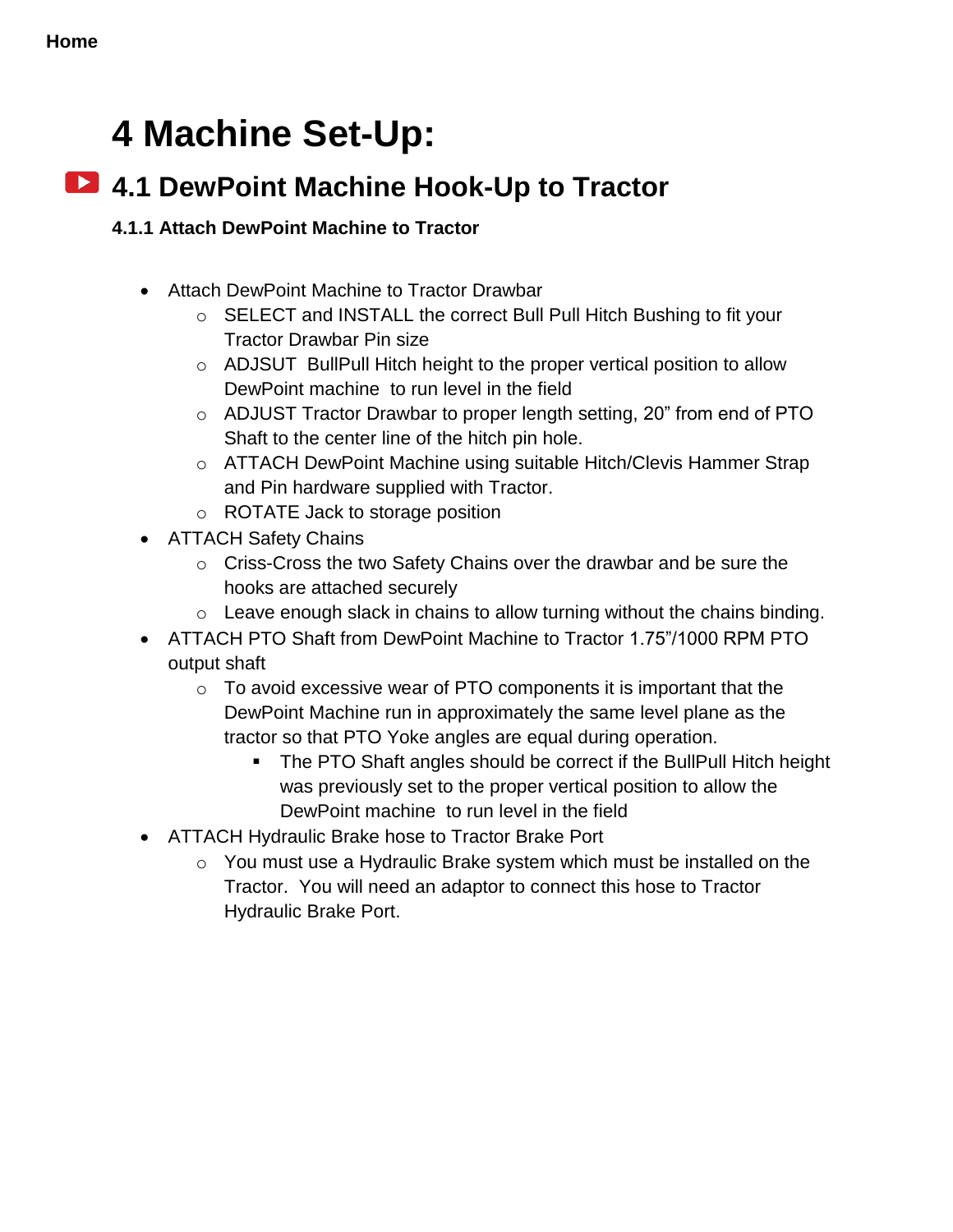## **4 Machine Set-Up:**

## **4.1 DewPoint Machine Hook-Up to Tractor**

#### <span id="page-24-0"></span>**4.1.1 Attach DewPoint Machine to Tractor**

- Attach DewPoint Machine to Tractor Drawbar
	- o SELECT and INSTALL the correct Bull Pull Hitch Bushing to fit your Tractor Drawbar Pin size
	- o ADJSUT BullPull Hitch height to the proper vertical position to allow DewPoint machine to run level in the field
	- o ADJUST Tractor Drawbar to proper length setting, 20" from end of PTO Shaft to the center line of the hitch pin hole.
	- o ATTACH DewPoint Machine using suitable Hitch/Clevis Hammer Strap and Pin hardware supplied with Tractor.
	- o ROTATE Jack to storage position
- ATTACH Safety Chains
	- o Criss-Cross the two Safety Chains over the drawbar and be sure the hooks are attached securely
	- $\circ$  Leave enough slack in chains to allow turning without the chains binding.
- ATTACH PTO Shaft from DewPoint Machine to Tractor 1.75"/1000 RPM PTO output shaft
	- $\circ$  To avoid excessive wear of PTO components it is important that the DewPoint Machine run in approximately the same level plane as the tractor so that PTO Yoke angles are equal during operation.
		- The PTO Shaft angles should be correct if the BullPull Hitch height was previously set to the proper vertical position to allow the DewPoint machine to run level in the field
- ATTACH Hydraulic Brake hose to Tractor Brake Port
	- o You must use a Hydraulic Brake system which must be installed on the Tractor. You will need an adaptor to connect this hose to Tractor Hydraulic Brake Port.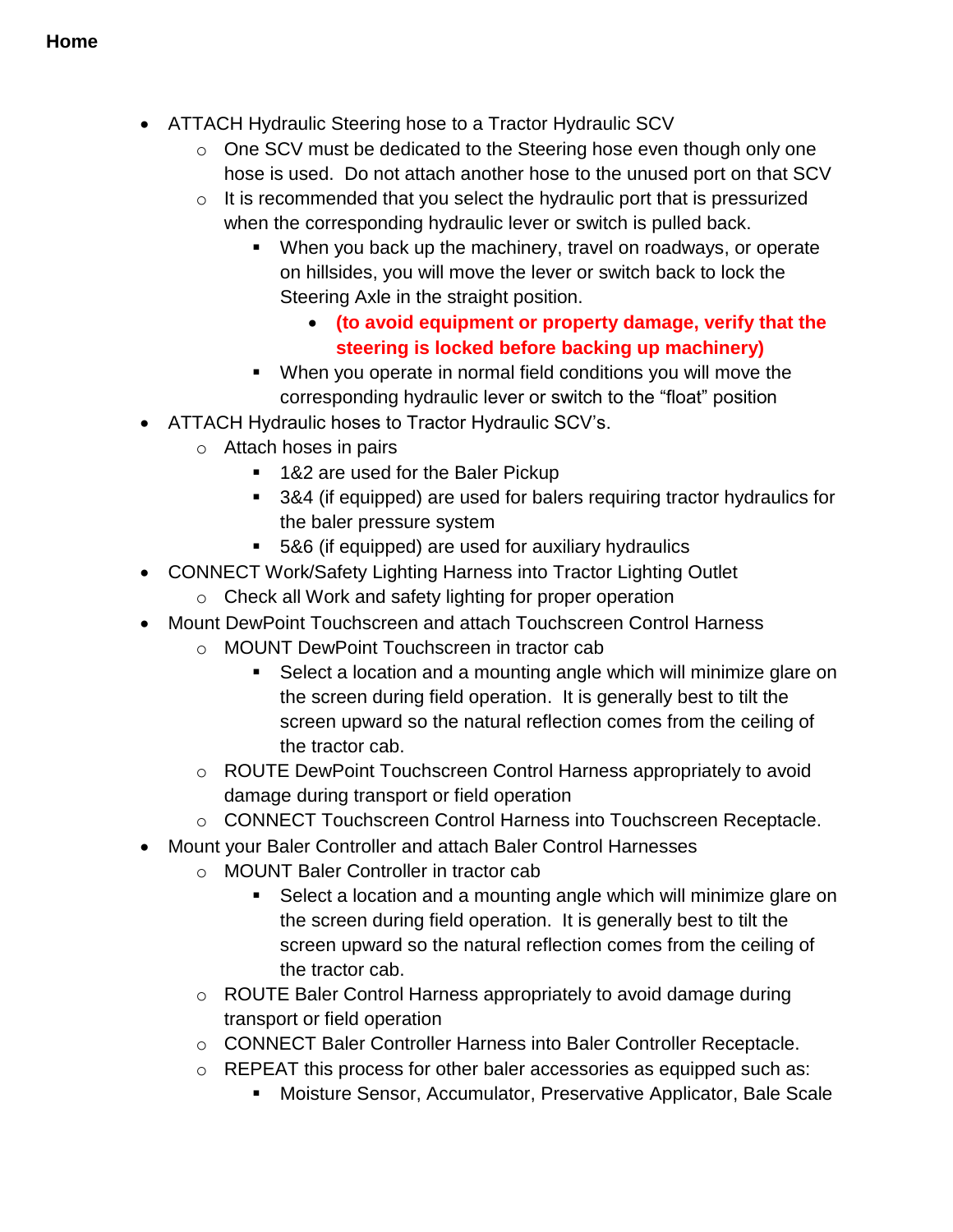- ATTACH Hydraulic Steering hose to a Tractor Hydraulic SCV
	- o One SCV must be dedicated to the Steering hose even though only one hose is used. Do not attach another hose to the unused port on that SCV
	- $\circ$  It is recommended that you select the hydraulic port that is pressurized when the corresponding hydraulic lever or switch is pulled back.
		- When you back up the machinery, travel on roadways, or operate on hillsides, you will move the lever or switch back to lock the Steering Axle in the straight position.
			- **(to avoid equipment or property damage, verify that the steering is locked before backing up machinery)**
		- When you operate in normal field conditions you will move the corresponding hydraulic lever or switch to the "float" position
- ATTACH Hydraulic hoses to Tractor Hydraulic SCV's.
	- o Attach hoses in pairs
		- 1&2 are used for the Baler Pickup
		- 3&4 (if equipped) are used for balers requiring tractor hydraulics for the baler pressure system
		- 5&6 (if equipped) are used for auxiliary hydraulics
- CONNECT Work/Safety Lighting Harness into Tractor Lighting Outlet
	- o Check all Work and safety lighting for proper operation
- Mount DewPoint Touchscreen and attach Touchscreen Control Harness
	- o MOUNT DewPoint Touchscreen in tractor cab
		- Select a location and a mounting angle which will minimize glare on the screen during field operation. It is generally best to tilt the screen upward so the natural reflection comes from the ceiling of the tractor cab.
	- o ROUTE DewPoint Touchscreen Control Harness appropriately to avoid damage during transport or field operation
	- o CONNECT Touchscreen Control Harness into Touchscreen Receptacle.
- Mount your Baler Controller and attach Baler Control Harnesses
	- o MOUNT Baler Controller in tractor cab
		- Select a location and a mounting angle which will minimize glare on the screen during field operation. It is generally best to tilt the screen upward so the natural reflection comes from the ceiling of the tractor cab.
	- o ROUTE Baler Control Harness appropriately to avoid damage during transport or field operation
	- o CONNECT Baler Controller Harness into Baler Controller Receptacle.
	- o REPEAT this process for other baler accessories as equipped such as:
		- Moisture Sensor, Accumulator, Preservative Applicator, Bale Scale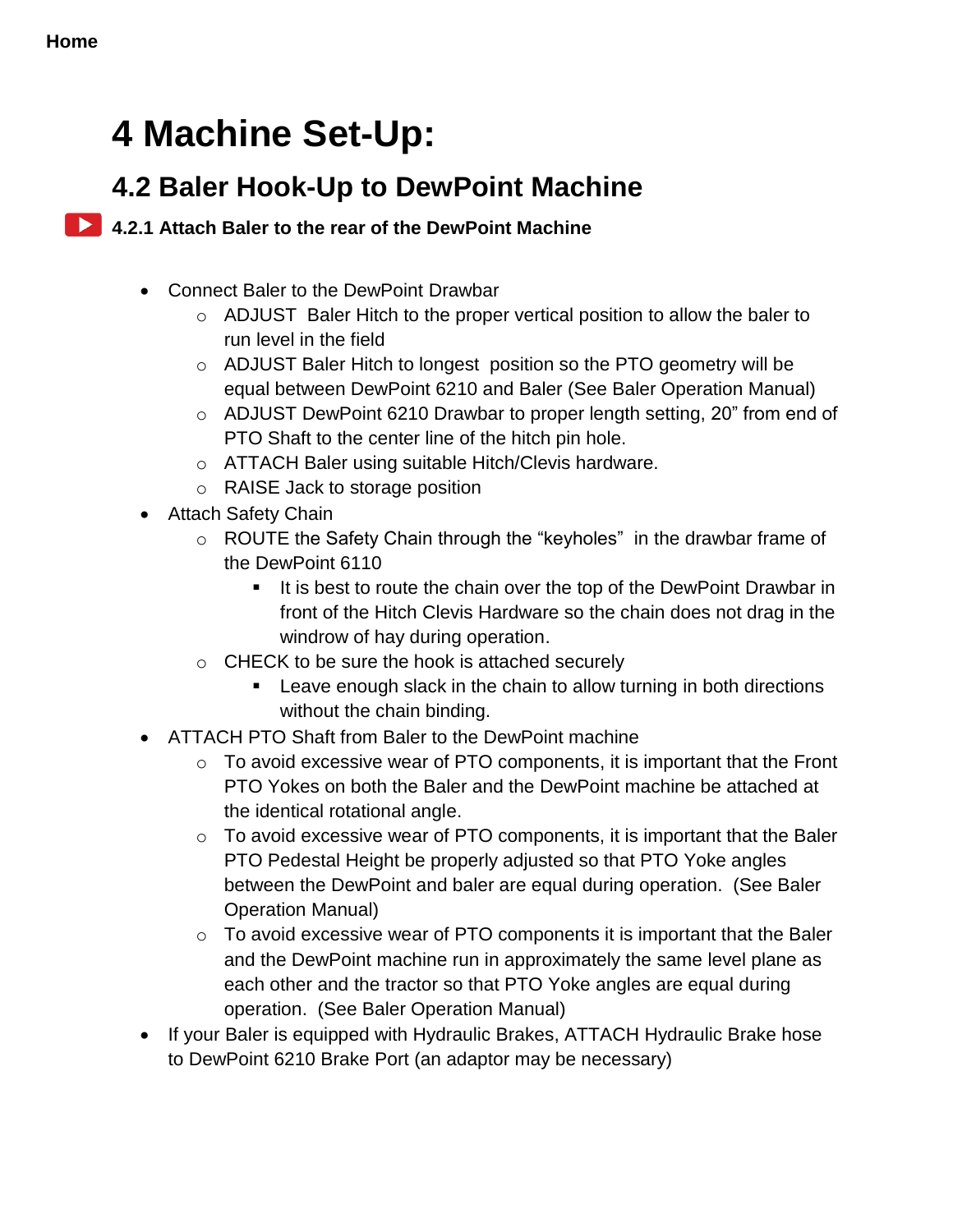## **4 Machine Set-Up:**

## **4.2 Baler Hook-Up to DewPoint Machine**

#### <span id="page-26-0"></span>**4.2.1 Attach Baler to the rear of the DewPoint Machine**

- Connect Baler to the DewPoint Drawbar
	- o ADJUST Baler Hitch to the proper vertical position to allow the baler to run level in the field
	- o ADJUST Baler Hitch to longest position so the PTO geometry will be equal between DewPoint 6210 and Baler (See Baler Operation Manual)
	- $\circ$  ADJUST DewPoint 6210 Drawbar to proper length setting, 20" from end of PTO Shaft to the center line of the hitch pin hole.
	- o ATTACH Baler using suitable Hitch/Clevis hardware.
	- o RAISE Jack to storage position
- Attach Safety Chain
	- o ROUTE the Safety Chain through the "keyholes" in the drawbar frame of the DewPoint 6110
		- It is best to route the chain over the top of the DewPoint Drawbar in front of the Hitch Clevis Hardware so the chain does not drag in the windrow of hay during operation.
	- o CHECK to be sure the hook is attached securely
		- **EXECT** Leave enough slack in the chain to allow turning in both directions without the chain binding.
- ATTACH PTO Shaft from Baler to the DewPoint machine
	- $\circ$  To avoid excessive wear of PTO components, it is important that the Front PTO Yokes on both the Baler and the DewPoint machine be attached at the identical rotational angle.
	- $\circ$  To avoid excessive wear of PTO components, it is important that the Baler PTO Pedestal Height be properly adjusted so that PTO Yoke angles between the DewPoint and baler are equal during operation. (See Baler Operation Manual)
	- $\circ$  To avoid excessive wear of PTO components it is important that the Baler and the DewPoint machine run in approximately the same level plane as each other and the tractor so that PTO Yoke angles are equal during operation. (See Baler Operation Manual)
- If your Baler is equipped with Hydraulic Brakes, ATTACH Hydraulic Brake hose to DewPoint 6210 Brake Port (an adaptor may be necessary)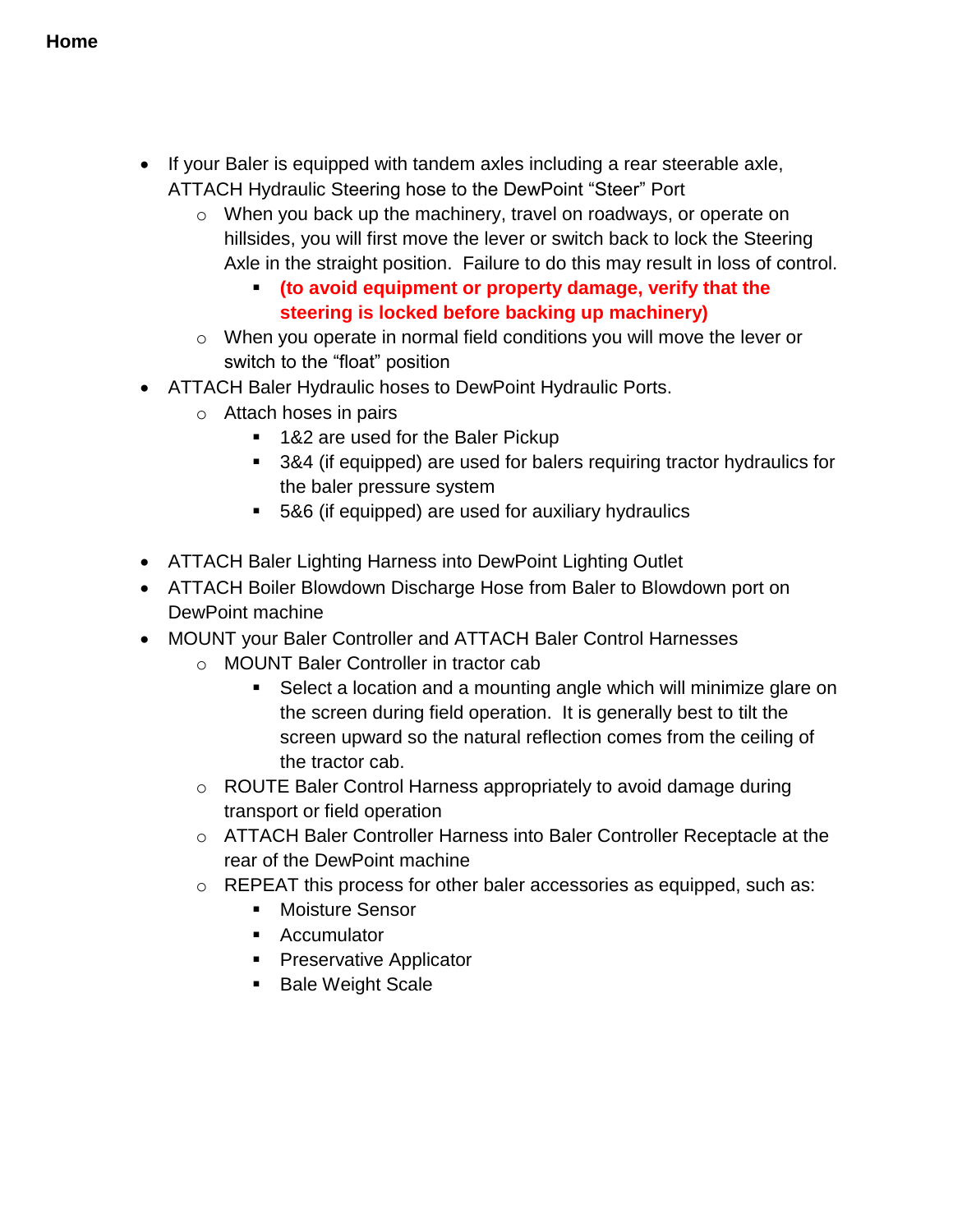- If your Baler is equipped with tandem axles including a rear steerable axle, ATTACH Hydraulic Steering hose to the DewPoint "Steer" Port
	- o When you back up the machinery, travel on roadways, or operate on hillsides, you will first move the lever or switch back to lock the Steering Axle in the straight position. Failure to do this may result in loss of control.
		- **(to avoid equipment or property damage, verify that the steering is locked before backing up machinery)**
	- o When you operate in normal field conditions you will move the lever or switch to the "float" position
- ATTACH Baler Hydraulic hoses to DewPoint Hydraulic Ports.
	- o Attach hoses in pairs
		- 1&2 are used for the Baler Pickup
		- 3&4 (if equipped) are used for balers requiring tractor hydraulics for the baler pressure system
		- 5&6 (if equipped) are used for auxiliary hydraulics
- ATTACH Baler Lighting Harness into DewPoint Lighting Outlet
- ATTACH Boiler Blowdown Discharge Hose from Baler to Blowdown port on DewPoint machine
- MOUNT your Baler Controller and ATTACH Baler Control Harnesses
	- o MOUNT Baler Controller in tractor cab
		- Select a location and a mounting angle which will minimize glare on the screen during field operation. It is generally best to tilt the screen upward so the natural reflection comes from the ceiling of the tractor cab.
	- o ROUTE Baler Control Harness appropriately to avoid damage during transport or field operation
	- o ATTACH Baler Controller Harness into Baler Controller Receptacle at the rear of the DewPoint machine
	- o REPEAT this process for other baler accessories as equipped, such as:
		- **Moisture Sensor**
		- **Accumulator**
		- **Preservative Applicator**
		- **Bale Weight Scale**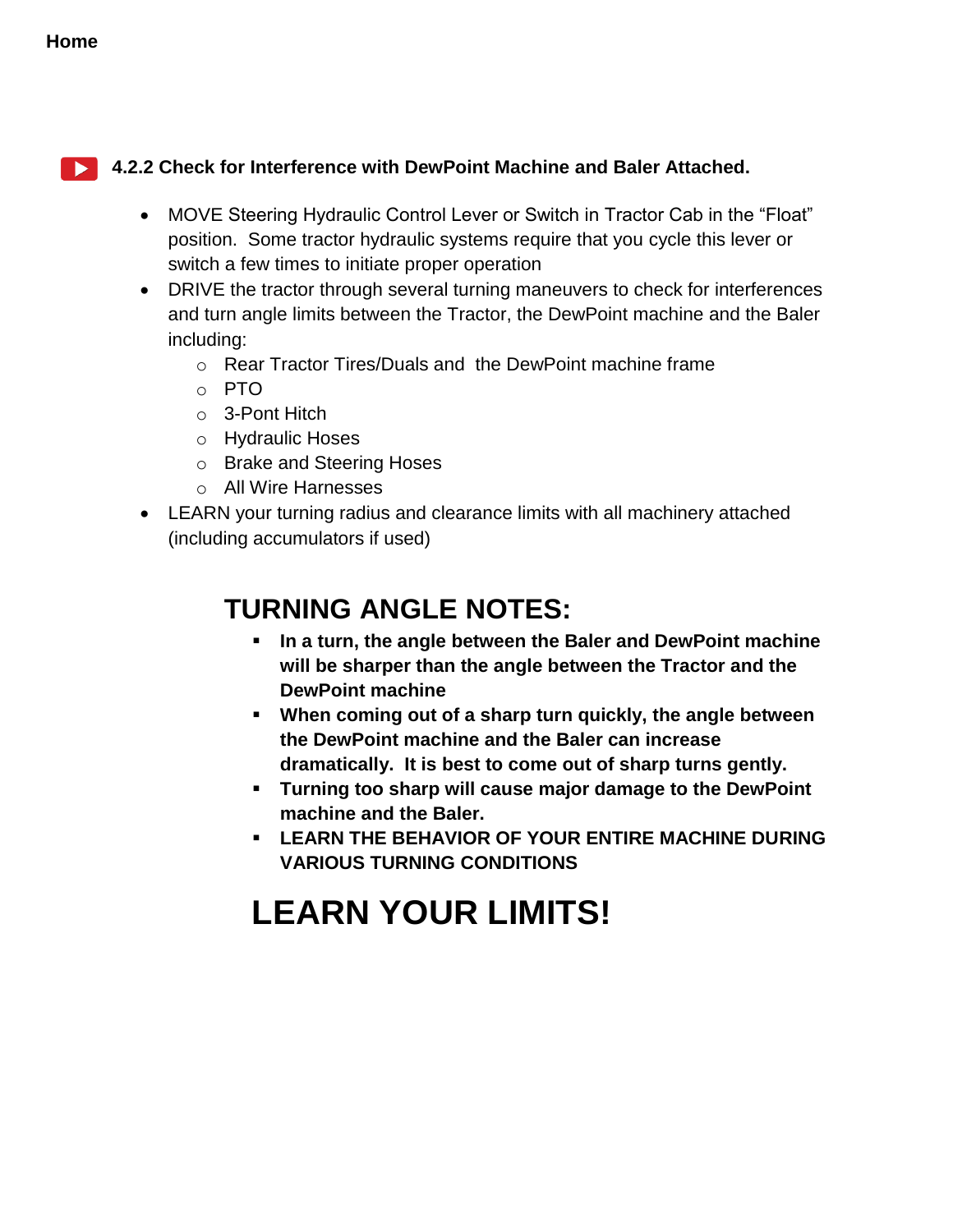#### <span id="page-28-0"></span>**4.2.2 Check for Interference with DewPoint Machine and Baler Attached.**

- MOVE Steering Hydraulic Control Lever or Switch in Tractor Cab in the "Float" position. Some tractor hydraulic systems require that you cycle this lever or switch a few times to initiate proper operation
- DRIVE the tractor through several turning maneuvers to check for interferences and turn angle limits between the Tractor, the DewPoint machine and the Baler including:
	- o Rear Tractor Tires/Duals and the DewPoint machine frame
	- o PTO
	- o 3-Pont Hitch
	- o Hydraulic Hoses
	- o Brake and Steering Hoses
	- o All Wire Harnesses
- LEARN your turning radius and clearance limits with all machinery attached (including accumulators if used)

## **TURNING ANGLE NOTES:**

- **In a turn, the angle between the Baler and DewPoint machine will be sharper than the angle between the Tractor and the DewPoint machine**
- **When coming out of a sharp turn quickly, the angle between the DewPoint machine and the Baler can increase dramatically. It is best to come out of sharp turns gently.**
- **Turning too sharp will cause major damage to the DewPoint machine and the Baler.**
- **LEARN THE BEHAVIOR OF YOUR ENTIRE MACHINE DURING VARIOUS TURNING CONDITIONS**

## <span id="page-28-1"></span>**LEARN YOUR LIMITS!**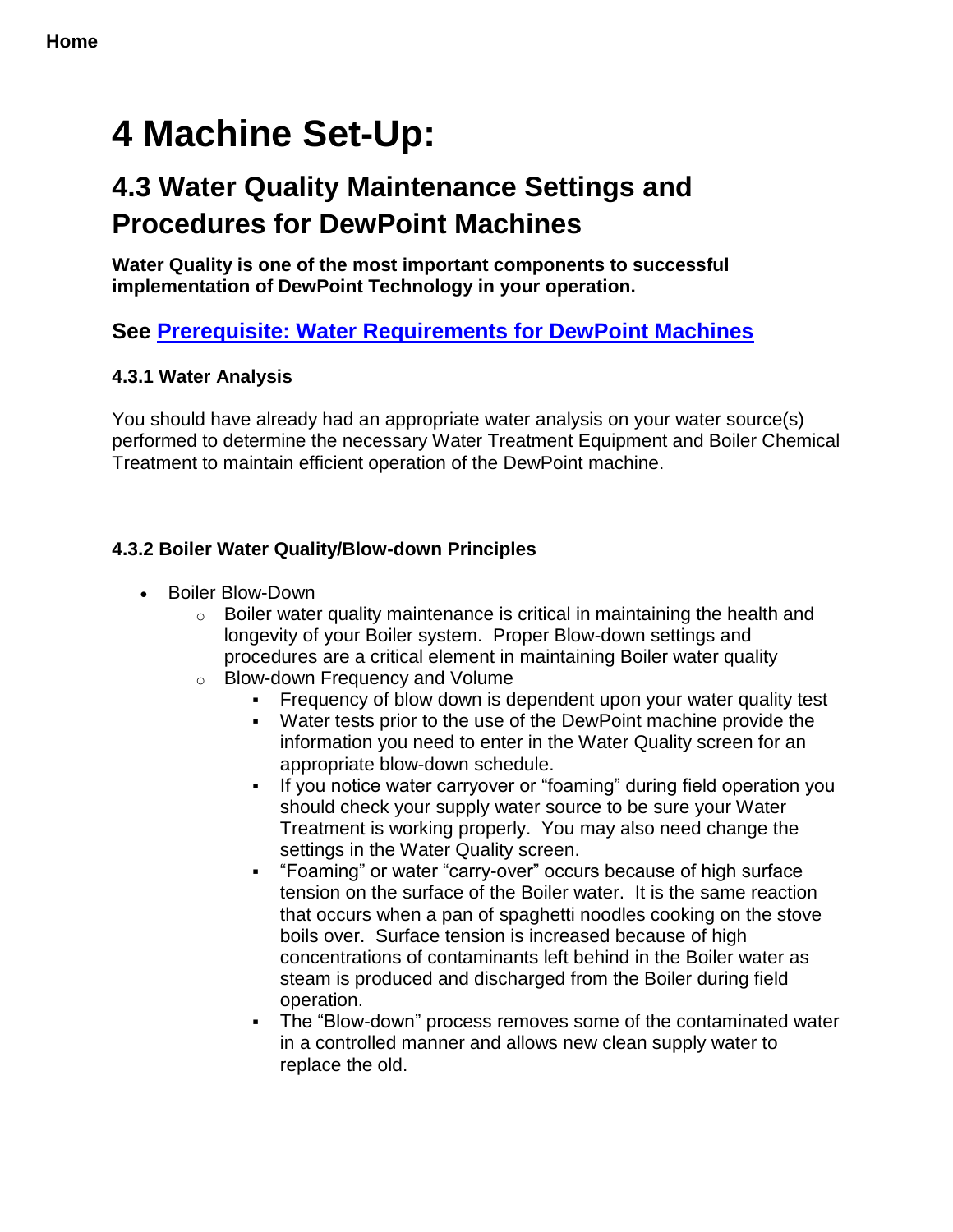## **4 Machine Set-Up:**

## **4.3 Water Quality Maintenance Settings and Procedures for DewPoint Machines**

**Water Quality is one of the most important components to successful implementation of DewPoint Technology in your operation.**

#### **See [Prerequisite: Water Requirements for DewPoint Machines](#page-4-0)**

#### <span id="page-29-0"></span>**4.3.1 Water Analysis**

You should have already had an appropriate water analysis on your water source(s) performed to determine the necessary Water Treatment Equipment and Boiler Chemical Treatment to maintain efficient operation of the DewPoint machine.

#### <span id="page-29-1"></span>**4.3.2 Boiler Water Quality/Blow-down Principles**

- Boiler Blow-Down
	- $\circ$  Boiler water quality maintenance is critical in maintaining the health and longevity of your Boiler system. Proper Blow-down settings and procedures are a critical element in maintaining Boiler water quality
	- o Blow-down Frequency and Volume
		- Frequency of blow down is dependent upon your water quality test
		- Water tests prior to the use of the DewPoint machine provide the information you need to enter in the Water Quality screen for an appropriate blow-down schedule.
		- If you notice water carryover or "foaming" during field operation you should check your supply water source to be sure your Water Treatment is working properly. You may also need change the settings in the Water Quality screen.
		- "Foaming" or water "carry-over" occurs because of high surface tension on the surface of the Boiler water. It is the same reaction that occurs when a pan of spaghetti noodles cooking on the stove boils over. Surface tension is increased because of high concentrations of contaminants left behind in the Boiler water as steam is produced and discharged from the Boiler during field operation.
		- The "Blow-down" process removes some of the contaminated water in a controlled manner and allows new clean supply water to replace the old.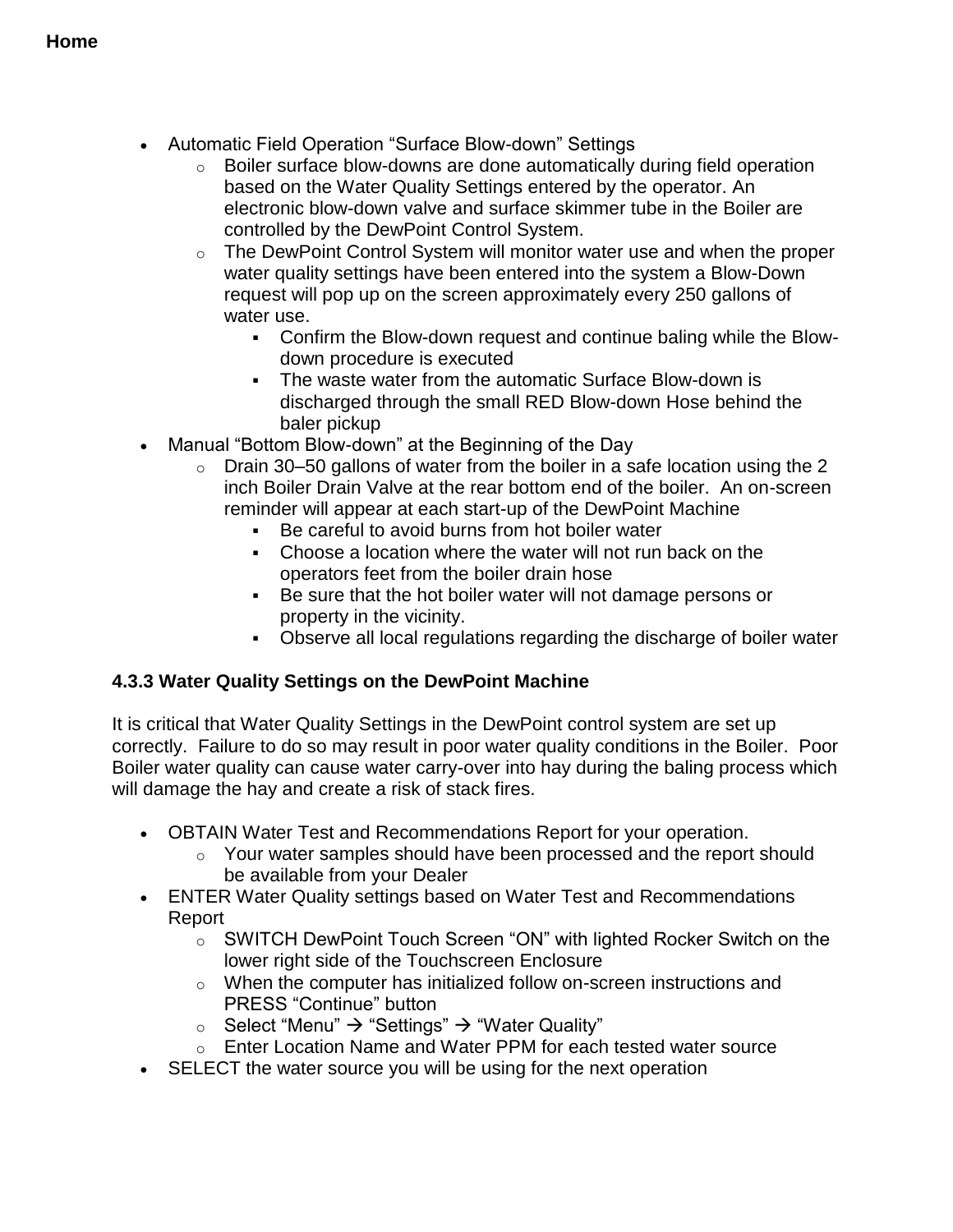- Automatic Field Operation "Surface Blow-down" Settings
	- o Boiler surface blow-downs are done automatically during field operation based on the Water Quality Settings entered by the operator. An electronic blow-down valve and surface skimmer tube in the Boiler are controlled by the DewPoint Control System.
	- o The DewPoint Control System will monitor water use and when the proper water quality settings have been entered into the system a Blow-Down request will pop up on the screen approximately every 250 gallons of water use.
		- Confirm the Blow-down request and continue baling while the Blowdown procedure is executed
		- The waste water from the automatic Surface Blow-down is discharged through the small RED Blow-down Hose behind the baler pickup
- Manual "Bottom Blow-down" at the Beginning of the Day
	- $\circ$  Drain 30–50 gallons of water from the boiler in a safe location using the 2 inch Boiler Drain Valve at the rear bottom end of the boiler. An on-screen reminder will appear at each start-up of the DewPoint Machine
		- Be careful to avoid burns from hot boiler water
		- Choose a location where the water will not run back on the operators feet from the boiler drain hose
		- Be sure that the hot boiler water will not damage persons or property in the vicinity.
		- Observe all local regulations regarding the discharge of boiler water

#### **4.3.3 Water Quality Settings on the DewPoint Machine**

It is critical that Water Quality Settings in the DewPoint control system are set up correctly. Failure to do so may result in poor water quality conditions in the Boiler. Poor Boiler water quality can cause water carry-over into hay during the baling process which will damage the hay and create a risk of stack fires.

- OBTAIN Water Test and Recommendations Report for your operation.
	- $\circ$  Your water samples should have been processed and the report should be available from your Dealer
- ENTER Water Quality settings based on Water Test and Recommendations Report
	- o SWITCH DewPoint Touch Screen "ON" with lighted Rocker Switch on the lower right side of the Touchscreen Enclosure
	- $\circ$  When the computer has initialized follow on-screen instructions and PRESS "Continue" button
	- Select "Menu"  $\rightarrow$  "Settings"  $\rightarrow$  "Water Quality"
	- o Enter Location Name and Water PPM for each tested water source
- SELECT the water source you will be using for the next operation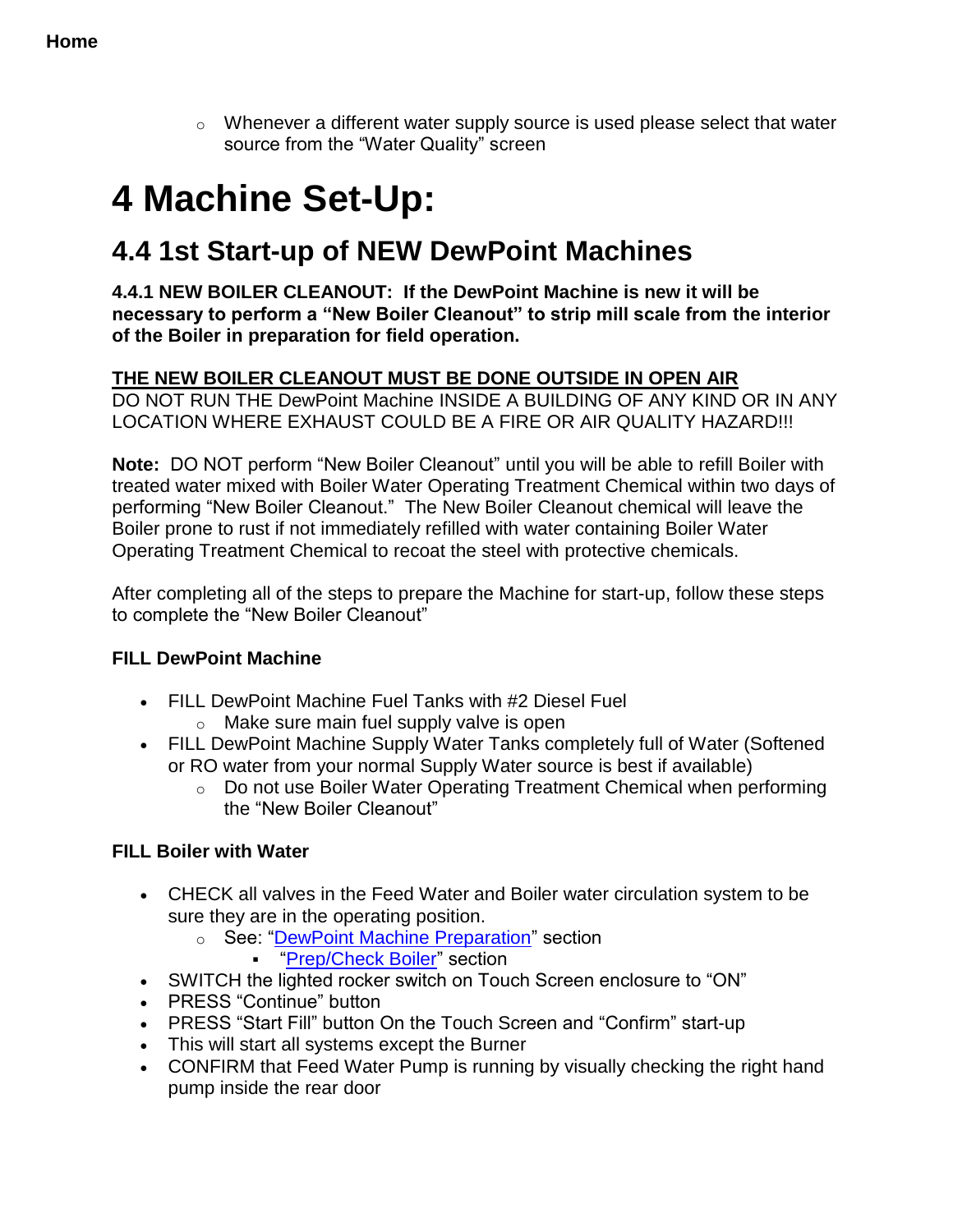$\circ$  Whenever a different water supply source is used please select that water source from the "Water Quality" screen

## <span id="page-31-0"></span>**4 Machine Set-Up:**

## **4.4 1st Start-up of NEW DewPoint Machines**

<span id="page-31-1"></span>**4.4.1 NEW BOILER CLEANOUT: If the DewPoint Machine is new it will be necessary to perform a "New Boiler Cleanout" to strip mill scale from the interior of the Boiler in preparation for field operation.**

#### **THE NEW BOILER CLEANOUT MUST BE DONE OUTSIDE IN OPEN AIR**

DO NOT RUN THE DewPoint Machine INSIDE A BUILDING OF ANY KIND OR IN ANY LOCATION WHERE EXHAUST COULD BE A FIRE OR AIR QUALITY HAZARD!!!

**Note:** DO NOT perform "New Boiler Cleanout" until you will be able to refill Boiler with treated water mixed with Boiler Water Operating Treatment Chemical within two days of performing "New Boiler Cleanout." The New Boiler Cleanout chemical will leave the Boiler prone to rust if not immediately refilled with water containing Boiler Water Operating Treatment Chemical to recoat the steel with protective chemicals.

After completing all of the steps to prepare the Machine for start-up, follow these steps to complete the "New Boiler Cleanout"

#### **FILL DewPoint Machine**

- FILL DewPoint Machine Fuel Tanks with #2 Diesel Fuel
	- o Make sure main fuel supply valve is open
- FILL DewPoint Machine Supply Water Tanks completely full of Water (Softened or RO water from your normal Supply Water source is best if available)
	- o Do not use Boiler Water Operating Treatment Chemical when performing the "New Boiler Cleanout"

#### **FILL Boiler with Water**

- CHECK all valves in the Feed Water and Boiler water circulation system to be sure they are in the operating position.
	- o See: ["DewPoint Machine Preparation"](#page-20-0) section
		- **•** ["Prep/Check Boiler"](#page-20-1) section
- SWITCH the lighted rocker switch on Touch Screen enclosure to "ON"
- PRESS "Continue" button
- PRESS "Start Fill" button On the Touch Screen and "Confirm" start-up
- This will start all systems except the Burner
- CONFIRM that Feed Water Pump is running by visually checking the right hand pump inside the rear door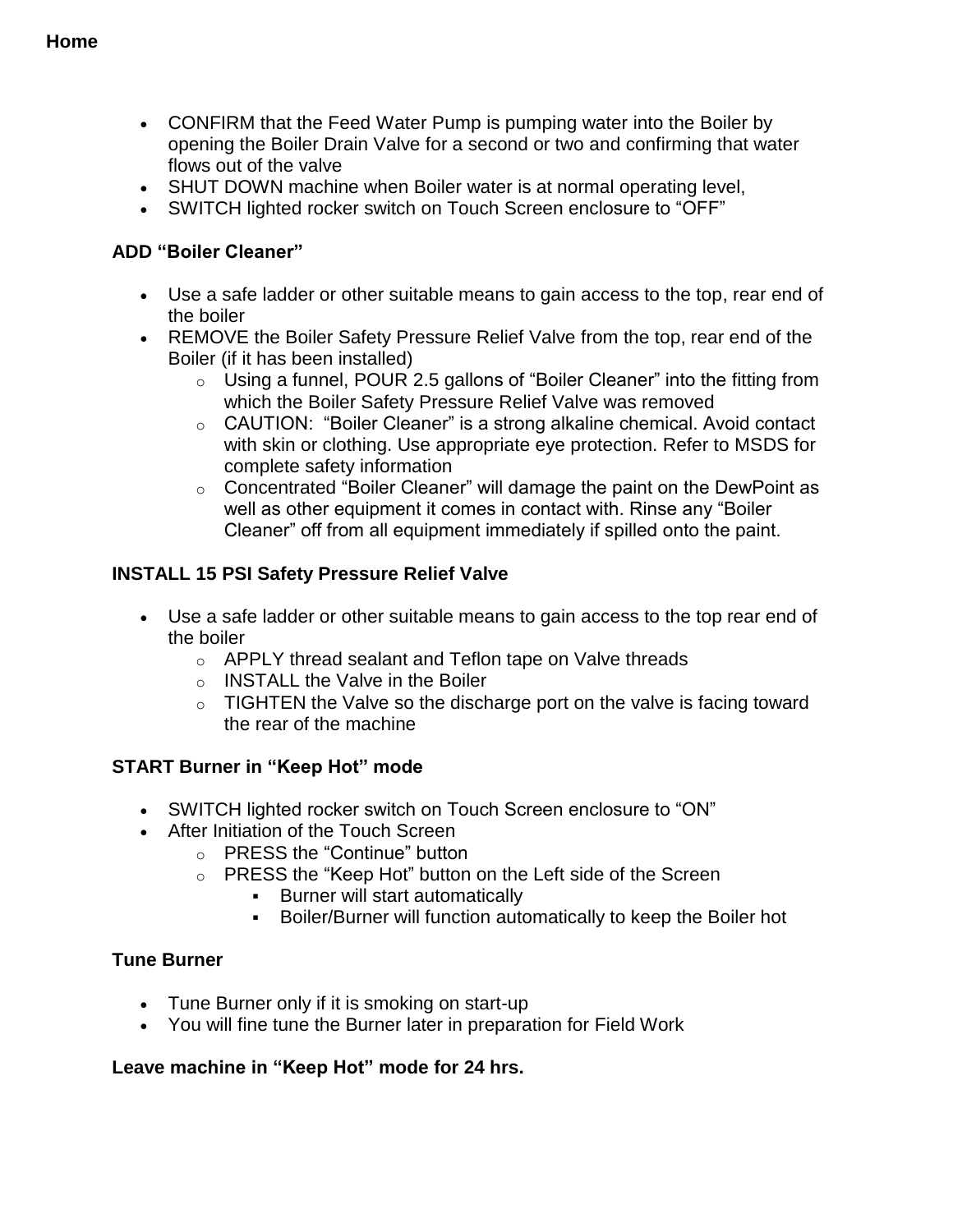- CONFIRM that the Feed Water Pump is pumping water into the Boiler by opening the Boiler Drain Valve for a second or two and confirming that water flows out of the valve
- SHUT DOWN machine when Boiler water is at normal operating level,
- SWITCH lighted rocker switch on Touch Screen enclosure to "OFF"

#### **ADD "Boiler Cleaner"**

- Use a safe ladder or other suitable means to gain access to the top, rear end of the boiler
- REMOVE the Boiler Safety Pressure Relief Valve from the top, rear end of the Boiler (if it has been installed)
	- o Using a funnel, POUR 2.5 gallons of "Boiler Cleaner" into the fitting from which the Boiler Safety Pressure Relief Valve was removed
	- o CAUTION: "Boiler Cleaner" is a strong alkaline chemical. Avoid contact with skin or clothing. Use appropriate eye protection. Refer to MSDS for complete safety information
	- o Concentrated "Boiler Cleaner" will damage the paint on the DewPoint as well as other equipment it comes in contact with. Rinse any "Boiler Cleaner" off from all equipment immediately if spilled onto the paint.

#### **INSTALL 15 PSI Safety Pressure Relief Valve**

- Use a safe ladder or other suitable means to gain access to the top rear end of the boiler
	- o APPLY thread sealant and Teflon tape on Valve threads
	- o INSTALL the Valve in the Boiler
	- $\circ$  TIGHTEN the Valve so the discharge port on the valve is facing toward the rear of the machine

#### **START Burner in "Keep Hot" mode**

- SWITCH lighted rocker switch on Touch Screen enclosure to "ON"
- After Initiation of the Touch Screen
	- o PRESS the "Continue" button
	- o PRESS the "Keep Hot" button on the Left side of the Screen
		- **Burner will start automatically**
		- Boiler/Burner will function automatically to keep the Boiler hot

#### **Tune Burner**

- Tune Burner only if it is smoking on start-up
- You will fine tune the Burner later in preparation for Field Work

#### **Leave machine in "Keep Hot" mode for 24 hrs.**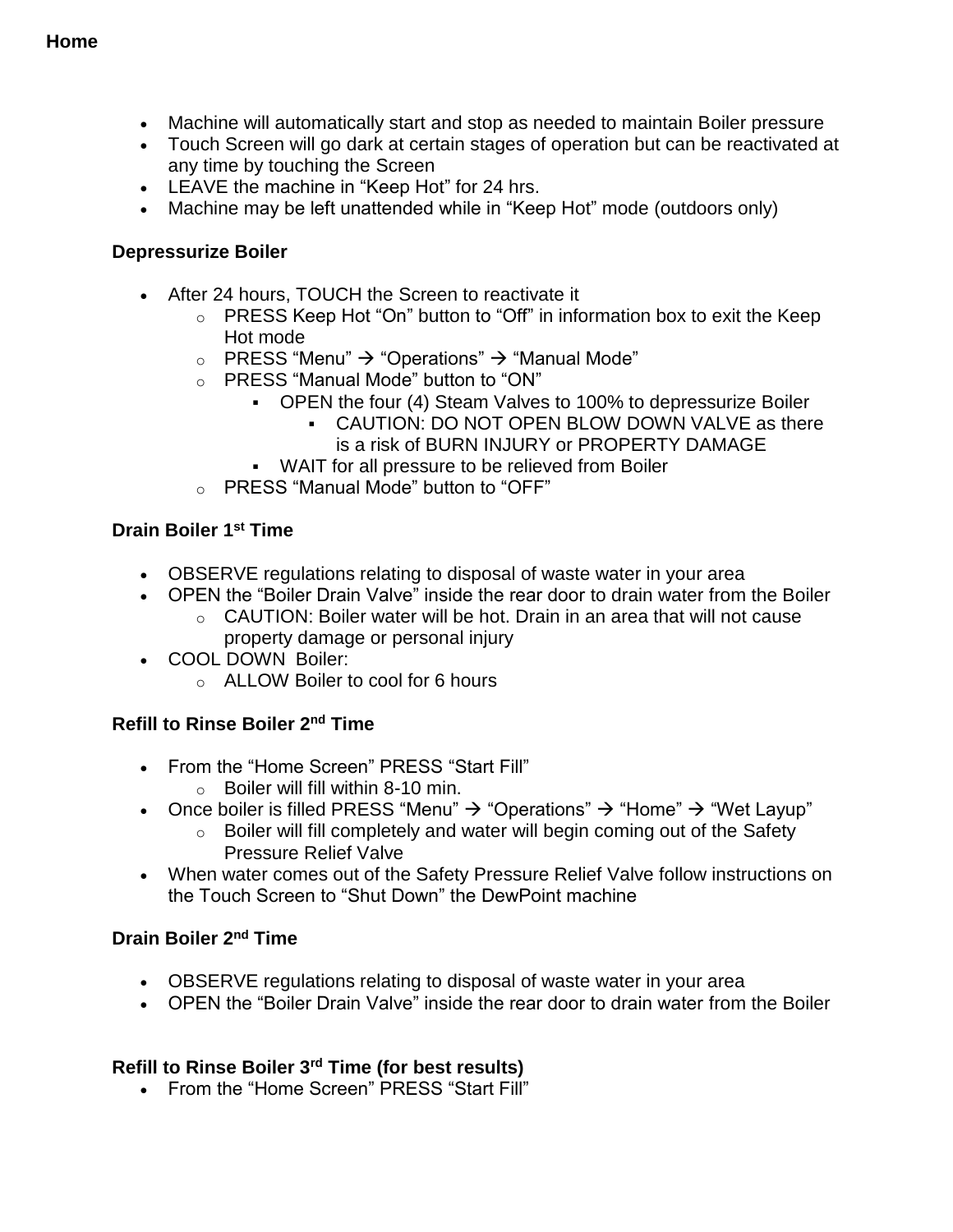- Machine will automatically start and stop as needed to maintain Boiler pressure
- Touch Screen will go dark at certain stages of operation but can be reactivated at any time by touching the Screen
- LEAVE the machine in "Keep Hot" for 24 hrs.
- Machine may be left unattended while in "Keep Hot" mode (outdoors only)

#### **Depressurize Boiler**

- After 24 hours, TOUCH the Screen to reactivate it
	- o PRESS Keep Hot "On" button to "Off" in information box to exit the Keep Hot mode
	- $\circ$  PRESS "Menu"  $\rightarrow$  "Operations"  $\rightarrow$  "Manual Mode"
	- o PRESS "Manual Mode" button to "ON"
		- OPEN the four (4) Steam Valves to 100% to depressurize Boiler
			- CAUTION: DO NOT OPEN BLOW DOWN VALVE as there is a risk of BURN INJURY or PROPERTY DAMAGE
		- WAIT for all pressure to be relieved from Boiler
	- o PRESS "Manual Mode" button to "OFF"

#### **Drain Boiler 1 st Time**

- OBSERVE regulations relating to disposal of waste water in your area
- OPEN the "Boiler Drain Valve" inside the rear door to drain water from the Boiler
	- o CAUTION: Boiler water will be hot. Drain in an area that will not cause property damage or personal injury
- COOL DOWN Boiler:
	- o ALLOW Boiler to cool for 6 hours

#### **Refill to Rinse Boiler 2 nd Time**

- From the "Home Screen" PRESS "Start Fill"
	- $\circ$  Boiler will fill within 8-10 min.
- Once boiler is filled PRESS "Menu"  $\rightarrow$  "Operations"  $\rightarrow$  "Home"  $\rightarrow$  "Wet Layup"
	- o Boiler will fill completely and water will begin coming out of the Safety Pressure Relief Valve
- When water comes out of the Safety Pressure Relief Valve follow instructions on the Touch Screen to "Shut Down" the DewPoint machine

#### **Drain Boiler 2nd Time**

- OBSERVE regulations relating to disposal of waste water in your area
- OPEN the "Boiler Drain Valve" inside the rear door to drain water from the Boiler

#### **Refill to Rinse Boiler 3rd Time (for best results)**

• From the "Home Screen" PRESS "Start Fill"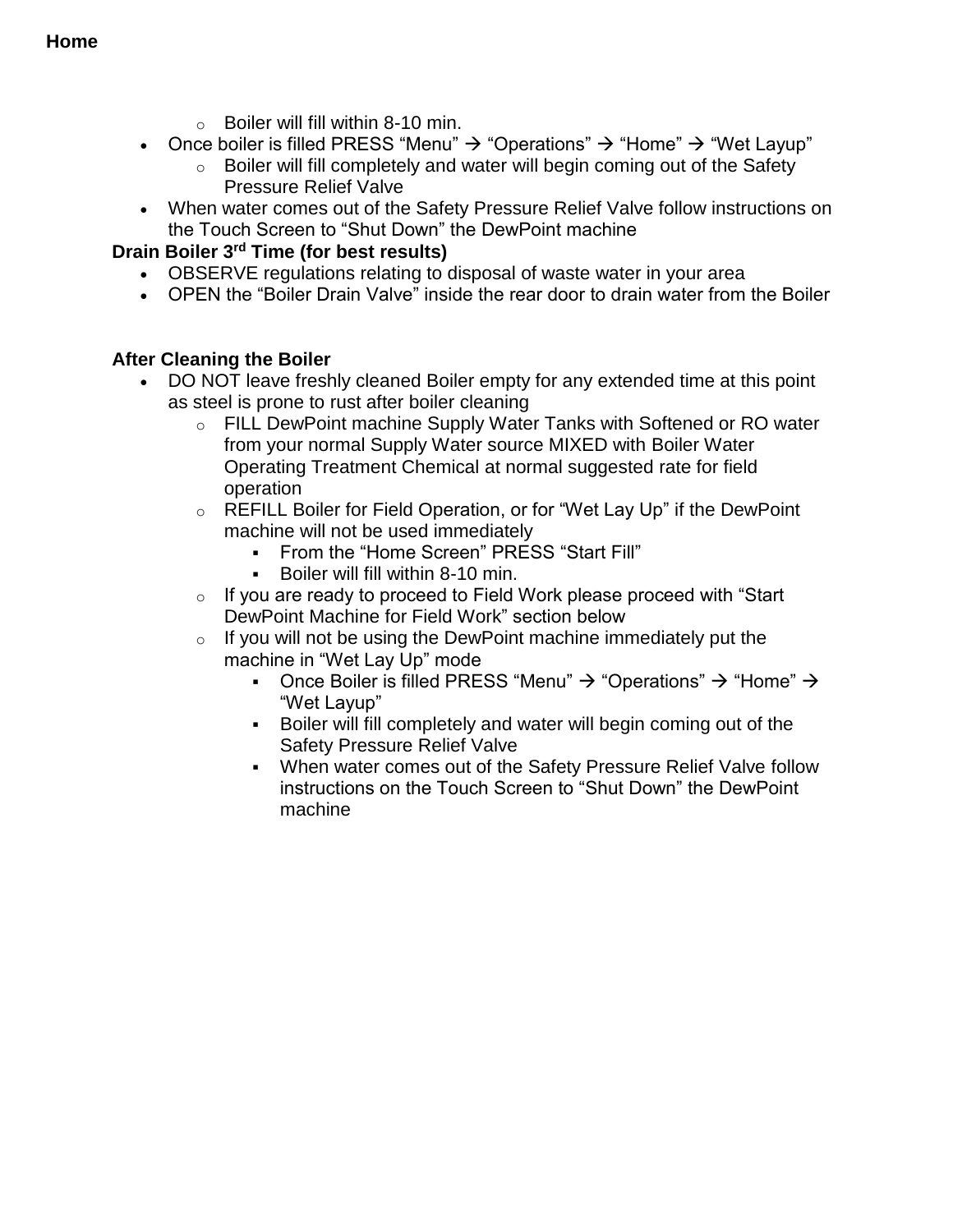- $\circ$  Boiler will fill within 8-10 min.
- Once boiler is filled PRESS "Menu"  $\rightarrow$  "Operations"  $\rightarrow$  "Home"  $\rightarrow$  "Wet Layup"
	- $\circ$  Boiler will fill completely and water will begin coming out of the Safety Pressure Relief Valve
- When water comes out of the Safety Pressure Relief Valve follow instructions on the Touch Screen to "Shut Down" the DewPoint machine

#### **Drain Boiler 3rd Time (for best results)**

- OBSERVE regulations relating to disposal of waste water in your area
- OPEN the "Boiler Drain Valve" inside the rear door to drain water from the Boiler

#### **After Cleaning the Boiler**

- DO NOT leave freshly cleaned Boiler empty for any extended time at this point as steel is prone to rust after boiler cleaning
	- o FILL DewPoint machine Supply Water Tanks with Softened or RO water from your normal Supply Water source MIXED with Boiler Water Operating Treatment Chemical at normal suggested rate for field operation
	- o REFILL Boiler for Field Operation, or for "Wet Lay Up" if the DewPoint machine will not be used immediately
		- From the "Home Screen" PRESS "Start Fill"
		- Boiler will fill within 8-10 min.
	- $\circ$  If you are ready to proceed to Field Work please proceed with "Start" DewPoint Machine for Field Work" section below
	- $\circ$  If you will not be using the DewPoint machine immediately put the machine in "Wet Lay Up" mode
		- Once Boiler is filled PRESS "Menu"  $\rightarrow$  "Operations"  $\rightarrow$  "Home"  $\rightarrow$ "Wet Layup"
		- Boiler will fill completely and water will begin coming out of the Safety Pressure Relief Valve
		- When water comes out of the Safety Pressure Relief Valve follow instructions on the Touch Screen to "Shut Down" the DewPoint machine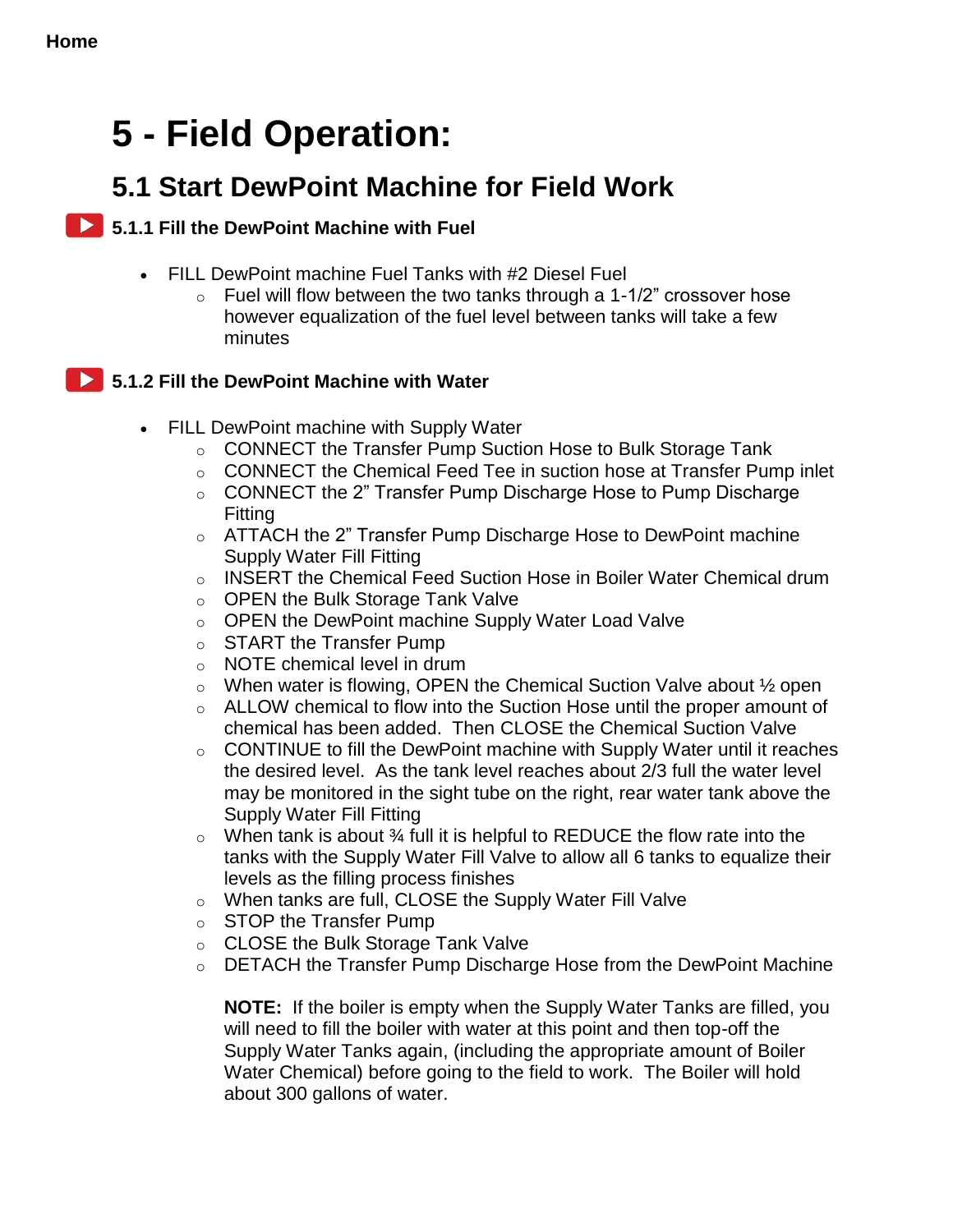## **5 - Field Operation:**

## **5.1 Start DewPoint Machine for Field Work**

#### <span id="page-35-0"></span>**5.1.1 Fill the DewPoint Machine with Fuel**

- <span id="page-35-1"></span> FILL DewPoint machine Fuel Tanks with #2 Diesel Fuel
	- $\circ$  Fuel will flow between the two tanks through a 1-1/2" crossover hose however equalization of the fuel level between tanks will take a few minutes

#### **5.1.2 Fill the DewPoint Machine with Water**

- FILL DewPoint machine with Supply Water
	- o CONNECT the Transfer Pump Suction Hose to Bulk Storage Tank
	- o CONNECT the Chemical Feed Tee in suction hose at Transfer Pump inlet
	- o CONNECT the 2" Transfer Pump Discharge Hose to Pump Discharge Fitting
	- $\circ$  ATTACH the 2" Transfer Pump Discharge Hose to DewPoint machine Supply Water Fill Fitting
	- o INSERT the Chemical Feed Suction Hose in Boiler Water Chemical drum
	- o OPEN the Bulk Storage Tank Valve
	- o OPEN the DewPoint machine Supply Water Load Valve
	- o START the Transfer Pump
	- o NOTE chemical level in drum
	- $\circ$  When water is flowing, OPEN the Chemical Suction Valve about  $\frac{1}{2}$  open
	- $\circ$  ALLOW chemical to flow into the Suction Hose until the proper amount of chemical has been added. Then CLOSE the Chemical Suction Valve
	- $\circ$  CONTINUE to fill the DewPoint machine with Supply Water until it reaches the desired level. As the tank level reaches about 2/3 full the water level may be monitored in the sight tube on the right, rear water tank above the Supply Water Fill Fitting
	- $\circ$  When tank is about  $\frac{3}{4}$  full it is helpful to REDUCE the flow rate into the tanks with the Supply Water Fill Valve to allow all 6 tanks to equalize their levels as the filling process finishes
	- o When tanks are full, CLOSE the Supply Water Fill Valve
	- o STOP the Transfer Pump
	- o CLOSE the Bulk Storage Tank Valve
	- $\circ$  DETACH the Transfer Pump Discharge Hose from the DewPoint Machine

**NOTE:** If the boiler is empty when the Supply Water Tanks are filled, you will need to fill the boiler with water at this point and then top-off the Supply Water Tanks again, (including the appropriate amount of Boiler Water Chemical) before going to the field to work. The Boiler will hold about 300 gallons of water.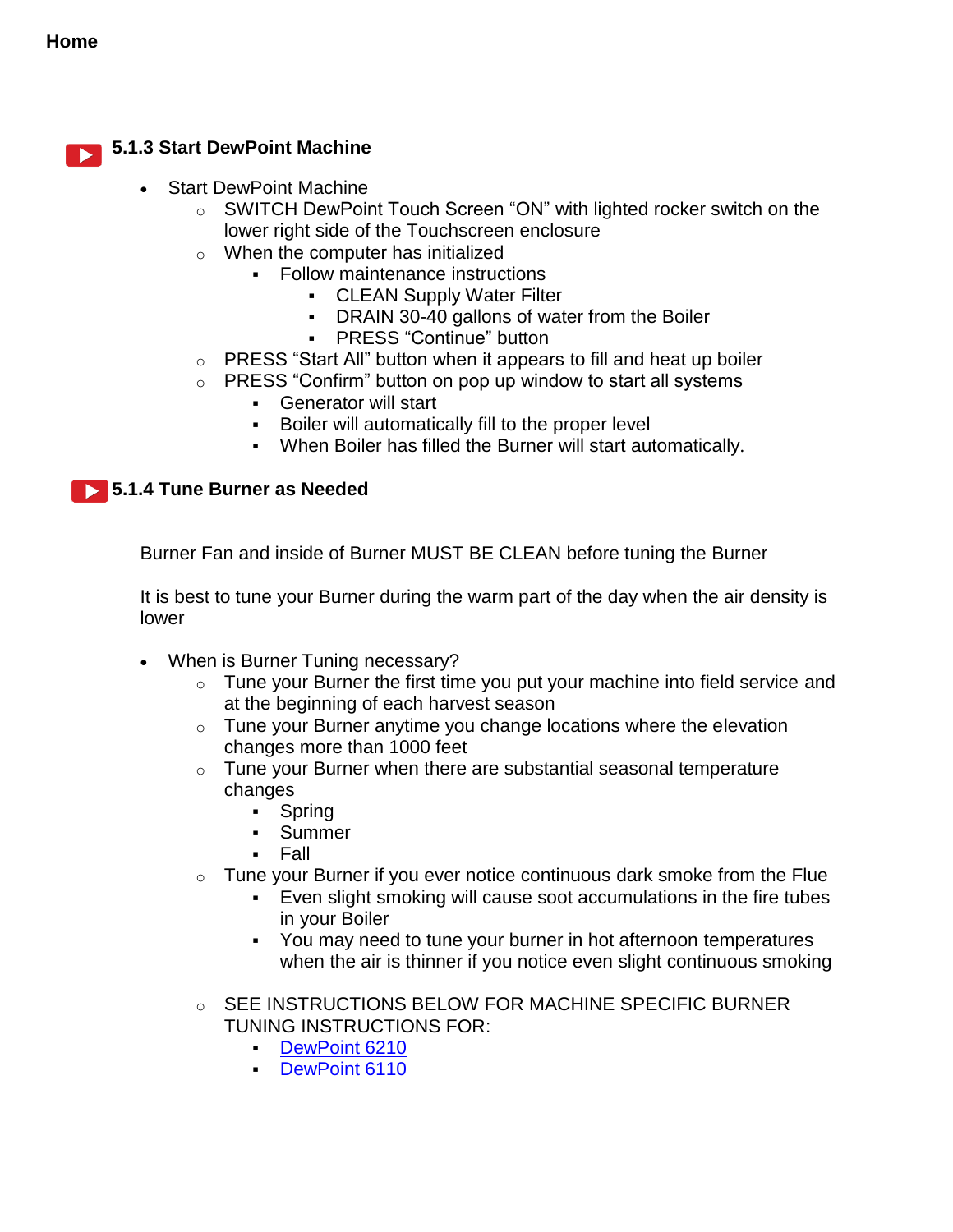#### **5.1.3 Start DewPoint Machine** N

- Start DewPoint Machine
	- o SWITCH DewPoint Touch Screen "ON" with lighted rocker switch on the lower right side of the Touchscreen enclosure
	- $\circ$  When the computer has initialized
		- Follow maintenance instructions
			- CLEAN Supply Water Filter
			- DRAIN 30-40 gallons of water from the Boiler
			- PRESS "Continue" button
	- o PRESS "Start All" button when it appears to fill and heat up boiler
	- $\circ$  PRESS "Confirm" button on pop up window to start all systems
		- Generator will start
		- Boiler will automatically fill to the proper level
		- When Boiler has filled the Burner will start automatically.

#### **5.1.4 Tune Burner as Needed**

Burner Fan and inside of Burner MUST BE CLEAN before tuning the Burner

It is best to tune your Burner during the warm part of the day when the air density is lower

- When is Burner Tuning necessary?
	- $\circ$  Tune your Burner the first time you put your machine into field service and at the beginning of each harvest season
	- $\circ$  Tune your Burner anytime you change locations where the elevation changes more than 1000 feet
	- $\circ$  Tune your Burner when there are substantial seasonal temperature changes
		- Spring
		- Summer
		- Fall
	- $\circ$  Tune your Burner if you ever notice continuous dark smoke from the Flue
		- Even slight smoking will cause soot accumulations in the fire tubes in your Boiler
		- You may need to tune your burner in hot afternoon temperatures when the air is thinner if you notice even slight continuous smoking
	- o SEE INSTRUCTIONS BELOW FOR MACHINE SPECIFIC BURNER TUNING INSTRUCTIONS FOR:
		- [DewPoint 6210](#page-37-0)
		- [DewPoint 6110](#page-38-0)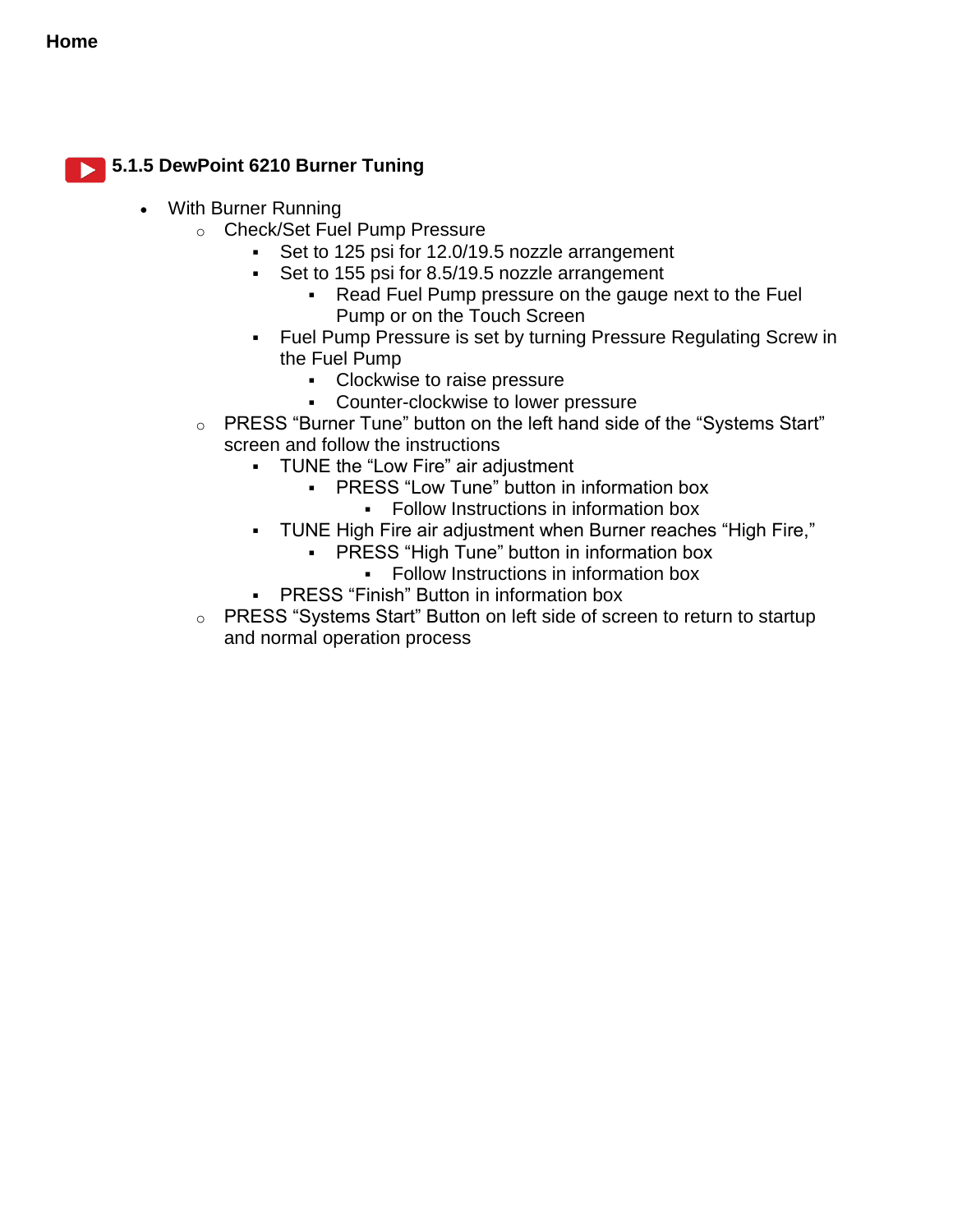

### <span id="page-37-0"></span>**5.1.5 DewPoint 6210 Burner Tuning**

- With Burner Running
	- o Check/Set Fuel Pump Pressure
		- Set to 125 psi for 12.0/19.5 nozzle arrangement
		- Set to 155 psi for 8.5/19.5 nozzle arrangement
			- Read Fuel Pump pressure on the gauge next to the Fuel Pump or on the Touch Screen
		- Fuel Pump Pressure is set by turning Pressure Regulating Screw in the Fuel Pump
			- Clockwise to raise pressure
			- **Counter-clockwise to lower pressure**
	- o PRESS "Burner Tune" button on the left hand side of the "Systems Start" screen and follow the instructions
		- TUNE the "Low Fire" air adjustment
			- **-** PRESS "Low Tune" button in information box **Follow Instructions in information box**
		- TUNE High Fire air adjustment when Burner reaches "High Fire,"
			- **-** PRESS "High Tune" button in information box
				- Follow Instructions in information box
		- PRESS "Finish" Button in information box
	- o PRESS "Systems Start" Button on left side of screen to return to startup and normal operation process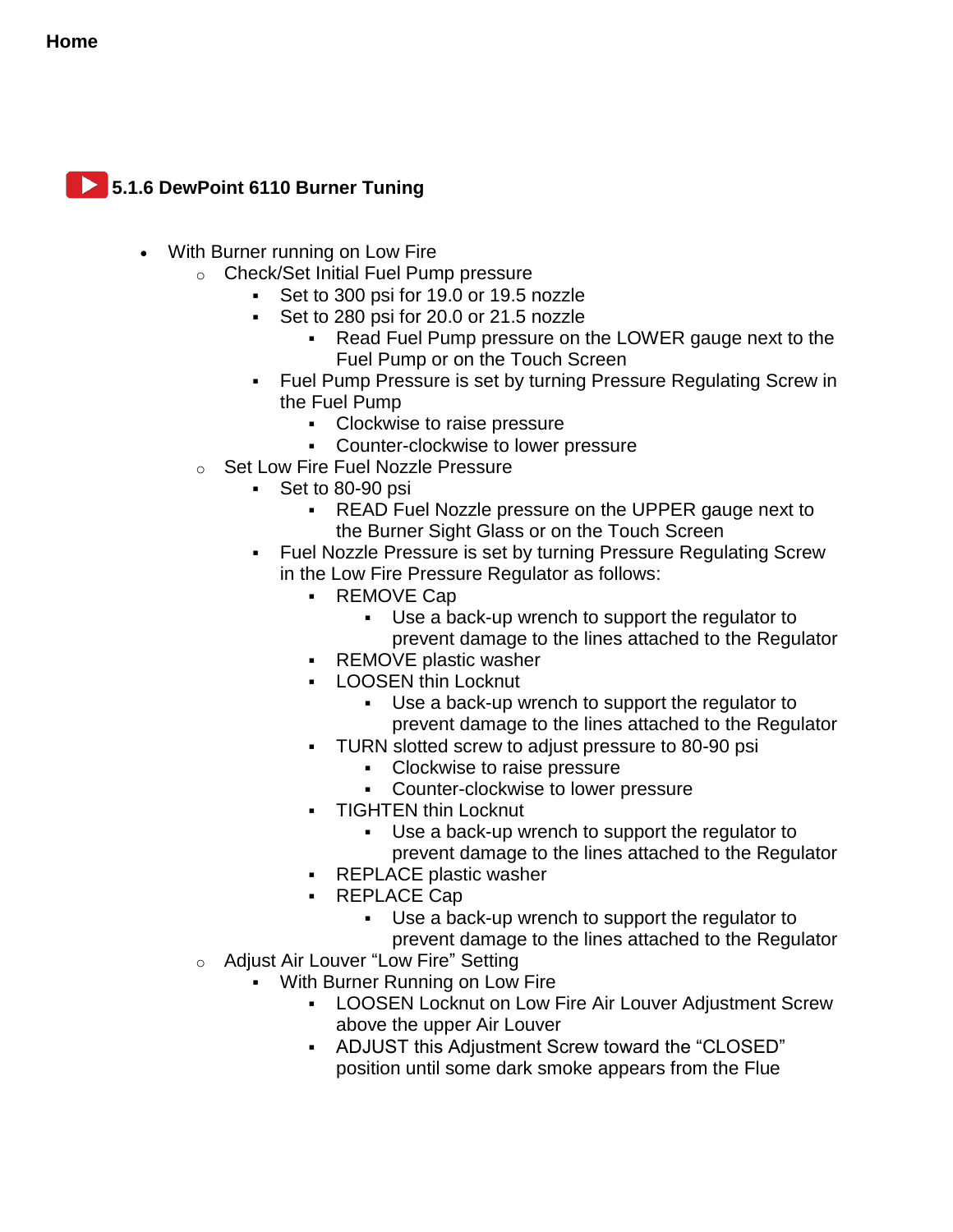<span id="page-38-0"></span>

- With Burner running on Low Fire
	- o Check/Set Initial Fuel Pump pressure
		- Set to 300 psi for 19.0 or 19.5 nozzle
		- Set to 280 psi for 20.0 or 21.5 nozzle
			- Read Fuel Pump pressure on the LOWER gauge next to the Fuel Pump or on the Touch Screen
		- Fuel Pump Pressure is set by turning Pressure Regulating Screw in the Fuel Pump
			- **Clockwise to raise pressure**
			- **-** Counter-clockwise to lower pressure
	- o Set Low Fire Fuel Nozzle Pressure
		- Set to 80-90 psi
			- **READ Fuel Nozzle pressure on the UPPER gauge next to** the Burner Sight Glass or on the Touch Screen
		- Fuel Nozzle Pressure is set by turning Pressure Regulating Screw in the Low Fire Pressure Regulator as follows:
			- REMOVE Cap
				- Use a back-up wrench to support the regulator to prevent damage to the lines attached to the Regulator
			- **REMOVE plastic washer**
			- **-** LOOSEN thin Locknut
				- Use a back-up wrench to support the regulator to prevent damage to the lines attached to the Regulator
			- **TURN slotted screw to adjust pressure to 80-90 psi** 
				- **Clockwise to raise pressure**
				- Counter-clockwise to lower pressure
			- **-** TIGHTEN thin Locknut
				- Use a back-up wrench to support the regulator to prevent damage to the lines attached to the Regulator
			- REPLACE plastic washer
			- REPLACE Cap
				- Use a back-up wrench to support the regulator to prevent damage to the lines attached to the Regulator
	- o Adjust Air Louver "Low Fire" Setting
		- With Burner Running on Low Fire
			- LOOSEN Locknut on Low Fire Air Louver Adjustment Screw above the upper Air Louver
			- ADJUST this Adjustment Screw toward the "CLOSED" position until some dark smoke appears from the Flue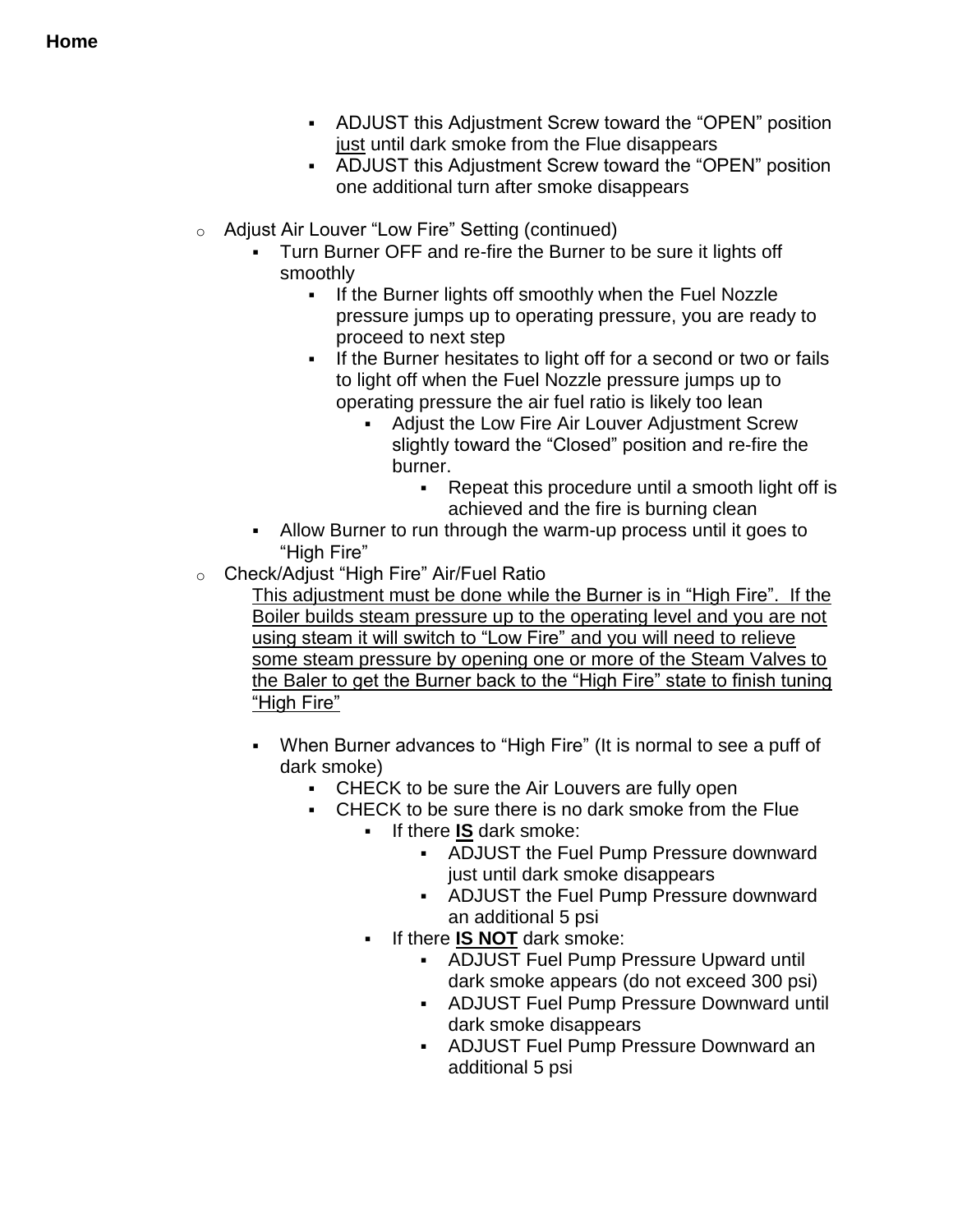- ADJUST this Adjustment Screw toward the "OPEN" position just until dark smoke from the Flue disappears
- ADJUST this Adjustment Screw toward the "OPEN" position one additional turn after smoke disappears
- o Adjust Air Louver "Low Fire" Setting (continued)
	- Turn Burner OFF and re-fire the Burner to be sure it lights off smoothly
		- If the Burner lights off smoothly when the Fuel Nozzle pressure jumps up to operating pressure, you are ready to proceed to next step
		- If the Burner hesitates to light off for a second or two or fails to light off when the Fuel Nozzle pressure jumps up to operating pressure the air fuel ratio is likely too lean
			- Adjust the Low Fire Air Louver Adjustment Screw slightly toward the "Closed" position and re-fire the burner.
				- Repeat this procedure until a smooth light off is achieved and the fire is burning clean
	- Allow Burner to run through the warm-up process until it goes to "High Fire"
- o Check/Adjust "High Fire" Air/Fuel Ratio

This adjustment must be done while the Burner is in "High Fire". If the Boiler builds steam pressure up to the operating level and you are not using steam it will switch to "Low Fire" and you will need to relieve some steam pressure by opening one or more of the Steam Valves to the Baler to get the Burner back to the "High Fire" state to finish tuning "High Fire"

- When Burner advances to "High Fire" (It is normal to see a puff of dark smoke)
	- CHECK to be sure the Air Louvers are fully open
	- CHECK to be sure there is no dark smoke from the Flue
		- **If there IS dark smoke:** 
			- ADJUST the Fuel Pump Pressure downward just until dark smoke disappears
			- ADJUST the Fuel Pump Pressure downward an additional 5 psi
		- If there **IS NOT** dark smoke:
			- ADJUST Fuel Pump Pressure Upward until dark smoke appears (do not exceed 300 psi)
			- ADJUST Fuel Pump Pressure Downward until dark smoke disappears
			- ADJUST Fuel Pump Pressure Downward an additional 5 psi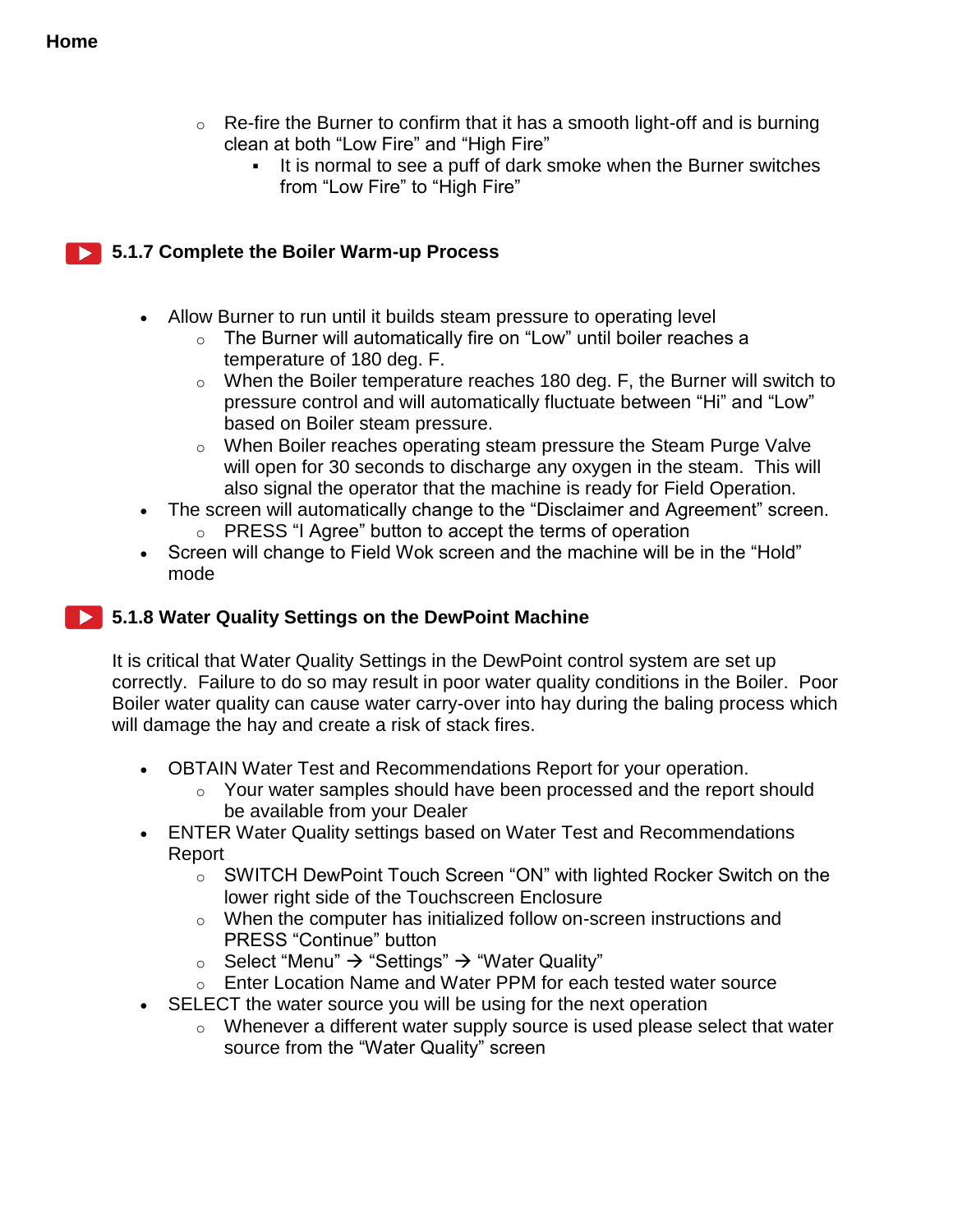- $\circ$  Re-fire the Burner to confirm that it has a smooth light-off and is burning clean at both "Low Fire" and "High Fire"
	- It is normal to see a puff of dark smoke when the Burner switches from "Low Fire" to "High Fire"

#### **5.1.7 Complete the Boiler Warm-up Process**

- Allow Burner to run until it builds steam pressure to operating level
	- $\circ$  The Burner will automatically fire on "Low" until boiler reaches a temperature of 180 deg. F.
	- $\circ$  When the Boiler temperature reaches 180 deg. F, the Burner will switch to pressure control and will automatically fluctuate between "Hi" and "Low" based on Boiler steam pressure.
	- o When Boiler reaches operating steam pressure the Steam Purge Valve will open for 30 seconds to discharge any oxygen in the steam. This will also signal the operator that the machine is ready for Field Operation.
- The screen will automatically change to the "Disclaimer and Agreement" screen. o PRESS "I Agree" button to accept the terms of operation
- Screen will change to Field Wok screen and the machine will be in the "Hold" mode

#### **5.1.8 Water Quality Settings on the DewPoint Machine**

It is critical that Water Quality Settings in the DewPoint control system are set up correctly. Failure to do so may result in poor water quality conditions in the Boiler. Poor Boiler water quality can cause water carry-over into hay during the baling process which will damage the hay and create a risk of stack fires.

- OBTAIN Water Test and Recommendations Report for your operation.
	- o Your water samples should have been processed and the report should be available from your Dealer
- ENTER Water Quality settings based on Water Test and Recommendations Report
	- o SWITCH DewPoint Touch Screen "ON" with lighted Rocker Switch on the lower right side of the Touchscreen Enclosure
	- o When the computer has initialized follow on-screen instructions and PRESS "Continue" button
	- Select "Menu"  $\rightarrow$  "Settings"  $\rightarrow$  "Water Quality"
	- o Enter Location Name and Water PPM for each tested water source
- SELECT the water source you will be using for the next operation
	- $\circ$  Whenever a different water supply source is used please select that water source from the "Water Quality" screen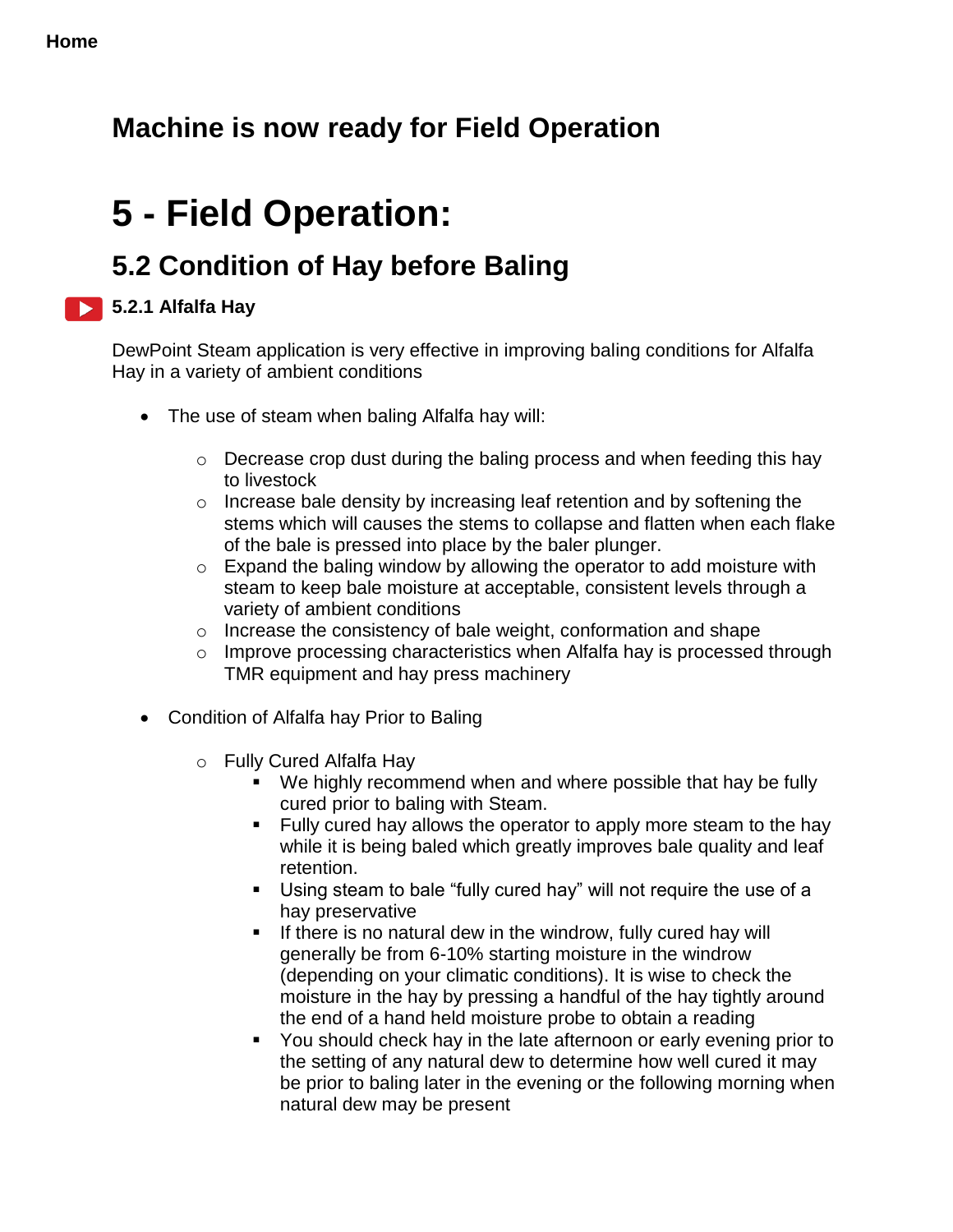## **Machine is now ready for Field Operation**

# **5 - Field Operation:**

## **5.2 Condition of Hay before Baling**

### **5.2.1 Alfalfa Hay**

DewPoint Steam application is very effective in improving baling conditions for Alfalfa Hay in a variety of ambient conditions

- The use of steam when baling Alfalfa hay will:
	- o Decrease crop dust during the baling process and when feeding this hay to livestock
	- o Increase bale density by increasing leaf retention and by softening the stems which will causes the stems to collapse and flatten when each flake of the bale is pressed into place by the baler plunger.
	- $\circ$  Expand the baling window by allowing the operator to add moisture with steam to keep bale moisture at acceptable, consistent levels through a variety of ambient conditions
	- o Increase the consistency of bale weight, conformation and shape
	- o Improve processing characteristics when Alfalfa hay is processed through TMR equipment and hay press machinery
- Condition of Alfalfa hay Prior to Baling
	- o Fully Cured Alfalfa Hay
		- We highly recommend when and where possible that hay be fully cured prior to baling with Steam.
		- **Fully cured hay allows the operator to apply more steam to the hay** while it is being baled which greatly improves bale quality and leaf retention.
		- Using steam to bale "fully cured hay" will not require the use of a hay preservative
		- If there is no natural dew in the windrow, fully cured hay will generally be from 6-10% starting moisture in the windrow (depending on your climatic conditions). It is wise to check the moisture in the hay by pressing a handful of the hay tightly around the end of a hand held moisture probe to obtain a reading
		- You should check hay in the late afternoon or early evening prior to the setting of any natural dew to determine how well cured it may be prior to baling later in the evening or the following morning when natural dew may be present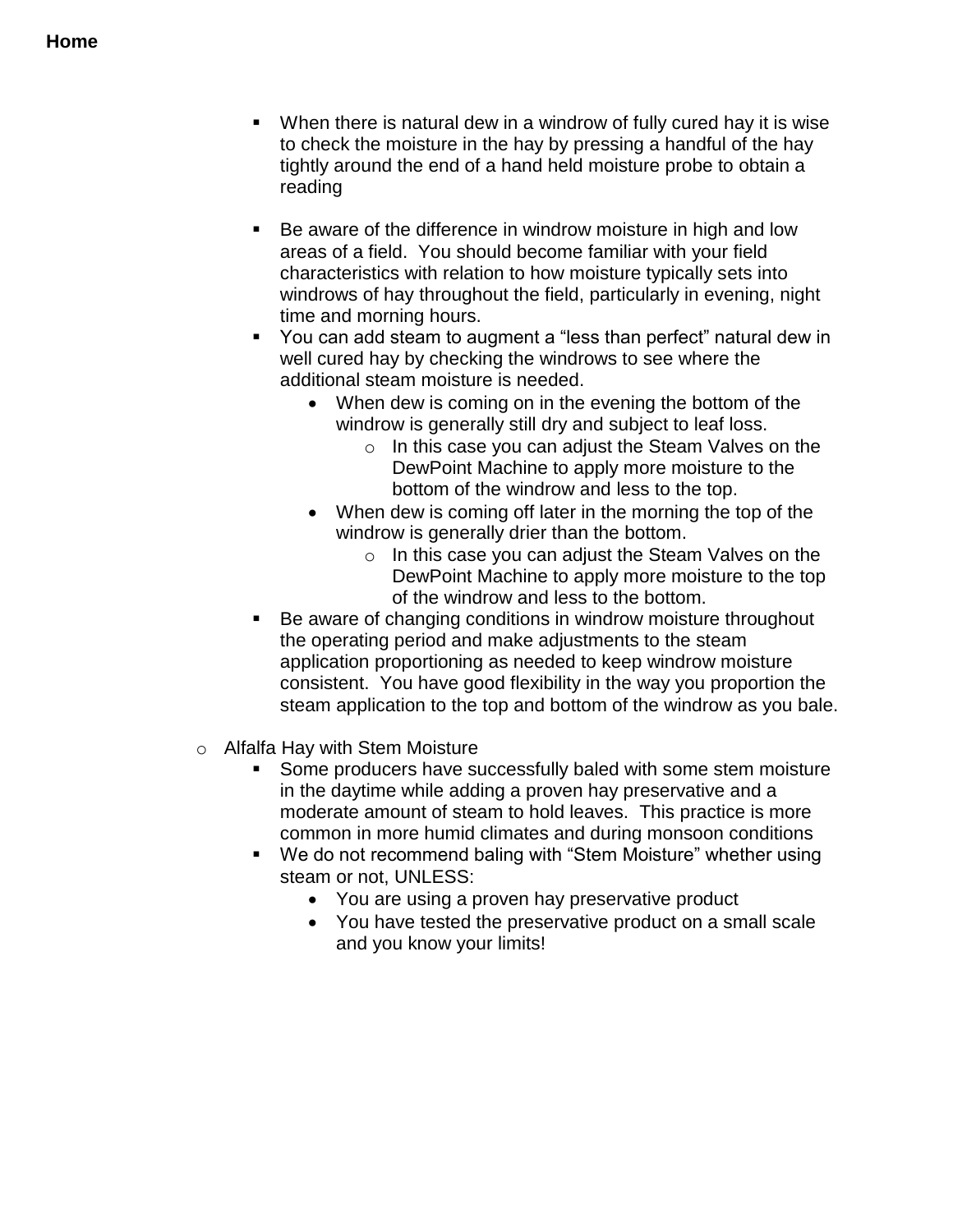- When there is natural dew in a windrow of fully cured hay it is wise to check the moisture in the hay by pressing a handful of the hay tightly around the end of a hand held moisture probe to obtain a reading
- Be aware of the difference in windrow moisture in high and low areas of a field. You should become familiar with your field characteristics with relation to how moisture typically sets into windrows of hay throughout the field, particularly in evening, night time and morning hours.
- You can add steam to augment a "less than perfect" natural dew in well cured hay by checking the windrows to see where the additional steam moisture is needed.
	- When dew is coming on in the evening the bottom of the windrow is generally still dry and subject to leaf loss.
		- o In this case you can adjust the Steam Valves on the DewPoint Machine to apply more moisture to the bottom of the windrow and less to the top.
	- When dew is coming off later in the morning the top of the windrow is generally drier than the bottom.
		- $\circ$  In this case you can adjust the Steam Valves on the DewPoint Machine to apply more moisture to the top of the windrow and less to the bottom.
- Be aware of changing conditions in windrow moisture throughout the operating period and make adjustments to the steam application proportioning as needed to keep windrow moisture consistent. You have good flexibility in the way you proportion the steam application to the top and bottom of the windrow as you bale.
- o Alfalfa Hay with Stem Moisture
	- Some producers have successfully baled with some stem moisture in the daytime while adding a proven hay preservative and a moderate amount of steam to hold leaves. This practice is more common in more humid climates and during monsoon conditions
	- We do not recommend baling with "Stem Moisture" whether using steam or not, UNLESS:
		- You are using a proven hay preservative product
		- You have tested the preservative product on a small scale and you know your limits!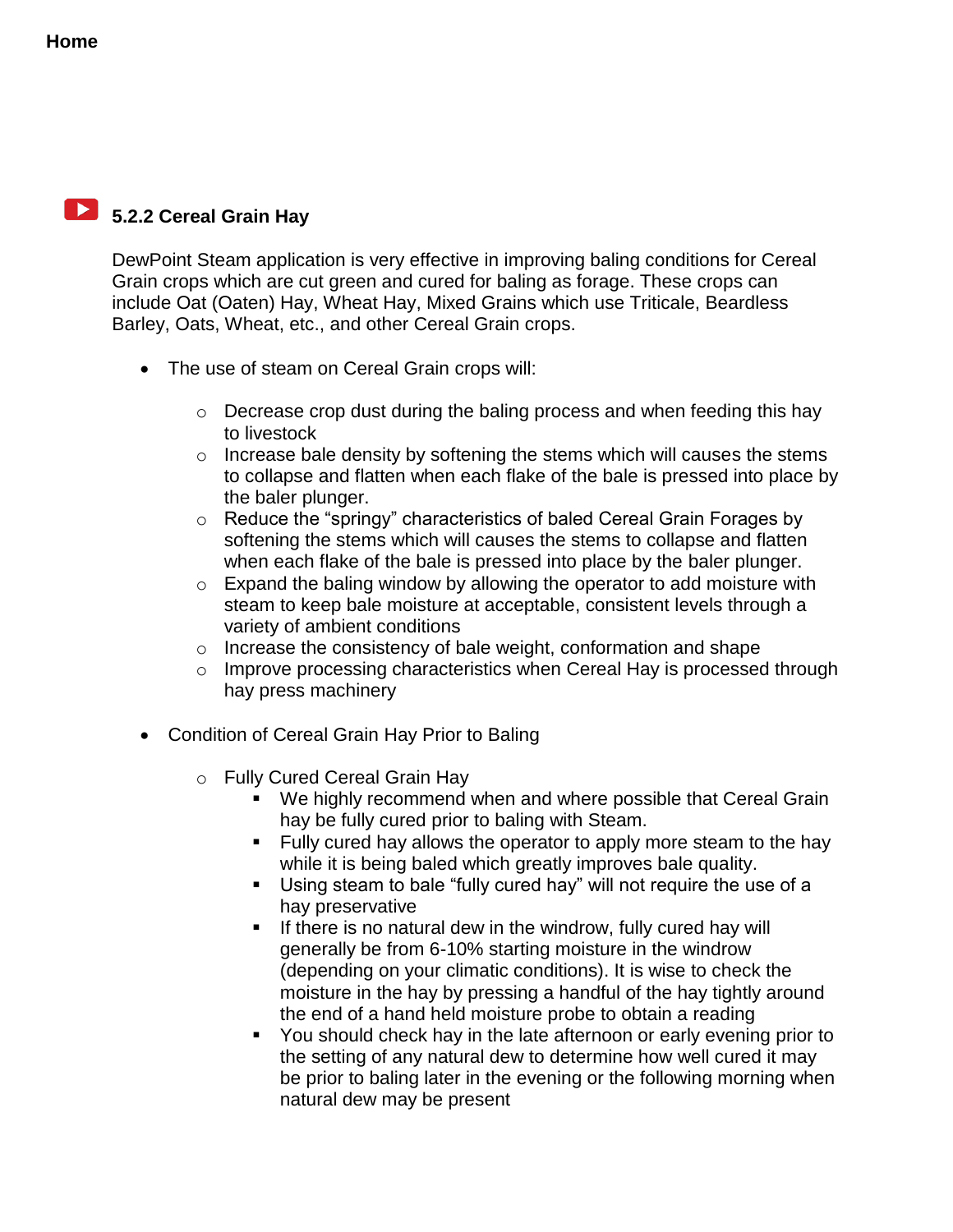## **5.2.2 Cereal Grain Hay**

DewPoint Steam application is very effective in improving baling conditions for Cereal Grain crops which are cut green and cured for baling as forage. These crops can include Oat (Oaten) Hay, Wheat Hay, Mixed Grains which use Triticale, Beardless Barley, Oats, Wheat, etc., and other Cereal Grain crops.

- The use of steam on Cereal Grain crops will:
	- $\circ$  Decrease crop dust during the baling process and when feeding this hay to livestock
	- $\circ$  Increase bale density by softening the stems which will causes the stems to collapse and flatten when each flake of the bale is pressed into place by the baler plunger.
	- o Reduce the "springy" characteristics of baled Cereal Grain Forages by softening the stems which will causes the stems to collapse and flatten when each flake of the bale is pressed into place by the baler plunger.
	- o Expand the baling window by allowing the operator to add moisture with steam to keep bale moisture at acceptable, consistent levels through a variety of ambient conditions
	- o Increase the consistency of bale weight, conformation and shape
	- o Improve processing characteristics when Cereal Hay is processed through hay press machinery
- Condition of Cereal Grain Hay Prior to Baling
	- o Fully Cured Cereal Grain Hay
		- We highly recommend when and where possible that Cereal Grain hay be fully cured prior to baling with Steam.
		- **Fully cured hay allows the operator to apply more steam to the hay** while it is being baled which greatly improves bale quality.
		- Using steam to bale "fully cured hay" will not require the use of a hay preservative
		- $\blacksquare$  If there is no natural dew in the windrow, fully cured hay will generally be from 6-10% starting moisture in the windrow (depending on your climatic conditions). It is wise to check the moisture in the hay by pressing a handful of the hay tightly around the end of a hand held moisture probe to obtain a reading
		- You should check hay in the late afternoon or early evening prior to the setting of any natural dew to determine how well cured it may be prior to baling later in the evening or the following morning when natural dew may be present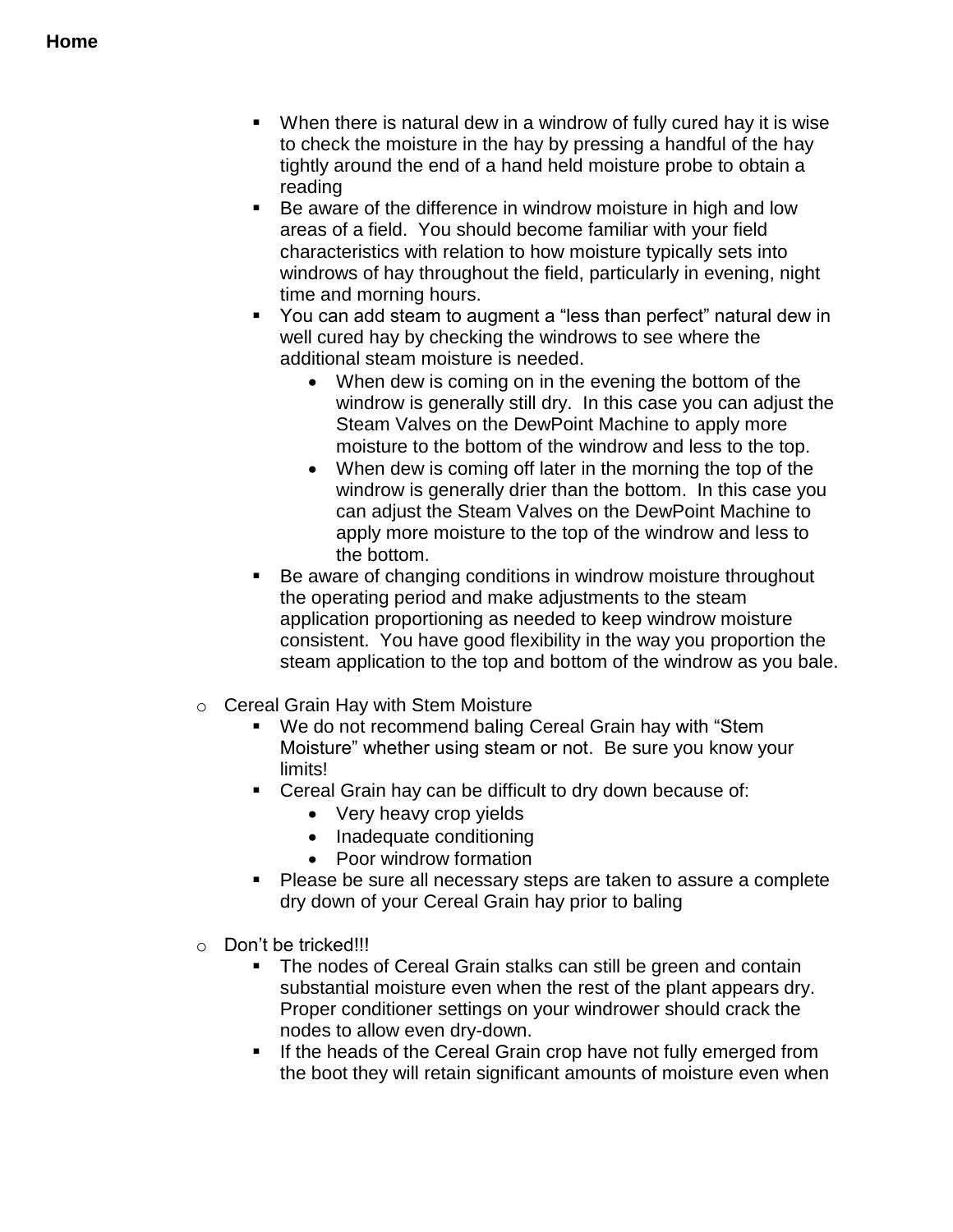- When there is natural dew in a windrow of fully cured hay it is wise to check the moisture in the hay by pressing a handful of the hay tightly around the end of a hand held moisture probe to obtain a reading
- Be aware of the difference in windrow moisture in high and low areas of a field. You should become familiar with your field characteristics with relation to how moisture typically sets into windrows of hay throughout the field, particularly in evening, night time and morning hours.
- You can add steam to augment a "less than perfect" natural dew in well cured hay by checking the windrows to see where the additional steam moisture is needed.
	- When dew is coming on in the evening the bottom of the windrow is generally still dry. In this case you can adjust the Steam Valves on the DewPoint Machine to apply more moisture to the bottom of the windrow and less to the top.
	- When dew is coming off later in the morning the top of the windrow is generally drier than the bottom. In this case you can adjust the Steam Valves on the DewPoint Machine to apply more moisture to the top of the windrow and less to the bottom.
- Be aware of changing conditions in windrow moisture throughout the operating period and make adjustments to the steam application proportioning as needed to keep windrow moisture consistent. You have good flexibility in the way you proportion the steam application to the top and bottom of the windrow as you bale.
- o Cereal Grain Hay with Stem Moisture
	- We do not recommend baling Cereal Grain hay with "Stem Moisture" whether using steam or not. Be sure you know your limits!
	- Cereal Grain hay can be difficult to dry down because of:
		- Very heavy crop yields
		- Inadequate conditioning
		- Poor windrow formation
	- Please be sure all necessary steps are taken to assure a complete dry down of your Cereal Grain hay prior to baling
- o Don't be tricked!!!
	- The nodes of Cereal Grain stalks can still be green and contain substantial moisture even when the rest of the plant appears dry. Proper conditioner settings on your windrower should crack the nodes to allow even dry-down.
	- **If the heads of the Cereal Grain crop have not fully emerged from** the boot they will retain significant amounts of moisture even when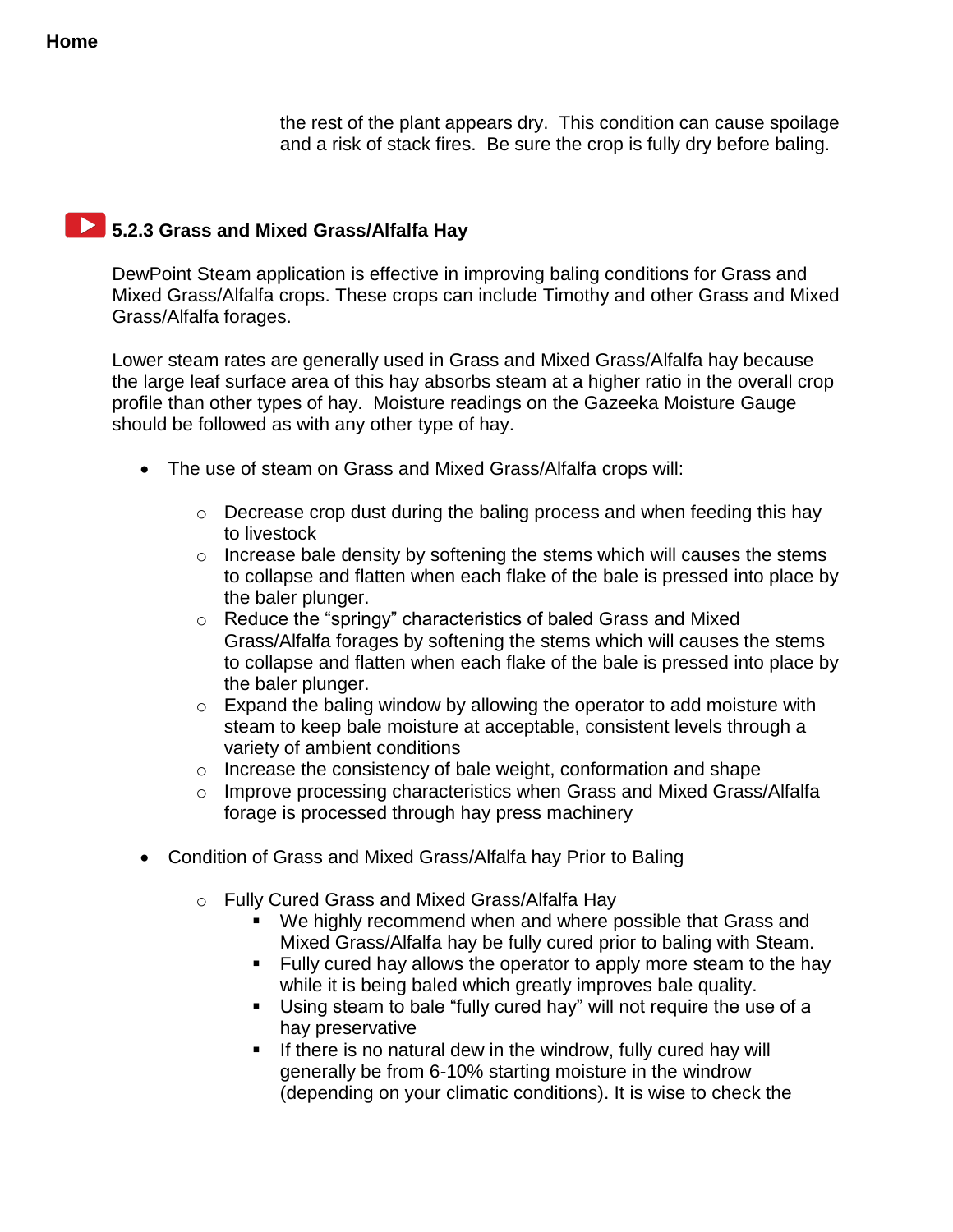the rest of the plant appears dry. This condition can cause spoilage and a risk of stack fires. Be sure the crop is fully dry before baling.

### **5.2.3 Grass and Mixed Grass/Alfalfa Hay**

DewPoint Steam application is effective in improving baling conditions for Grass and Mixed Grass/Alfalfa crops. These crops can include Timothy and other Grass and Mixed Grass/Alfalfa forages.

Lower steam rates are generally used in Grass and Mixed Grass/Alfalfa hay because the large leaf surface area of this hay absorbs steam at a higher ratio in the overall crop profile than other types of hay. Moisture readings on the Gazeeka Moisture Gauge should be followed as with any other type of hay.

- The use of steam on Grass and Mixed Grass/Alfalfa crops will:
	- o Decrease crop dust during the baling process and when feeding this hay to livestock
	- $\circ$  Increase bale density by softening the stems which will causes the stems to collapse and flatten when each flake of the bale is pressed into place by the baler plunger.
	- o Reduce the "springy" characteristics of baled Grass and Mixed Grass/Alfalfa forages by softening the stems which will causes the stems to collapse and flatten when each flake of the bale is pressed into place by the baler plunger.
	- $\circ$  Expand the baling window by allowing the operator to add moisture with steam to keep bale moisture at acceptable, consistent levels through a variety of ambient conditions
	- o Increase the consistency of bale weight, conformation and shape
	- o Improve processing characteristics when Grass and Mixed Grass/Alfalfa forage is processed through hay press machinery
- Condition of Grass and Mixed Grass/Alfalfa hay Prior to Baling
	- o Fully Cured Grass and Mixed Grass/Alfalfa Hay
		- We highly recommend when and where possible that Grass and Mixed Grass/Alfalfa hay be fully cured prior to baling with Steam.
		- **Fully cured hay allows the operator to apply more steam to the hay** while it is being baled which greatly improves bale quality.
		- Using steam to bale "fully cured hay" will not require the use of a hay preservative
		- $\blacksquare$  If there is no natural dew in the windrow, fully cured hay will generally be from 6-10% starting moisture in the windrow (depending on your climatic conditions). It is wise to check the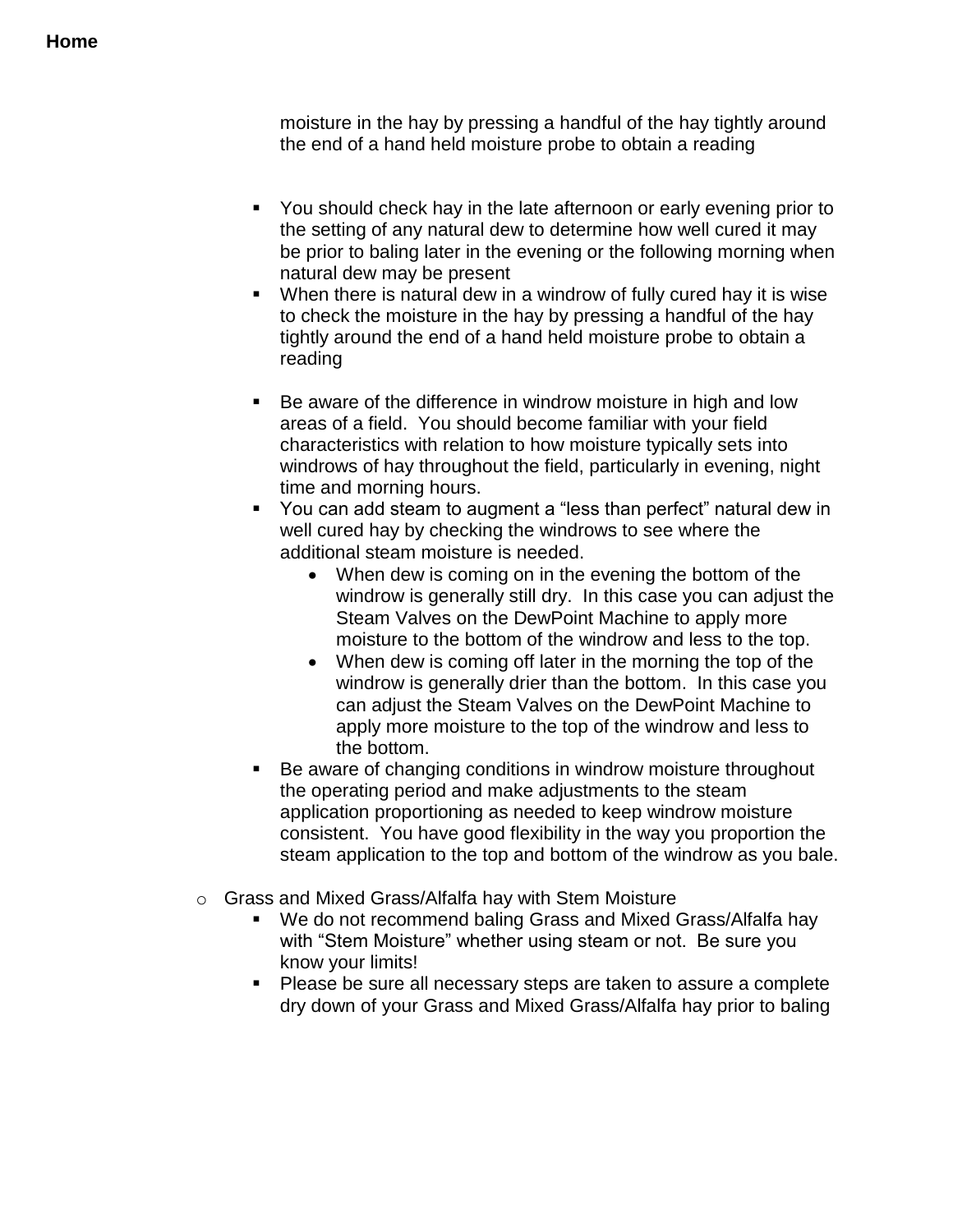moisture in the hay by pressing a handful of the hay tightly around the end of a hand held moisture probe to obtain a reading

- You should check hay in the late afternoon or early evening prior to the setting of any natural dew to determine how well cured it may be prior to baling later in the evening or the following morning when natural dew may be present
- When there is natural dew in a windrow of fully cured hay it is wise to check the moisture in the hay by pressing a handful of the hay tightly around the end of a hand held moisture probe to obtain a reading
- Be aware of the difference in windrow moisture in high and low areas of a field. You should become familiar with your field characteristics with relation to how moisture typically sets into windrows of hay throughout the field, particularly in evening, night time and morning hours.
- You can add steam to augment a "less than perfect" natural dew in well cured hay by checking the windrows to see where the additional steam moisture is needed.
	- When dew is coming on in the evening the bottom of the windrow is generally still dry. In this case you can adjust the Steam Valves on the DewPoint Machine to apply more moisture to the bottom of the windrow and less to the top.
	- When dew is coming off later in the morning the top of the windrow is generally drier than the bottom. In this case you can adjust the Steam Valves on the DewPoint Machine to apply more moisture to the top of the windrow and less to the bottom.
- Be aware of changing conditions in windrow moisture throughout the operating period and make adjustments to the steam application proportioning as needed to keep windrow moisture consistent. You have good flexibility in the way you proportion the steam application to the top and bottom of the windrow as you bale.
- o Grass and Mixed Grass/Alfalfa hay with Stem Moisture
	- We do not recommend baling Grass and Mixed Grass/Alfalfa hay with "Stem Moisture" whether using steam or not. Be sure you know your limits!
	- **Please be sure all necessary steps are taken to assure a complete** dry down of your Grass and Mixed Grass/Alfalfa hay prior to baling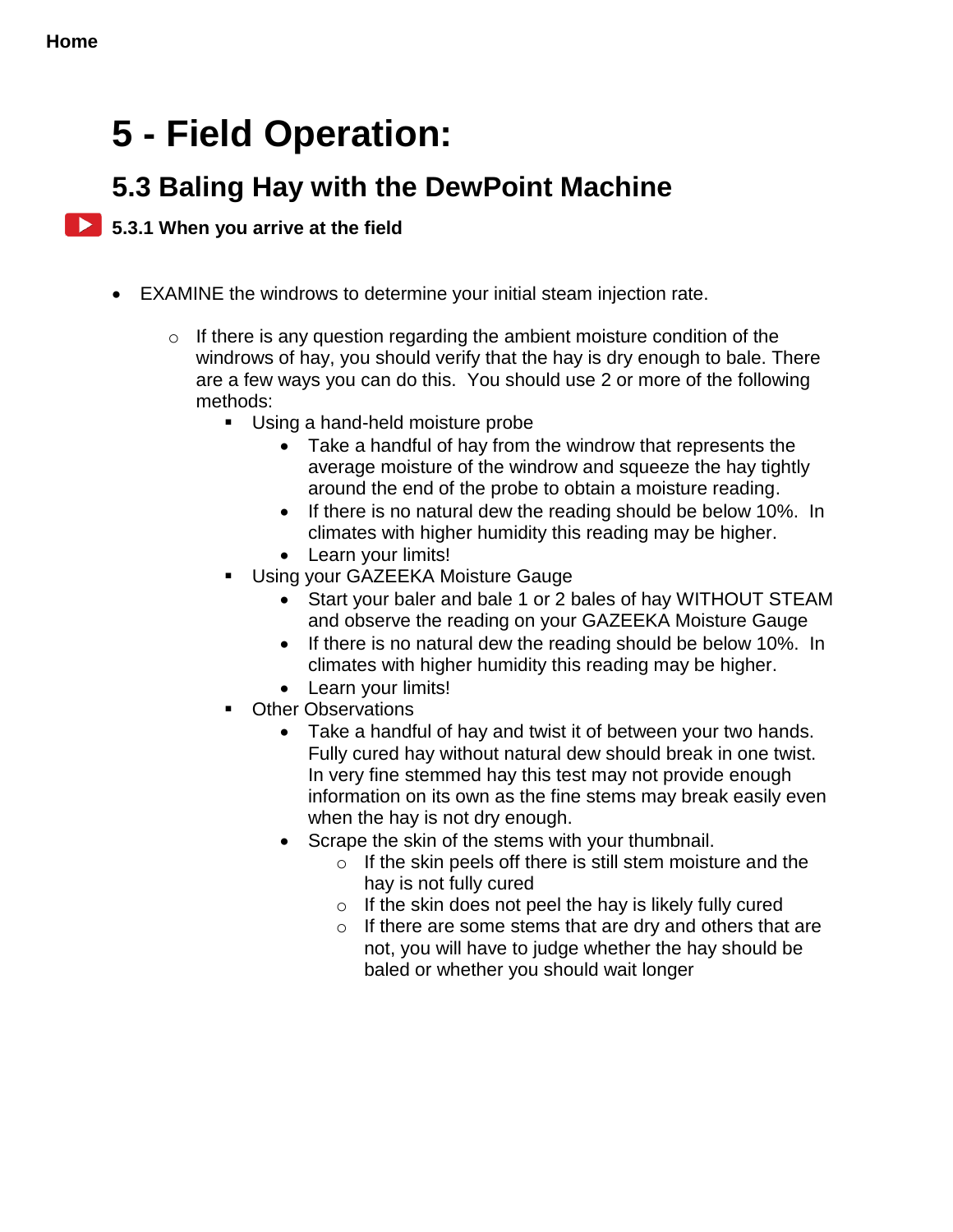## **5 - Field Operation:**

## **5.3 Baling Hay with the DewPoint Machine**

### **5.3.1 When you arrive at the field**

- EXAMINE the windrows to determine your initial steam injection rate.
	- $\circ$  If there is any question regarding the ambient moisture condition of the windrows of hay, you should verify that the hay is dry enough to bale. There are a few ways you can do this. You should use 2 or more of the following methods:
		- **Using a hand-held moisture probe** 
			- Take a handful of hay from the windrow that represents the average moisture of the windrow and squeeze the hay tightly around the end of the probe to obtain a moisture reading.
			- If there is no natural dew the reading should be below 10%. In climates with higher humidity this reading may be higher.
			- Learn your limits!
		- Using your GAZEEKA Moisture Gauge
			- Start your baler and bale 1 or 2 bales of hay WITHOUT STEAM and observe the reading on your GAZEEKA Moisture Gauge
			- If there is no natural dew the reading should be below 10%. In climates with higher humidity this reading may be higher.
			- Learn your limits!
		- **•** Other Observations
			- Take a handful of hay and twist it of between your two hands. Fully cured hay without natural dew should break in one twist. In very fine stemmed hay this test may not provide enough information on its own as the fine stems may break easily even when the hay is not dry enough.
			- Scrape the skin of the stems with your thumbnail.
				- $\circ$  If the skin peels off there is still stem moisture and the hay is not fully cured
				- $\circ$  If the skin does not peel the hay is likely fully cured
				- $\circ$  If there are some stems that are dry and others that are not, you will have to judge whether the hay should be baled or whether you should wait longer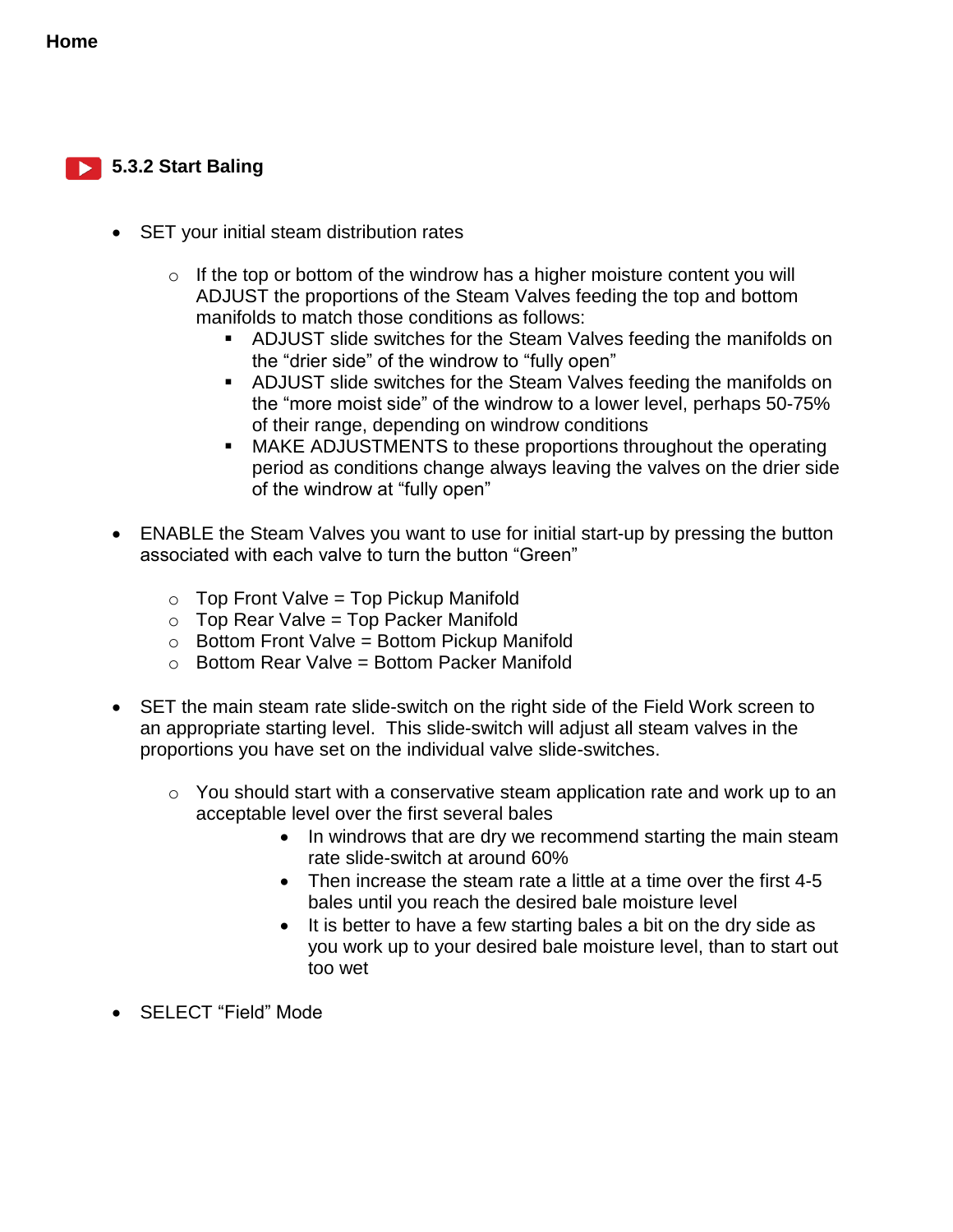#### **5.3.2 Start Baling**

- SET your initial steam distribution rates
	- $\circ$  If the top or bottom of the windrow has a higher moisture content you will ADJUST the proportions of the Steam Valves feeding the top and bottom manifolds to match those conditions as follows:
		- ADJUST slide switches for the Steam Valves feeding the manifolds on the "drier side" of the windrow to "fully open"
		- ADJUST slide switches for the Steam Valves feeding the manifolds on the "more moist side" of the windrow to a lower level, perhaps 50-75% of their range, depending on windrow conditions
		- MAKE ADJUSTMENTS to these proportions throughout the operating period as conditions change always leaving the valves on the drier side of the windrow at "fully open"
- ENABLE the Steam Valves you want to use for initial start-up by pressing the button associated with each valve to turn the button "Green"
	- $\circ$  Top Front Valve = Top Pickup Manifold
	- $\circ$  Top Rear Valve = Top Packer Manifold
	- $\circ$  Bottom Front Valve = Bottom Pickup Manifold
	- $\circ$  Bottom Rear Valve = Bottom Packer Manifold
- SET the main steam rate slide-switch on the right side of the Field Work screen to an appropriate starting level. This slide-switch will adjust all steam valves in the proportions you have set on the individual valve slide-switches.
	- o You should start with a conservative steam application rate and work up to an acceptable level over the first several bales
		- In windrows that are dry we recommend starting the main steam rate slide-switch at around 60%
		- Then increase the steam rate a little at a time over the first 4-5 bales until you reach the desired bale moisture level
		- It is better to have a few starting bales a bit on the dry side as you work up to your desired bale moisture level, than to start out too wet
- SELECT "Field" Mode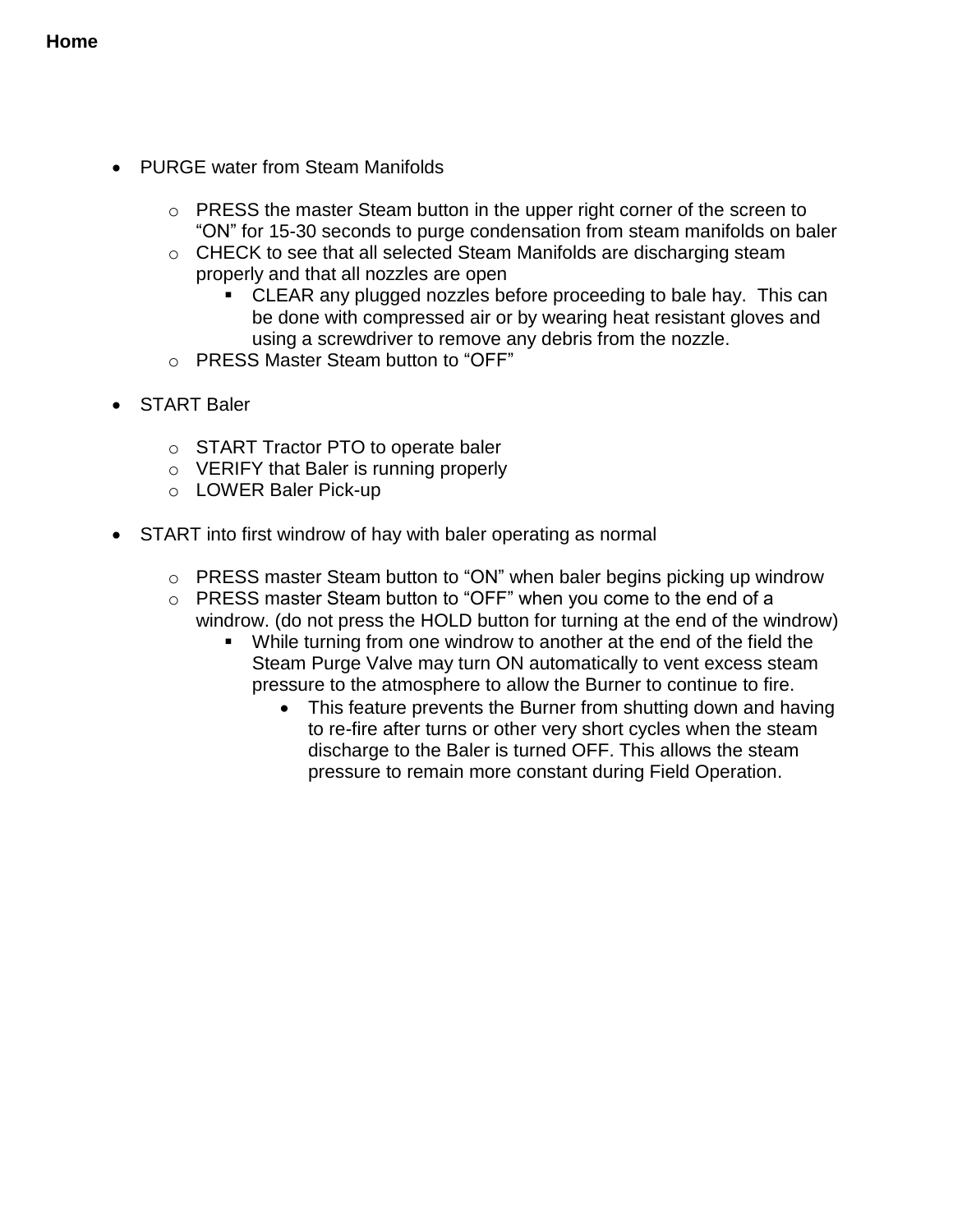- PURGE water from Steam Manifolds
	- o PRESS the master Steam button in the upper right corner of the screen to "ON" for 15-30 seconds to purge condensation from steam manifolds on baler
	- o CHECK to see that all selected Steam Manifolds are discharging steam properly and that all nozzles are open
		- CLEAR any plugged nozzles before proceeding to bale hay. This can be done with compressed air or by wearing heat resistant gloves and using a screwdriver to remove any debris from the nozzle.
	- o PRESS Master Steam button to "OFF"
- START Baler
	- o START Tractor PTO to operate baler
	- o VERIFY that Baler is running properly
	- o LOWER Baler Pick-up
- START into first windrow of hay with baler operating as normal
	- $\circ$  PRESS master Steam button to "ON" when baler begins picking up windrow
	- o PRESS master Steam button to "OFF" when you come to the end of a windrow. (do not press the HOLD button for turning at the end of the windrow)
		- While turning from one windrow to another at the end of the field the Steam Purge Valve may turn ON automatically to vent excess steam pressure to the atmosphere to allow the Burner to continue to fire.
			- This feature prevents the Burner from shutting down and having to re-fire after turns or other very short cycles when the steam discharge to the Baler is turned OFF. This allows the steam pressure to remain more constant during Field Operation.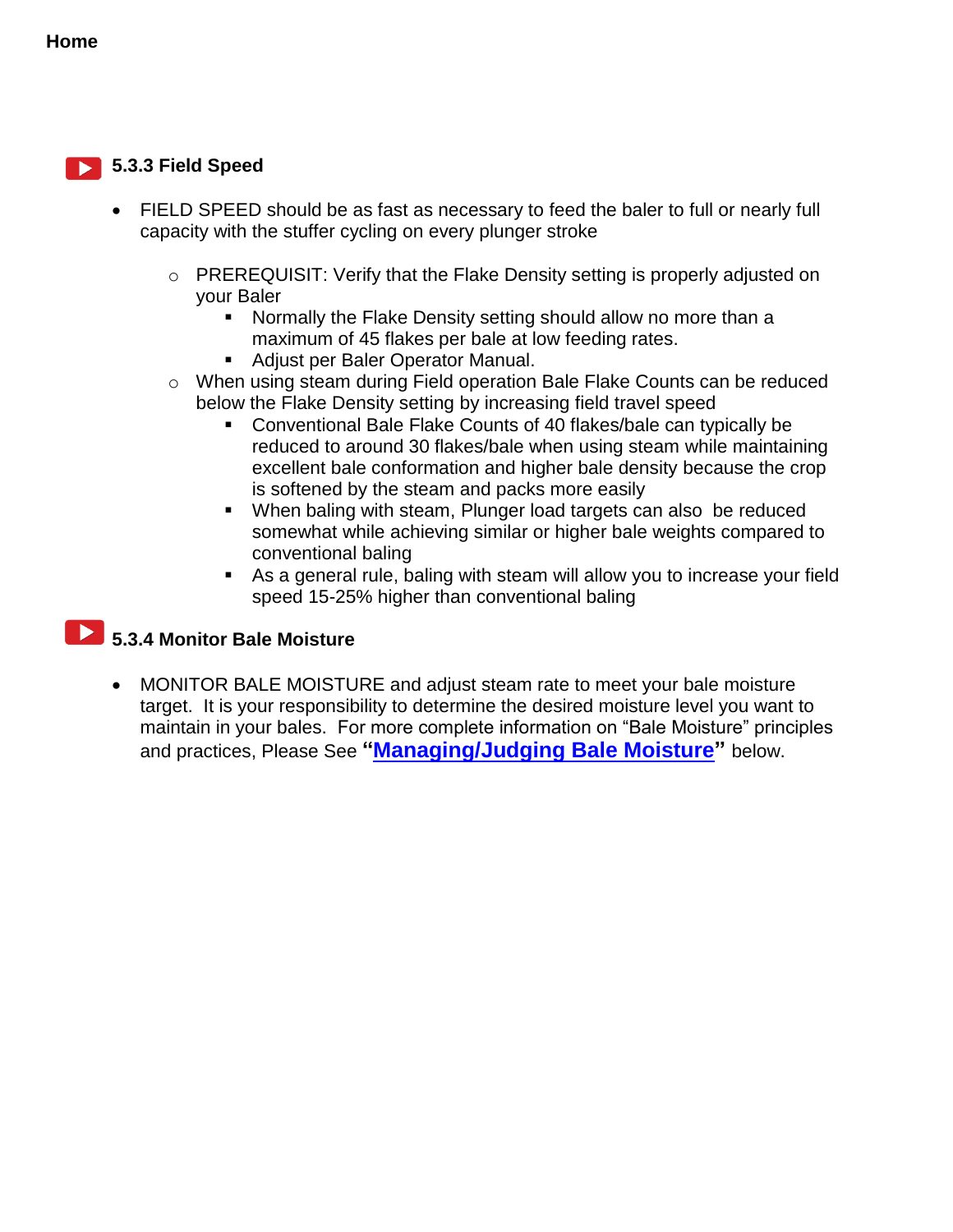#### **5.3.3 Field Speed**

- FIELD SPEED should be as fast as necessary to feed the baler to full or nearly full capacity with the stuffer cycling on every plunger stroke
	- o PREREQUISIT: Verify that the Flake Density setting is properly adjusted on your Baler
		- Normally the Flake Density setting should allow no more than a maximum of 45 flakes per bale at low feeding rates.
		- **Adjust per Baler Operator Manual.**
	- o When using steam during Field operation Bale Flake Counts can be reduced below the Flake Density setting by increasing field travel speed
		- Conventional Bale Flake Counts of 40 flakes/bale can typically be reduced to around 30 flakes/bale when using steam while maintaining excellent bale conformation and higher bale density because the crop is softened by the steam and packs more easily
		- When baling with steam, Plunger load targets can also be reduced somewhat while achieving similar or higher bale weights compared to conventional baling
		- As a general rule, baling with steam will allow you to increase your field speed 15-25% higher than conventional baling

## **5.3.4 Monitor Bale Moisture**

 MONITOR BALE MOISTURE and adjust steam rate to meet your bale moisture target. It is your responsibility to determine the desired moisture level you want to maintain in your bales. For more complete information on "Bale Moisture" principles and practices, Please See **["Managing/Judging Bale Moisture"](#page-56-0)** below.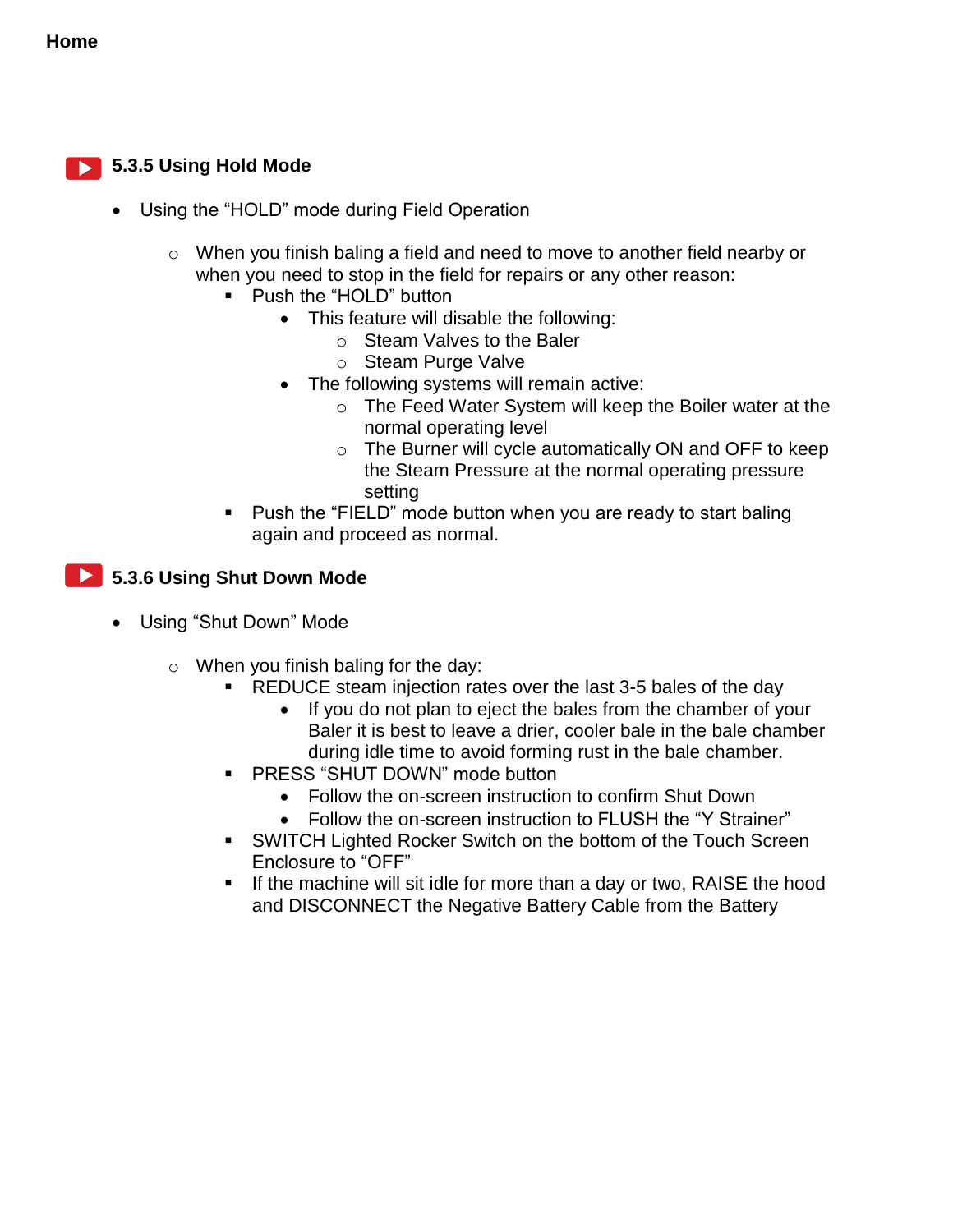#### **5.3.5 Using Hold Mode**

- Using the "HOLD" mode during Field Operation
	- o When you finish baling a field and need to move to another field nearby or when you need to stop in the field for repairs or any other reason:
		- Push the "HOLD" button
			- This feature will disable the following:
				- o Steam Valves to the Baler
				- o Steam Purge Valve
			- The following systems will remain active:
				- o The Feed Water System will keep the Boiler water at the normal operating level
				- o The Burner will cycle automatically ON and OFF to keep the Steam Pressure at the normal operating pressure setting
		- Push the "FIELD" mode button when you are ready to start baling again and proceed as normal.

#### **12.5.3.6 Using Shut Down Mode**

- Using "Shut Down" Mode
	- o When you finish baling for the day:
		- REDUCE steam injection rates over the last 3-5 bales of the day
			- If you do not plan to eject the bales from the chamber of your Baler it is best to leave a drier, cooler bale in the bale chamber during idle time to avoid forming rust in the bale chamber.
		- **PRESS "SHUT DOWN" mode button** 
			- Follow the on-screen instruction to confirm Shut Down
			- Follow the on-screen instruction to FLUSH the "Y Strainer"
		- SWITCH Lighted Rocker Switch on the bottom of the Touch Screen Enclosure to "OFF"
		- If the machine will sit idle for more than a day or two, RAISE the hood and DISCONNECT the Negative Battery Cable from the Battery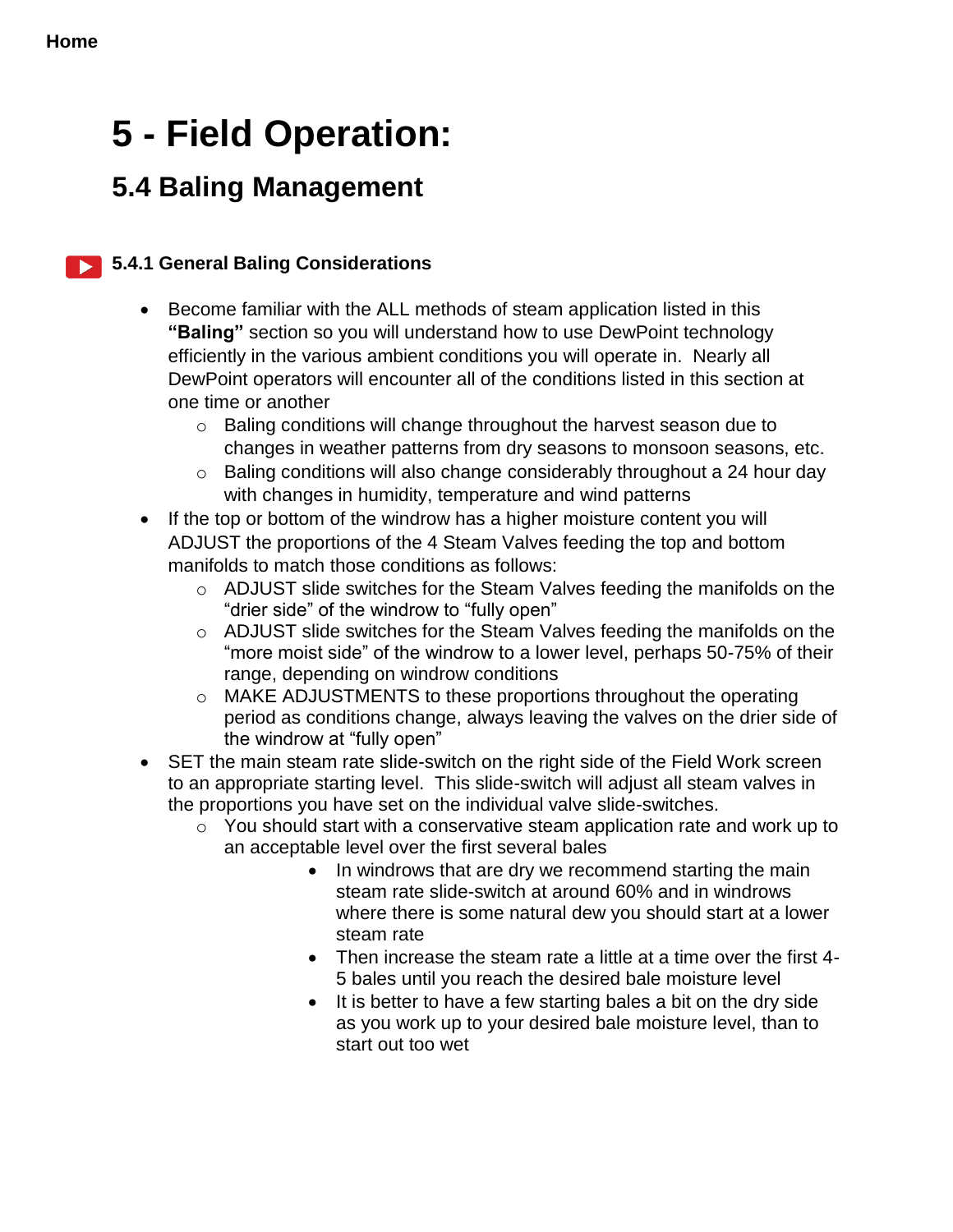# **5 - Field Operation:**

## **5.4 Baling Management**

### **5.4.1 General Baling Considerations**

- Become familiar with the ALL methods of steam application listed in this **"Baling"** section so you will understand how to use DewPoint technology efficiently in the various ambient conditions you will operate in. Nearly all DewPoint operators will encounter all of the conditions listed in this section at one time or another
	- o Baling conditions will change throughout the harvest season due to changes in weather patterns from dry seasons to monsoon seasons, etc.
	- o Baling conditions will also change considerably throughout a 24 hour day with changes in humidity, temperature and wind patterns
- If the top or bottom of the windrow has a higher moisture content you will ADJUST the proportions of the 4 Steam Valves feeding the top and bottom manifolds to match those conditions as follows:
	- o ADJUST slide switches for the Steam Valves feeding the manifolds on the "drier side" of the windrow to "fully open"
	- o ADJUST slide switches for the Steam Valves feeding the manifolds on the "more moist side" of the windrow to a lower level, perhaps 50-75% of their range, depending on windrow conditions
	- o MAKE ADJUSTMENTS to these proportions throughout the operating period as conditions change, always leaving the valves on the drier side of the windrow at "fully open"
- SET the main steam rate slide-switch on the right side of the Field Work screen to an appropriate starting level. This slide-switch will adjust all steam valves in the proportions you have set on the individual valve slide-switches.
	- $\circ$  You should start with a conservative steam application rate and work up to an acceptable level over the first several bales
		- In windrows that are dry we recommend starting the main steam rate slide-switch at around 60% and in windrows where there is some natural dew you should start at a lower steam rate
		- Then increase the steam rate a little at a time over the first 4- 5 bales until you reach the desired bale moisture level
		- It is better to have a few starting bales a bit on the dry side as you work up to your desired bale moisture level, than to start out too wet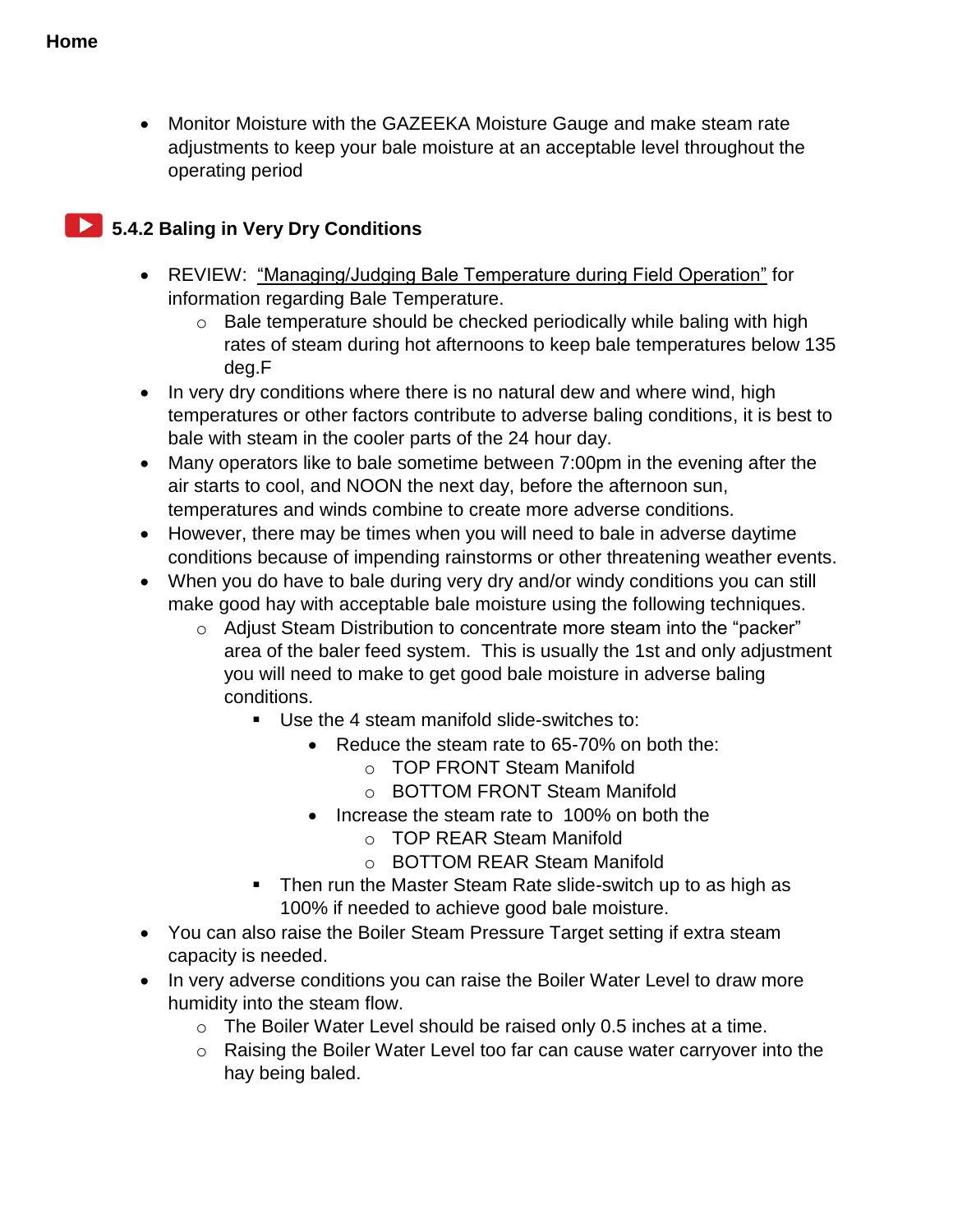Monitor Moisture with the GAZEEKA Moisture Gauge and make steam rate adjustments to keep your bale moisture at an acceptable level throughout the operating period

### **12 5.4.2 Baling in Very Dry Conditions**

- REVIEW: "Managing/Judging Bale Temperature during Field Operation" for information regarding Bale Temperature.
	- o Bale temperature should be checked periodically while baling with high rates of steam during hot afternoons to keep bale temperatures below 135 deg.F
- In very dry conditions where there is no natural dew and where wind, high temperatures or other factors contribute to adverse baling conditions, it is best to bale with steam in the cooler parts of the 24 hour day.
- Many operators like to bale sometime between 7:00pm in the evening after the air starts to cool, and NOON the next day, before the afternoon sun, temperatures and winds combine to create more adverse conditions.
- However, there may be times when you will need to bale in adverse daytime conditions because of impending rainstorms or other threatening weather events.
- When you do have to bale during very dry and/or windy conditions you can still make good hay with acceptable bale moisture using the following techniques.
	- o Adjust Steam Distribution to concentrate more steam into the "packer" area of the baler feed system. This is usually the 1st and only adjustment you will need to make to get good bale moisture in adverse baling conditions.
		- Use the 4 steam manifold slide-switches to:
			- Reduce the steam rate to 65-70% on both the:
				- o TOP FRONT Steam Manifold
				- o BOTTOM FRONT Steam Manifold
			- Increase the steam rate to 100% on both the
				- o TOP REAR Steam Manifold
				- o BOTTOM REAR Steam Manifold
		- Then run the Master Steam Rate slide-switch up to as high as 100% if needed to achieve good bale moisture.
- You can also raise the Boiler Steam Pressure Target setting if extra steam capacity is needed.
- In very adverse conditions you can raise the Boiler Water Level to draw more humidity into the steam flow.
	- o The Boiler Water Level should be raised only 0.5 inches at a time.
	- o Raising the Boiler Water Level too far can cause water carryover into the hay being baled.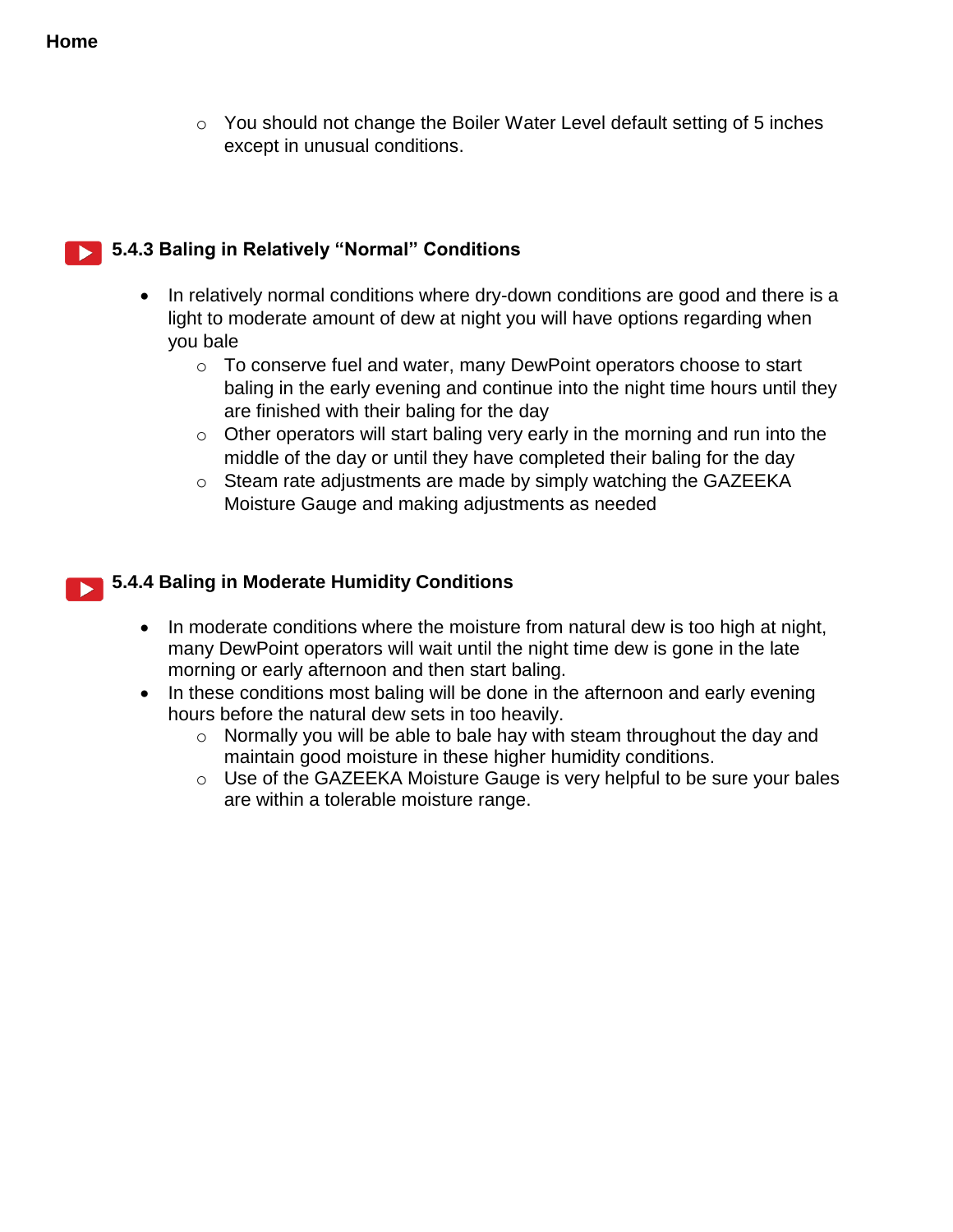o You should not change the Boiler Water Level default setting of 5 inches except in unusual conditions.

#### **5.4.3 Baling in Relatively "Normal" Conditions**

- In relatively normal conditions where dry-down conditions are good and there is a light to moderate amount of dew at night you will have options regarding when you bale
	- o To conserve fuel and water, many DewPoint operators choose to start baling in the early evening and continue into the night time hours until they are finished with their baling for the day
	- $\circ$  Other operators will start baling very early in the morning and run into the middle of the day or until they have completed their baling for the day
	- o Steam rate adjustments are made by simply watching the GAZEEKA Moisture Gauge and making adjustments as needed

#### **5.4.4 Baling in Moderate Humidity Conditions**

- In moderate conditions where the moisture from natural dew is too high at night, many DewPoint operators will wait until the night time dew is gone in the late morning or early afternoon and then start baling.
- In these conditions most baling will be done in the afternoon and early evening hours before the natural dew sets in too heavily.
	- o Normally you will be able to bale hay with steam throughout the day and maintain good moisture in these higher humidity conditions.
	- o Use of the GAZEEKA Moisture Gauge is very helpful to be sure your bales are within a tolerable moisture range.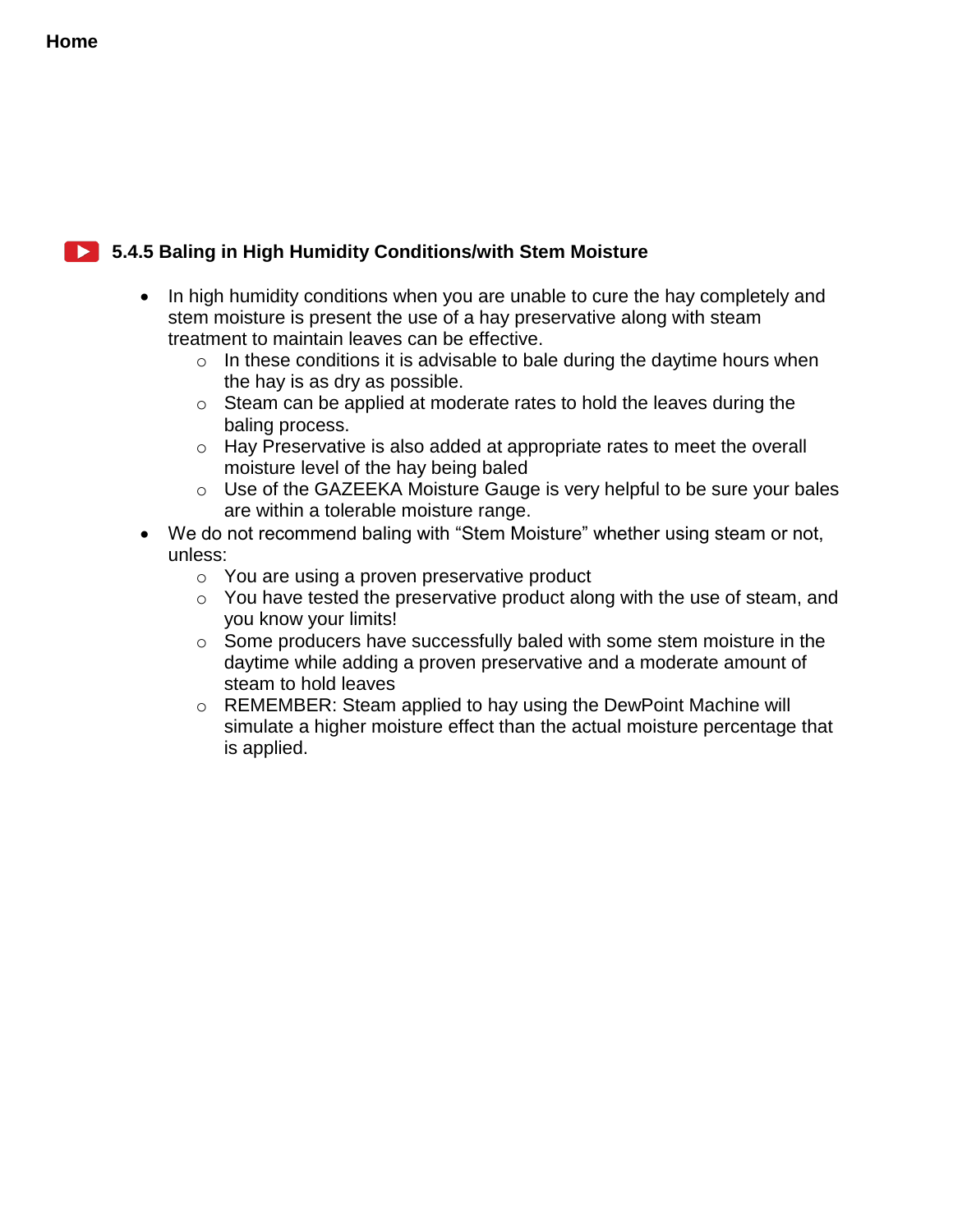#### **5.4.5 Baling in High Humidity Conditions/with Stem Moisture**

- In high humidity conditions when you are unable to cure the hay completely and stem moisture is present the use of a hay preservative along with steam treatment to maintain leaves can be effective.
	- $\circ$  In these conditions it is advisable to bale during the daytime hours when the hay is as dry as possible.
	- o Steam can be applied at moderate rates to hold the leaves during the baling process.
	- o Hay Preservative is also added at appropriate rates to meet the overall moisture level of the hay being baled
	- o Use of the GAZEEKA Moisture Gauge is very helpful to be sure your bales are within a tolerable moisture range.
- We do not recommend baling with "Stem Moisture" whether using steam or not, unless:
	- o You are using a proven preservative product
	- o You have tested the preservative product along with the use of steam, and you know your limits!
	- o Some producers have successfully baled with some stem moisture in the daytime while adding a proven preservative and a moderate amount of steam to hold leaves
	- o REMEMBER: Steam applied to hay using the DewPoint Machine will simulate a higher moisture effect than the actual moisture percentage that is applied.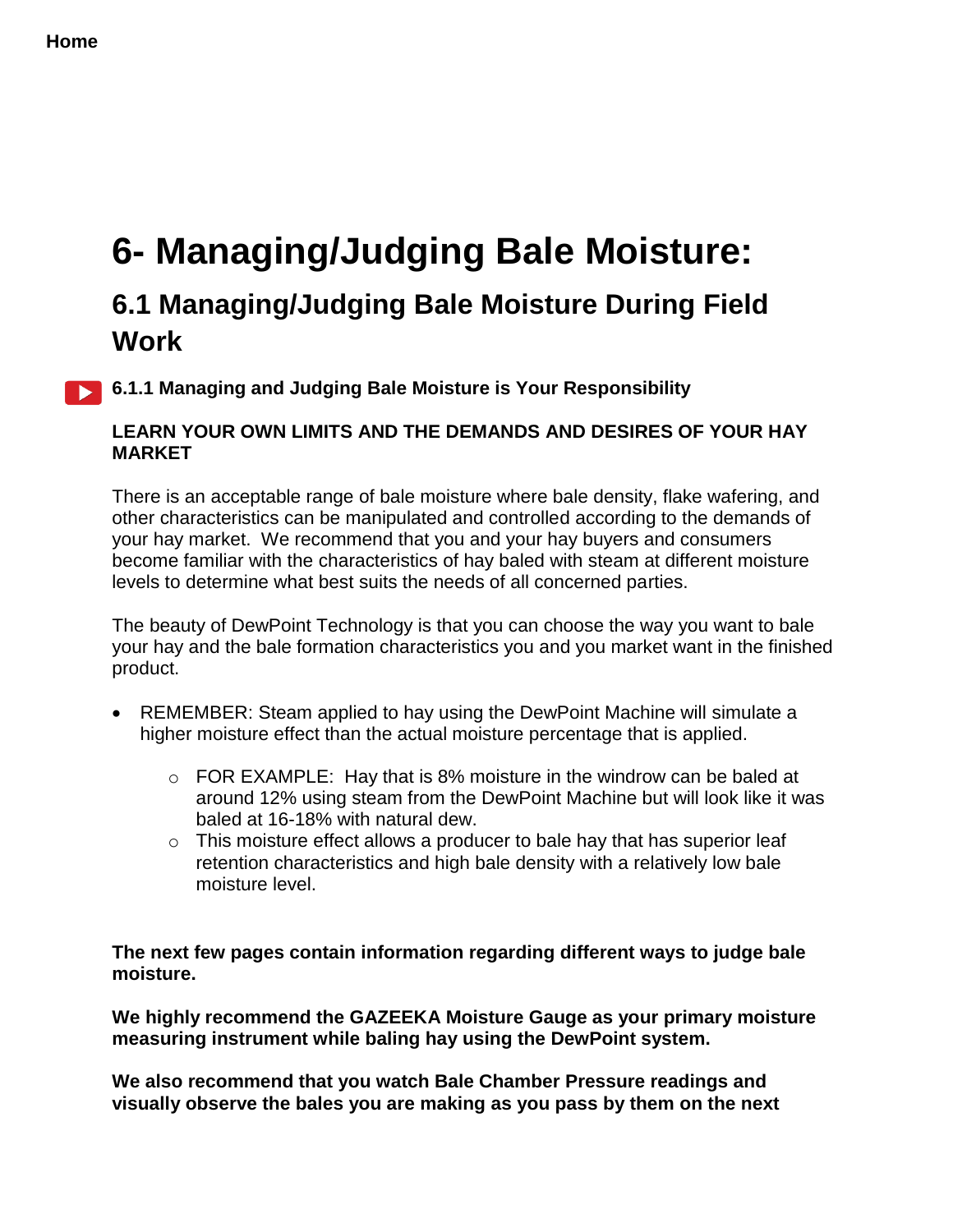# <span id="page-56-0"></span>**6- Managing/Judging Bale Moisture:**

## **6.1 Managing/Judging Bale Moisture During Field Work**

**6.1.1 Managing and Judging Bale Moisture is Your Responsibility** 

#### **LEARN YOUR OWN LIMITS AND THE DEMANDS AND DESIRES OF YOUR HAY MARKET**

There is an acceptable range of bale moisture where bale density, flake wafering, and other characteristics can be manipulated and controlled according to the demands of your hay market. We recommend that you and your hay buyers and consumers become familiar with the characteristics of hay baled with steam at different moisture levels to determine what best suits the needs of all concerned parties.

The beauty of DewPoint Technology is that you can choose the way you want to bale your hay and the bale formation characteristics you and you market want in the finished product.

- REMEMBER: Steam applied to hay using the DewPoint Machine will simulate a higher moisture effect than the actual moisture percentage that is applied.
	- $\circ$  FOR EXAMPLE: Hay that is 8% moisture in the windrow can be baled at around 12% using steam from the DewPoint Machine but will look like it was baled at 16-18% with natural dew.
	- $\circ$  This moisture effect allows a producer to bale hay that has superior leaf retention characteristics and high bale density with a relatively low bale moisture level.

**The next few pages contain information regarding different ways to judge bale moisture.**

**We highly recommend the GAZEEKA Moisture Gauge as your primary moisture measuring instrument while baling hay using the DewPoint system.**

**We also recommend that you watch Bale Chamber Pressure readings and visually observe the bales you are making as you pass by them on the next**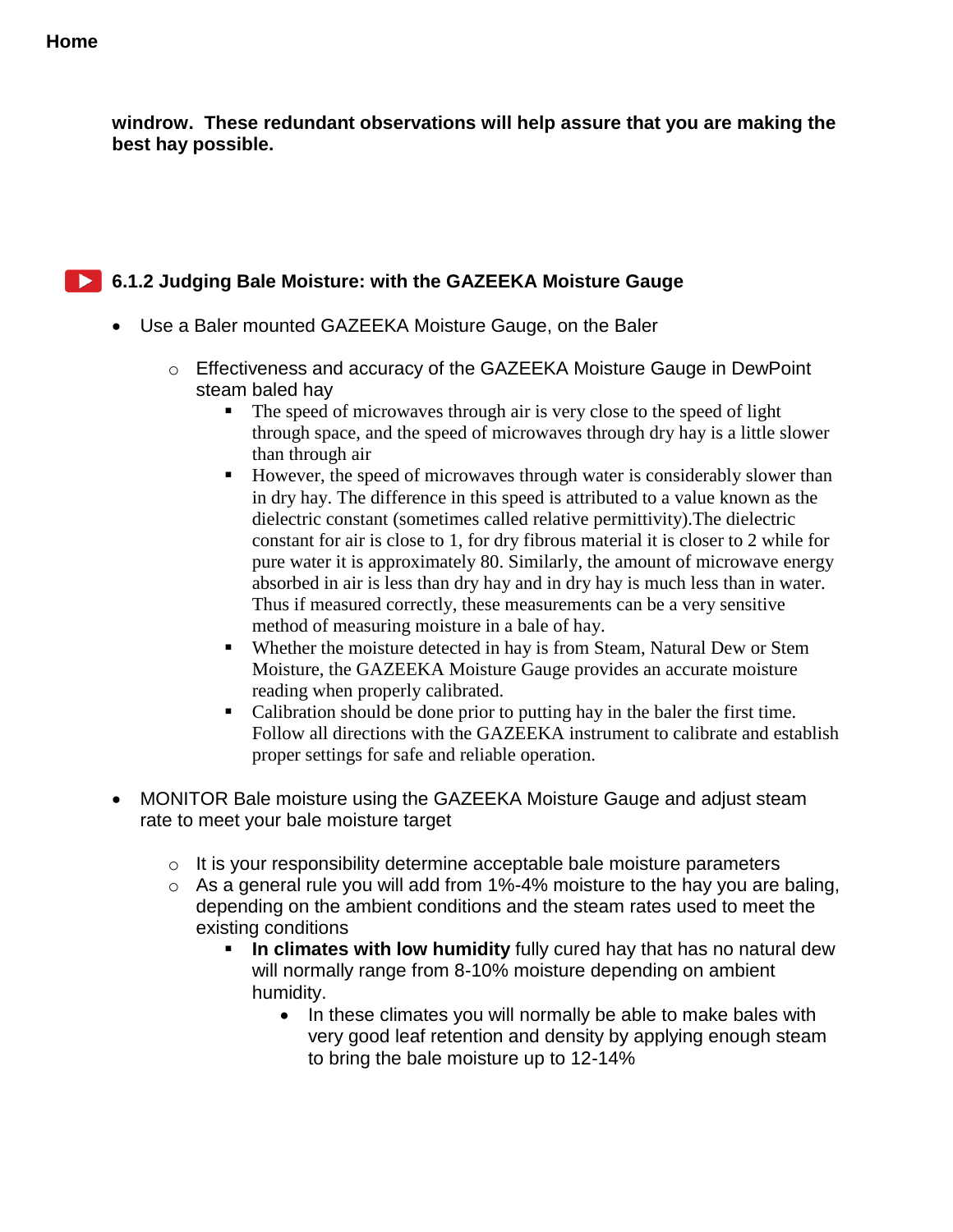**windrow. These redundant observations will help assure that you are making the best hay possible.**

#### **6.1.2 Judging Bale Moisture: with the GAZEEKA Moisture Gauge**

- Use a Baler mounted GAZEEKA Moisture Gauge, on the Baler
	- o Effectiveness and accuracy of the GAZEEKA Moisture Gauge in DewPoint steam baled hay
		- The speed of microwaves through air is very close to the speed of light through space, and the speed of microwaves through dry hay is a little slower than through air
		- However, the speed of microwaves through water is considerably slower than in dry hay. The difference in this speed is attributed to a value known as the dielectric constant (sometimes called relative permittivity).The dielectric constant for air is close to 1, for dry fibrous material it is closer to 2 while for pure water it is approximately 80. Similarly, the amount of microwave energy absorbed in air is less than dry hay and in dry hay is much less than in water. Thus if measured correctly, these measurements can be a very sensitive method of measuring moisture in a bale of hay.
		- Whether the moisture detected in hay is from Steam, Natural Dew or Stem Moisture, the GAZEEKA Moisture Gauge provides an accurate moisture reading when properly calibrated.
		- Calibration should be done prior to putting hay in the baler the first time. Follow all directions with the GAZEEKA instrument to calibrate and establish proper settings for safe and reliable operation.
- MONITOR Bale moisture using the GAZEEKA Moisture Gauge and adjust steam rate to meet your bale moisture target
	- o It is your responsibility determine acceptable bale moisture parameters
	- $\circ$  As a general rule you will add from 1%-4% moisture to the hay you are baling, depending on the ambient conditions and the steam rates used to meet the existing conditions
		- **In climates with low humidity** fully cured hay that has no natural dew will normally range from 8-10% moisture depending on ambient humidity.
			- In these climates you will normally be able to make bales with very good leaf retention and density by applying enough steam to bring the bale moisture up to 12-14%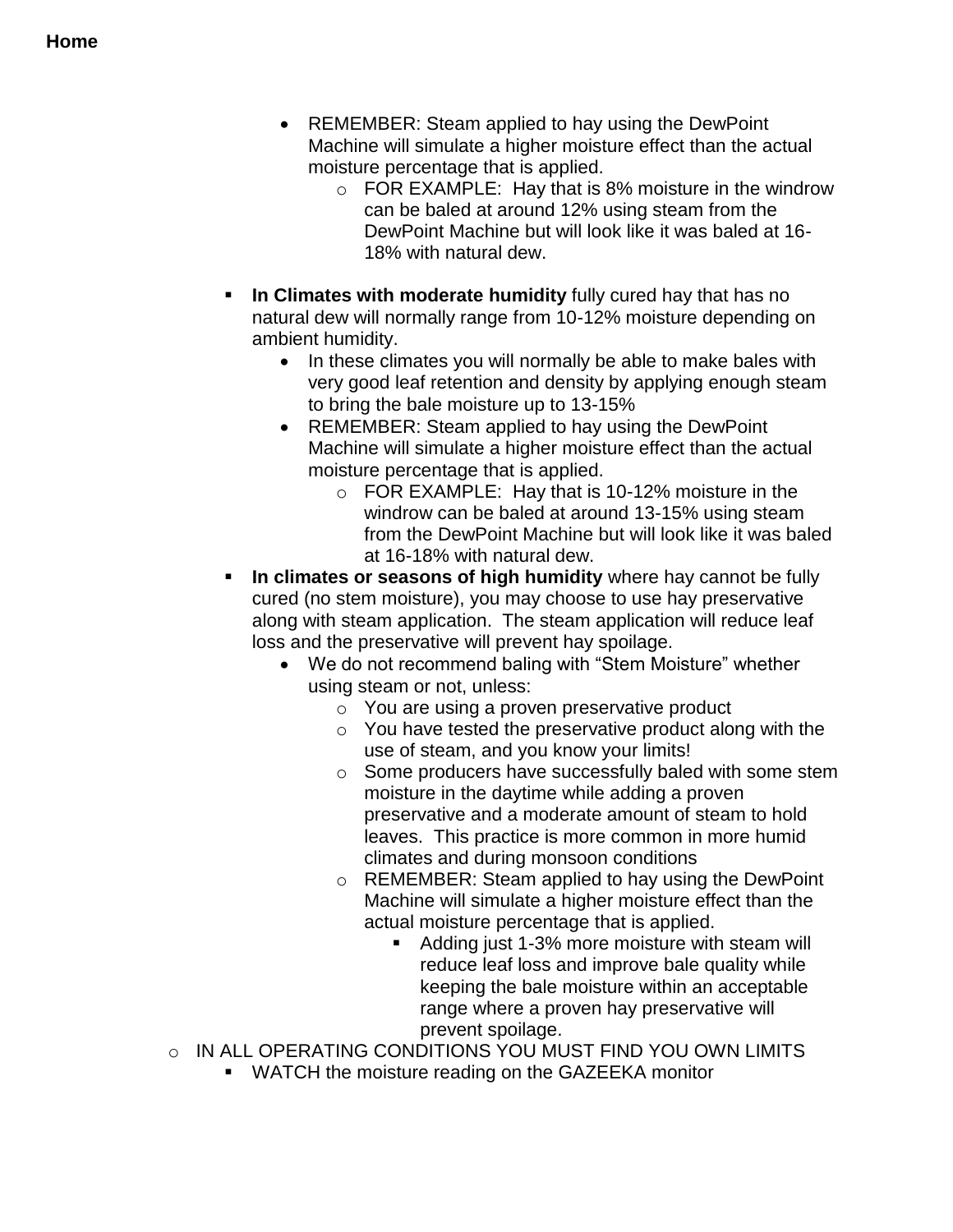- REMEMBER: Steam applied to hay using the DewPoint Machine will simulate a higher moisture effect than the actual moisture percentage that is applied.
	- o FOR EXAMPLE: Hay that is 8% moisture in the windrow can be baled at around 12% using steam from the DewPoint Machine but will look like it was baled at 16- 18% with natural dew.
- **In Climates with moderate humidity** fully cured hay that has no natural dew will normally range from 10-12% moisture depending on ambient humidity.
	- In these climates you will normally be able to make bales with very good leaf retention and density by applying enough steam to bring the bale moisture up to 13-15%
	- REMEMBER: Steam applied to hay using the DewPoint Machine will simulate a higher moisture effect than the actual moisture percentage that is applied.
		- o FOR EXAMPLE: Hay that is 10-12% moisture in the windrow can be baled at around 13-15% using steam from the DewPoint Machine but will look like it was baled at 16-18% with natural dew.
- **In climates or seasons of high humidity** where hay cannot be fully cured (no stem moisture), you may choose to use hay preservative along with steam application. The steam application will reduce leaf loss and the preservative will prevent hay spoilage.
	- We do not recommend baling with "Stem Moisture" whether using steam or not, unless:
		- o You are using a proven preservative product
		- o You have tested the preservative product along with the use of steam, and you know your limits!
		- o Some producers have successfully baled with some stem moisture in the daytime while adding a proven preservative and a moderate amount of steam to hold leaves. This practice is more common in more humid climates and during monsoon conditions
		- o REMEMBER: Steam applied to hay using the DewPoint Machine will simulate a higher moisture effect than the actual moisture percentage that is applied.
			- Adding just 1-3% more moisture with steam will reduce leaf loss and improve bale quality while keeping the bale moisture within an acceptable range where a proven hay preservative will prevent spoilage.
- $\circ$  IN ALL OPERATING CONDITIONS YOU MUST FIND YOU OWN LIMITS
	- WATCH the moisture reading on the GAZEEKA monitor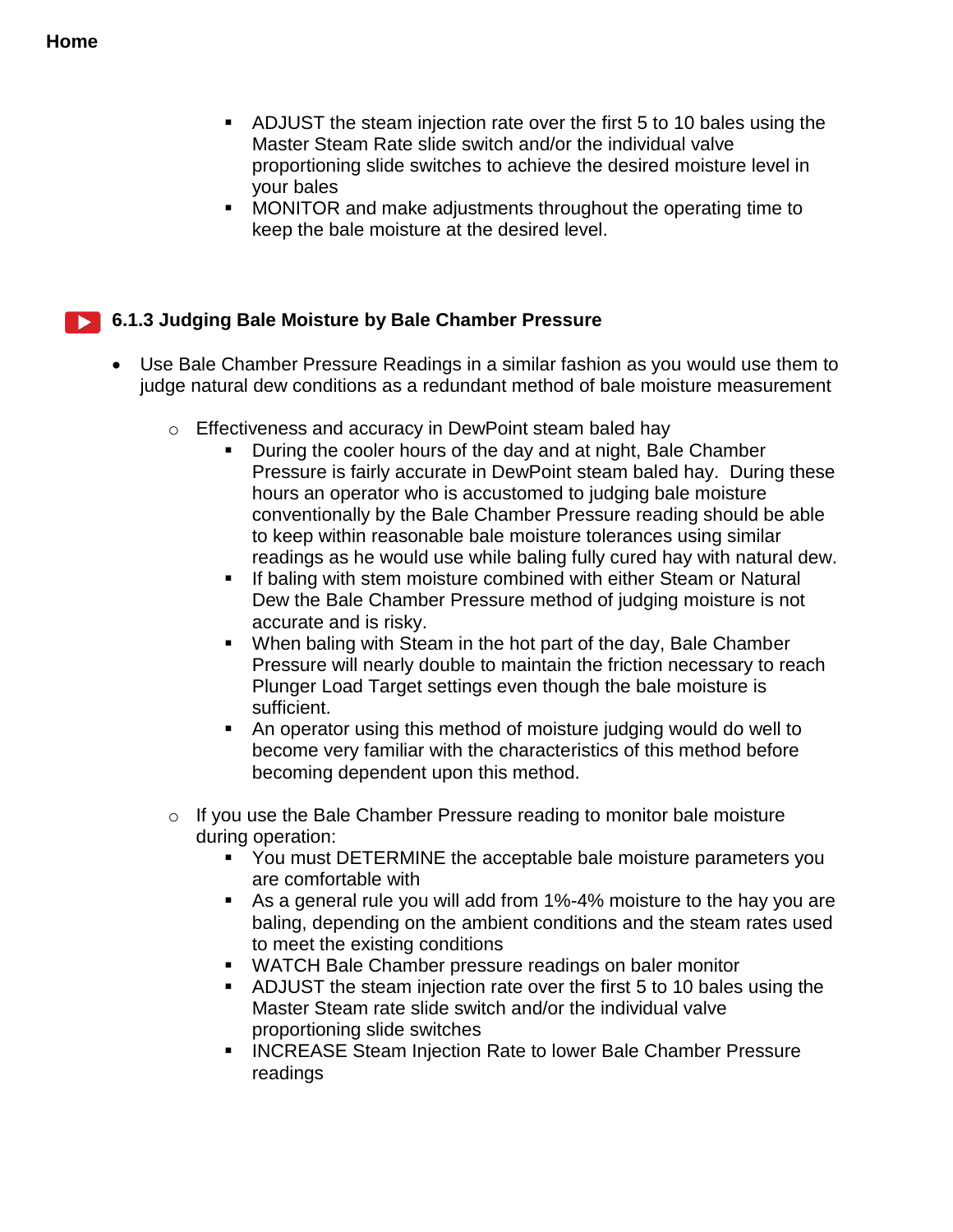- ADJUST the steam injection rate over the first 5 to 10 bales using the Master Steam Rate slide switch and/or the individual valve proportioning slide switches to achieve the desired moisture level in your bales
- **MONITOR** and make adjustments throughout the operating time to keep the bale moisture at the desired level.

#### **6.1.3 Judging Bale Moisture by Bale Chamber Pressure**

- Use Bale Chamber Pressure Readings in a similar fashion as you would use them to judge natural dew conditions as a redundant method of bale moisture measurement
	- o Effectiveness and accuracy in DewPoint steam baled hay
		- During the cooler hours of the day and at night, Bale Chamber Pressure is fairly accurate in DewPoint steam baled hay. During these hours an operator who is accustomed to judging bale moisture conventionally by the Bale Chamber Pressure reading should be able to keep within reasonable bale moisture tolerances using similar readings as he would use while baling fully cured hay with natural dew.
		- **If baling with stem moisture combined with either Steam or Natural** Dew the Bale Chamber Pressure method of judging moisture is not accurate and is risky.
		- When baling with Steam in the hot part of the day, Bale Chamber Pressure will nearly double to maintain the friction necessary to reach Plunger Load Target settings even though the bale moisture is sufficient.
		- An operator using this method of moisture judging would do well to become very familiar with the characteristics of this method before becoming dependent upon this method.
	- o If you use the Bale Chamber Pressure reading to monitor bale moisture during operation:
		- You must DETERMINE the acceptable bale moisture parameters you are comfortable with
		- As a general rule you will add from 1%-4% moisture to the hay you are baling, depending on the ambient conditions and the steam rates used to meet the existing conditions
		- WATCH Bale Chamber pressure readings on baler monitor
		- ADJUST the steam injection rate over the first 5 to 10 bales using the Master Steam rate slide switch and/or the individual valve proportioning slide switches
		- **INCREASE Steam Injection Rate to lower Bale Chamber Pressure** readings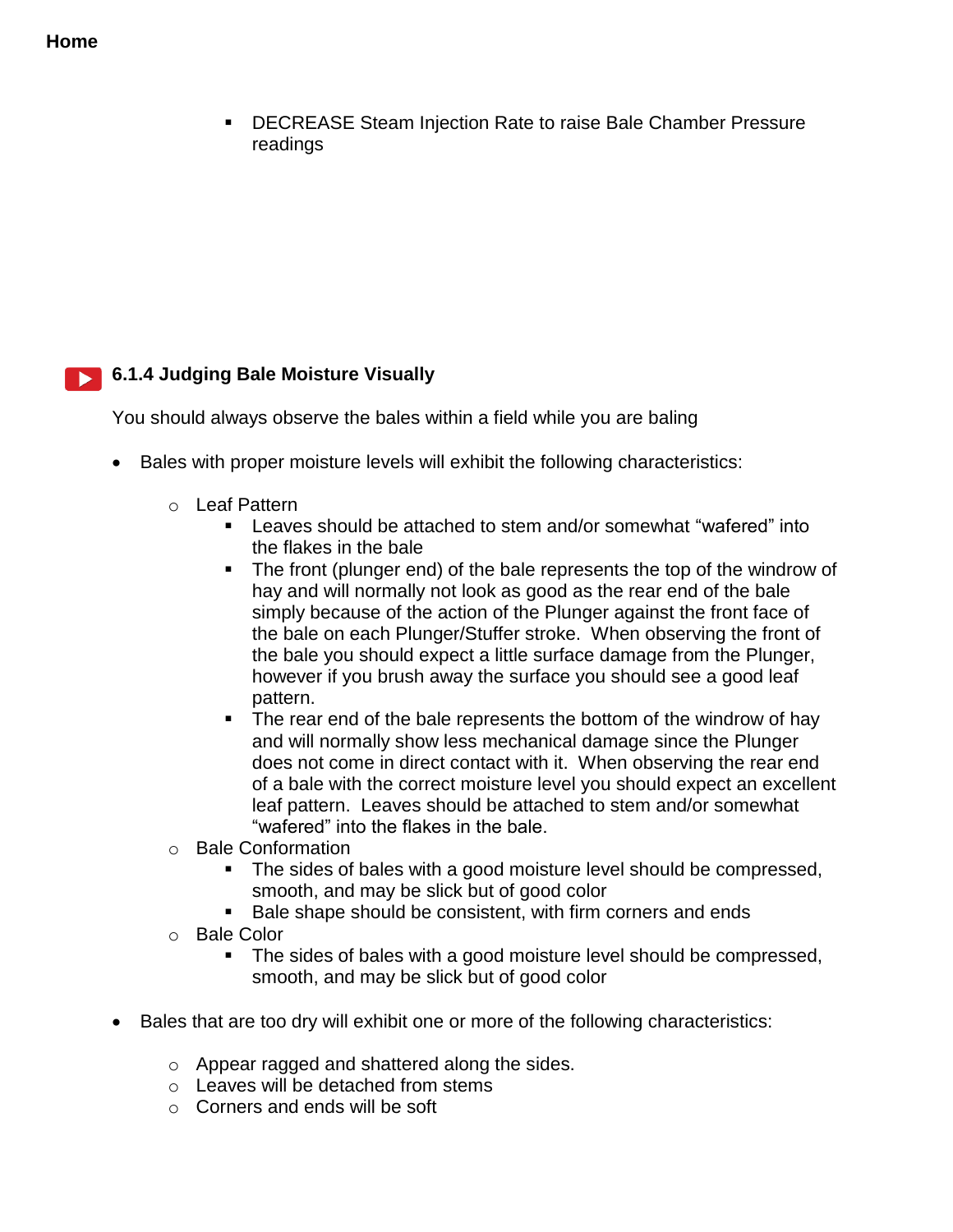DECREASE Steam Injection Rate to raise Bale Chamber Pressure readings

### **6.1.4 Judging Bale Moisture Visually**

You should always observe the bales within a field while you are baling

- Bales with proper moisture levels will exhibit the following characteristics:
	- o Leaf Pattern
		- **EXECT** Leaves should be attached to stem and/or somewhat "wafered" into the flakes in the bale
		- The front (plunger end) of the bale represents the top of the windrow of hay and will normally not look as good as the rear end of the bale simply because of the action of the Plunger against the front face of the bale on each Plunger/Stuffer stroke. When observing the front of the bale you should expect a little surface damage from the Plunger, however if you brush away the surface you should see a good leaf pattern.
		- The rear end of the bale represents the bottom of the windrow of hay and will normally show less mechanical damage since the Plunger does not come in direct contact with it. When observing the rear end of a bale with the correct moisture level you should expect an excellent leaf pattern. Leaves should be attached to stem and/or somewhat "wafered" into the flakes in the bale.
	- o Bale Conformation
		- The sides of bales with a good moisture level should be compressed, smooth, and may be slick but of good color
		- Bale shape should be consistent, with firm corners and ends
	- o Bale Color
		- The sides of bales with a good moisture level should be compressed, smooth, and may be slick but of good color
- Bales that are too dry will exhibit one or more of the following characteristics:
	- o Appear ragged and shattered along the sides.
	- o Leaves will be detached from stems
	- o Corners and ends will be soft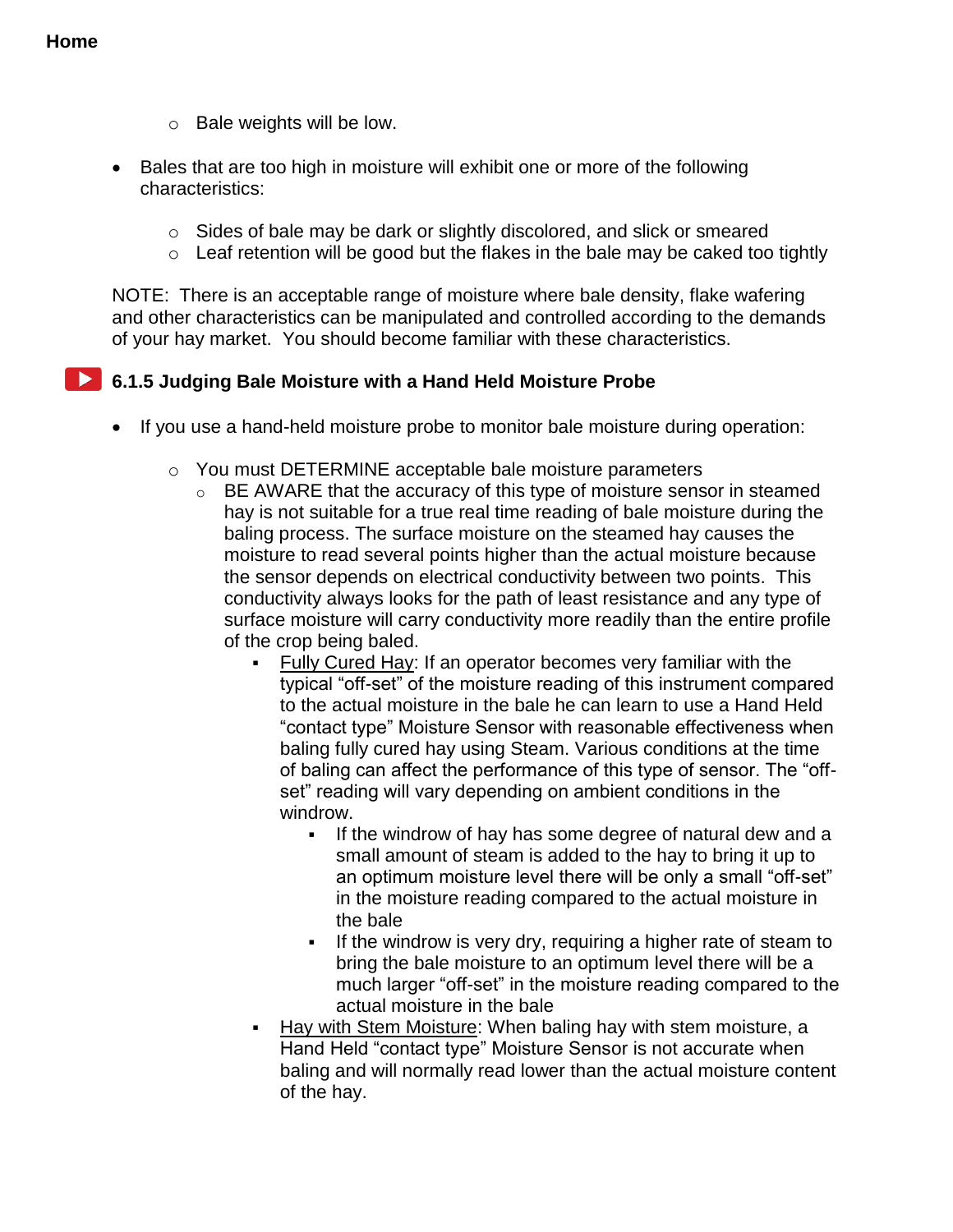- o Bale weights will be low.
- Bales that are too high in moisture will exhibit one or more of the following characteristics:
	- o Sides of bale may be dark or slightly discolored, and slick or smeared
	- $\circ$  Leaf retention will be good but the flakes in the bale may be caked too tightly

NOTE: There is an acceptable range of moisture where bale density, flake wafering and other characteristics can be manipulated and controlled according to the demands of your hay market. You should become familiar with these characteristics.

**6.1.5 Judging Bale Moisture with a Hand Held Moisture Probe**

- If you use a hand-held moisture probe to monitor bale moisture during operation:
	- o You must DETERMINE acceptable bale moisture parameters
		- o BE AWARE that the accuracy of this type of moisture sensor in steamed hay is not suitable for a true real time reading of bale moisture during the baling process. The surface moisture on the steamed hay causes the moisture to read several points higher than the actual moisture because the sensor depends on electrical conductivity between two points. This conductivity always looks for the path of least resistance and any type of surface moisture will carry conductivity more readily than the entire profile of the crop being baled.
			- Fully Cured Hay: If an operator becomes very familiar with the typical "off-set" of the moisture reading of this instrument compared to the actual moisture in the bale he can learn to use a Hand Held "contact type" Moisture Sensor with reasonable effectiveness when baling fully cured hay using Steam. Various conditions at the time of baling can affect the performance of this type of sensor. The "offset" reading will vary depending on ambient conditions in the windrow.
				- If the windrow of hay has some degree of natural dew and a small amount of steam is added to the hay to bring it up to an optimum moisture level there will be only a small "off-set" in the moisture reading compared to the actual moisture in the bale
				- If the windrow is very dry, requiring a higher rate of steam to bring the bale moisture to an optimum level there will be a much larger "off-set" in the moisture reading compared to the actual moisture in the bale
			- Hay with Stem Moisture: When baling hay with stem moisture, a Hand Held "contact type" Moisture Sensor is not accurate when baling and will normally read lower than the actual moisture content of the hay.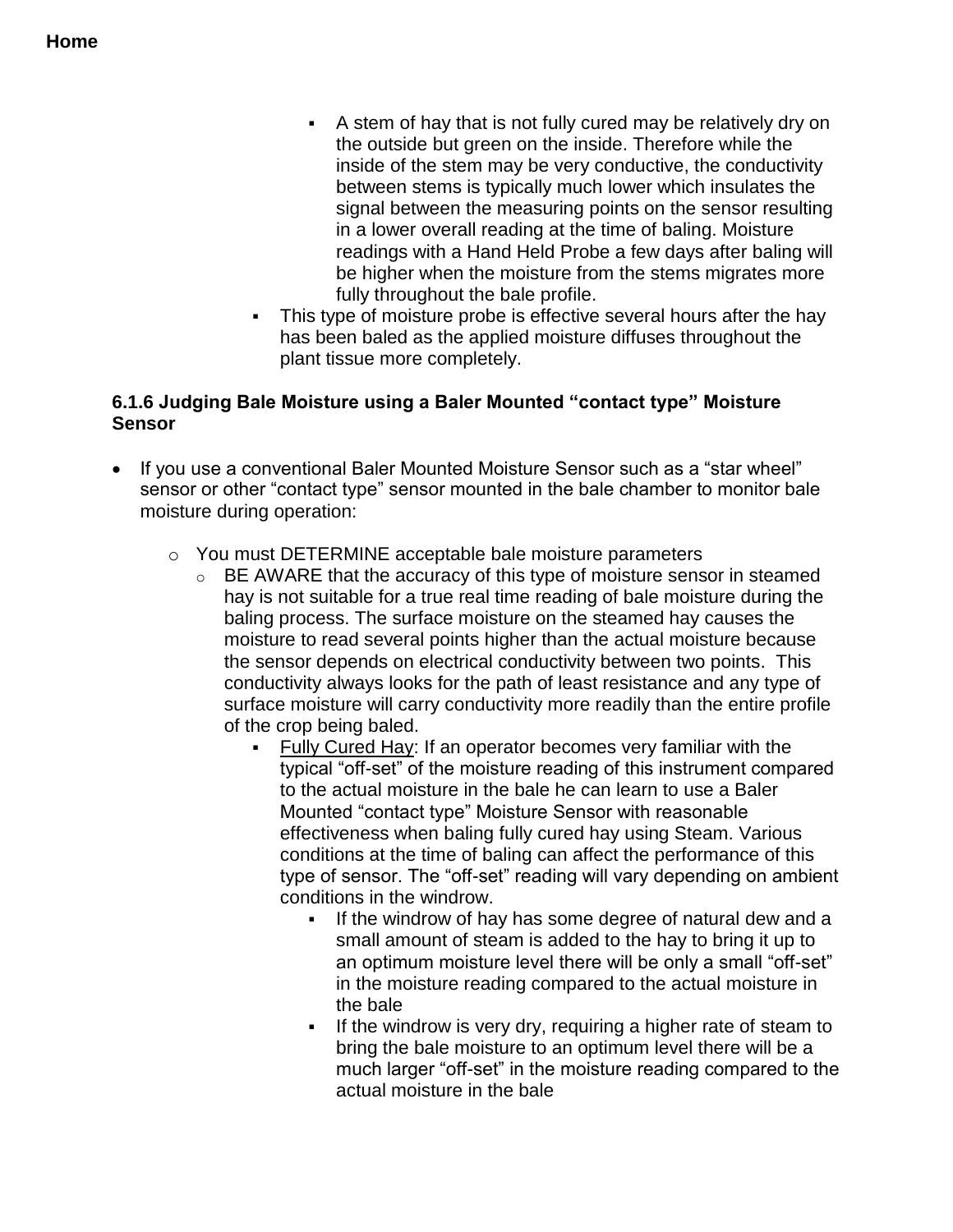- A stem of hay that is not fully cured may be relatively dry on the outside but green on the inside. Therefore while the inside of the stem may be very conductive, the conductivity between stems is typically much lower which insulates the signal between the measuring points on the sensor resulting in a lower overall reading at the time of baling. Moisture readings with a Hand Held Probe a few days after baling will be higher when the moisture from the stems migrates more fully throughout the bale profile.
- This type of moisture probe is effective several hours after the hay has been baled as the applied moisture diffuses throughout the plant tissue more completely.

#### **6.1.6 Judging Bale Moisture using a Baler Mounted "contact type" Moisture Sensor**

- If you use a conventional Baler Mounted Moisture Sensor such as a "star wheel" sensor or other "contact type" sensor mounted in the bale chamber to monitor bale moisture during operation:
	- o You must DETERMINE acceptable bale moisture parameters
		- o BE AWARE that the accuracy of this type of moisture sensor in steamed hay is not suitable for a true real time reading of bale moisture during the baling process. The surface moisture on the steamed hay causes the moisture to read several points higher than the actual moisture because the sensor depends on electrical conductivity between two points. This conductivity always looks for the path of least resistance and any type of surface moisture will carry conductivity more readily than the entire profile of the crop being baled.
			- Fully Cured Hay: If an operator becomes very familiar with the typical "off-set" of the moisture reading of this instrument compared to the actual moisture in the bale he can learn to use a Baler Mounted "contact type" Moisture Sensor with reasonable effectiveness when baling fully cured hay using Steam. Various conditions at the time of baling can affect the performance of this type of sensor. The "off-set" reading will vary depending on ambient conditions in the windrow.
				- If the windrow of hay has some degree of natural dew and a small amount of steam is added to the hay to bring it up to an optimum moisture level there will be only a small "off-set" in the moisture reading compared to the actual moisture in the bale
				- If the windrow is very dry, requiring a higher rate of steam to bring the bale moisture to an optimum level there will be a much larger "off-set" in the moisture reading compared to the actual moisture in the bale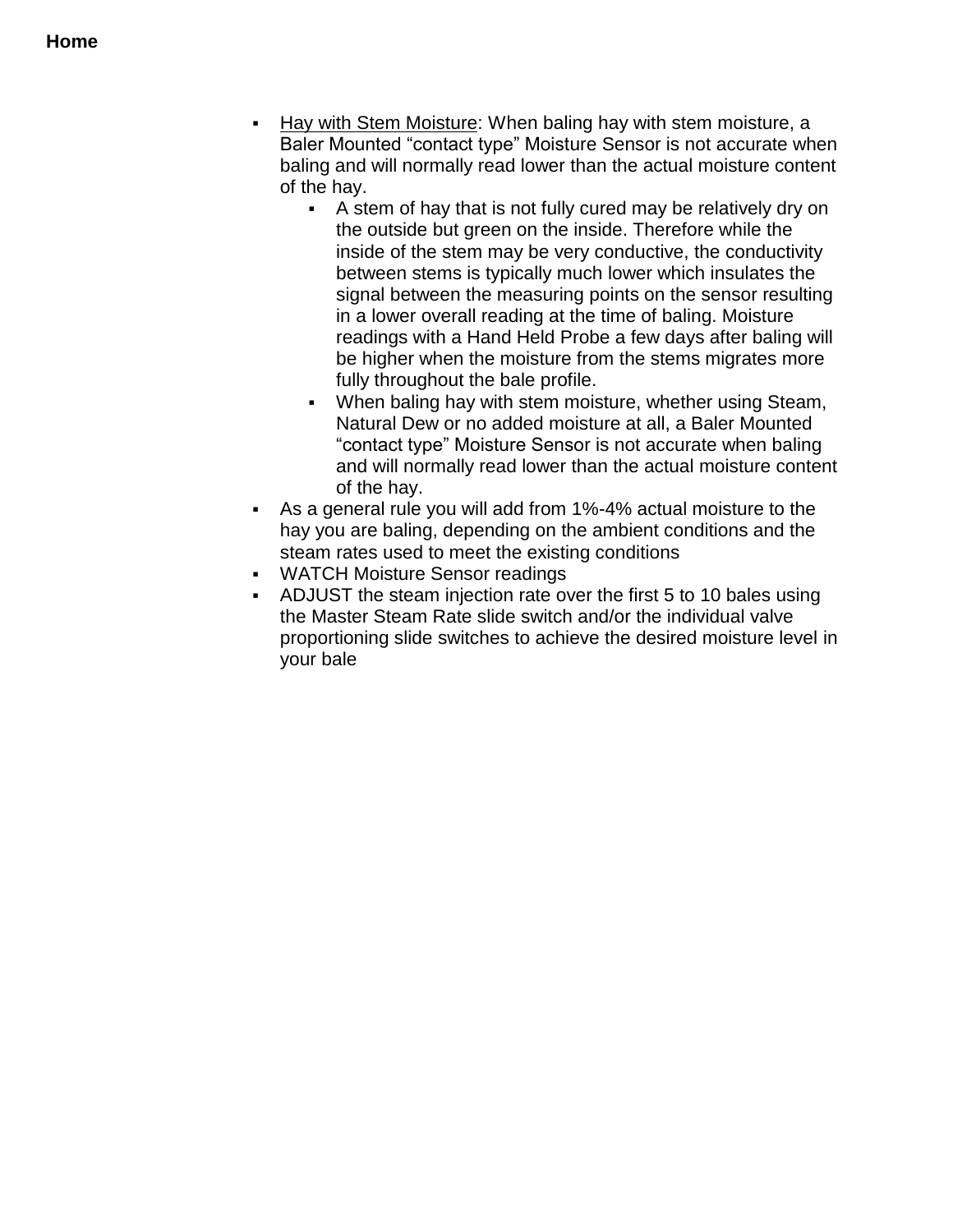- Hay with Stem Moisture: When baling hay with stem moisture, a Baler Mounted "contact type" Moisture Sensor is not accurate when baling and will normally read lower than the actual moisture content of the hay.
	- A stem of hay that is not fully cured may be relatively dry on the outside but green on the inside. Therefore while the inside of the stem may be very conductive, the conductivity between stems is typically much lower which insulates the signal between the measuring points on the sensor resulting in a lower overall reading at the time of baling. Moisture readings with a Hand Held Probe a few days after baling will be higher when the moisture from the stems migrates more fully throughout the bale profile.
	- When baling hay with stem moisture, whether using Steam, Natural Dew or no added moisture at all, a Baler Mounted "contact type" Moisture Sensor is not accurate when baling and will normally read lower than the actual moisture content of the hay.
- As a general rule you will add from 1%-4% actual moisture to the hay you are baling, depending on the ambient conditions and the steam rates used to meet the existing conditions
- WATCH Moisture Sensor readings
- ADJUST the steam injection rate over the first 5 to 10 bales using the Master Steam Rate slide switch and/or the individual valve proportioning slide switches to achieve the desired moisture level in your bale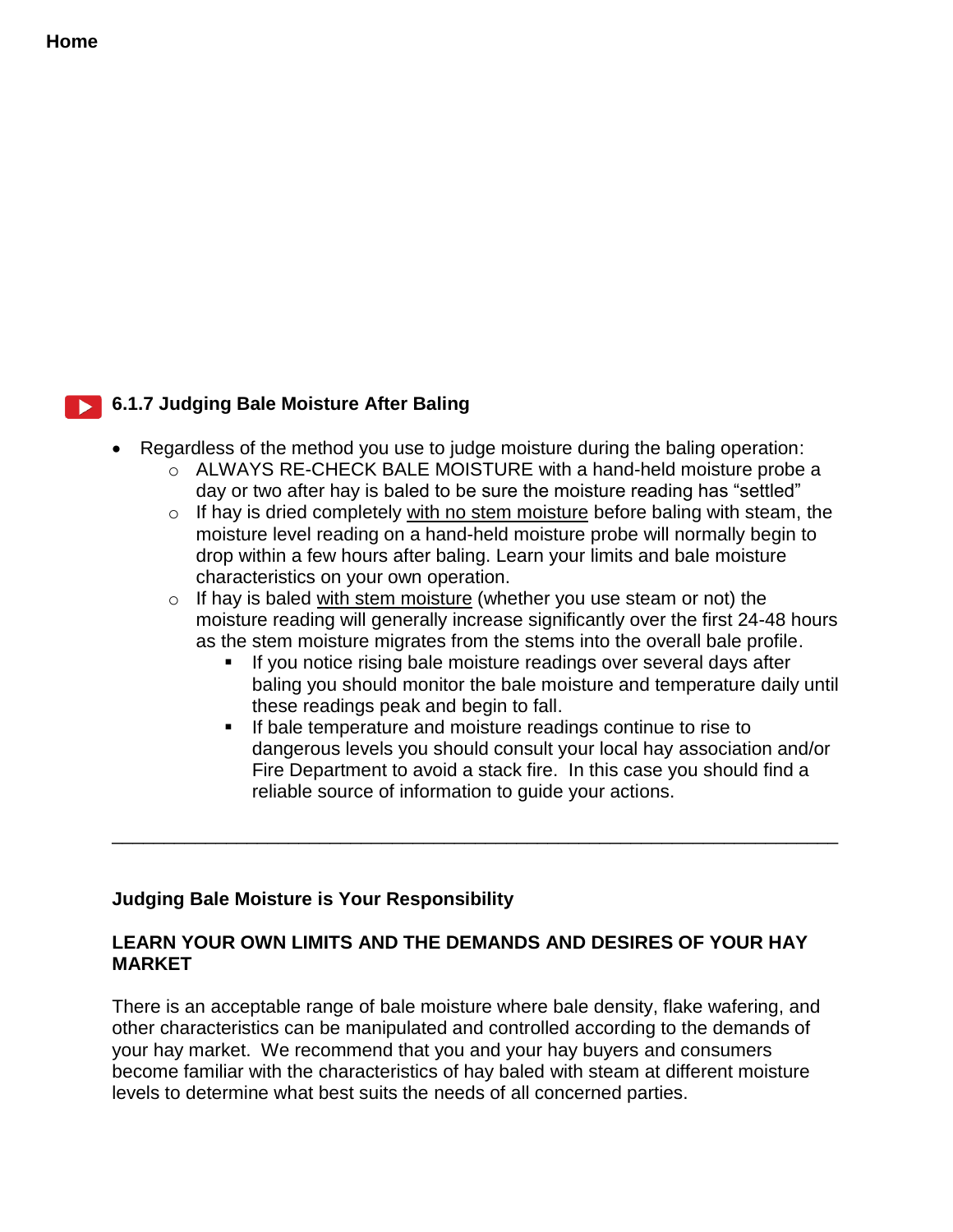#### **Home**

#### **6.1.7 Judging Bale Moisture After Baling**

- Regardless of the method you use to judge moisture during the baling operation:
	- $\circ$  ALWAYS RE-CHECK BALE MOISTURE with a hand-held moisture probe a day or two after hay is baled to be sure the moisture reading has "settled"
	- $\circ$  If hay is dried completely with no stem moisture before baling with steam, the moisture level reading on a hand-held moisture probe will normally begin to drop within a few hours after baling. Learn your limits and bale moisture characteristics on your own operation.
	- $\circ$  If hay is baled with stem moisture (whether you use steam or not) the moisture reading will generally increase significantly over the first 24-48 hours as the stem moisture migrates from the stems into the overall bale profile.
		- If you notice rising bale moisture readings over several days after baling you should monitor the bale moisture and temperature daily until these readings peak and begin to fall.
		- If bale temperature and moisture readings continue to rise to dangerous levels you should consult your local hay association and/or Fire Department to avoid a stack fire. In this case you should find a reliable source of information to guide your actions.

#### **Judging Bale Moisture is Your Responsibility**

#### **LEARN YOUR OWN LIMITS AND THE DEMANDS AND DESIRES OF YOUR HAY MARKET**

\_\_\_\_\_\_\_\_\_\_\_\_\_\_\_\_\_\_\_\_\_\_\_\_\_\_\_\_\_\_\_\_\_\_\_\_\_\_\_\_\_\_\_\_\_\_\_\_\_\_\_\_\_\_\_\_\_\_\_\_\_\_\_\_\_\_\_\_\_\_

There is an acceptable range of bale moisture where bale density, flake wafering, and other characteristics can be manipulated and controlled according to the demands of your hay market. We recommend that you and your hay buyers and consumers become familiar with the characteristics of hay baled with steam at different moisture levels to determine what best suits the needs of all concerned parties.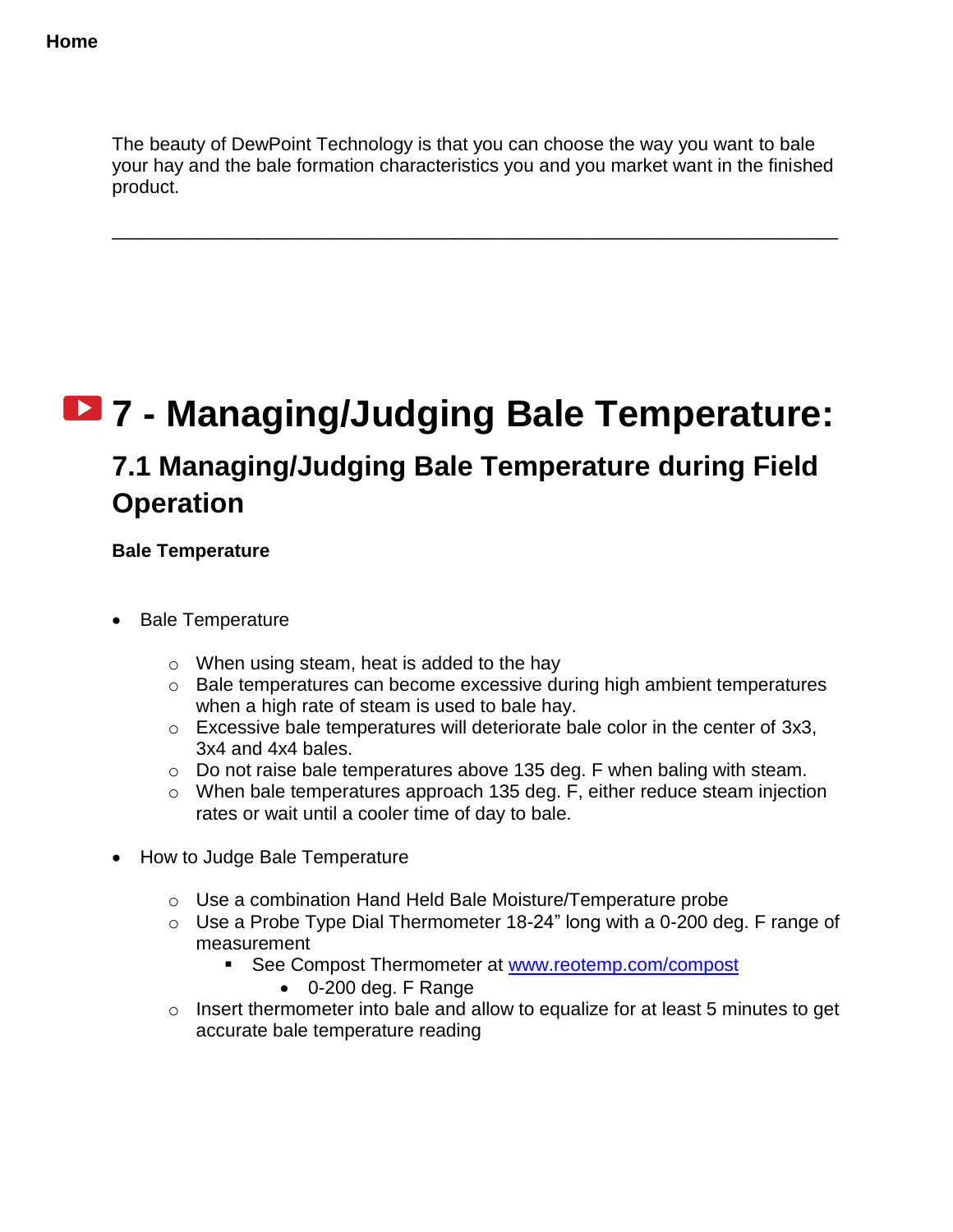The beauty of DewPoint Technology is that you can choose the way you want to bale your hay and the bale formation characteristics you and you market want in the finished product.

\_\_\_\_\_\_\_\_\_\_\_\_\_\_\_\_\_\_\_\_\_\_\_\_\_\_\_\_\_\_\_\_\_\_\_\_\_\_\_\_\_\_\_\_\_\_\_\_\_\_\_\_\_\_\_\_\_\_\_\_\_\_\_\_\_\_\_\_\_\_

# **7 - Managing/Judging Bale Temperature:**

## **7.1 Managing/Judging Bale Temperature during Field Operation**

**Bale Temperature**

- Bale Temperature
	- o When using steam, heat is added to the hay
	- o Bale temperatures can become excessive during high ambient temperatures when a high rate of steam is used to bale hay.
	- o Excessive bale temperatures will deteriorate bale color in the center of 3x3, 3x4 and 4x4 bales.
	- o Do not raise bale temperatures above 135 deg. F when baling with steam.
	- o When bale temperatures approach 135 deg. F, either reduce steam injection rates or wait until a cooler time of day to bale.
- How to Judge Bale Temperature
	- o Use a combination Hand Held Bale Moisture/Temperature probe
	- $\circ$  Use a Probe Type Dial Thermometer 18-24" long with a 0-200 deg. F range of measurement
		- See Compost Thermometer at [www.reotemp.com/compost](http://www.reotemp.com/compost)
			- 0-200 deg. F Range
	- o Insert thermometer into bale and allow to equalize for at least 5 minutes to get accurate bale temperature reading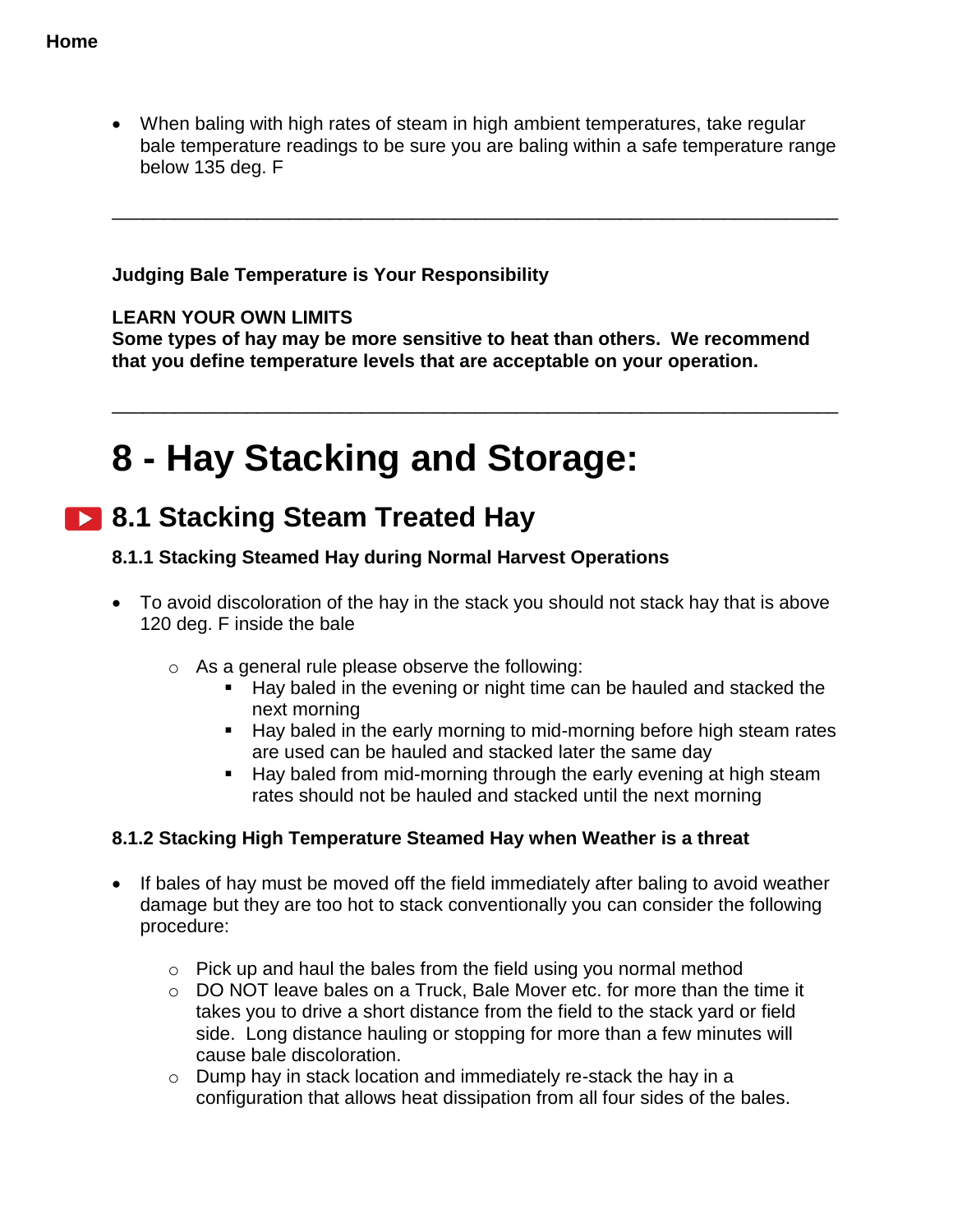When baling with high rates of steam in high ambient temperatures, take regular bale temperature readings to be sure you are baling within a safe temperature range below 135 deg. F

\_\_\_\_\_\_\_\_\_\_\_\_\_\_\_\_\_\_\_\_\_\_\_\_\_\_\_\_\_\_\_\_\_\_\_\_\_\_\_\_\_\_\_\_\_\_\_\_\_\_\_\_\_\_\_\_\_\_\_\_\_\_\_\_\_\_\_\_\_\_

#### **Judging Bale Temperature is Your Responsibility**

#### **LEARN YOUR OWN LIMITS**

**Some types of hay may be more sensitive to heat than others. We recommend that you define temperature levels that are acceptable on your operation.**

\_\_\_\_\_\_\_\_\_\_\_\_\_\_\_\_\_\_\_\_\_\_\_\_\_\_\_\_\_\_\_\_\_\_\_\_\_\_\_\_\_\_\_\_\_\_\_\_\_\_\_\_\_\_\_\_\_\_\_\_\_\_\_\_\_\_\_\_\_\_

# **8 - Hay Stacking and Storage:**

## **8.1 Stacking Steam Treated Hay**

#### **8.1.1 Stacking Steamed Hay during Normal Harvest Operations**

- To avoid discoloration of the hay in the stack you should not stack hay that is above 120 deg. F inside the bale
	- o As a general rule please observe the following:
		- Hay baled in the evening or night time can be hauled and stacked the next morning
		- Hay baled in the early morning to mid-morning before high steam rates are used can be hauled and stacked later the same day
		- **Hay baled from mid-morning through the early evening at high steam** rates should not be hauled and stacked until the next morning

#### **8.1.2 Stacking High Temperature Steamed Hay when Weather is a threat**

- If bales of hay must be moved off the field immediately after baling to avoid weather damage but they are too hot to stack conventionally you can consider the following procedure:
	- o Pick up and haul the bales from the field using you normal method
	- o DO NOT leave bales on a Truck, Bale Mover etc. for more than the time it takes you to drive a short distance from the field to the stack yard or field side. Long distance hauling or stopping for more than a few minutes will cause bale discoloration.
	- o Dump hay in stack location and immediately re-stack the hay in a configuration that allows heat dissipation from all four sides of the bales.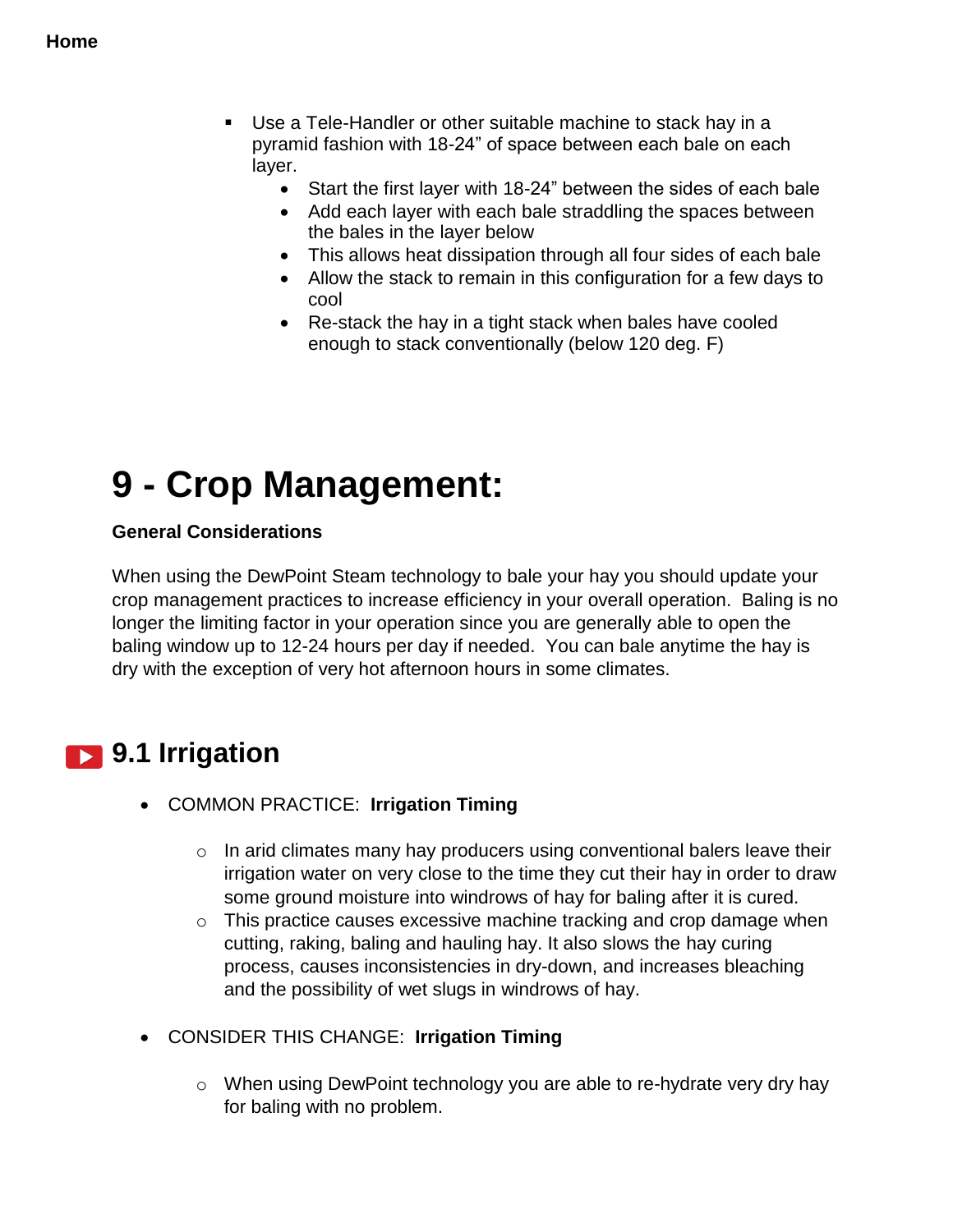- Use a Tele-Handler or other suitable machine to stack hay in a pyramid fashion with 18-24" of space between each bale on each layer.
	- Start the first layer with 18-24" between the sides of each bale
	- Add each layer with each bale straddling the spaces between the bales in the layer below
	- This allows heat dissipation through all four sides of each bale
	- Allow the stack to remain in this configuration for a few days to cool
	- Re-stack the hay in a tight stack when bales have cooled enough to stack conventionally (below 120 deg. F)

# **9 - Crop Management:**

#### **General Considerations**

When using the DewPoint Steam technology to bale your hay you should update your crop management practices to increase efficiency in your overall operation. Baling is no longer the limiting factor in your operation since you are generally able to open the baling window up to 12-24 hours per day if needed. You can bale anytime the hay is dry with the exception of very hot afternoon hours in some climates.

## <span id="page-67-0"></span>**9.1 Irrigation**

- COMMON PRACTICE: **Irrigation Timing**
	- o In arid climates many hay producers using conventional balers leave their irrigation water on very close to the time they cut their hay in order to draw some ground moisture into windrows of hay for baling after it is cured.
	- o This practice causes excessive machine tracking and crop damage when cutting, raking, baling and hauling hay. It also slows the hay curing process, causes inconsistencies in dry-down, and increases bleaching and the possibility of wet slugs in windrows of hay.
- CONSIDER THIS CHANGE: **Irrigation Timing**
	- o When using DewPoint technology you are able to re-hydrate very dry hay for baling with no problem.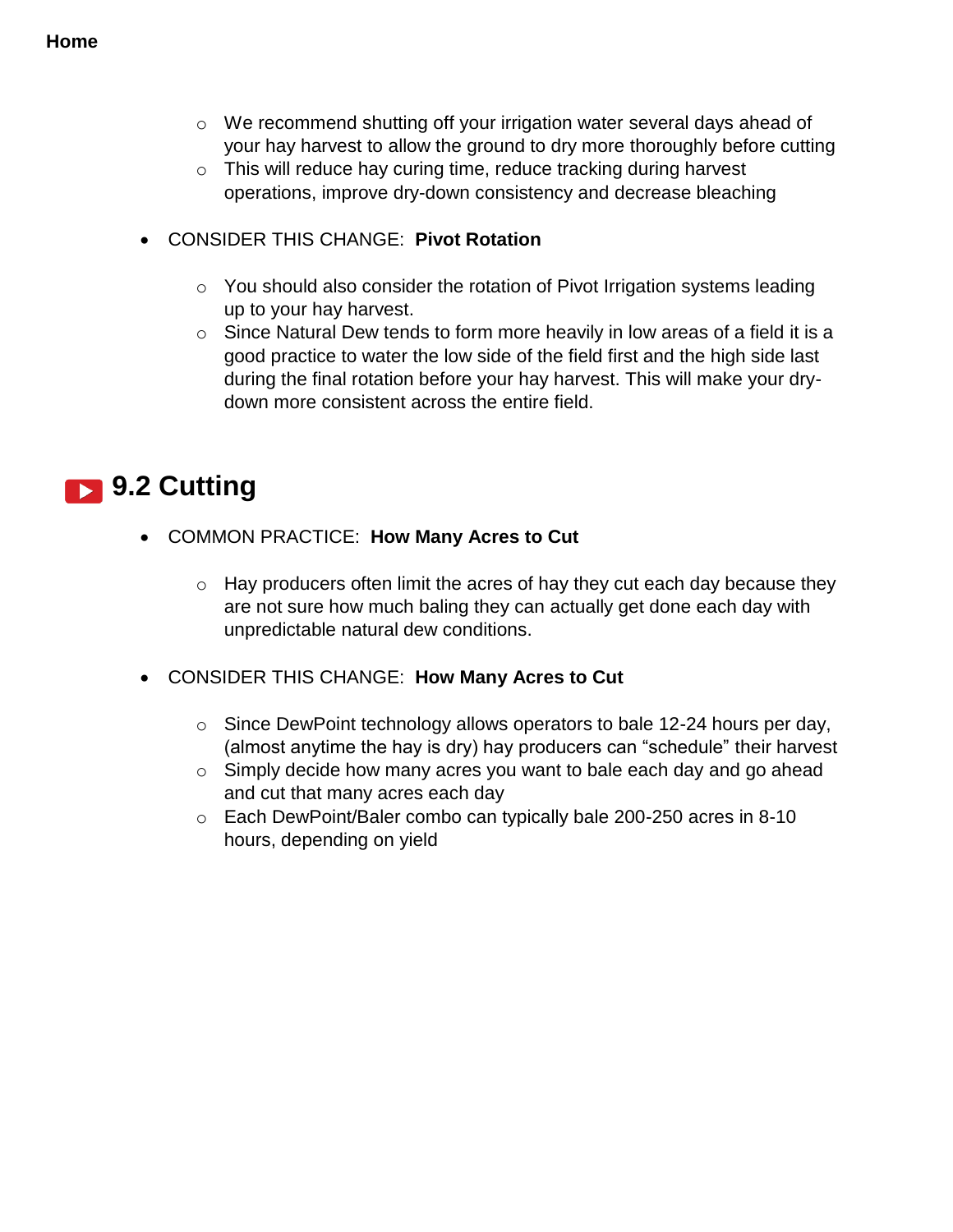- o We recommend shutting off your irrigation water several days ahead of your hay harvest to allow the ground to dry more thoroughly before cutting
- $\circ$  This will reduce hay curing time, reduce tracking during harvest operations, improve dry-down consistency and decrease bleaching
- CONSIDER THIS CHANGE: **Pivot Rotation**
	- o You should also consider the rotation of Pivot Irrigation systems leading up to your hay harvest.
	- $\circ$  Since Natural Dew tends to form more heavily in low areas of a field it is a good practice to water the low side of the field first and the high side last during the final rotation before your hay harvest. This will make your drydown more consistent across the entire field.

## **19.2 Cutting**

- COMMON PRACTICE: **How Many Acres to Cut**
	- o Hay producers often limit the acres of hay they cut each day because they are not sure how much baling they can actually get done each day with unpredictable natural dew conditions.
- CONSIDER THIS CHANGE: **How Many Acres to Cut** 
	- o Since DewPoint technology allows operators to bale 12-24 hours per day, (almost anytime the hay is dry) hay producers can "schedule" their harvest
	- o Simply decide how many acres you want to bale each day and go ahead and cut that many acres each day
	- o Each DewPoint/Baler combo can typically bale 200-250 acres in 8-10 hours, depending on yield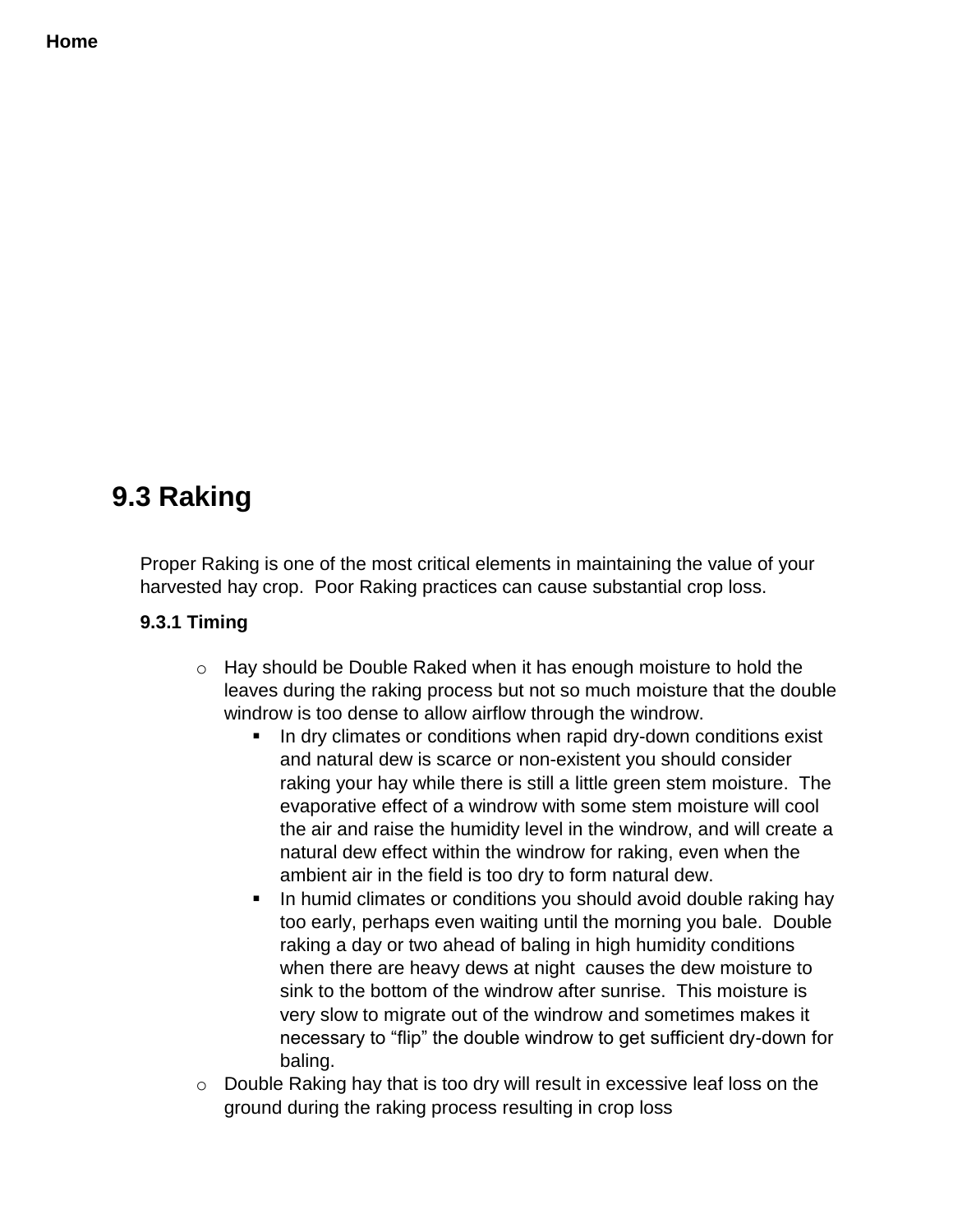#### **Home**

## **9.3 Raking**

Proper Raking is one of the most critical elements in maintaining the value of your harvested hay crop. Poor Raking practices can cause substantial crop loss.

#### **9.3.1 Timing**

- o Hay should be Double Raked when it has enough moisture to hold the leaves during the raking process but not so much moisture that the double windrow is too dense to allow airflow through the windrow.
	- In dry climates or conditions when rapid dry-down conditions exist and natural dew is scarce or non-existent you should consider raking your hay while there is still a little green stem moisture. The evaporative effect of a windrow with some stem moisture will cool the air and raise the humidity level in the windrow, and will create a natural dew effect within the windrow for raking, even when the ambient air in the field is too dry to form natural dew.
	- In humid climates or conditions you should avoid double raking hay too early, perhaps even waiting until the morning you bale. Double raking a day or two ahead of baling in high humidity conditions when there are heavy dews at night causes the dew moisture to sink to the bottom of the windrow after sunrise. This moisture is very slow to migrate out of the windrow and sometimes makes it necessary to "flip" the double windrow to get sufficient dry-down for baling.
- o Double Raking hay that is too dry will result in excessive leaf loss on the ground during the raking process resulting in crop loss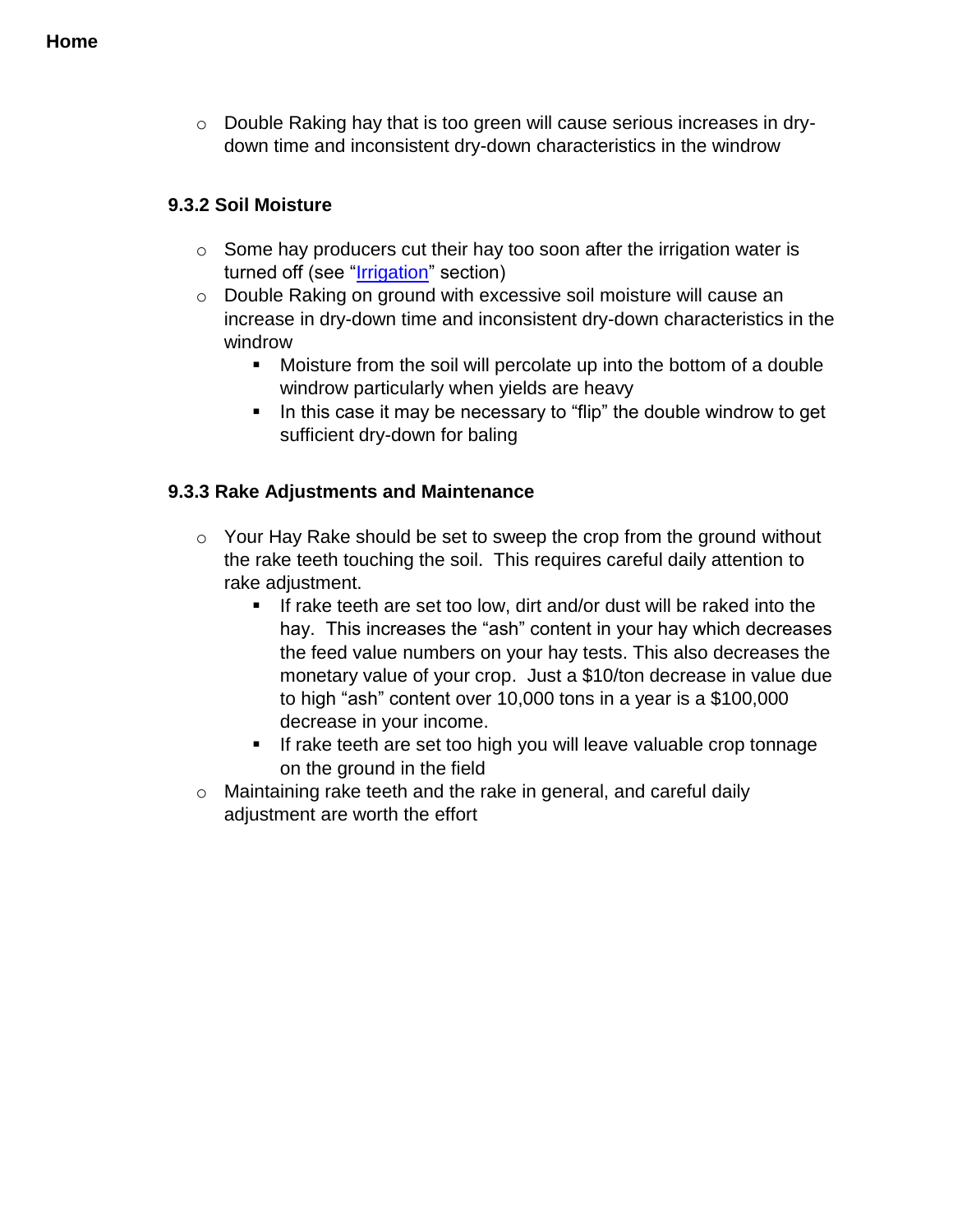o Double Raking hay that is too green will cause serious increases in drydown time and inconsistent dry-down characteristics in the windrow

#### **9.3.2 Soil Moisture**

- $\circ$  Some hay producers cut their hay too soon after the irrigation water is turned off (see ["Irrigation"](#page-67-0) section)
- o Double Raking on ground with excessive soil moisture will cause an increase in dry-down time and inconsistent dry-down characteristics in the windrow
	- Moisture from the soil will percolate up into the bottom of a double windrow particularly when yields are heavy
	- $\blacksquare$  In this case it may be necessary to "flip" the double windrow to get sufficient dry-down for baling

#### **9.3.3 Rake Adjustments and Maintenance**

- $\circ$  Your Hay Rake should be set to sweep the crop from the ground without the rake teeth touching the soil. This requires careful daily attention to rake adjustment.
	- If rake teeth are set too low, dirt and/or dust will be raked into the hay. This increases the "ash" content in your hay which decreases the feed value numbers on your hay tests. This also decreases the monetary value of your crop. Just a \$10/ton decrease in value due to high "ash" content over 10,000 tons in a year is a \$100,000 decrease in your income.
	- **If rake teeth are set too high you will leave valuable crop tonnage** on the ground in the field
- o Maintaining rake teeth and the rake in general, and careful daily adjustment are worth the effort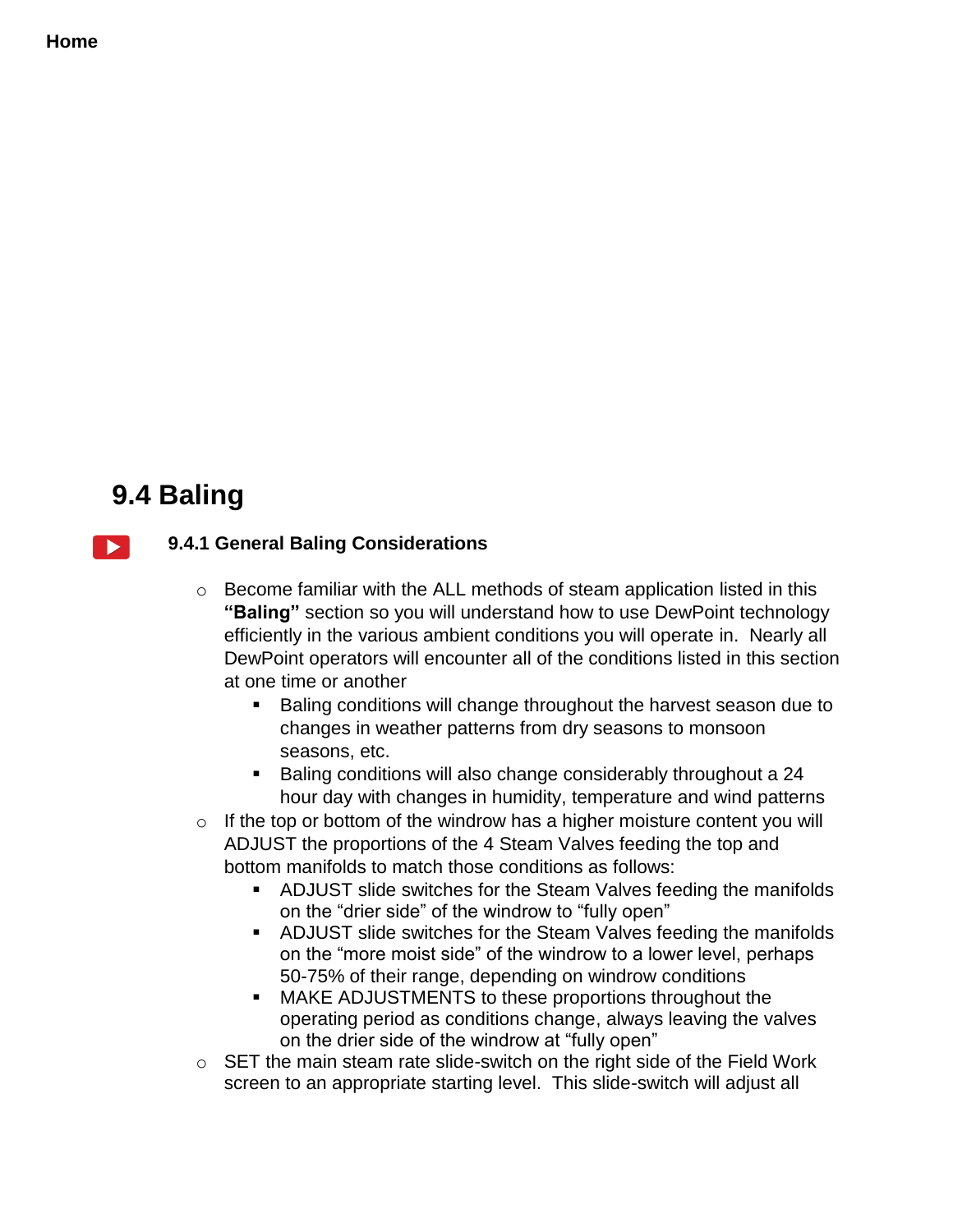#### **Home**

## **9.4 Baling**



#### **9.4.1 General Baling Considerations**

- o Become familiar with the ALL methods of steam application listed in this **"Baling"** section so you will understand how to use DewPoint technology efficiently in the various ambient conditions you will operate in. Nearly all DewPoint operators will encounter all of the conditions listed in this section at one time or another
	- Baling conditions will change throughout the harvest season due to changes in weather patterns from dry seasons to monsoon seasons, etc.
	- Baling conditions will also change considerably throughout a 24 hour day with changes in humidity, temperature and wind patterns
- $\circ$  If the top or bottom of the windrow has a higher moisture content you will ADJUST the proportions of the 4 Steam Valves feeding the top and bottom manifolds to match those conditions as follows:
	- ADJUST slide switches for the Steam Valves feeding the manifolds on the "drier side" of the windrow to "fully open"
	- ADJUST slide switches for the Steam Valves feeding the manifolds on the "more moist side" of the windrow to a lower level, perhaps 50-75% of their range, depending on windrow conditions
	- MAKE ADJUSTMENTS to these proportions throughout the operating period as conditions change, always leaving the valves on the drier side of the windrow at "fully open"
- o SET the main steam rate slide-switch on the right side of the Field Work screen to an appropriate starting level. This slide-switch will adjust all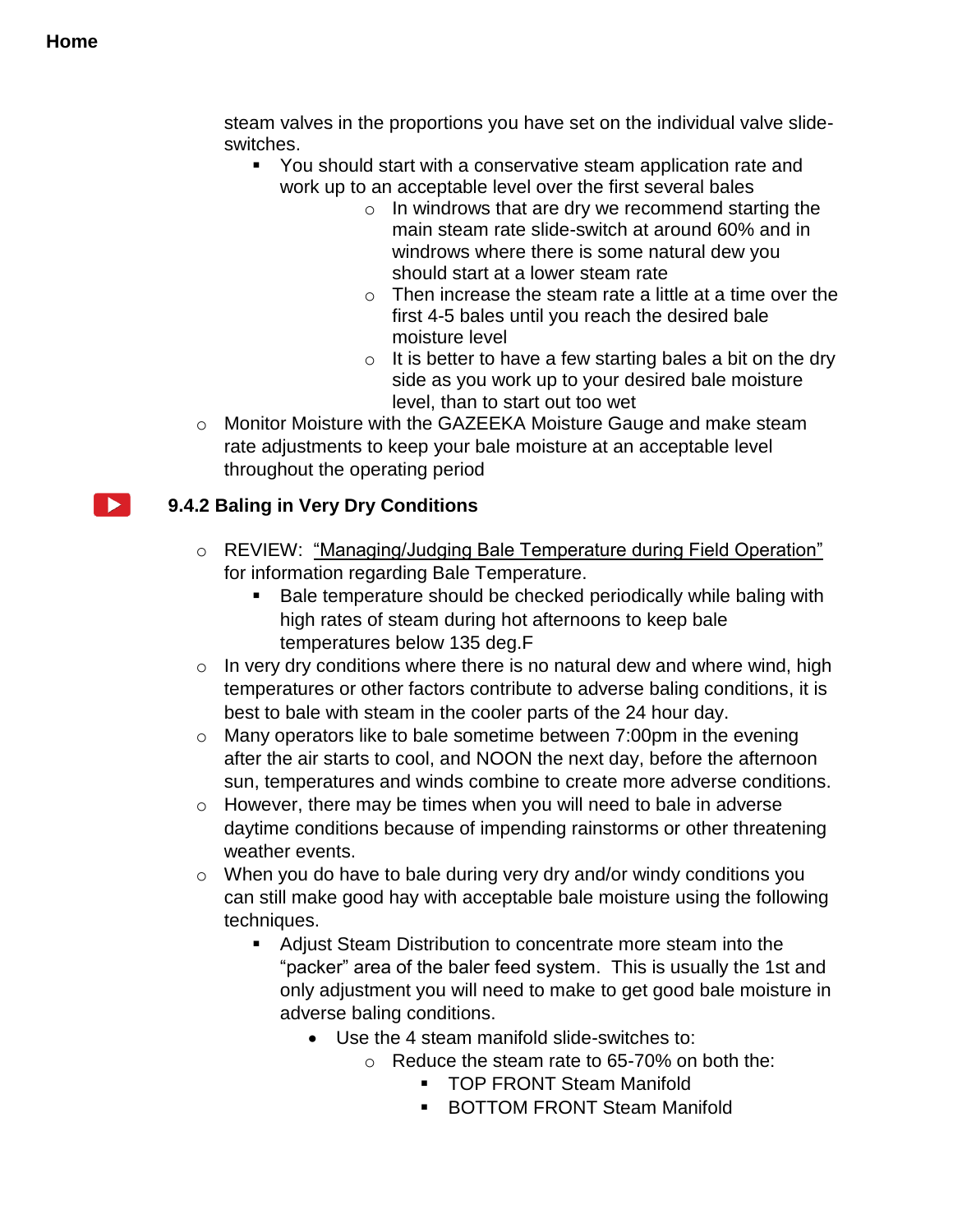steam valves in the proportions you have set on the individual valve slideswitches.

- You should start with a conservative steam application rate and work up to an acceptable level over the first several bales
	- $\circ$  In windrows that are dry we recommend starting the main steam rate slide-switch at around 60% and in windrows where there is some natural dew you should start at a lower steam rate
	- o Then increase the steam rate a little at a time over the first 4-5 bales until you reach the desired bale moisture level
	- $\circ$  It is better to have a few starting bales a bit on the dry side as you work up to your desired bale moisture level, than to start out too wet
- o Monitor Moisture with the GAZEEKA Moisture Gauge and make steam rate adjustments to keep your bale moisture at an acceptable level throughout the operating period

# **9.4.2 Baling in Very Dry Conditions**

- o REVIEW: "Managing/Judging Bale Temperature during Field Operation" for information regarding Bale Temperature.
	- Bale temperature should be checked periodically while baling with high rates of steam during hot afternoons to keep bale temperatures below 135 deg.F
- $\circ$  In very dry conditions where there is no natural dew and where wind, high temperatures or other factors contribute to adverse baling conditions, it is best to bale with steam in the cooler parts of the 24 hour day.
- o Many operators like to bale sometime between 7:00pm in the evening after the air starts to cool, and NOON the next day, before the afternoon sun, temperatures and winds combine to create more adverse conditions.
- o However, there may be times when you will need to bale in adverse daytime conditions because of impending rainstorms or other threatening weather events.
- o When you do have to bale during very dry and/or windy conditions you can still make good hay with acceptable bale moisture using the following techniques.
	- Adjust Steam Distribution to concentrate more steam into the "packer" area of the baler feed system. This is usually the 1st and only adjustment you will need to make to get good bale moisture in adverse baling conditions.
		- Use the 4 steam manifold slide-switches to:
			- $\circ$  Reduce the steam rate to 65-70% on both the:
				- **TOP FRONT Steam Manifold**
				- BOTTOM FRONT Steam Manifold

 $\blacktriangleright$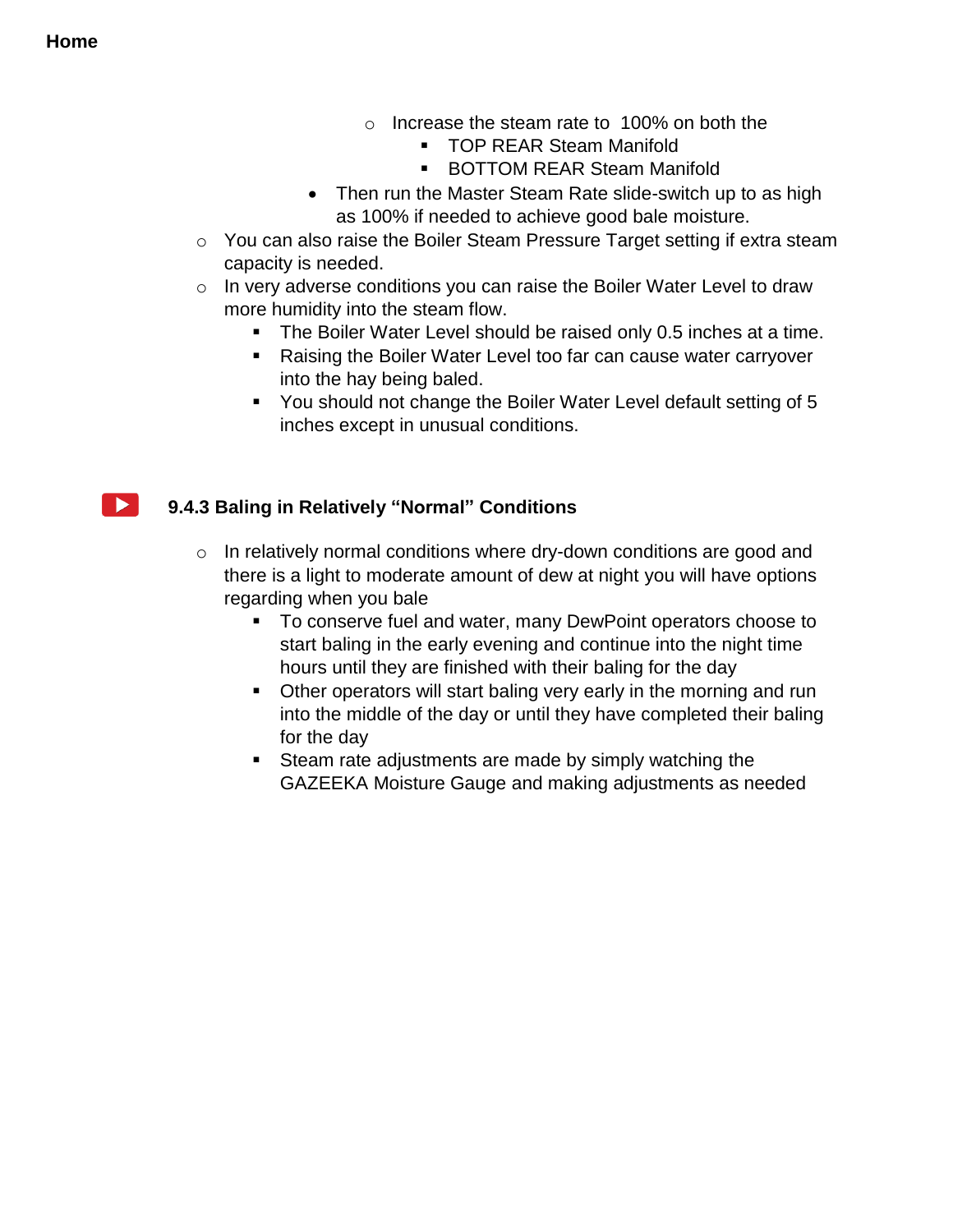$\blacktriangleright$  1

- o Increase the steam rate to 100% on both the
	- **TOP REAR Steam Manifold**
	- **BOTTOM REAR Steam Manifold**
- Then run the Master Steam Rate slide-switch up to as high as 100% if needed to achieve good bale moisture.
- o You can also raise the Boiler Steam Pressure Target setting if extra steam capacity is needed.
- $\circ$  In very adverse conditions you can raise the Boiler Water Level to draw more humidity into the steam flow.
	- The Boiler Water Level should be raised only 0.5 inches at a time.
	- Raising the Boiler Water Level too far can cause water carryover into the hay being baled.
	- You should not change the Boiler Water Level default setting of 5 inches except in unusual conditions.

# **9.4.3 Baling in Relatively "Normal" Conditions**

- o In relatively normal conditions where dry-down conditions are good and there is a light to moderate amount of dew at night you will have options regarding when you bale
	- To conserve fuel and water, many DewPoint operators choose to start baling in the early evening and continue into the night time hours until they are finished with their baling for the day
	- **Diana Cheap Constant Start balling very early in the morning and run** into the middle of the day or until they have completed their baling for the day
	- Steam rate adjustments are made by simply watching the GAZEEKA Moisture Gauge and making adjustments as needed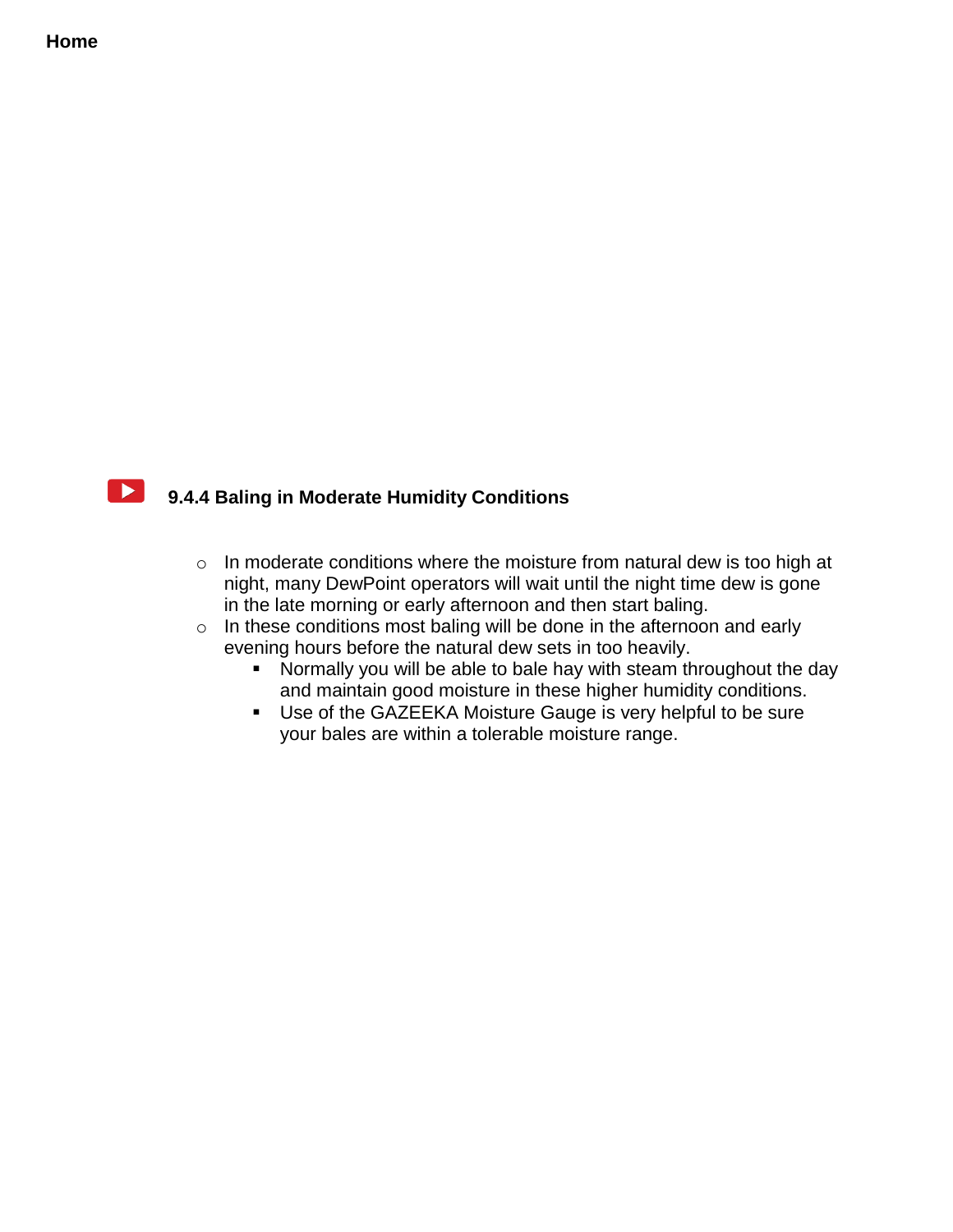

# **9.4.4 Baling in Moderate Humidity Conditions**

- o In moderate conditions where the moisture from natural dew is too high at night, many DewPoint operators will wait until the night time dew is gone in the late morning or early afternoon and then start baling.
- o In these conditions most baling will be done in the afternoon and early evening hours before the natural dew sets in too heavily.
	- **Normally you will be able to bale hay with steam throughout the day** and maintain good moisture in these higher humidity conditions.
	- Use of the GAZEEKA Moisture Gauge is very helpful to be sure your bales are within a tolerable moisture range.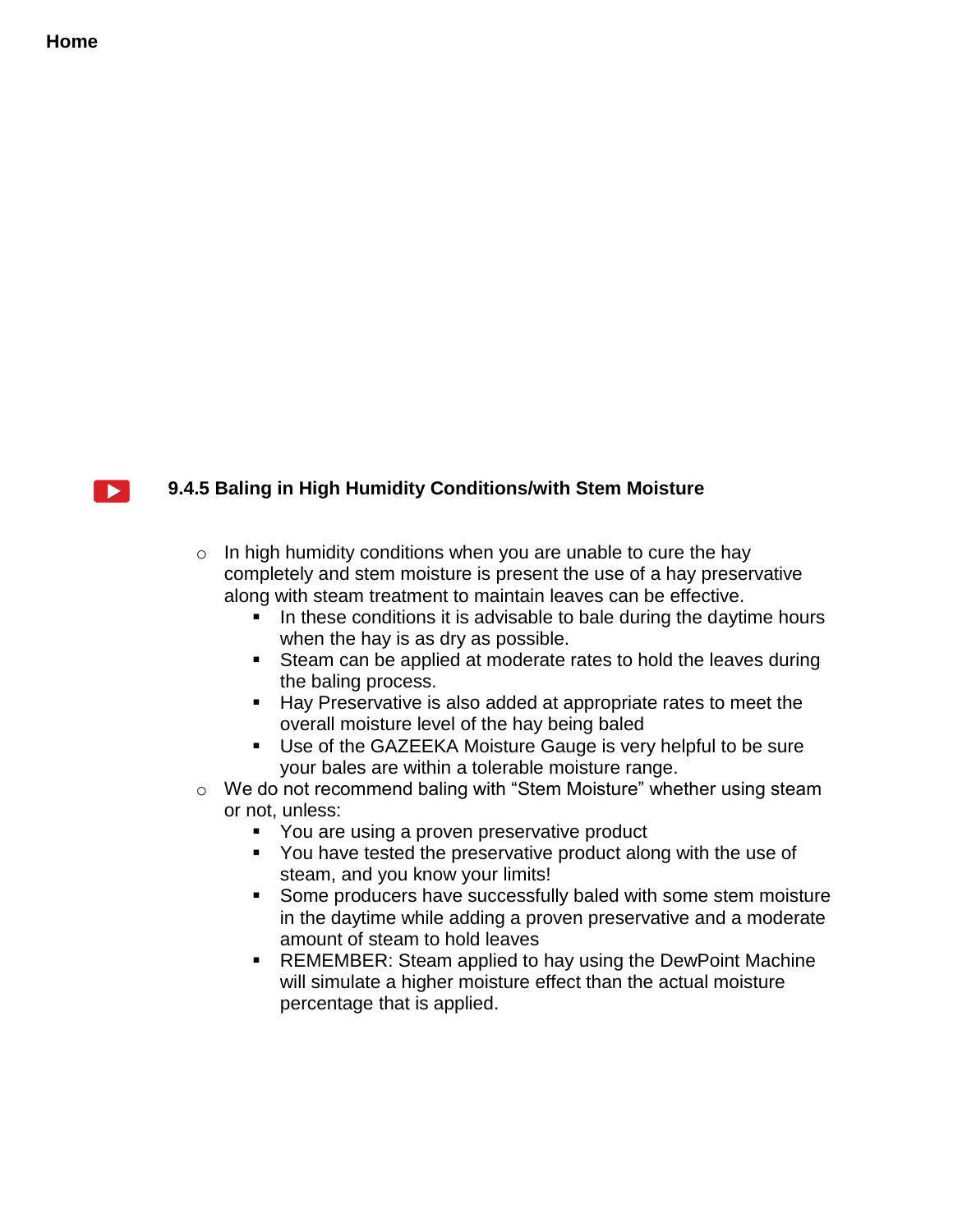

# **9.4.5 Baling in High Humidity Conditions/with Stem Moisture**

 $\circ$  In high humidity conditions when you are unable to cure the hay completely and stem moisture is present the use of a hay preservative along with steam treatment to maintain leaves can be effective.

- In these conditions it is advisable to bale during the daytime hours when the hay is as dry as possible.
- Steam can be applied at moderate rates to hold the leaves during the baling process.
- Hay Preservative is also added at appropriate rates to meet the overall moisture level of the hay being baled
- Use of the GAZEEKA Moisture Gauge is very helpful to be sure your bales are within a tolerable moisture range.
- o We do not recommend baling with "Stem Moisture" whether using steam or not, unless:
	- You are using a proven preservative product
	- You have tested the preservative product along with the use of steam, and you know your limits!
	- Some producers have successfully baled with some stem moisture in the daytime while adding a proven preservative and a moderate amount of steam to hold leaves
	- **REMEMBER: Steam applied to hay using the DewPoint Machine** will simulate a higher moisture effect than the actual moisture percentage that is applied.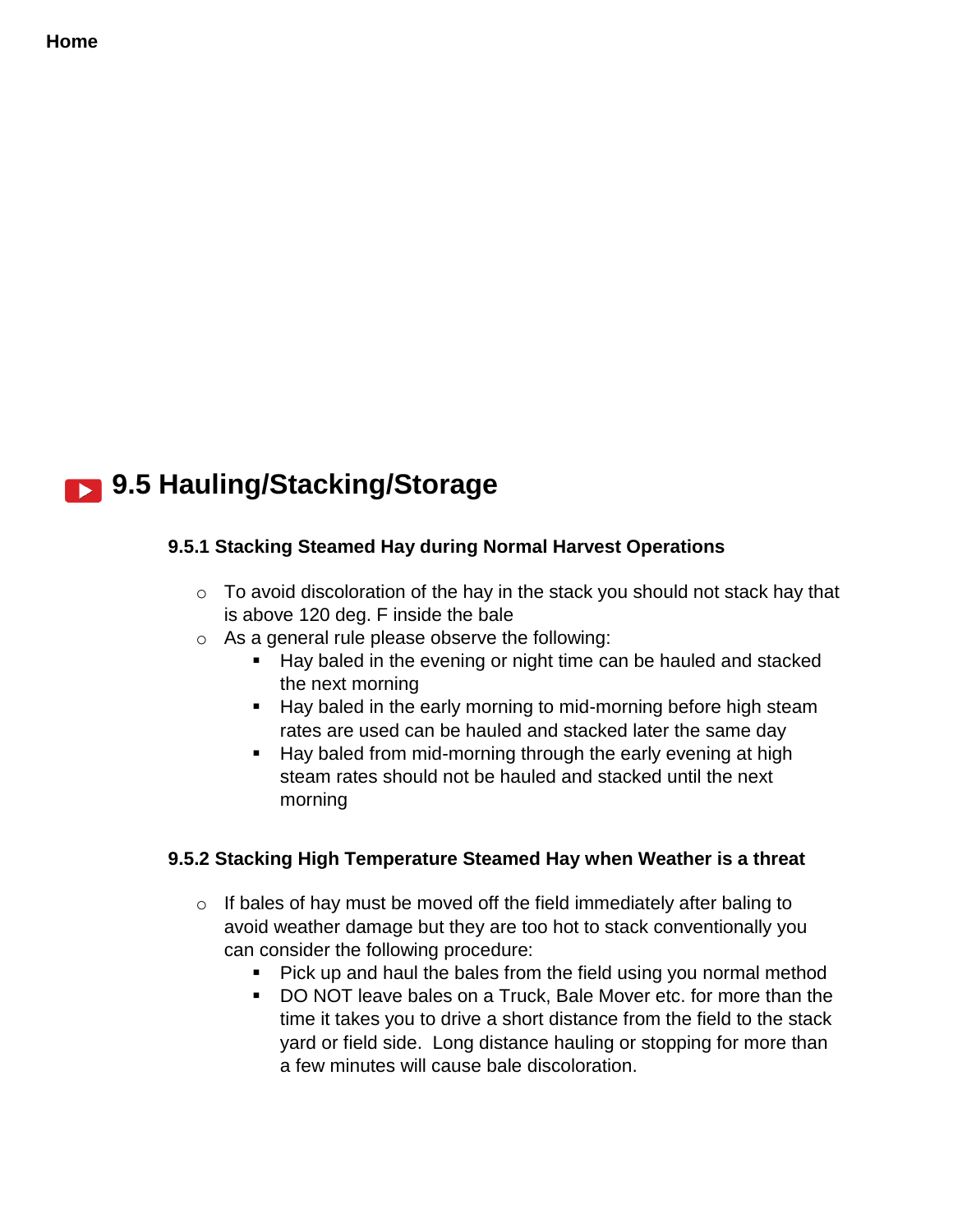# **9.5 Hauling/Stacking/Storage**

### **9.5.1 Stacking Steamed Hay during Normal Harvest Operations**

- $\circ$  To avoid discoloration of the hay in the stack you should not stack hay that is above 120 deg. F inside the bale
- o As a general rule please observe the following:
	- Hay baled in the evening or night time can be hauled and stacked the next morning
	- Hay baled in the early morning to mid-morning before high steam rates are used can be hauled and stacked later the same day
	- **Hay baled from mid-morning through the early evening at high** steam rates should not be hauled and stacked until the next morning

### **9.5.2 Stacking High Temperature Steamed Hay when Weather is a threat**

- $\circ$  If bales of hay must be moved off the field immediately after baling to avoid weather damage but they are too hot to stack conventionally you can consider the following procedure:
	- Pick up and haul the bales from the field using you normal method
	- DO NOT leave bales on a Truck, Bale Mover etc. for more than the time it takes you to drive a short distance from the field to the stack yard or field side. Long distance hauling or stopping for more than a few minutes will cause bale discoloration.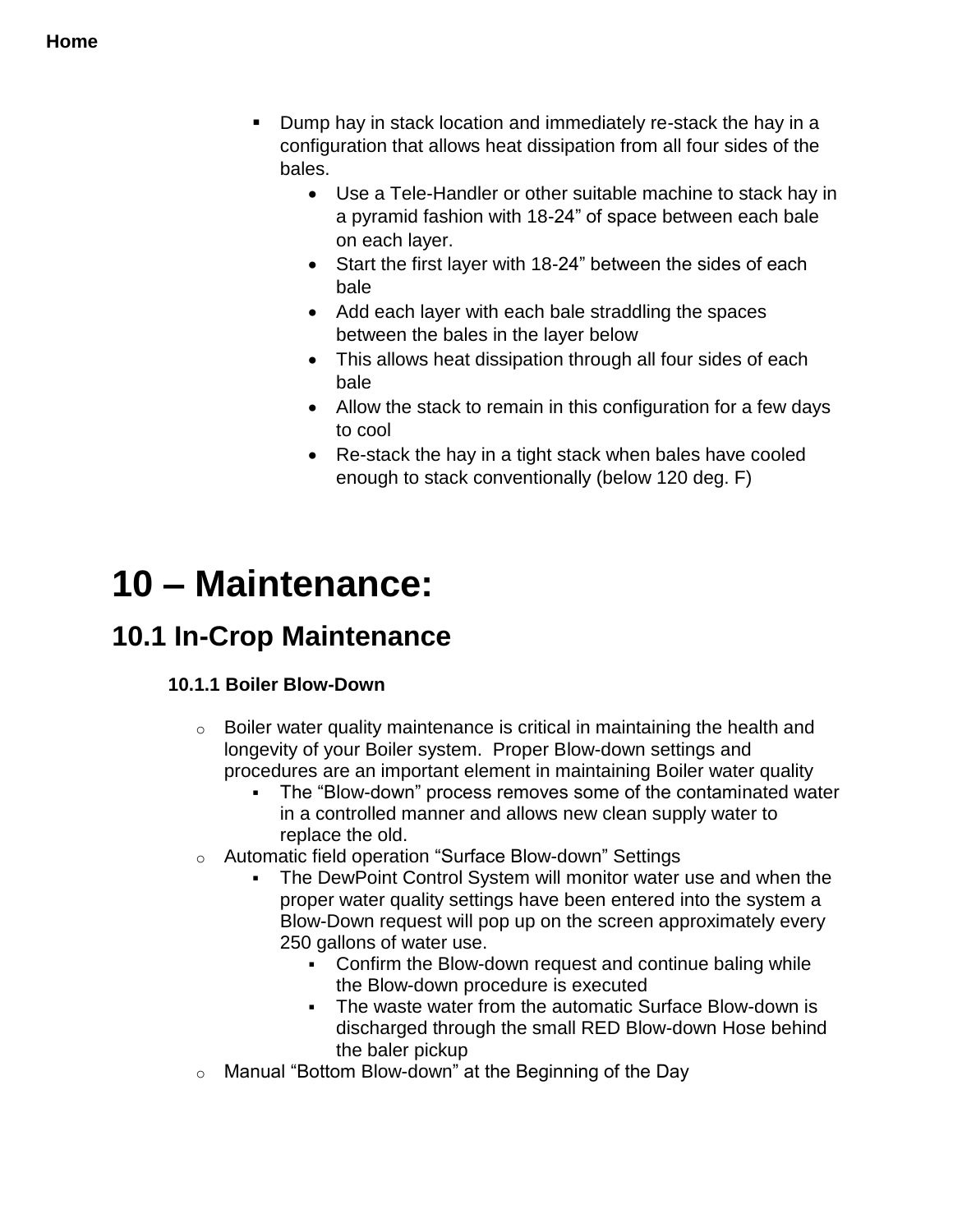- Dump hay in stack location and immediately re-stack the hay in a configuration that allows heat dissipation from all four sides of the bales.
	- Use a Tele-Handler or other suitable machine to stack hay in a pyramid fashion with 18-24" of space between each bale on each layer.
	- Start the first layer with 18-24" between the sides of each bale
	- Add each layer with each bale straddling the spaces between the bales in the layer below
	- This allows heat dissipation through all four sides of each bale
	- Allow the stack to remain in this configuration for a few days to cool
	- Re-stack the hay in a tight stack when bales have cooled enough to stack conventionally (below 120 deg. F)

# **10 – Maintenance:**

# **10.1 In-Crop Maintenance**

# **10.1.1 Boiler Blow-Down**

- $\circ$  Boiler water quality maintenance is critical in maintaining the health and longevity of your Boiler system. Proper Blow-down settings and procedures are an important element in maintaining Boiler water quality
	- The "Blow-down" process removes some of the contaminated water in a controlled manner and allows new clean supply water to replace the old.
- o Automatic field operation "Surface Blow-down" Settings
	- The DewPoint Control System will monitor water use and when the proper water quality settings have been entered into the system a Blow-Down request will pop up on the screen approximately every 250 gallons of water use.
		- Confirm the Blow-down request and continue baling while the Blow-down procedure is executed
		- The waste water from the automatic Surface Blow-down is discharged through the small RED Blow-down Hose behind the baler pickup
- o Manual "Bottom Blow-down" at the Beginning of the Day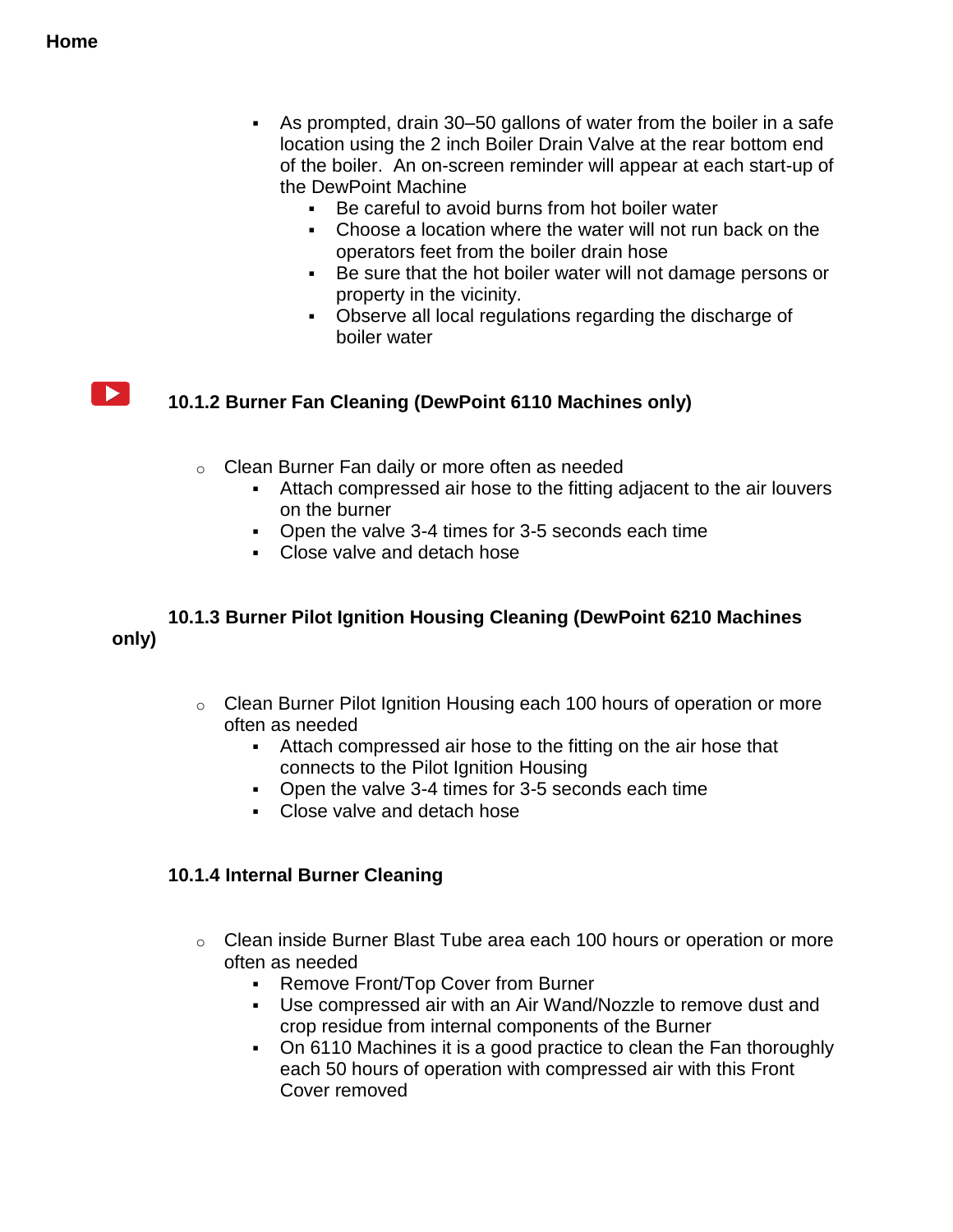$\blacktriangleright$  1

- As prompted, drain 30–50 gallons of water from the boiler in a safe location using the 2 inch Boiler Drain Valve at the rear bottom end of the boiler. An on-screen reminder will appear at each start-up of the DewPoint Machine
	- Be careful to avoid burns from hot boiler water
	- Choose a location where the water will not run back on the operators feet from the boiler drain hose
	- Be sure that the hot boiler water will not damage persons or property in the vicinity.
	- Observe all local regulations regarding the discharge of boiler water

# **10.1.2 Burner Fan Cleaning (DewPoint 6110 Machines only)**

- o Clean Burner Fan daily or more often as needed
	- Attach compressed air hose to the fitting adjacent to the air louvers on the burner
	- Open the valve 3-4 times for 3-5 seconds each time
	- Close valve and detach hose

#### **10.1.3 Burner Pilot Ignition Housing Cleaning (DewPoint 6210 Machines only)**

- o Clean Burner Pilot Ignition Housing each 100 hours of operation or more often as needed
	- Attach compressed air hose to the fitting on the air hose that connects to the Pilot Ignition Housing
	- Open the valve 3-4 times for 3-5 seconds each time
	- Close valve and detach hose

### **10.1.4 Internal Burner Cleaning**

- $\circ$  Clean inside Burner Blast Tube area each 100 hours or operation or more often as needed
	- **Remove Front/Top Cover from Burner**
	- Use compressed air with an Air Wand/Nozzle to remove dust and crop residue from internal components of the Burner
	- On 6110 Machines it is a good practice to clean the Fan thoroughly each 50 hours of operation with compressed air with this Front Cover removed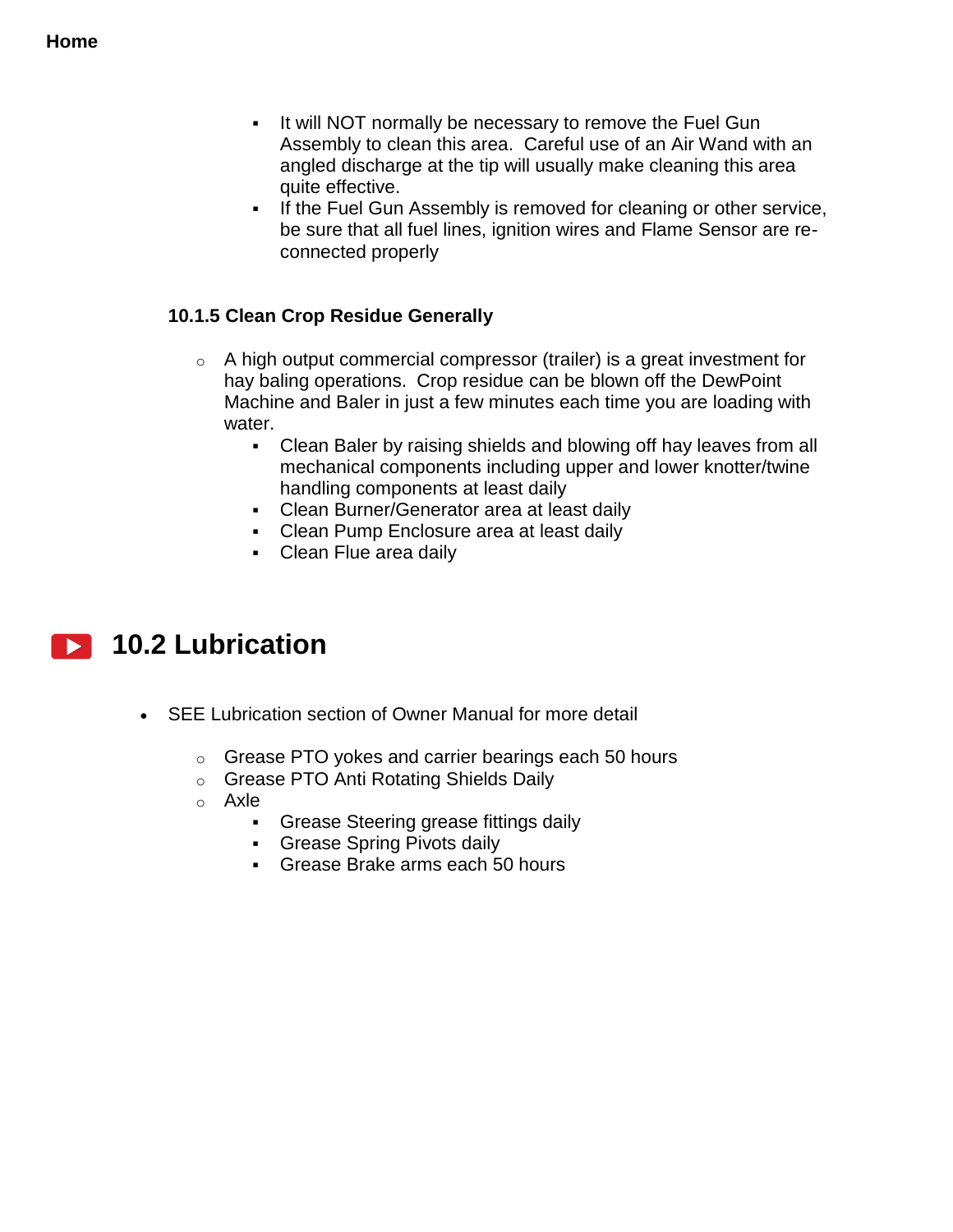- If will NOT normally be necessary to remove the Fuel Gun Assembly to clean this area. Careful use of an Air Wand with an angled discharge at the tip will usually make cleaning this area quite effective.
- **If the Fuel Gun Assembly is removed for cleaning or other service,** be sure that all fuel lines, ignition wires and Flame Sensor are reconnected properly

# **10.1.5 Clean Crop Residue Generally**

- $\circ$  A high output commercial compressor (trailer) is a great investment for hay baling operations. Crop residue can be blown off the DewPoint Machine and Baler in just a few minutes each time you are loading with water.
	- Clean Baler by raising shields and blowing off hay leaves from all mechanical components including upper and lower knotter/twine handling components at least daily
	- Clean Burner/Generator area at least daily
	- **Clean Pump Enclosure area at least daily**
	- Clean Flue area daily

# **10.2 Lubrication**

- SEE Lubrication section of Owner Manual for more detail
	- o Grease PTO yokes and carrier bearings each 50 hours
	- o Grease PTO Anti Rotating Shields Daily
	- o Axle
		- Grease Steering grease fittings daily
		- **Grease Spring Pivots daily**
		- Grease Brake arms each 50 hours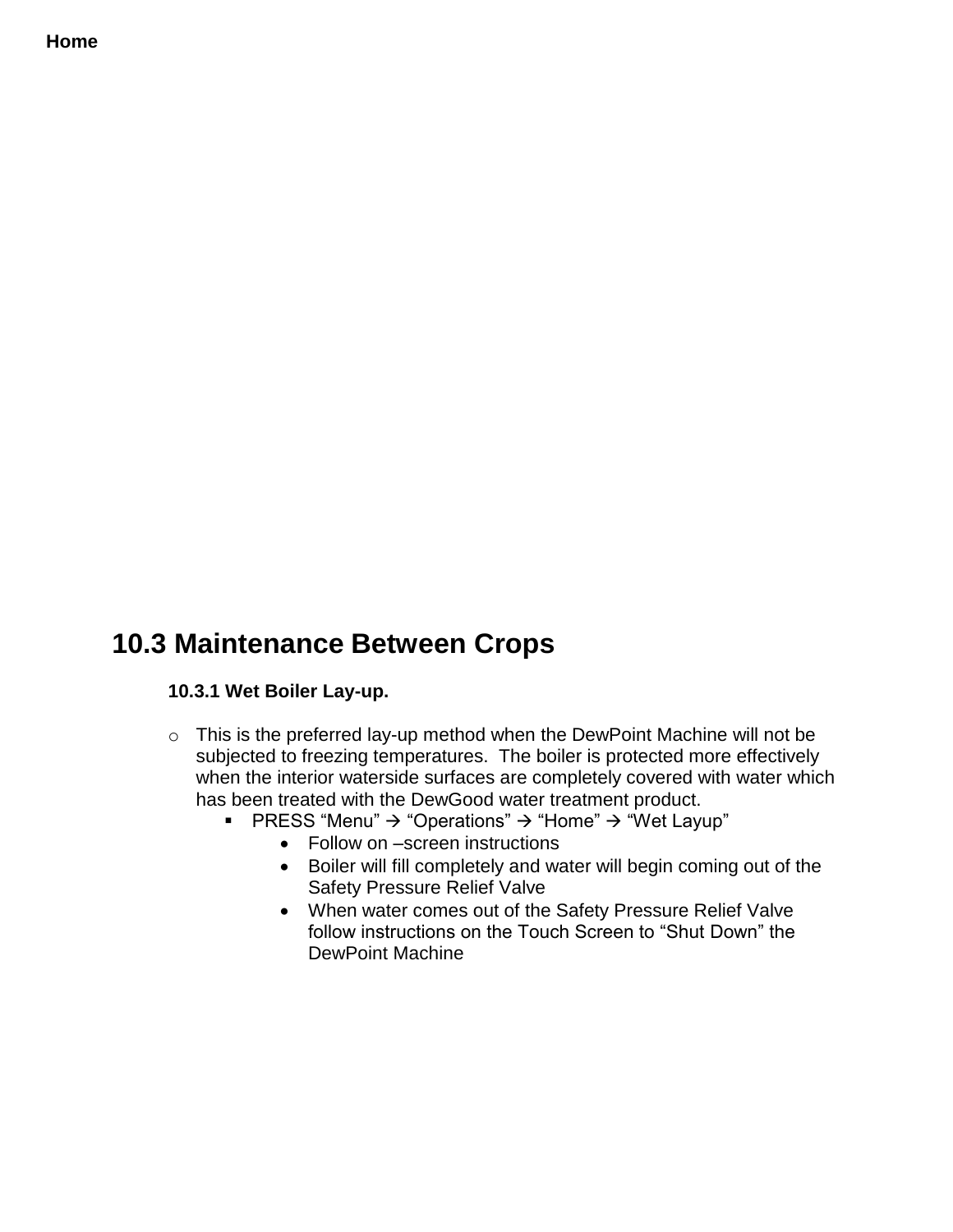# **10.3 Maintenance Between Crops**

### **10.3.1 Wet Boiler Lay-up.**

- o This is the preferred lay-up method when the DewPoint Machine will not be subjected to freezing temperatures. The boiler is protected more effectively when the interior waterside surfaces are completely covered with water which has been treated with the DewGood water treatment product.
	- **PRESS** "Menu"  $\rightarrow$  "Operations"  $\rightarrow$  "Home"  $\rightarrow$  "Wet Layup"
		- Follow on –screen instructions
		- Boiler will fill completely and water will begin coming out of the Safety Pressure Relief Valve
		- When water comes out of the Safety Pressure Relief Valve follow instructions on the Touch Screen to "Shut Down" the DewPoint Machine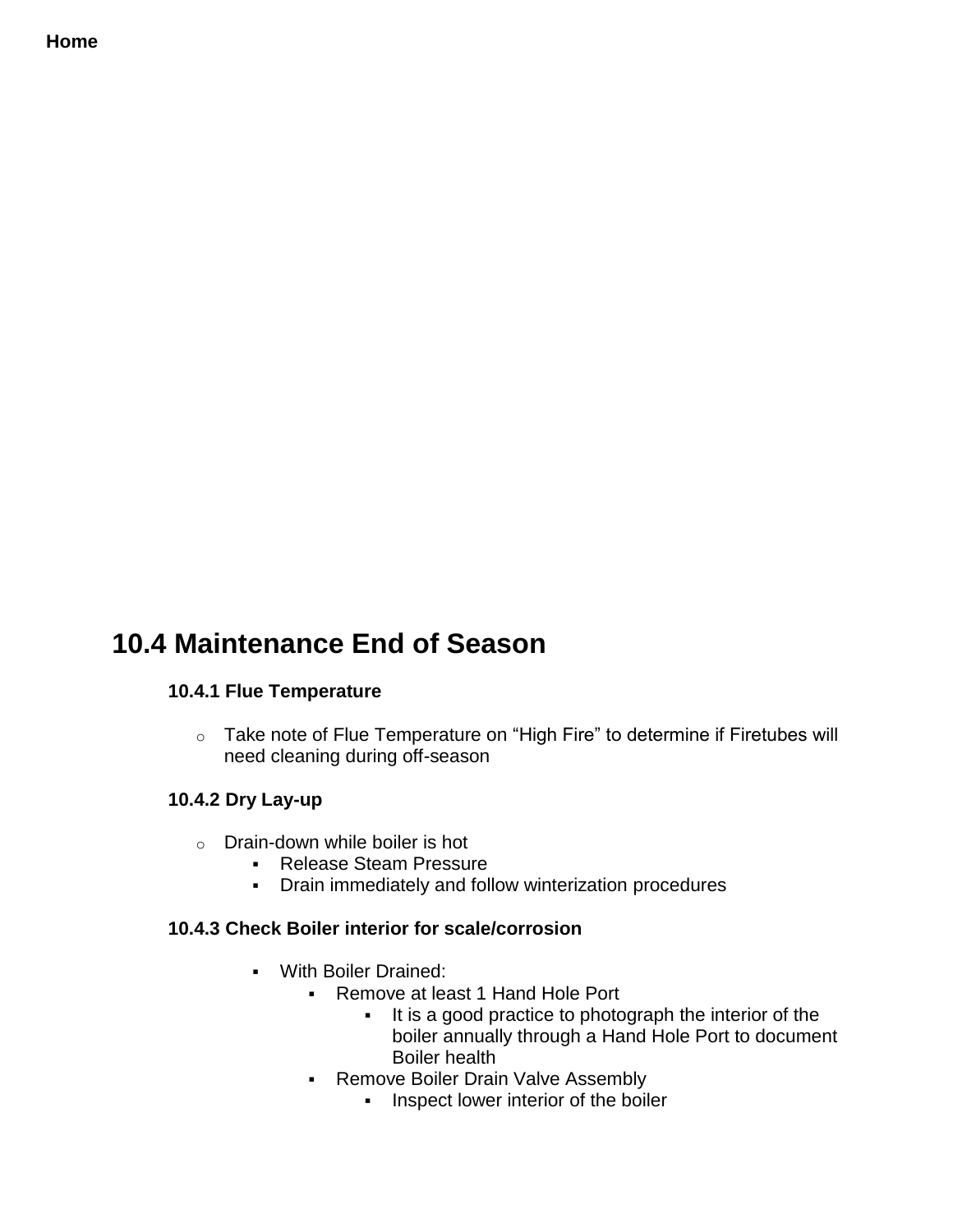# **10.4 Maintenance End of Season**

# **10.4.1 Flue Temperature**

o Take note of Flue Temperature on "High Fire" to determine if Firetubes will need cleaning during off-season

### **10.4.2 Dry Lay-up**

- $\circ$  Drain-down while boiler is hot
	- **Release Steam Pressure**
	- Drain immediately and follow winterization procedures

### **10.4.3 Check Boiler interior for scale/corrosion**

- With Boiler Drained:
	- **Remove at least 1 Hand Hole Port** 
		- It is a good practice to photograph the interior of the boiler annually through a Hand Hole Port to document Boiler health
	- **Remove Boiler Drain Valve Assembly** 
		- **Inspect lower interior of the boiler**